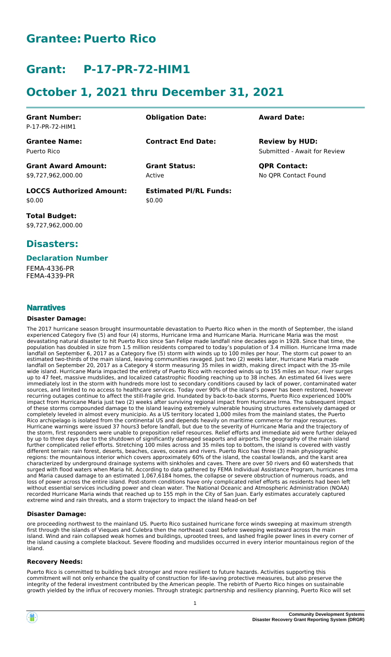# **Grantee: Puerto Rico**

# **Grant: P-17-PR-72-HIM1**

# **October 1, 2021 thru December 31, 2021**

| <b>Grant Number:</b><br>P-17-PR-72-HIM1          | <b>Obligation Date:</b>                 | <b>Award Date:</b>                                    |
|--------------------------------------------------|-----------------------------------------|-------------------------------------------------------|
| <b>Grantee Name:</b><br>Puerto Rico              | <b>Contract End Date:</b>               | <b>Review by HUD:</b><br>Submitted - Await for Review |
| <b>Grant Award Amount:</b><br>\$9,727,962,000.00 | <b>Grant Status:</b><br>Active          | <b>QPR Contact:</b><br>No OPR Contact Found           |
| <b>LOCCS Authorized Amount:</b><br>\$0.00        | <b>Estimated PI/RL Funds:</b><br>\$0.00 |                                                       |

**Total Budget:** \$9,727,962,000.00

### **Disasters:**

### **Declaration Number**

FEMA-4336-PR FEMA-4339-PR

### **Narratives**

#### **Disaster Damage:**

The 2017 hurricane season brought insurmountable devastation to Puerto Rico when in the month of September, the island experienced Category five (5) and four (4) storms, Hurricane Irma and Hurricane Maria. Hurricane Maria was the most devastating natural disaster to hit Puerto Rico since San Felipe made landfall nine decades ago in 1928. Since that time, the population has doubled in size from 1.5 million residents compared to today's population of 3.4 million. Hurricane Irma made landfall on September 6, 2017 as a Category five (5) storm with winds up to 100 miles per hour. The storm cut power to an estimated two-thirds of the main island, leaving communities ravaged. Just two (2) weeks later, Hurricane Maria made landfall on September 20, 2017 as a Category 4 storm measuring 35 miles in width, making direct impact with the 35-mile wide island. Hurricane Maria impacted the entirety of Puerto Rico with recorded winds up to 155 miles an hour, river surges up to 47 feet, massive mudslides, and localized catastrophic flooding reaching up to 38 inches. An estimated 64 lives were immediately lost in the storm with hundreds more lost to secondary conditions caused by lack of power, contaminated water sources, and limited to no access to healthcare services. Today over 90% of the island's power has been restored, however recurring outages continue to affect the still-fragile grid. Inundated by back-to-back storms, Puerto Rico experienced 100% impact from Hurricane Maria just two (2) weeks after surviving regional impact from Hurricane Irma. The subsequent impact of these storms compounded damage to the island leaving extremely vulnerable housing structures extensively damaged or completely leveled in almost every municipio. As a US territory located 1,000 miles from the mainland states, the Puerto Rico archipelago is isolated from the continental US and depends heavily on maritime commerce for major resources. Hurricane warnings were issued 37 hours3 before landfall, but due to the severity of Hurricane Maria and the trajectory of the storm, first responders were unable to preposition relief resources. Relief efforts and immediate aid were further delayed by up to three days due to the shutdown of significantly damaged seaports and airports.The geography of the main island further complicated relief efforts. Stretching 100 miles across and 35 miles top to bottom, the island is covered with vastly different terrain: rain forest, deserts, beaches, caves, oceans and rivers. Puerto Rico has three (3) main physiographic regions: the mountainous interior which covers approximately 60% of the island, the coastal lowlands, and the karst area characterized by underground drainage systems with sinkholes and caves. There are over 50 rivers and 60 watersheds that surged with flood waters when Maria hit. According to data gathered by FEMA Individual Assistance Program, hurricanes Irma and Maria caused damage to an estimated 1,067,6184 homes, the collapse or severe obstruction of numerous roads, and loss of power across the entire island. Post-storm conditions have only complicated relief efforts as residents had been left without essential services including power and clean water. The National Oceanic and Atmospheric Administration (NOAA) recorded Hurricane Maria winds that reached up to 155 mph in the City of San Juan. Early estimates accurately captured extreme wind and rain threats, and a storm trajectory to impact the island head-on bef

### **Disaster Damage:**

ore proceeding northwest to the mainland US. Puerto Rico sustained hurricane force winds sweeping at maximum strength first through the islands of Vieques and Culebra then the northeast coast before sweeping westward across the main island. Wind and rain collapsed weak homes and buildings, uprooted trees, and lashed fragile power lines in every corner of the island causing a complete blackout. Severe flooding and mudslides occurred in every interior mountainous region of the island.

#### **Recovery Needs:**

Puerto Rico is committed to building back stronger and more resilient to future hazards. Activities supporting this commitment will not only enhance the quality of construction for life-saving protective measures, but also preserve the integrity of the federal investment contributed by the American people. The rebirth of Puerto Rico hinges on sustainable growth yielded by the influx of recovery monies. Through strategic partnership and resiliency planning, Puerto Rico will set



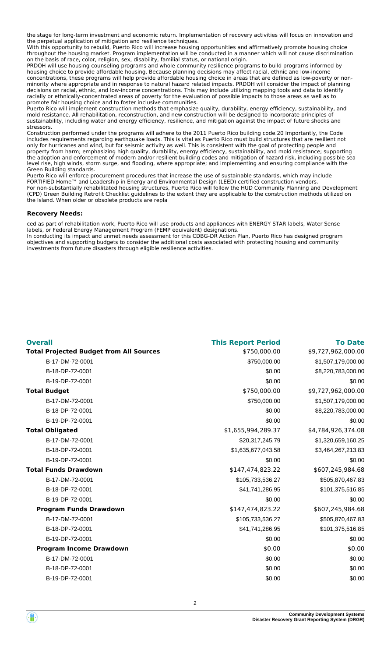the stage for long-term investment and economic return. Implementation of recovery activities will focus on innovation and the perpetual application of mitigation and resilience techniques.

With this opportunity to rebuild, Puerto Rico will increase housing opportunities and affirmatively promote housing choice throughout the housing market. Program implementation will be conducted in a manner which will not cause discrimination on the basis of race, color, religion, sex, disability, familial status, or national origin.

PRDOH will use housing counseling programs and whole community resilience programs to build programs informed by housing choice to provide affordable housing. Because planning decisions may affect racial, ethnic and low-income concentrations, these programs will help provide affordable housing choice in areas that are defined as low-poverty or nonminority where appropriate and in response to natural hazard related impacts. PRDOH will consider the impact of planning decisions on racial, ethnic, and low-income concentrations. This may include utilizing mapping tools and data to identify racially or ethnically-concentrated areas of poverty for the evaluation of possible impacts to those areas as well as to promote fair housing choice and to foster inclusive communities.

Puerto Rico will implement construction methods that emphasize quality, durability, energy efficiency, sustainability, and mold resistance. All rehabilitation, reconstruction, and new construction will be designed to incorporate principles of sustainability, including water and energy efficiency, resilience, and mitigation against the impact of future shocks and stressors.

Construction performed under the programs will adhere to the 2011 Puerto Rico building code.20 Importantly, the Code includes requirements regarding earthquake loads. This is vital as Puerto Rico must build structures that are resilient not only for hurricanes and wind, but for seismic activity as well. This is consistent with the goal of protecting people and property from harm; emphasizing high quality, durability, energy efficiency, sustainability, and mold resistance; supporting the adoption and enforcement of modern and/or resilient building codes and mitigation of hazard risk, including possible sea level rise, high winds, storm surge, and flooding, where appropriate; and implementing and ensuring compliance with the Green Building standards.

Puerto Rico will enforce procurement procedures that increase the use of sustainable standards, which may include FORTIFIED Home™ and Leadership in Energy and Environmental Design (LEED) certified construction vendors. For non-substantially rehabilitated housing structures, Puerto Rico will follow the HUD Community Planning and Development (CPD) Green Building Retrofit Checklist guidelines to the extent they are applicable to the construction methods utilized on the Island. When older or obsolete products are repla

#### **Recovery Needs:**

ced as part of rehabilitation work, Puerto Rico will use products and appliances with ENERGY STAR labels, Water Sense labels, or Federal Energy Management Program (FEMP equivalent) designations. In conducting its impact and unmet needs assessment for this CDBG-DR Action Plan, Puerto Rico has designed program

objectives and supporting budgets to consider the additional costs associated with protecting housing and community investments from future disasters through eligible resilience activities.

| <b>Overall</b>                                 | <b>This Report Period</b> | <b>To Date</b>     |
|------------------------------------------------|---------------------------|--------------------|
| <b>Total Projected Budget from All Sources</b> | \$750,000.00              | \$9,727,962,000.00 |
| B-17-DM-72-0001                                | \$750,000.00              | \$1,507,179,000.00 |
| B-18-DP-72-0001                                | \$0.00                    | \$8,220,783,000.00 |
| B-19-DP-72-0001                                | \$0.00                    | \$0.00             |
| <b>Total Budget</b>                            | \$750,000.00              | \$9,727,962,000.00 |
| B-17-DM-72-0001                                | \$750,000.00              | \$1,507,179,000.00 |
| B-18-DP-72-0001                                | \$0.00                    | \$8,220,783,000.00 |
| B-19-DP-72-0001                                | \$0.00                    | \$0.00             |
| <b>Total Obligated</b>                         | \$1,655,994,289.37        | \$4,784,926,374.08 |
| B-17-DM-72-0001                                | \$20,317,245.79           | \$1,320,659,160.25 |
| B-18-DP-72-0001                                | \$1,635,677,043.58        | \$3,464,267,213.83 |
| B-19-DP-72-0001                                | \$0.00                    | \$0.00             |
| <b>Total Funds Drawdown</b>                    | \$147,474,823.22          | \$607,245,984.68   |
| B-17-DM-72-0001                                | \$105,733,536.27          | \$505,870,467.83   |
| B-18-DP-72-0001                                | \$41,741,286.95           | \$101,375,516.85   |
| B-19-DP-72-0001                                | \$0.00                    | \$0.00             |
| <b>Program Funds Drawdown</b>                  | \$147,474,823.22          | \$607,245,984.68   |
| B-17-DM-72-0001                                | \$105,733,536.27          | \$505,870,467.83   |
| B-18-DP-72-0001                                | \$41,741,286.95           | \$101,375,516.85   |
| B-19-DP-72-0001                                | \$0.00                    | \$0.00             |
| <b>Program Income Drawdown</b>                 | \$0.00                    | \$0.00             |
| B-17-DM-72-0001                                | \$0.00                    | \$0.00             |
| B-18-DP-72-0001                                | \$0.00                    | \$0.00             |
| B-19-DP-72-0001                                | \$0.00                    | \$0.00             |

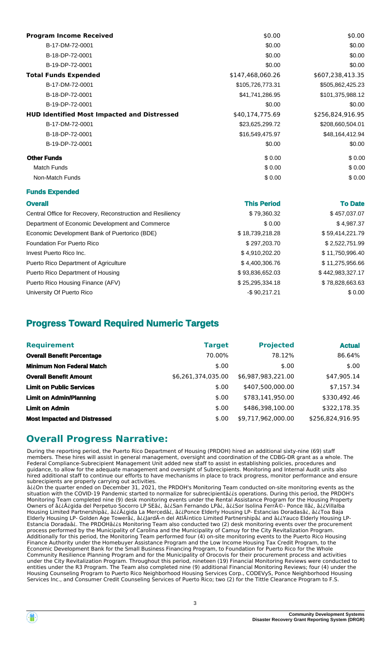| <b>Program Income Received</b>                             | \$0.00             | \$0.00           |
|------------------------------------------------------------|--------------------|------------------|
| B-17-DM-72-0001                                            | \$0.00             | \$0.00           |
| B-18-DP-72-0001                                            | \$0.00             | \$0.00           |
| B-19-DP-72-0001                                            | \$0.00             | \$0.00           |
| <b>Total Funds Expended</b>                                | \$147,468,060.26   | \$607,238,413.35 |
| B-17-DM-72-0001                                            | \$105,726,773.31   | \$505,862,425.23 |
| B-18-DP-72-0001                                            | \$41,741,286.95    | \$101,375,988.12 |
| B-19-DP-72-0001                                            | \$0.00             | \$0.00           |
| <b>HUD Identified Most Impacted and Distressed</b>         | \$40,174,775.69    | \$256,824,916.95 |
| B-17-DM-72-0001                                            | \$23,625,299.72    | \$208,660,504.01 |
| B-18-DP-72-0001                                            | \$16,549,475.97    | \$48,164,412.94  |
| B-19-DP-72-0001                                            | \$0.00             | \$0.00           |
| <b>Other Funds</b>                                         | \$0.00             | \$0.00           |
| <b>Match Funds</b>                                         | \$0.00             | \$0.00           |
| Non-Match Funds                                            | \$0.00             | \$0.00           |
| <b>Funds Expended</b>                                      |                    |                  |
| <b>Overall</b>                                             | <b>This Period</b> | <b>To Date</b>   |
| Central Office for Recovery, Reconstruction and Resiliency | \$79,360.32        | \$457,037.07     |
| Department of Economic Development and Commerce            | \$0.00             | \$4,987.37       |
| Economic Development Bank of Puertorico (BDE)              | \$18,739,218.28    | \$59,414,221.79  |
| Foundation For Puerto Rico                                 | \$297,203.70       | \$2,522,751.99   |
| Invest Puerto Rico Inc.                                    | \$4,910,202.20     | \$11,750,996.40  |
| Puerto Rico Department of Agriculture                      | \$4,400,306.76     | \$11,275,956.66  |
| Puerto Rico Department of Housing                          | \$93,836,652.03    | \$442,983,327.17 |
| Puerto Rico Housing Finance (AFV)                          | \$25,295,334.18    | \$78,828,663.63  |
| University Of Puerto Rico                                  | $-$ \$90,217.21    | \$0.00           |

## **Progress Toward Required Numeric Targets**

| <b>Requirement</b>                  | <b>Target</b>      | <b>Projected</b>   | <b>Actual</b>    |
|-------------------------------------|--------------------|--------------------|------------------|
| <b>Overall Benefit Percentage</b>   | 70.00%             | 78.12%             | 86.64%           |
| <b>Minimum Non Federal Match</b>    | \$.00              | \$.00              | \$.00            |
| <b>Overall Benefit Amount</b>       | \$6,261,374,035.00 | \$6,987,983,221.00 | \$47,905.14      |
| <b>Limit on Public Services</b>     | \$.00              | \$407.500.000.00   | \$7,157.34       |
| <b>Limit on Admin/Planning</b>      | \$.00              | \$783.141.950.00   | \$330,492.46     |
| <b>Limit on Admin</b>               | \$.00              | \$486,398,100.00   | \$322,178.35     |
| <b>Most Impacted and Distressed</b> | \$.00              | \$9,717,962,000.00 | \$256,824,916.95 |

### **Overall Progress Narrative:**

During the reporting period, the Puerto Rico Department of Housing (PRDOH) hired an additional sixty-nine (69) staff members. These hires will assist in general management, oversight and coordination of the CDBG-DR grant as a whole. The Federal Compliance-Subrecipient Management Unit added new staff to assist in establishing policies, procedures and guidance, to allow for the adequate management and oversight of Subrecipients. Monitoring and Internal Audit units also hired additional staff to continue our efforts to have mechanisms in place to track progress, monitor performance and ensure subrecipients are properly carrying out activities.

â¿¿On the quarter ended on December 31, 2021, the PRDOH's Monitoring Team conducted on-site monitoring events as the situation with the COVID-19 Pandemic started to normalize for subrecipientâ¿¿s operations. During this period, the PRDOH's Monitoring Team completed nine (9) desk monitoring events under the Rental Assistance Program for the Housing Property Owners of ⿿ÿgida del Perpetuo Socorro LP SEâ¿, å¿¿San Fernando LPâ¿, â¿¿Sor Isolina Ferré- Ponce IIâ¿, â¿¿Villalba Housing Limited Partnershipâ¿, â¿¿A¿gida La Mercedâ¿, â¿¿Ponce Elderly Housing LP- Estancias Doradasâ¿, â¿¿Toa Baja Elderly Housing LP- Golden Age Towerâ¿, â¿¿JardA-n del AtlAintico Limited Partnershipâ¿ and â¿¿Yauco Elderly Housing LP-Estancia Doradaâ¿. The PRDOHâ¿¿s Monitoring Team also conducted two (2) desk monitoring events over the procurement process performed by the Municipality of Carolina and the Municipality of Camuy for the City Revitalization Program. Additionally for this period, the Monitoring Team performed four (4) on-site monitoring events to the Puerto Rico Housing Finance Authority under the Homebuyer Assistance Program and the Low Income Housing Tax Credit Program, to the Economic Development Bank for the Small Business Financing Program, to Foundation for Puerto Rico for the Whole Community Resilience Planning Program and for the Municipality of Orocovis for their procurement process and activities under the City Revitalization Program. Throughout this period, nineteen (19) Financial Monitoring Reviews were conducted to entities under the R3 Program. The Team also completed nine (9) additional Financial Monitoring Reviews; four (4) under the Housing Counseling Program to Puerto Rico Neighborhood Housing Services Corp., CODEVyS, Ponce Neighborhood Housing Services Inc., and Consumer Credit Counseling Services of Puerto Rico; two (2) for the Tittle Clearance Program to F.S.

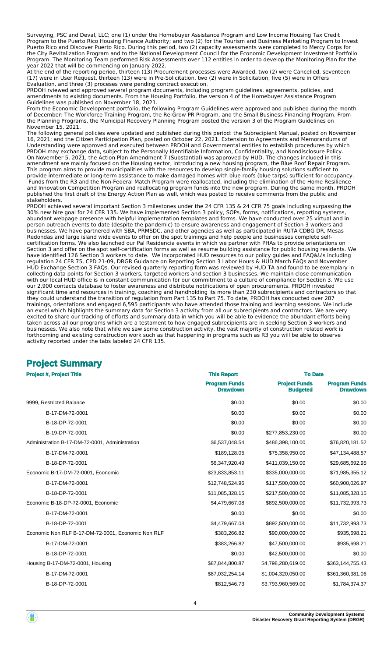Surveying, PSC and Deval, LLC; one (1) under the Homebuyer Assistance Program and Low Income Housing Tax Credit Program to the Puerto Rico Housing Finance Authority; and two (2) for the Tourism and Business Marketing Program to Invest Puerto Rico and Discover Puerto Rico. During this period, two (2) capacity assessments were completed to Mercy Corps for the City Revitalization Program and to the National Development Council for the Economic Development Investment Portfolio Program. The Monitoring Team performed Risk Assessments over 112 entities in order to develop the Monitoring Plan for the year 2022 that will be commencing on January 2022.

At the end of the reporting period, thirteen (13) Procurement processes were Awarded, two (2) were Cancelled, seventeen (17) were in User Request, thirteen (13) were in Pre-Solicitation, two (2) were in Solicitation, five (5) were in Offers Evaluation, and three (3) proceses were pending contract execution.

PRDOH rviewed and approved several program documents, including program guidelines, agreements, policies, and amendments to existing documents. From the Housing Portfolio, the version 4 of the Homebuyer Assistance Program Guidelines was published on November 18, 2021.

From the Economic Development portfolio, the following Program Guidelines were approved and published during the month of December: The Workforce Training Program, the Re-Grow PR Program, and the Small Business Financing Program. From the Planning Programs, the Municipal Recovery Planning Program posted the version 3 of the Program Guidelines on November 15, 2021.

The following general policies were updated and published during this period: the Subrecipient Manual, posted on November 16, 2021; and the Citizen Participation Plan, posted on October 22, 2021. Extension to Agreements and Memorandums of Understanding were approved and executed between PRDOH and Governmental entities to establish procedures by which PRDOH may exchange data, subject to the Personally Identifiable Information, Confidentiality, and Nondisclosure Policy. On November 5, 2021, the Action Plan Amendment 7 (Substantial) was approved by HUD. The changes included in this amendment are mainly focused on the Housing sector, introducing a new housing program, the Blue Roof Repair Program. This program aims to provide municipalities with the resources to develop single-family housing solutions sufficient to provide intermediate or long-term assistance to make damaged homes with blue roofs (blue tarps) sufficient for occupancy. Funds from the R3 and the Non-Federal Match Program were reallocated, including the elimination of the Home Resilience and Innovation Competition Program and reallocating program funds into the new program. During the same month, PRDOH published the first draft of the Energy Action Plan as well, which was posted to receive comments from the public and stakeholders.

PRDOH achieved several important Section 3 milestones under the 24 CFR 135 & 24 CFR 75 goals including surpassing the 30% new hire goal for 24 CFR 135. We have implemented Section 3 policy, SOPs, forms, notifications, reporting systems, abundant webpage presence with helpful implementation templates and forms. We have conducted over 25 virtual and in person outreach events to date (despite the pandemic) to ensure awareness and engagement of Section 3 workers and businesses. We have partnered with SBA, PRMSDC, and other agencies as well as participated in RUTA CDBG DR, Mesas Redondas and large island wide events to offer on the spot trainings and help people and businesses complete selfcertification forms. We also launched our Pal Residencia events in which we partner with PHAs to provide orientations on Section 3 and offer on the spot self-certification forms as well as resume building assistance for public housing residents. We have identified 126 Section 3 workers to date. We incorporated HUD resources to our policy guides and FAQâ¿¿s including regulation 24 CFR 75, CPD 21-09, DRGR Guidance on Reporting Section 3 Labor Hours & HUD March FAQs and November HUD Exchange Section 3 FAQs. Our revised quarterly reporting form was reviewed by HUD TA and found to be exemplary in collecting data points for Section 3 workers, targeted workers and section 3 businesses. We maintain close communication with our local HUD office is in constant communication for our commitment to a culture of compliance for Section 3. We use our 2,900 contacts database to foster awareness and distribute notifications of open procurements. PRDOH invested significant time and resources in training, coaching and handholding its more than 230 subrecipients and contractors so that they could understand the transition of regulation from Part 135 to Part 75. To date, PRDOH has conducted over 287 trainings, orientations and engaged 6,595 participants who have attended those training and learning sessions. We include an excel which highlights the summary data for Section 3 activity from all our subrecipients and contractors. We are very excited to share our tracking of efforts and summary data in which you will be able to evidence the abundant efforts being taken across all our programs which are a testament to how engaged subrecipients are in seeking Section 3 workers and businesses. We also note that while we saw some construction activity, the vast majority of construction related work is forthcoming and existing construction work such as that happening in programs such as R3 you will be able to observe activity reported under the tabs labeled 24 CFR 135.

## **Project Summary**

| <b>Project #, Project Title</b>                    | <b>This Report</b>                      | <b>To Date</b>                          |                                         |
|----------------------------------------------------|-----------------------------------------|-----------------------------------------|-----------------------------------------|
|                                                    | <b>Program Funds</b><br><b>Drawdown</b> | <b>Project Funds</b><br><b>Budgeted</b> | <b>Program Funds</b><br><b>Drawdown</b> |
| 9999, Restricted Balance                           | \$0.00                                  | \$0.00                                  | \$0.00                                  |
| B-17-DM-72-0001                                    | \$0.00                                  | \$0.00                                  | \$0.00                                  |
| B-18-DP-72-0001                                    | \$0.00                                  | \$0.00                                  | \$0.00                                  |
| B-19-DP-72-0001                                    | \$0.00                                  | \$277,853,230.00                        | \$0.00                                  |
| Administration B-17-DM-72-0001, Administration     | \$6,537,048.54                          | \$486,398,100.00                        | \$76,820,181.52                         |
| B-17-DM-72-0001                                    | \$189,128.05                            | \$75,358,950.00                         | \$47,134,488.57                         |
| B-18-DP-72-0001                                    | \$6,347,920.49                          | \$411,039,150.00                        | \$29,685,692.95                         |
| Economic B-17-DM-72-0001, Economic                 | \$23,833,853.11                         | \$335,000,000.00                        | \$71,985,355.12                         |
| B-17-DM-72-0001                                    | \$12,748,524.96                         | \$117,500,000.00                        | \$60,900,026.97                         |
| B-18-DP-72-0001                                    | \$11,085,328.15                         | \$217,500,000.00                        | \$11,085,328.15                         |
| Economic B-18-DP-72-0001, Economic                 | \$4,479,667.08                          | \$892,500,000.00                        | \$11,732,993.73                         |
| B-17-DM-72-0001                                    | \$0.00                                  | \$0.00                                  | \$0.00                                  |
| B-18-DP-72-0001                                    | \$4,479,667.08                          | \$892,500,000.00                        | \$11,732,993.73                         |
| Economic Non RLF B-17-DM-72-0001, Economic Non RLF | \$383,266.82                            | \$90,000,000.00                         | \$935,698.21                            |
| B-17-DM-72-0001                                    | \$383,266.82                            | \$47,500,000.00                         | \$935,698.21                            |
| B-18-DP-72-0001                                    | \$0.00                                  | \$42,500,000.00                         | \$0.00                                  |
| Housing B-17-DM-72-0001, Housing                   | \$87,844,800.87                         | \$4,798,280,619.00                      | \$363,144,755.43                        |
| B-17-DM-72-0001                                    | \$87,032,254.14                         | \$1,004,320,050.00                      | \$361,360,381.06                        |
| B-18-DP-72-0001                                    | \$812,546.73                            | \$3,793,960,569.00                      | \$1,784,374.37                          |
|                                                    |                                         |                                         |                                         |



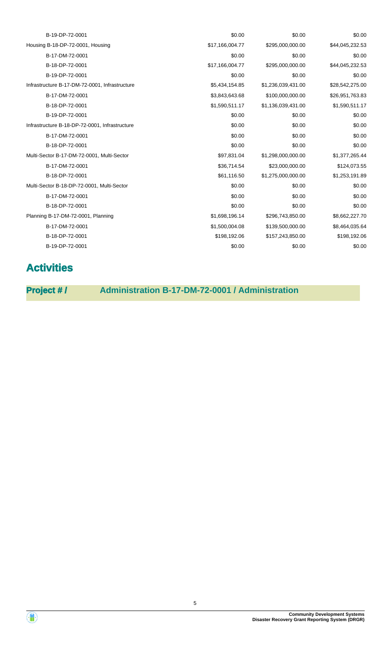| B-19-DP-72-0001                                | \$0.00          | \$0.00             | \$0.00          |
|------------------------------------------------|-----------------|--------------------|-----------------|
| Housing B-18-DP-72-0001, Housing               | \$17,166,004.77 | \$295,000,000.00   | \$44,045,232.53 |
| B-17-DM-72-0001                                | \$0.00          | \$0.00             | \$0.00          |
| B-18-DP-72-0001                                | \$17,166,004.77 | \$295,000,000.00   | \$44,045,232.53 |
| B-19-DP-72-0001                                | \$0.00          | \$0.00             | \$0.00          |
| Infrastructure B-17-DM-72-0001, Infrastructure | \$5,434,154.85  | \$1,236,039,431.00 | \$28,542,275.00 |
| B-17-DM-72-0001                                | \$3,843,643.68  | \$100,000,000.00   | \$26,951,763.83 |
| B-18-DP-72-0001                                | \$1,590,511.17  | \$1,136,039,431.00 | \$1,590,511.17  |
| B-19-DP-72-0001                                | \$0.00          | \$0.00             | \$0.00          |
| Infrastructure B-18-DP-72-0001, Infrastructure | \$0.00          | \$0.00             | \$0.00          |
| B-17-DM-72-0001                                | \$0.00          | \$0.00             | \$0.00          |
| B-18-DP-72-0001                                | \$0.00          | \$0.00             | \$0.00          |
| Multi-Sector B-17-DM-72-0001, Multi-Sector     | \$97,831.04     | \$1,298,000,000.00 | \$1,377,265.44  |
| B-17-DM-72-0001                                | \$36,714.54     | \$23,000,000.00    | \$124,073.55    |
| B-18-DP-72-0001                                | \$61,116.50     | \$1,275,000,000.00 | \$1,253,191.89  |
| Multi-Sector B-18-DP-72-0001, Multi-Sector     | \$0.00          | \$0.00             | \$0.00          |
| B-17-DM-72-0001                                | \$0.00          | \$0.00             | \$0.00          |
| B-18-DP-72-0001                                | \$0.00          | \$0.00             | \$0.00          |
| Planning B-17-DM-72-0001, Planning             | \$1,698,196.14  | \$296,743,850.00   | \$8,662,227.70  |
| B-17-DM-72-0001                                | \$1,500,004.08  | \$139,500,000.00   | \$8,464,035.64  |
| B-18-DP-72-0001                                | \$198,192.06    | \$157,243,850.00   | \$198,192.06    |
| B-19-DP-72-0001                                | \$0.00          | \$0.00             | \$0.00          |
|                                                |                 |                    |                 |

# **Activities**

**Project # / Administration B-17-DM-72-0001 / Administration**

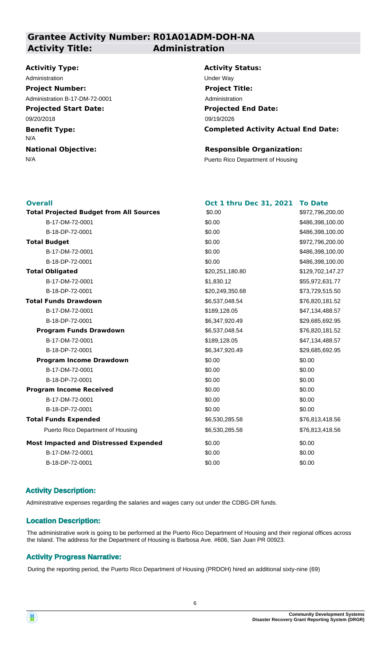### **Grantee Activity Number: R01A01ADM-DOH-NA Activity Title: Administration**

### **Activitiy Type:**

**Projected Start Date: Benefit Type: National Objective:** 09/20/2018 N/A Administration **National Contract Contract Contract Contract Contract Contract Contract Contract Contract Contract Contract Contract Contract Contract Contract Contract Contract Contract Contract Contract Contract Contract Project Number:** Administration B-17-DM-72-0001

### **Activity Status:**

**Projected End Date: Completed Activity Actual End Date:** 09/19/2026 **Project Title:** Administration

### **Responsible Organization:**

N/A **Puerto Rico Department of Housing** 

| Oct 1 thru Dec 31, 2021 | <b>To Date</b>   |
|-------------------------|------------------|
| \$0.00                  | \$972,796,200.00 |
| \$0.00                  | \$486,398,100.00 |
| \$0.00                  | \$486,398,100.00 |
| \$0.00                  | \$972,796,200.00 |
| \$0.00                  | \$486,398,100.00 |
| \$0.00                  | \$486,398,100.00 |
| \$20,251,180.80         | \$129,702,147.27 |
| \$1,830.12              | \$55,972,631.77  |
| \$20,249,350.68         | \$73,729,515.50  |
| \$6,537,048.54          | \$76,820,181.52  |
| \$189,128.05            | \$47,134,488.57  |
| \$6,347,920.49          | \$29,685,692.95  |
| \$6,537,048.54          | \$76,820,181.52  |
| \$189,128.05            | \$47,134,488.57  |
| \$6,347,920.49          | \$29,685,692.95  |
| \$0.00                  | \$0.00           |
| \$0.00                  | \$0.00           |
| \$0.00                  | \$0.00           |
| \$0.00                  | \$0.00           |
| \$0.00                  | \$0.00           |
| \$0.00                  | \$0.00           |
| \$6,530,285.58          | \$76,813,418.56  |
| \$6,530,285.58          | \$76,813,418.56  |
| \$0.00                  | \$0.00           |
| \$0.00                  | \$0.00           |
| \$0.00                  | \$0.00           |
|                         |                  |

### **Activity Description:**

Administrative expenses regarding the salaries and wages carry out under the CDBG-DR funds.

### **Location Description:**

The administrative work is going to be performed at the Puerto Rico Department of Housing and their regional offices across the Island. The address for the Department of Housing is Barbosa Ave. #606, San Juan PR 00923.

### **Activity Progress Narrative:**

During the reporting period, the Puerto Rico Department of Housing (PRDOH) hired an additional sixty-nine (69)

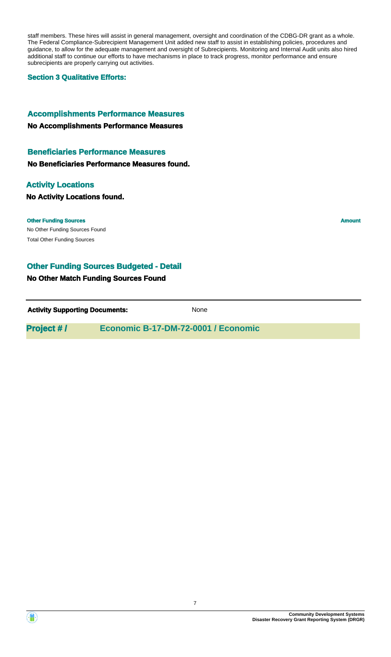staff members. These hires will assist in general management, oversight and coordination of the CDBG-DR grant as a whole. The Federal Compliance-Subrecipient Management Unit added new staff to assist in establishing policies, procedures and guidance, to allow for the adequate management and oversight of Subrecipients. Monitoring and Internal Audit units also hired additional staff to continue our efforts to have mechanisms in place to track progress, monitor performance and ensure subrecipients are properly carrying out activities.

### **Section 3 Qualitative Efforts:**

### **Accomplishments Performance Measures**

### **No Accomplishments Performance Measures**

### **Beneficiaries Performance Measures**

**No Beneficiaries Performance Measures found.**

### **Activity Locations**

### **No Activity Locations found.**

No Other Funding Sources Found **Other Funding Sources Amount Amount Amount Amount Amount Amount Amount** Total Other Funding Sources

### **Other Funding Sources Budgeted - Detail**

### **No Other Match Funding Sources Found**

**Activity Supporting Documents:** None

**Project # / Economic B-17-DM-72-0001 / Economic**

**Community Development Systems**

**Disaster Recovery Grant Reporting System (DRGR)**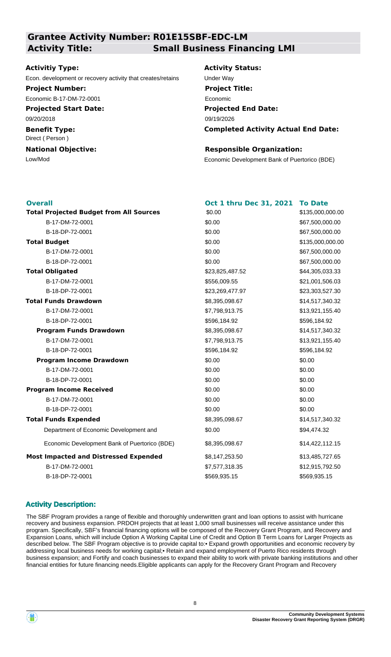## **Grantee Activity Number: R01E15SBF-EDC-LM Activity Title: Small Business Financing LMI**

### **Activitiy Type:**

Econ. development or recovery activity that creates/retains Under Way

**Project Number:**

Economic B-17-DM-72-0001

**Projected Start Date:** 09/20/2018

**Benefit Type:** Direct ( Person )

**National Objective:**

**Activity Status: Projected End Date: Completed Activity Actual End Date:** 09/19/2026 **Project Title:** Economic

### **Responsible Organization:**

Low/Mod Economic Development Bank of Puertorico (BDE)

| <b>Overall</b>                                 | Oct 1 thru Dec 31, 2021 | <b>To Date</b>   |
|------------------------------------------------|-------------------------|------------------|
| <b>Total Projected Budget from All Sources</b> | \$0.00                  | \$135,000,000.00 |
| B-17-DM-72-0001                                | \$0.00                  | \$67,500,000.00  |
| B-18-DP-72-0001                                | \$0.00                  | \$67,500,000.00  |
| <b>Total Budget</b>                            | \$0.00                  | \$135,000,000.00 |
| B-17-DM-72-0001                                | \$0.00                  | \$67,500,000.00  |
| B-18-DP-72-0001                                | \$0.00                  | \$67,500,000.00  |
| <b>Total Obligated</b>                         | \$23,825,487.52         | \$44,305,033.33  |
| B-17-DM-72-0001                                | \$556,009.55            | \$21,001,506.03  |
| B-18-DP-72-0001                                | \$23,269,477.97         | \$23,303,527.30  |
| <b>Total Funds Drawdown</b>                    | \$8,395,098.67          | \$14,517,340.32  |
| B-17-DM-72-0001                                | \$7,798,913.75          | \$13,921,155.40  |
| B-18-DP-72-0001                                | \$596,184.92            | \$596,184.92     |
| <b>Program Funds Drawdown</b>                  | \$8,395,098.67          | \$14,517,340.32  |
| B-17-DM-72-0001                                | \$7,798,913.75          | \$13,921,155.40  |
| B-18-DP-72-0001                                | \$596,184.92            | \$596,184.92     |
| <b>Program Income Drawdown</b>                 | \$0.00                  | \$0.00           |
| B-17-DM-72-0001                                | \$0.00                  | \$0.00           |
| B-18-DP-72-0001                                | \$0.00                  | \$0.00           |
| <b>Program Income Received</b>                 | \$0.00                  | \$0.00           |
| B-17-DM-72-0001                                | \$0.00                  | \$0.00           |
| B-18-DP-72-0001                                | \$0.00                  | \$0.00           |
| <b>Total Funds Expended</b>                    | \$8,395,098.67          | \$14,517,340.32  |
| Department of Economic Development and         | \$0.00                  | \$94,474.32      |
| Economic Development Bank of Puertorico (BDE)  | \$8,395,098.67          | \$14,422,112.15  |
| <b>Most Impacted and Distressed Expended</b>   | \$8,147,253.50          | \$13,485,727.65  |
| B-17-DM-72-0001                                | \$7,577,318.35          | \$12,915,792.50  |
| B-18-DP-72-0001                                | \$569,935.15            | \$569,935.15     |

### **Activity Description:**

The SBF Program provides a range of flexible and thoroughly underwritten grant and loan options to assist with hurricane recovery and business expansion. PRDOH projects that at least 1,000 small businesses will receive assistance under this program. Specifically, SBF's financial financing options will be composed of the Recovery Grant Program, and Recovery and Expansion Loans, which will include Option A Working Capital Line of Credit and Option B Term Loans for Larger Projects as described below. The SBF Program objective is to provide capital to:• Expand growth opportunities and economic recovery by addressing local business needs for working capital;• Retain and expand employment of Puerto Rico residents through business expansion; and Fortify and coach businesses to expand their ability to work with private banking institutions and other financial entities for future financing needs.Eligible applicants can apply for the Recovery Grant Program and Recovery

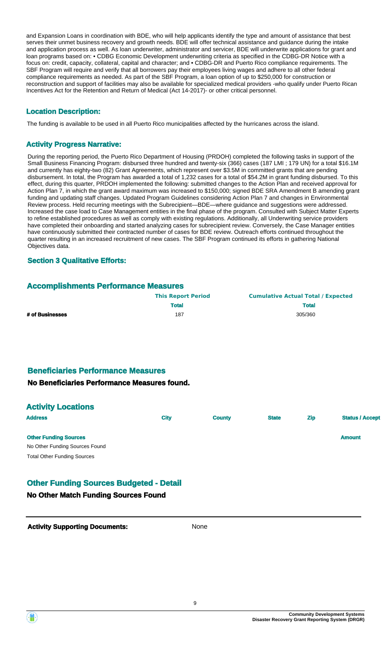and Expansion Loans in coordination with BDE, who will help applicants identify the type and amount of assistance that best serves their unmet business recovery and growth needs. BDE will offer technical assistance and guidance during the intake and application process as well. As loan underwriter, administrator and servicer, BDE will underwrite applications for grant and loan programs based on: • CDBG Economic Development underwriting criteria as specified in the CDBG-DR Notice with a focus on: credit, capacity, collateral, capital and character; and • CDBG-DR and Puerto Rico compliance requirements. The SBF Program will require and verify that all borrowers pay their employees living wages and adhere to all other federal compliance requirements as needed. As part of the SBF Program, a loan option of up to \$250,000 for construction or reconstruction and support of facilities may also be available for specialized medical providers -who qualify under Puerto Rican Incentives Act for the Retention and Return of Medical (Act 14-2017)- or other critical personnel.

### **Location Description:**

The funding is available to be used in all Puerto Rico municipalities affected by the hurricanes across the island.

### **Activity Progress Narrative:**

During the reporting period, the Puerto Rico Department of Housing (PRDOH) completed the following tasks in support of the Small Business Financing Program: disbursed three hundred and twenty-six (366) cases (187 LMI ; 179 UN) for a total \$16.1M and currently has eighty-two (82) Grant Agreements, which represent over \$3.5M in committed grants that are pending disbursement. In total, the Program has awarded a total of 1,232 cases for a total of \$54.2M in grant funding disbursed. To this effect, during this quarter, PRDOH implemented the following: submitted changes to the Action Plan and received approval for Action Plan 7, in which the grant award maximum was increased to \$150,000; signed BDE SRA Amendment B amending grant funding and updating staff changes. Updated Program Guidelines considering Action Plan 7 and changes in Environmental Review process. Held recurring meetings with the Subrecipient—BDE—where guidance and suggestions were addressed. Increased the case load to Case Management entities in the final phase of the program. Consulted with Subject Matter Experts to refine established procedures as well as comply with existing regulations. Additionally, all Underwriting service providers have completed their onboarding and started analyzing cases for subrecipient review. Conversely, the Case Manager entities have continuously submitted their contracted number of cases for BDE review. Outreach efforts continued throughout the quarter resulting in an increased recruitment of new cases. The SBF Program continued its efforts in gathering National Objectives data.

### **Section 3 Qualitative Efforts:**

### **Accomplishments Performance Measures**

|                 | <b>This Report Period</b> | <b>Cumulative Actual Total / Expected</b> |
|-----------------|---------------------------|-------------------------------------------|
|                 | <b>Total</b>              | <b>Total</b>                              |
| # of Businesses | 187                       | 305/360                                   |

## **Beneficiaries Performance Measures**

### **No Beneficiaries Performance Measures found.**

| <b>Activity Locations</b>          |             |               |              |            |                        |
|------------------------------------|-------------|---------------|--------------|------------|------------------------|
| <b>Address</b>                     | <b>City</b> | <b>County</b> | <b>State</b> | <b>Zip</b> | <b>Status / Accept</b> |
| <b>Other Funding Sources</b>       |             |               |              |            | <b>Amount</b>          |
| No Other Funding Sources Found     |             |               |              |            |                        |
| <b>Total Other Funding Sources</b> |             |               |              |            |                        |

### **Other Funding Sources Budgeted - Detail**

### **No Other Match Funding Sources Found**

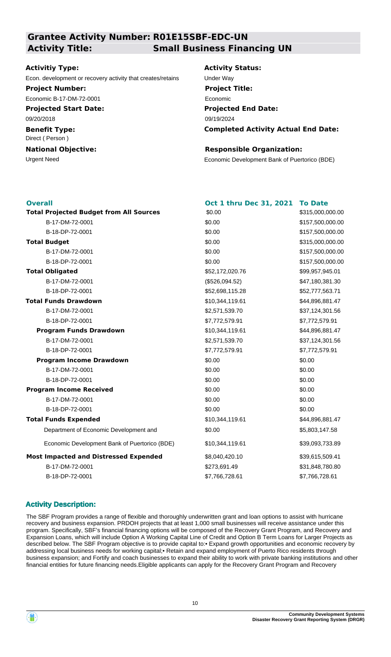## **Grantee Activity Number: R01E15SBF-EDC-UN Activity Title: Small Business Financing UN**

### **Activitiy Type:**

Econ. development or recovery activity that creates/retains Under Way

**Project Number:** Economic B-17-DM-72-0001

**Projected Start Date:**

09/20/2018

**Benefit Type:** Direct ( Person )

# **National Objective:**

**Activity Status: Projected End Date: Completed Activity Actual End Date:** 09/19/2024 **Project Title:** Economic

### **Responsible Organization:**

Urgent Need Economic Development Bank of Puertorico (BDE)

| <b>Overall</b>                                 | Oct 1 thru Dec 31, 2021 | <b>To Date</b>   |
|------------------------------------------------|-------------------------|------------------|
| <b>Total Projected Budget from All Sources</b> | \$0.00                  | \$315,000,000.00 |
| B-17-DM-72-0001                                | \$0.00                  | \$157,500,000.00 |
| B-18-DP-72-0001                                | \$0.00                  | \$157,500,000.00 |
| <b>Total Budget</b>                            | \$0.00                  | \$315,000,000.00 |
| B-17-DM-72-0001                                | \$0.00                  | \$157,500,000.00 |
| B-18-DP-72-0001                                | \$0.00                  | \$157,500,000.00 |
| <b>Total Obligated</b>                         | \$52,172,020.76         | \$99,957,945.01  |
| B-17-DM-72-0001                                | (\$526,094.52)          | \$47,180,381.30  |
| B-18-DP-72-0001                                | \$52,698,115.28         | \$52,777,563.71  |
| <b>Total Funds Drawdown</b>                    | \$10,344,119.61         | \$44,896,881.47  |
| B-17-DM-72-0001                                | \$2,571,539.70          | \$37,124,301.56  |
| B-18-DP-72-0001                                | \$7,772,579.91          | \$7,772,579.91   |
| <b>Program Funds Drawdown</b>                  | \$10,344,119.61         | \$44,896,881.47  |
| B-17-DM-72-0001                                | \$2,571,539.70          | \$37,124,301.56  |
| B-18-DP-72-0001                                | \$7,772,579.91          | \$7,772,579.91   |
| <b>Program Income Drawdown</b>                 | \$0.00                  | \$0.00           |
| B-17-DM-72-0001                                | \$0.00                  | \$0.00           |
| B-18-DP-72-0001                                | \$0.00                  | \$0.00           |
| <b>Program Income Received</b>                 | \$0.00                  | \$0.00           |
| B-17-DM-72-0001                                | \$0.00                  | \$0.00           |
| B-18-DP-72-0001                                | \$0.00                  | \$0.00           |
| <b>Total Funds Expended</b>                    | \$10,344,119.61         | \$44,896,881.47  |
| Department of Economic Development and         | \$0.00                  | \$5,803,147.58   |
| Economic Development Bank of Puertorico (BDE)  | \$10,344,119.61         | \$39,093,733.89  |
| <b>Most Impacted and Distressed Expended</b>   | \$8,040,420.10          | \$39,615,509.41  |
| B-17-DM-72-0001                                | \$273,691.49            | \$31,848,780.80  |
| B-18-DP-72-0001                                | \$7,766,728.61          | \$7,766,728.61   |

### **Activity Description:**

The SBF Program provides a range of flexible and thoroughly underwritten grant and loan options to assist with hurricane recovery and business expansion. PRDOH projects that at least 1,000 small businesses will receive assistance under this program. Specifically, SBF's financial financing options will be composed of the Recovery Grant Program, and Recovery and Expansion Loans, which will include Option A Working Capital Line of Credit and Option B Term Loans for Larger Projects as described below. The SBF Program objective is to provide capital to:• Expand growth opportunities and economic recovery by addressing local business needs for working capital;• Retain and expand employment of Puerto Rico residents through business expansion; and Fortify and coach businesses to expand their ability to work with private banking institutions and other financial entities for future financing needs.Eligible applicants can apply for the Recovery Grant Program and Recovery

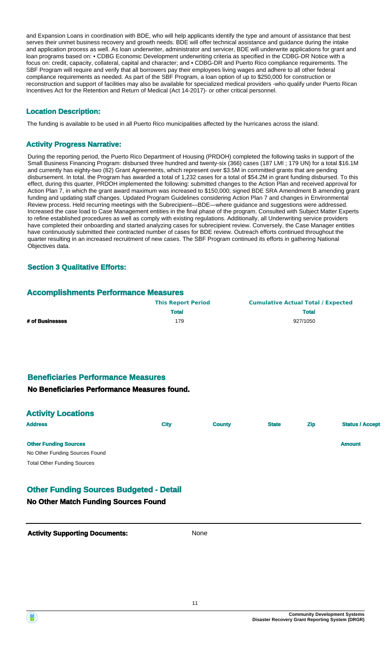and Expansion Loans in coordination with BDE, who will help applicants identify the type and amount of assistance that best serves their unmet business recovery and growth needs. BDE will offer technical assistance and guidance during the intake and application process as well. As loan underwriter, administrator and servicer, BDE will underwrite applications for grant and loan programs based on: • CDBG Economic Development underwriting criteria as specified in the CDBG-DR Notice with a focus on: credit, capacity, collateral, capital and character; and • CDBG-DR and Puerto Rico compliance requirements. The SBF Program will require and verify that all borrowers pay their employees living wages and adhere to all other federal compliance requirements as needed. As part of the SBF Program, a loan option of up to \$250,000 for construction or reconstruction and support of facilities may also be available for specialized medical providers -who qualify under Puerto Rican Incentives Act for the Retention and Return of Medical (Act 14-2017)- or other critical personnel.

### **Location Description:**

The funding is available to be used in all Puerto Rico municipalities affected by the hurricanes across the island.

### **Activity Progress Narrative:**

During the reporting period, the Puerto Rico Department of Housing (PRDOH) completed the following tasks in support of the Small Business Financing Program: disbursed three hundred and twenty-six (366) cases (187 LMI ; 179 UN) for a total \$16.1M and currently has eighty-two (82) Grant Agreements, which represent over \$3.5M in committed grants that are pending disbursement. In total, the Program has awarded a total of 1,232 cases for a total of \$54.2M in grant funding disbursed. To this effect, during this quarter, PRDOH implemented the following: submitted changes to the Action Plan and received approval for Action Plan 7, in which the grant award maximum was increased to \$150,000; signed BDE SRA Amendment B amending grant funding and updating staff changes. Updated Program Guidelines considering Action Plan 7 and changes in Environmental Review process. Held recurring meetings with the Subrecipient—BDE—where guidance and suggestions were addressed. Increased the case load to Case Management entities in the final phase of the program. Consulted with Subject Matter Experts to refine established procedures as well as comply with existing regulations. Additionally, all Underwriting service providers have completed their onboarding and started analyzing cases for subrecipient review. Conversely, the Case Manager entities have continuously submitted their contracted number of cases for BDE review. Outreach efforts continued throughout the quarter resulting in an increased recruitment of new cases. The SBF Program continued its efforts in gathering National Objectives data.

### **Section 3 Qualitative Efforts:**

### **Accomplishments Performance Measures**

|                 | <b>This Report Period</b> | <b>Cumulative Actual Total / Expected</b> |
|-----------------|---------------------------|-------------------------------------------|
|                 | <b>Total</b>              | <b>Total</b>                              |
| # of Businesses | 179                       | 927/1050                                  |

### **Beneficiaries Performance Measures**

### **No Beneficiaries Performance Measures found.**

| <b>Activity Locations</b> |
|---------------------------|
|                           |

| <b>Address</b>                     | <b>City</b> | <b>County</b> | <b>State</b> | <b>Zip</b> | <b>Status / Accept</b> |
|------------------------------------|-------------|---------------|--------------|------------|------------------------|
| <b>Other Funding Sources</b>       |             |               |              |            | <b>Amount</b>          |
| No Other Funding Sources Found     |             |               |              |            |                        |
| <b>Total Other Funding Sources</b> |             |               |              |            |                        |

### **Other Funding Sources Budgeted - Detail**

### **No Other Match Funding Sources Found**

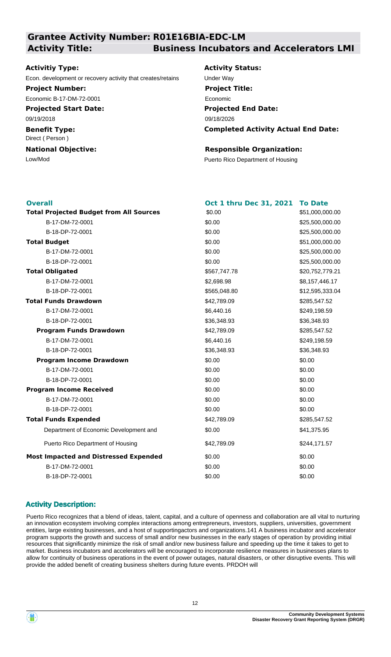# **Grantee Activity Number: R01E16BIA-EDC-LM**

### **Activitiy Type:**

Econ. development or recovery activity that creates/retains Under Way

### **Project Number:**

Economic B-17-DM-72-0001

**Projected Start Date:** 09/19/2018

**Benefit Type:**

Direct ( Person )

**National Objective:**

### **Activity Title: Business Incubators and Accelerators LMI**

**Activity Status: Projected End Date: Completed Activity Actual End Date:** 09/18/2026 **Project Title:** Economic

### **Responsible Organization:**

Low/Mod<br>
Puerto Rico Department of Housing

| <b>Overall</b>                                 | Oct 1 thru Dec 31, 2021 | <b>To Date</b>  |
|------------------------------------------------|-------------------------|-----------------|
| <b>Total Projected Budget from All Sources</b> | \$0.00                  | \$51,000,000.00 |
| B-17-DM-72-0001                                | \$0.00                  | \$25,500,000.00 |
| B-18-DP-72-0001                                | \$0.00                  | \$25,500,000.00 |
| <b>Total Budget</b>                            | \$0.00                  | \$51,000,000.00 |
| B-17-DM-72-0001                                | \$0.00                  | \$25,500,000.00 |
| B-18-DP-72-0001                                | \$0.00                  | \$25,500,000.00 |
| <b>Total Obligated</b>                         | \$567,747.78            | \$20,752,779.21 |
| B-17-DM-72-0001                                | \$2,698.98              | \$8,157,446.17  |
| B-18-DP-72-0001                                | \$565,048.80            | \$12,595,333.04 |
| <b>Total Funds Drawdown</b>                    | \$42,789.09             | \$285,547.52    |
| B-17-DM-72-0001                                | \$6,440.16              | \$249,198.59    |
| B-18-DP-72-0001                                | \$36,348.93             | \$36,348.93     |
| <b>Program Funds Drawdown</b>                  | \$42,789.09             | \$285,547.52    |
| B-17-DM-72-0001                                | \$6,440.16              | \$249,198.59    |
| B-18-DP-72-0001                                | \$36,348.93             | \$36,348.93     |
| <b>Program Income Drawdown</b>                 | \$0.00                  | \$0.00          |
| B-17-DM-72-0001                                | \$0.00                  | \$0.00          |
| B-18-DP-72-0001                                | \$0.00                  | \$0.00          |
| <b>Program Income Received</b>                 | \$0.00                  | \$0.00          |
| B-17-DM-72-0001                                | \$0.00                  | \$0.00          |
| B-18-DP-72-0001                                | \$0.00                  | \$0.00          |
| <b>Total Funds Expended</b>                    | \$42,789.09             | \$285,547.52    |
| Department of Economic Development and         | \$0.00                  | \$41,375.95     |
| Puerto Rico Department of Housing              | \$42,789.09             | \$244,171.57    |
| <b>Most Impacted and Distressed Expended</b>   | \$0.00                  | \$0.00          |
| B-17-DM-72-0001                                | \$0.00                  | \$0.00          |
| B-18-DP-72-0001                                | \$0.00                  | \$0.00          |
|                                                |                         |                 |

### **Activity Description:**

Puerto Rico recognizes that a blend of ideas, talent, capital, and a culture of openness and collaboration are all vital to nurturing an innovation ecosystem involving complex interactions among entrepreneurs, investors, suppliers, universities, government entities, large existing businesses, and a host of supportingactors and organizations.141 A business incubator and accelerator program supports the growth and success of small and/or new businesses in the early stages of operation by providing initial resources that significantly minimize the risk of small and/or new business failure and speeding up the time it takes to get to market. Business incubators and accelerators will be encouraged to incorporate resilience measures in businesses plans to allow for continuity of business operations in the event of power outages, natural disasters, or other disruptive events. This will provide the added benefit of creating business shelters during future events. PRDOH will

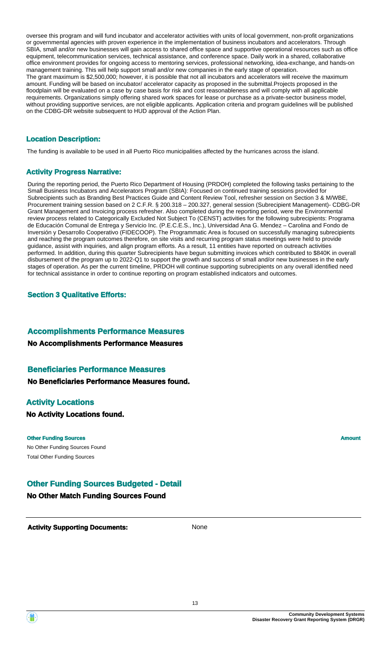oversee this program and will fund incubator and accelerator activities with units of local government, non-profit organizations or governmental agencies with proven experience in the implementation of business incubators and accelerators. Through SBIA, small and/or new businesses will gain access to shared office space and supportive operational resources such as office equipment, telecommunication services, technical assistance, and conference space. Daily work in a shared, collaborative office environment provides for ongoing access to mentoring services, professional networking, idea-exchange, and hands-on management training. This will help support small and/or new companies in the early stage of operation. The grant maximum is \$2,500,000; however, it is possible that not all incubators and accelerators will receive the maximum amount. Funding will be based on incubator/ accelerator capacity as proposed in the submittal.Projects proposed in the floodplain will be evaluated on a case by case basis for risk and cost reasonableness and will comply with all applicable requirements. Organizations simply offering shared work spaces for lease or purchase as a private-sector business model, without providing supportive services, are not eligible applicants. Application criteria and program guidelines will be published on the CDBG-DR website subsequent to HUD approval of the Action Plan.

### **Location Description:**

The funding is available to be used in all Puerto Rico municipalities affected by the hurricanes across the island.

### **Activity Progress Narrative:**

During the reporting period, the Puerto Rico Department of Housing (PRDOH) completed the following tasks pertaining to the Small Business Incubators and Accelerators Program (SBIA): Focused on continued training sessions provided for Subrecipients such as Branding Best Practices Guide and Content Review Tool, refresher session on Section 3 & M/WBE, Procurement training session based on 2 C.F.R. § 200.318 – 200.327, general session (Subrecipient Management)- CDBG-DR Grant Management and Invoicing process refresher. Also completed during the reporting period, were the Environmental review process related to Categorically Excluded Not Subject To (CENST) activities for the following subrecipients: Programa de Educación Comunal de Entrega y Servicio Inc. (P.E.C.E.S., Inc.), Universidad Ana G. Mendez – Carolina and Fondo de Inversión y Desarrollo Cooperativo (FIDECOOP). The Programmatic Area is focused on successfully managing subrecipients and reaching the program outcomes therefore, on site visits and recurring program status meetings were held to provide guidance, assist with inquiries, and align program efforts. As a result, 11 entities have reported on outreach activities performed. In addition, during this quarter Subrecipients have begun submitting invoices which contributed to \$840K in overall disbursement of the program up to 2022-Q1 to support the growth and success of small and/or new businesses in the early stages of operation. As per the current timeline, PRDOH will continue supporting subrecipients on any overall identified need for technical assistance in order to continue reporting on program established indicators and outcomes.

### **Section 3 Qualitative Efforts:**

### **Accomplishments Performance Measures**

### **No Accomplishments Performance Measures**

### **Beneficiaries Performance Measures**

**No Beneficiaries Performance Measures found.**

### **Activity Locations**

**No Activity Locations found.**

#### **Other Funding Sources Amount Amount Amount Amount Amount Amount Amount**

No Other Funding Sources Found Total Other Funding Sources

### **Other Funding Sources Budgeted - Detail**

**No Other Match Funding Sources Found**

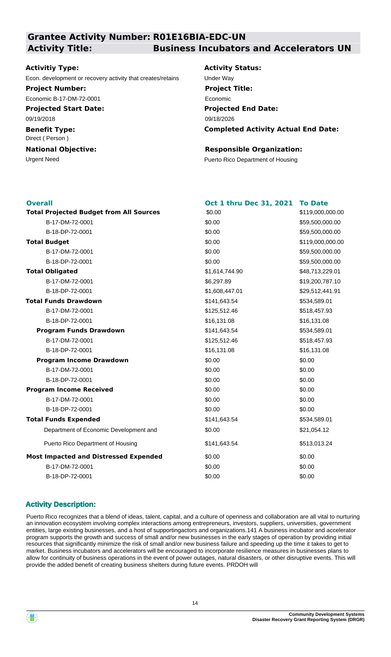### **Grantee Activity Number: R01E16BIA-EDC-UN Activity Title: Business Incubators and Accelerators UN**

### **Activitiy Type:**

Econ. development or recovery activity that creates/retains Under Way

### **Project Number:**

Economic B-17-DM-72-0001

**Projected Start Date:** 09/19/2018

**Benefit Type:** Direct ( Person )

# **National Objective:**

**Activity Status: Projected End Date: Completed Activity Actual End Date:** 09/18/2026 **Project Title:** Economic

### **Responsible Organization:**

Urgent Need **Puerto Rico Department of Housing** 

| <b>Overall</b>                                 | Oct 1 thru Dec 31, 2021 | <b>To Date</b>   |
|------------------------------------------------|-------------------------|------------------|
| <b>Total Projected Budget from All Sources</b> | \$0.00                  | \$119,000,000.00 |
| B-17-DM-72-0001                                | \$0.00                  | \$59,500,000.00  |
| B-18-DP-72-0001                                | \$0.00                  | \$59,500,000.00  |
| <b>Total Budget</b>                            | \$0.00                  | \$119,000,000.00 |
| B-17-DM-72-0001                                | \$0.00                  | \$59,500,000.00  |
| B-18-DP-72-0001                                | \$0.00                  | \$59,500,000.00  |
| <b>Total Obligated</b>                         | \$1,614,744.90          | \$48,713,229.01  |
| B-17-DM-72-0001                                | \$6,297.89              | \$19,200,787.10  |
| B-18-DP-72-0001                                | \$1,608,447.01          | \$29,512,441.91  |
| <b>Total Funds Drawdown</b>                    | \$141,643.54            | \$534,589.01     |
| B-17-DM-72-0001                                | \$125,512.46            | \$518,457.93     |
| B-18-DP-72-0001                                | \$16,131.08             | \$16,131.08      |
| <b>Program Funds Drawdown</b>                  | \$141,643.54            | \$534,589.01     |
| B-17-DM-72-0001                                | \$125,512.46            | \$518,457.93     |
| B-18-DP-72-0001                                | \$16,131.08             | \$16,131.08      |
| <b>Program Income Drawdown</b>                 | \$0.00                  | \$0.00           |
| B-17-DM-72-0001                                | \$0.00                  | \$0.00           |
| B-18-DP-72-0001                                | \$0.00                  | \$0.00           |
| <b>Program Income Received</b>                 | \$0.00                  | \$0.00           |
| B-17-DM-72-0001                                | \$0.00                  | \$0.00           |
| B-18-DP-72-0001                                | \$0.00                  | \$0.00           |
| <b>Total Funds Expended</b>                    | \$141,643.54            | \$534,589.01     |
| Department of Economic Development and         | \$0.00                  | \$21,054.12      |
| Puerto Rico Department of Housing              | \$141,643.54            | \$513,013.24     |
| <b>Most Impacted and Distressed Expended</b>   | \$0.00                  | \$0.00           |
| B-17-DM-72-0001                                | \$0.00                  | \$0.00           |
| B-18-DP-72-0001                                | \$0.00                  | \$0.00           |
|                                                |                         |                  |

### **Activity Description:**

Puerto Rico recognizes that a blend of ideas, talent, capital, and a culture of openness and collaboration are all vital to nurturing an innovation ecosystem involving complex interactions among entrepreneurs, investors, suppliers, universities, government entities, large existing businesses, and a host of supportingactors and organizations.141 A business incubator and accelerator program supports the growth and success of small and/or new businesses in the early stages of operation by providing initial resources that significantly minimize the risk of small and/or new business failure and speeding up the time it takes to get to market. Business incubators and accelerators will be encouraged to incorporate resilience measures in businesses plans to allow for continuity of business operations in the event of power outages, natural disasters, or other disruptive events. This will provide the added benefit of creating business shelters during future events. PRDOH will

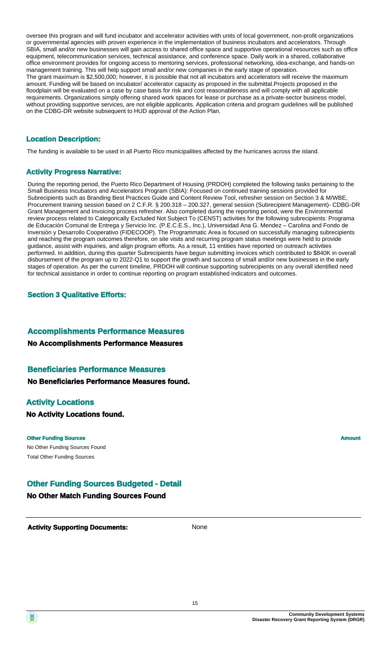oversee this program and will fund incubator and accelerator activities with units of local government, non-profit organizations or governmental agencies with proven experience in the implementation of business incubators and accelerators. Through SBIA, small and/or new businesses will gain access to shared office space and supportive operational resources such as office equipment, telecommunication services, technical assistance, and conference space. Daily work in a shared, collaborative office environment provides for ongoing access to mentoring services, professional networking, idea-exchange, and hands-on management training. This will help support small and/or new companies in the early stage of operation. The grant maximum is \$2,500,000; however, it is possible that not all incubators and accelerators will receive the maximum amount. Funding will be based on incubator/ accelerator capacity as proposed in the submittal.Projects proposed in the floodplain will be evaluated on a case by case basis for risk and cost reasonableness and will comply with all applicable requirements. Organizations simply offering shared work spaces for lease or purchase as a private-sector business model, without providing supportive services, are not eligible applicants. Application criteria and program guidelines will be published on the CDBG-DR website subsequent to HUD approval of the Action Plan.

### **Location Description:**

The funding is available to be used in all Puerto Rico municipalities affected by the hurricanes across the island.

### **Activity Progress Narrative:**

During the reporting period, the Puerto Rico Department of Housing (PRDOH) completed the following tasks pertaining to the Small Business Incubators and Accelerators Program (SBIA): Focused on continued training sessions provided for Subrecipients such as Branding Best Practices Guide and Content Review Tool, refresher session on Section 3 & M/WBE, Procurement training session based on 2 C.F.R. § 200.318 – 200.327, general session (Subrecipient Management)- CDBG-DR Grant Management and Invoicing process refresher. Also completed during the reporting period, were the Environmental review process related to Categorically Excluded Not Subject To (CENST) activities for the following subrecipients: Programa de Educación Comunal de Entrega y Servicio Inc. (P.E.C.E.S., Inc.), Universidad Ana G. Mendez – Carolina and Fondo de Inversión y Desarrollo Cooperativo (FIDECOOP). The Programmatic Area is focused on successfully managing subrecipients and reaching the program outcomes therefore, on site visits and recurring program status meetings were held to provide guidance, assist with inquiries, and align program efforts. As a result, 11 entities have reported on outreach activities performed. In addition, during this quarter Subrecipients have begun submitting invoices which contributed to \$840K in overall disbursement of the program up to 2022-Q1 to support the growth and success of small and/or new businesses in the early stages of operation. As per the current timeline, PRDOH will continue supporting subrecipients on any overall identified need for technical assistance in order to continue reporting on program established indicators and outcomes.

### **Section 3 Qualitative Efforts:**

### **Accomplishments Performance Measures**

### **No Accomplishments Performance Measures**

### **Beneficiaries Performance Measures**

**No Beneficiaries Performance Measures found.**

### **Activity Locations**

**No Activity Locations found.**

#### **Other Funding Sources Amount Amount Amount Amount Amount Amount Amount**

No Other Funding Sources Found Total Other Funding Sources

### **Other Funding Sources Budgeted - Detail**

**No Other Match Funding Sources Found**



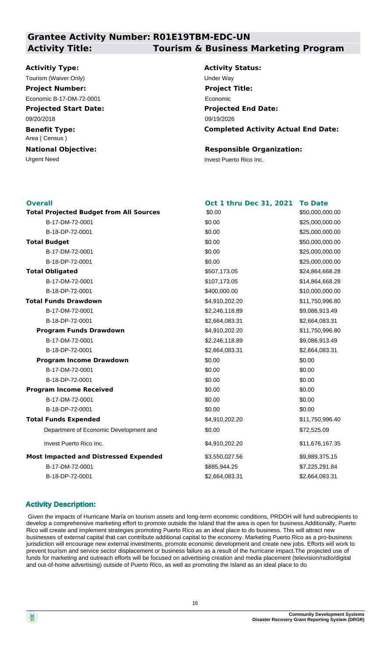## **Grantee Activity Number: R01E19TBM-EDC-UN Activity Title: Tourism & Business Marketing Program**

### **Activitiy Type:**

**Projected Start Date:** 09/20/2018 Tourism (Waiver Only) Tourism (Waiver Only) **Project Number:** Economic B-17-DM-72-0001

**Benefit Type:** Area ( Census )

Urgent Need Invest Puerto Rico Inc. **National Objective:**

**Activity Status: Projected End Date: Completed Activity Actual End Date:** 09/19/2026 **Project Title:** Economic

### **Responsible Organization:**

| <b>Overall</b>                                 | Oct 1 thru Dec 31, 2021 | <b>To Date</b>  |
|------------------------------------------------|-------------------------|-----------------|
| <b>Total Projected Budget from All Sources</b> | \$0.00                  | \$50,000,000.00 |
| B-17-DM-72-0001                                | \$0.00                  | \$25,000,000.00 |
| B-18-DP-72-0001                                | \$0.00                  | \$25,000,000.00 |
| <b>Total Budget</b>                            | \$0.00                  | \$50,000,000.00 |
| B-17-DM-72-0001                                | \$0.00                  | \$25,000,000.00 |
| B-18-DP-72-0001                                | \$0.00                  | \$25,000,000.00 |
| <b>Total Obligated</b>                         | \$507,173.05            | \$24,864,668.28 |
| B-17-DM-72-0001                                | \$107,173.05            | \$14,864,668.28 |
| B-18-DP-72-0001                                | \$400,000.00            | \$10,000,000.00 |
| <b>Total Funds Drawdown</b>                    | \$4,910,202.20          | \$11,750,996.80 |
| B-17-DM-72-0001                                | \$2,246,118.89          | \$9,086,913.49  |
| B-18-DP-72-0001                                | \$2,664,083.31          | \$2,664,083.31  |
| <b>Program Funds Drawdown</b>                  | \$4,910,202.20          | \$11,750,996.80 |
| B-17-DM-72-0001                                | \$2,246,118.89          | \$9,086,913.49  |
| B-18-DP-72-0001                                | \$2,664,083.31          | \$2,664,083.31  |
| <b>Program Income Drawdown</b>                 | \$0.00                  | \$0.00          |
| B-17-DM-72-0001                                | \$0.00                  | \$0.00          |
| B-18-DP-72-0001                                | \$0.00                  | \$0.00          |
| <b>Program Income Received</b>                 | \$0.00                  | \$0.00          |
| B-17-DM-72-0001                                | \$0.00                  | \$0.00          |
| B-18-DP-72-0001                                | \$0.00                  | \$0.00          |
| <b>Total Funds Expended</b>                    | \$4,910,202.20          | \$11,750,996.40 |
| Department of Economic Development and         | \$0.00                  | \$72,525.09     |
| Invest Puerto Rico Inc.                        | \$4,910,202.20          | \$11,676,167.35 |
| <b>Most Impacted and Distressed Expended</b>   | \$3,550,027.56          | \$9,889,375.15  |
| B-17-DM-72-0001                                | \$885,944.25            | \$7,225,291.84  |
| B-18-DP-72-0001                                | \$2,664,083.31          | \$2,664,083.31  |

### **Activity Description:**

 Given the impacts of Hurricane María on tourism assets and long-term economic conditions, PRDOH will fund subrecipients to develop a comprehensive marketing effort to promote outside the Island that the area is open for business.Additionally, Puerto Rico will create and implement strategies promoting Puerto Rico as an ideal place to do business. This will attract new businesses of external capital that can contribute additional capital to the economy. Marketing Puerto Rico as a pro-business jurisdiction will encourage new external investments, promote economic development and create new jobs. Efforts will work to prevent tourism and service sector displacement or business failure as a result of the hurricane impact.The projected use of funds for marketing and outreach efforts will be focused on advertising creation and media placement (television/radio/digital and out-of-home advertising) outside of Puerto Rico, as well as promoting the Island as an ideal place to do

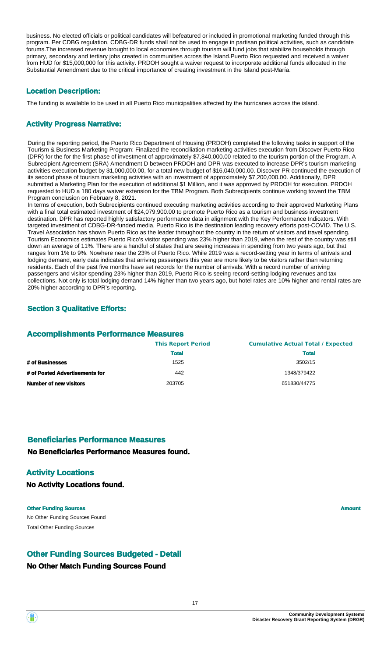business. No elected officials or political candidates will befeatured or included in promotional marketing funded through this program. Per CDBG regulation, CDBG-DR funds shall not be used to engage in partisan political activities, such as candidate forums.The increased revenue brought to local economies through tourism will fund jobs that stabilize households through primary, secondary and tertiary jobs created in communities across the Island.Puerto Rico requested and received a waiver from HUD for \$15,000,000 for this activity. PRDOH sought a waiver request to incorporate additional funds allocated in the Substantial Amendment due to the critical importance of creating investment in the Island post-María.

### **Location Description:**

The funding is available to be used in all Puerto Rico municipalities affected by the hurricanes across the island.

### **Activity Progress Narrative:**

During the reporting period, the Puerto Rico Department of Housing (PRDOH) completed the following tasks in support of the Tourism & Business Marketing Program: Finalized the reconciliation marketing activities execution from Discover Puerto Rico (DPR) for the for the first phase of investment of approximately \$7,840,000.00 related to the tourism portion of the Program. A Subrecipient Agreement (SRA) Amendment D between PRDOH and DPR was executed to increase DPR's tourism marketing activities execution budget by \$1,000,000.00, for a total new budget of \$16,040,000.00. Discover PR continued the execution of its second phase of tourism marketing activities with an investment of approximately \$7,200,000.00. Additionally, DPR submitted a Marketing Plan for the execution of additional \$1 Million, and it was approved by PRDOH for execution. PRDOH requested to HUD a 180 days waiver extension for the TBM Program. Both Subrecipients continue working toward the TBM Program conclusion on February 8, 2021.

In terms of execution, both Subrecipients continued executing marketing activities according to their approved Marketing Plans with a final total estimated investment of \$24,079,900.00 to promote Puerto Rico as a tourism and business investment destination. DPR has reported highly satisfactory performance data in alignment with the Key Performance Indicators. With targeted investment of CDBG-DR-funded media, Puerto Rico is the destination leading recovery efforts post-COVID. The U.S. Travel Association has shown Puerto Rico as the leader throughout the country in the return of visitors and travel spending. Tourism Economics estimates Puerto Rico's visitor spending was 23% higher than 2019, when the rest of the country was still down an average of 11%. There are a handful of states that are seeing increases in spending from two years ago, but that ranges from 1% to 9%. Nowhere near the 23% of Puerto Rico. While 2019 was a record-setting year in terms of arrivals and lodging demand, early data indicates that arriving passengers this year are more likely to be visitors rather than returning residents. Each of the past five months have set records for the number of arrivals. With a record number of arriving passengers and visitor spending 23% higher than 2019, Puerto Rico is seeing record-setting lodging revenues and tax collections. Not only is total lodging demand 14% higher than two years ago, but hotel rates are 10% higher and rental rates are 20% higher according to DPR's reporting.

### **Section 3 Qualitative Efforts:**

### **Accomplishments Performance Measures**

|                                | <b>This Report Period</b> | <b>Cumulative Actual Total / Expected</b> |
|--------------------------------|---------------------------|-------------------------------------------|
|                                | <b>Total</b>              | <b>Total</b>                              |
| # of Businesses                | 1525                      | 3502/15                                   |
| # of Posted Advertisements for | 442                       | 1348/379422                               |
| <b>Number of new visitors</b>  | 203705                    | 651830/44775                              |

### **Beneficiaries Performance Measures**

### **No Beneficiaries Performance Measures found.**

### **Activity Locations**

**No Activity Locations found.**

No Other Funding Sources Found **Other Funding Sources Amount Amount Amount Amount Amount Amount Amount** Total Other Funding Sources

### **Other Funding Sources Budgeted - Detail**

### **No Other Match Funding Sources Found**

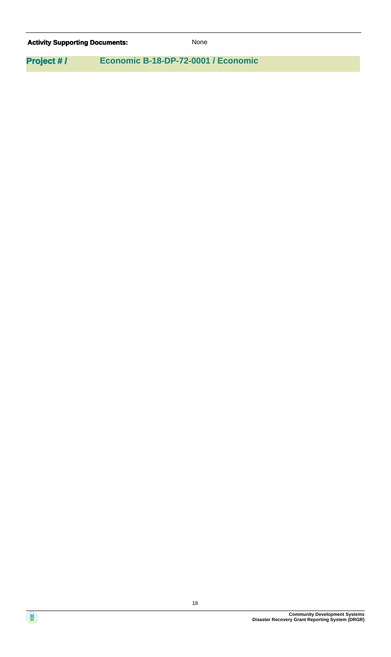# Activity **Supporting Documents:** None **Project # / Economic B-18-DP-72-0001 / Economic**

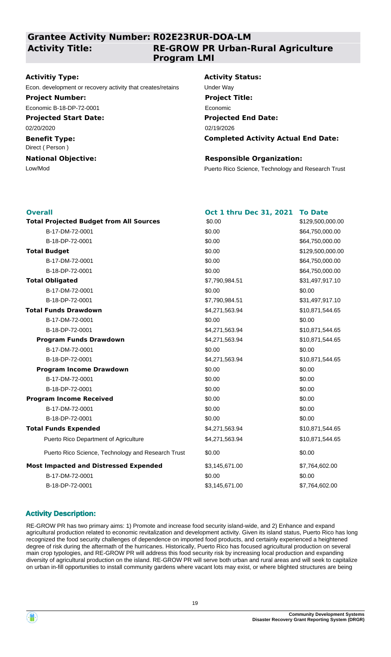### **Grantee Activity Number: R02E23RUR-DOA-LM**

**Activity Title:**

### **RE-GROW PR Urban-Rural Agriculture Program LMI**

### **Activitiy Type:**

Econ. development or recovery activity that creates/retains Under Way

### **Project Number:**

Economic B-18-DP-72-0001

### **Projected Start Date:**

02/20/2020

#### **Benefit Type:** Direct ( Person )

### **National Objective:**

### **Activity Status:**

**Projected End Date: Completed Activity Actual End Date:** 02/19/2026 **Project Title:** Economic

### **Responsible Organization:**

Low/Mod Puerto Rico Science, Technology and Research Trust

| <b>Overall</b>                                     | Oct 1 thru Dec 31, 2021 | <b>To Date</b>   |
|----------------------------------------------------|-------------------------|------------------|
| <b>Total Projected Budget from All Sources</b>     | \$0.00                  | \$129,500,000.00 |
| B-17-DM-72-0001                                    | \$0.00                  | \$64,750,000.00  |
| B-18-DP-72-0001                                    | \$0.00                  | \$64,750,000.00  |
| <b>Total Budget</b>                                | \$0.00                  | \$129,500,000.00 |
| B-17-DM-72-0001                                    | \$0.00                  | \$64,750,000.00  |
| B-18-DP-72-0001                                    | \$0.00                  | \$64,750,000.00  |
| <b>Total Obligated</b>                             | \$7,790,984.51          | \$31,497,917.10  |
| B-17-DM-72-0001                                    | \$0.00                  | \$0.00           |
| B-18-DP-72-0001                                    | \$7,790,984.51          | \$31,497,917.10  |
| <b>Total Funds Drawdown</b>                        | \$4,271,563.94          | \$10,871,544.65  |
| B-17-DM-72-0001                                    | \$0.00                  | \$0.00           |
| B-18-DP-72-0001                                    | \$4,271,563.94          | \$10,871,544.65  |
| <b>Program Funds Drawdown</b>                      | \$4,271,563.94          | \$10,871,544.65  |
| B-17-DM-72-0001                                    | \$0.00                  | \$0.00           |
| B-18-DP-72-0001                                    | \$4,271,563.94          | \$10,871,544.65  |
| <b>Program Income Drawdown</b>                     | \$0.00                  | \$0.00           |
| B-17-DM-72-0001                                    | \$0.00                  | \$0.00           |
| B-18-DP-72-0001                                    | \$0.00                  | \$0.00           |
| <b>Program Income Received</b>                     | \$0.00                  | \$0.00           |
| B-17-DM-72-0001                                    | \$0.00                  | \$0.00           |
| B-18-DP-72-0001                                    | \$0.00                  | \$0.00           |
| <b>Total Funds Expended</b>                        | \$4,271,563.94          | \$10,871,544.65  |
| Puerto Rico Department of Agriculture              | \$4,271,563.94          | \$10,871,544.65  |
| Puerto Rico Science, Technology and Research Trust | \$0.00                  | \$0.00           |
| <b>Most Impacted and Distressed Expended</b>       | \$3,145,671.00          | \$7,764,602.00   |
| B-17-DM-72-0001                                    | \$0.00                  | \$0.00           |
| B-18-DP-72-0001                                    | \$3,145,671.00          | \$7,764,602.00   |

### **Activity Description:**

RE-GROW PR has two primary aims: 1) Promote and increase food security island-wide, and 2) Enhance and expand agricultural production related to economic revitalization and development activity. Given its island status, Puerto Rico has long recognized the food security challenges of dependence on imported food products, and certainly experienced a heightened degree of risk during the aftermath of the hurricanes. Historically, Puerto Rico has focused agricultural production on several main crop typologies, and RE-GROW PR will address this food security risk by increasing local production and expanding diversity of agricultural production on the island. RE-GROW PR will serve both urban and rural areas and will seek to capitalize on urban in-fill opportunities to install community gardens where vacant lots may exist, or where blighted structures are being

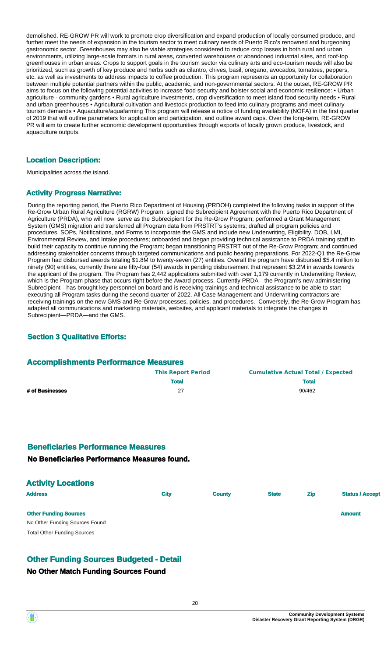demolished. RE-GROW PR will work to promote crop diversification and expand production of locally consumed produce, and further meet the needs of expansion in the tourism sector to meet culinary needs of Puerto Rico's renowned and burgeoning gastronomic sector. Greenhouses may also be viable strategies considered to reduce crop losses in both rural and urban environments, utilizing large-scale formats in rural areas, converted warehouses or abandoned industrial sites, and roof-top greenhouses in urban areas. Crops to support goals in the tourism sector via culinary arts and eco-tourism needs will also be prioritized, such as growth of key produce and herbs such as cilantro, chives, basil, oregano, avocados, tomatoes, peppers, etc. as well as investments to address impacts to coffee production. This program represents an opportunity for collaboration between multiple potential partners within the public, academic, and non-governmental sectors. At the outset, RE-GROW PR aims to focus on the following potential activities to increase food security and bolster social and economic resilience: • Urban agriculture - community gardens • Rural agriculture investments, crop diversification to meet island food security needs • Rural and urban greenhouses • Agricultural cultivation and livestock production to feed into culinary programs and meet culinary tourism demands • Aquaculture/aquafarming This program will release a notice of funding availability (NOFA) in the first quarter of 2019 that will outline parameters for application and participation, and outline award caps. Over the long-term, RE-GROW PR will aim to create further economic development opportunities through exports of locally grown produce, livestock, and aquaculture outputs.

### **Location Description:**

Municipalities across the island.

### **Activity Progress Narrative:**

During the reporting period, the Puerto Rico Department of Housing (PRDOH) completed the following tasks in support of the Re-Grow Urban Rural Agriculture (RGRW) Program: signed the Subrecipient Agreement with the Puerto Rico Department of Agriculture (PRDA), who will now serve as the Subrecipient for the Re-Grow Program; performed a Grant Management System (GMS) migration and transferred all Program data from PRSTRT's systems; drafted all program policies and procedures, SOPs, Notifications, and Forms to incorporate the GMS and include new Underwriting, Eligibility, DOB, LMI, Environmental Review, and Intake procedures; onboarded and began providing technical assistance to PRDA training staff to build their capacity to continue running the Program; began transitioning PRSTRT out of the Re-Grow Program; and continued addressing stakeholder concerns through targeted communications and public hearing preparations. For 2022-Q1 the Re-Grow Program had disbursed awards totaling \$1.8M to twenty-seven (27) entities. Overall the program have disbursed \$5.4 million to ninety (90) entities, currently there are fifty-four (54) awards in pending disbursement that represent \$3.2M in awards towards the applicant of the program. The Program has 2,442 applications submitted with over 1,179 currently in Underwriting Review, which is the Program phase that occurs right before the Award process. Currently PRDA—the Program's new administering Subrecipient—has brought key personnel on board and is receiving trainings and technical assistance to be able to start executing all Program tasks during the second quarter of 2022. All Case Management and Underwriting contractors are receiving trainings on the new GMS and Re-Grow processes, policies, and procedures. Conversely, the Re-Grow Program has adapted all communications and marketing materials, websites, and applicant materials to integrate the changes in Subrecipient—PRDA—and the GMS.

### **Section 3 Qualitative Efforts:**

### **Accomplishments Performance Measures**

|                 | <b>This Report Period</b> | <b>Cumulative Actual Total / Expected</b> |
|-----------------|---------------------------|-------------------------------------------|
|                 | <b>Total</b>              | <b>Total</b>                              |
| # of Businesses | 27                        | 90/462                                    |

### **Beneficiaries Performance Measures**

### **No Beneficiaries Performance Measures found.**

| <b>Activity Locations</b>          |             |               |              |            |                        |
|------------------------------------|-------------|---------------|--------------|------------|------------------------|
| <b>Address</b>                     | <b>City</b> | <b>County</b> | <b>State</b> | <b>Zip</b> | <b>Status / Accept</b> |
| <b>Other Funding Sources</b>       |             |               |              |            | <b>Amount</b>          |
| No Other Funding Sources Found     |             |               |              |            |                        |
| <b>Total Other Funding Sources</b> |             |               |              |            |                        |

### **Other Funding Sources Budgeted - Detail**

### **No Other Match Funding Sources Found**

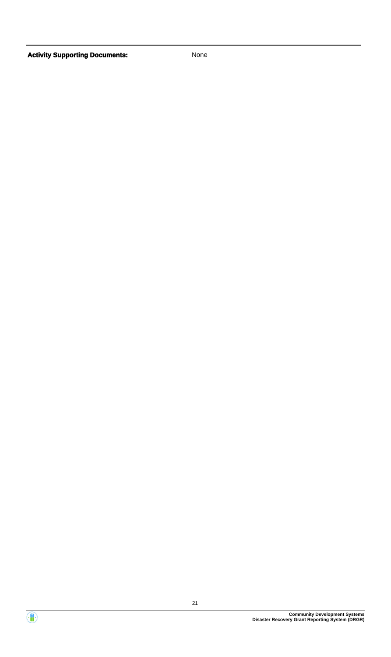

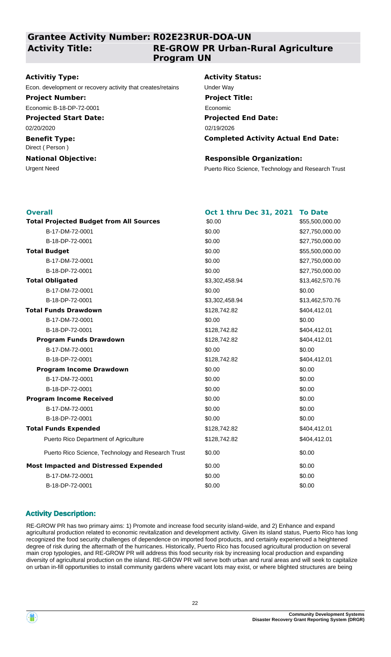### **Grantee Activity Number: R02E23RUR-DOA-UN**

**Activity Title:**

### **RE-GROW PR Urban-Rural Agriculture Program UN**

### **Activitiy Type:**

Econ. development or recovery activity that creates/retains Under Way

### **Project Number:**

Economic B-18-DP-72-0001

### **Projected Start Date:**

02/20/2020

#### **Benefit Type:** Direct ( Person )

### **National Objective:**

### **Activity Status:**

**Projected End Date: Completed Activity Actual End Date:** 02/19/2026 **Project Title:** Economic

### **Responsible Organization:**

Urgent Need **Puerto Rico Science, Technology and Research Trust** 

| <b>Overall</b>                                     | Oct 1 thru Dec 31, 2021 | <b>To Date</b>  |
|----------------------------------------------------|-------------------------|-----------------|
| <b>Total Projected Budget from All Sources</b>     | \$0.00                  | \$55,500,000.00 |
| B-17-DM-72-0001                                    | \$0.00                  | \$27,750,000.00 |
| B-18-DP-72-0001                                    | \$0.00                  | \$27,750,000.00 |
| <b>Total Budget</b>                                | \$0.00                  | \$55,500,000.00 |
| B-17-DM-72-0001                                    | \$0.00                  | \$27,750,000.00 |
| B-18-DP-72-0001                                    | \$0.00                  | \$27,750,000.00 |
| <b>Total Obligated</b>                             | \$3,302,458.94          | \$13,462,570.76 |
| B-17-DM-72-0001                                    | \$0.00                  | \$0.00          |
| B-18-DP-72-0001                                    | \$3,302,458.94          | \$13,462,570.76 |
| <b>Total Funds Drawdown</b>                        | \$128,742.82            | \$404,412.01    |
| B-17-DM-72-0001                                    | \$0.00                  | \$0.00          |
| B-18-DP-72-0001                                    | \$128,742.82            | \$404,412.01    |
| <b>Program Funds Drawdown</b>                      | \$128,742.82            | \$404,412.01    |
| B-17-DM-72-0001                                    | \$0.00                  | \$0.00          |
| B-18-DP-72-0001                                    | \$128,742.82            | \$404,412.01    |
| <b>Program Income Drawdown</b>                     | \$0.00                  | \$0.00          |
| B-17-DM-72-0001                                    | \$0.00                  | \$0.00          |
| B-18-DP-72-0001                                    | \$0.00                  | \$0.00          |
| <b>Program Income Received</b>                     | \$0.00                  | \$0.00          |
| B-17-DM-72-0001                                    | \$0.00                  | \$0.00          |
| B-18-DP-72-0001                                    | \$0.00                  | \$0.00          |
| <b>Total Funds Expended</b>                        | \$128,742.82            | \$404,412.01    |
| Puerto Rico Department of Agriculture              | \$128,742.82            | \$404,412.01    |
| Puerto Rico Science, Technology and Research Trust | \$0.00                  | \$0.00          |
| <b>Most Impacted and Distressed Expended</b>       | \$0.00                  | \$0.00          |
| B-17-DM-72-0001                                    | \$0.00                  | \$0.00          |
| B-18-DP-72-0001                                    | \$0.00                  | \$0.00          |

### **Activity Description:**

RE-GROW PR has two primary aims: 1) Promote and increase food security island-wide, and 2) Enhance and expand agricultural production related to economic revitalization and development activity. Given its island status, Puerto Rico has long recognized the food security challenges of dependence on imported food products, and certainly experienced a heightened degree of risk during the aftermath of the hurricanes. Historically, Puerto Rico has focused agricultural production on several main crop typologies, and RE-GROW PR will address this food security risk by increasing local production and expanding diversity of agricultural production on the island. RE-GROW PR will serve both urban and rural areas and will seek to capitalize on urban in-fill opportunities to install community gardens where vacant lots may exist, or where blighted structures are being

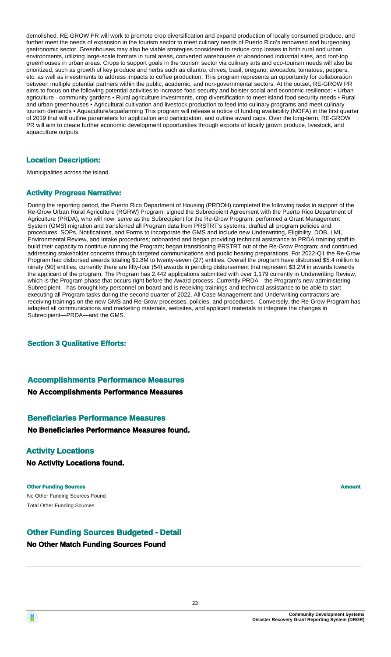demolished. RE-GROW PR will work to promote crop diversification and expand production of locally consumed produce, and further meet the needs of expansion in the tourism sector to meet culinary needs of Puerto Rico's renowned and burgeoning gastronomic sector. Greenhouses may also be viable strategies considered to reduce crop losses in both rural and urban environments, utilizing large-scale formats in rural areas, converted warehouses or abandoned industrial sites, and roof-top greenhouses in urban areas. Crops to support goals in the tourism sector via culinary arts and eco-tourism needs will also be prioritized, such as growth of key produce and herbs such as cilantro, chives, basil, oregano, avocados, tomatoes, peppers, etc. as well as investments to address impacts to coffee production. This program represents an opportunity for collaboration between multiple potential partners within the public, academic, and non-governmental sectors. At the outset, RE-GROW PR aims to focus on the following potential activities to increase food security and bolster social and economic resilience: • Urban agriculture - community gardens • Rural agriculture investments, crop diversification to meet island food security needs • Rural and urban greenhouses • Agricultural cultivation and livestock production to feed into culinary programs and meet culinary tourism demands • Aquaculture/aquafarming This program will release a notice of funding availability (NOFA) in the first quarter of 2019 that will outline parameters for application and participation, and outline award caps. Over the long-term, RE-GROW PR will aim to create further economic development opportunities through exports of locally grown produce, livestock, and aquaculture outputs.

### **Location Description:**

Municipalities across the island.

### **Activity Progress Narrative:**

During the reporting period, the Puerto Rico Department of Housing (PRDOH) completed the following tasks in support of the Re-Grow Urban Rural Agriculture (RGRW) Program: signed the Subrecipient Agreement with the Puerto Rico Department of Agriculture (PRDA), who will now serve as the Subrecipient for the Re-Grow Program; performed a Grant Management System (GMS) migration and transferred all Program data from PRSTRT's systems; drafted all program policies and procedures, SOPs, Notifications, and Forms to incorporate the GMS and include new Underwriting, Eligibility, DOB, LMI, Environmental Review, and Intake procedures; onboarded and began providing technical assistance to PRDA training staff to build their capacity to continue running the Program; began transitioning PRSTRT out of the Re-Grow Program; and continued addressing stakeholder concerns through targeted communications and public hearing preparations. For 2022-Q1 the Re-Grow Program had disbursed awards totaling \$1.8M to twenty-seven (27) entities. Overall the program have disbursed \$5.4 million to ninety (90) entities, currently there are fifty-four (54) awards in pending disbursement that represent \$3.2M in awards towards the applicant of the program. The Program has 2,442 applications submitted with over 1,179 currently in Underwriting Review, which is the Program phase that occurs right before the Award process. Currently PRDA—the Program's new administering Subrecipient—has brought key personnel on board and is receiving trainings and technical assistance to be able to start executing all Program tasks during the second quarter of 2022. All Case Management and Underwriting contractors are receiving trainings on the new GMS and Re-Grow processes, policies, and procedures. Conversely, the Re-Grow Program has adapted all communications and marketing materials, websites, and applicant materials to integrate the changes in Subrecipient—PRDA—and the GMS.

### **Section 3 Qualitative Efforts:**

### **No Accomplishments Performance Measures Accomplishments Performance Measures**

## **Beneficiaries Performance Measures**

### **No Beneficiaries Performance Measures found.**

### **Activity Locations**

**No Activity Locations found.**

### No Other Funding Sources Found **Other Funding Sources Amount Amount Amount Amount Amount Amount Amount** Total Other Funding Sources

### **No Other Match Funding Sources Found Other Funding Sources Budgeted - Detail**

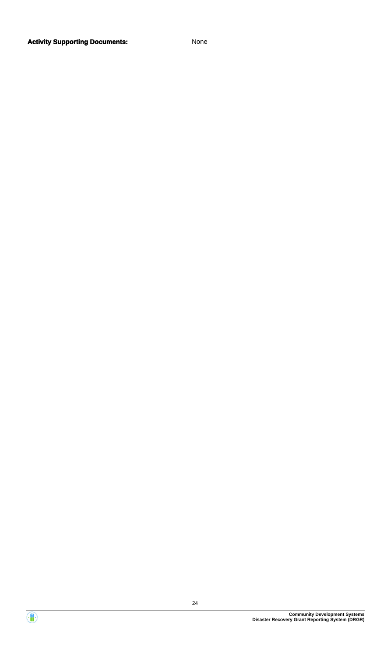### **Activity Supporting Documents:** None



4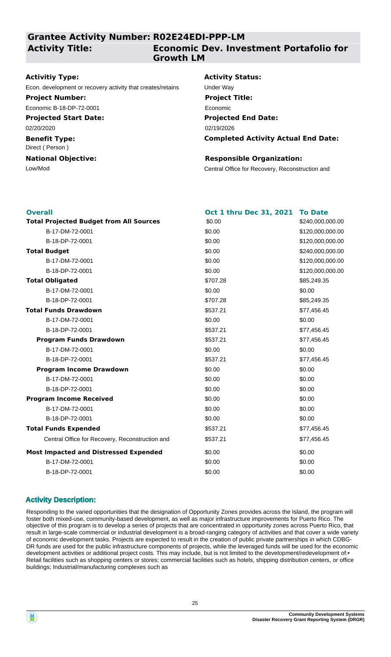### **Grantee Activity Number: R02E24EDI-PPP-LM**

### **Activity Title:**

## **Economic Dev. Investment Portafolio for Growth LM**

### **Activitiy Type:**

Econ. development or recovery activity that creates/retains Under Way

### **Project Number:**

Economic B-18-DP-72-0001

### **Projected Start Date:**

02/20/2020

### **Benefit Type:**

Direct ( Person )

### **National Objective:**

### **Activity Status:**

**Projected End Date: Completed Activity Actual End Date:** 02/19/2026 **Project Title:** Economic

### **Responsible Organization:**

Low/Mod Central Office for Recovery, Reconstruction and

| <b>Overall</b>                                  | Oct 1 thru Dec 31, 2021 | <b>To Date</b>   |
|-------------------------------------------------|-------------------------|------------------|
| <b>Total Projected Budget from All Sources</b>  | \$0.00                  | \$240,000,000.00 |
| B-17-DM-72-0001                                 | \$0.00                  | \$120,000,000.00 |
| B-18-DP-72-0001                                 | \$0.00                  | \$120,000,000.00 |
| <b>Total Budget</b>                             | \$0.00                  | \$240,000,000.00 |
| B-17-DM-72-0001                                 | \$0.00                  | \$120,000,000.00 |
| B-18-DP-72-0001                                 | \$0.00                  | \$120,000,000.00 |
| <b>Total Obligated</b>                          | \$707.28                | \$85,249.35      |
| B-17-DM-72-0001                                 | \$0.00                  | \$0.00           |
| B-18-DP-72-0001                                 | \$707.28                | \$85,249.35      |
| <b>Total Funds Drawdown</b>                     | \$537.21                | \$77,456.45      |
| B-17-DM-72-0001                                 | \$0.00                  | \$0.00           |
| B-18-DP-72-0001                                 | \$537.21                | \$77,456.45      |
| <b>Program Funds Drawdown</b>                   | \$537.21                | \$77,456.45      |
| B-17-DM-72-0001                                 | \$0.00                  | \$0.00           |
| B-18-DP-72-0001                                 | \$537.21                | \$77,456.45      |
| <b>Program Income Drawdown</b>                  | \$0.00                  | \$0.00           |
| B-17-DM-72-0001                                 | \$0.00                  | \$0.00           |
| B-18-DP-72-0001                                 | \$0.00                  | \$0.00           |
| <b>Program Income Received</b>                  | \$0.00                  | \$0.00           |
| B-17-DM-72-0001                                 | \$0.00                  | \$0.00           |
| B-18-DP-72-0001                                 | \$0.00                  | \$0.00           |
| <b>Total Funds Expended</b>                     | \$537.21                | \$77,456.45      |
| Central Office for Recovery, Reconstruction and | \$537.21                | \$77,456.45      |
| <b>Most Impacted and Distressed Expended</b>    | \$0.00                  | \$0.00           |
| B-17-DM-72-0001                                 | \$0.00                  | \$0.00           |
| B-18-DP-72-0001                                 | \$0.00                  | \$0.00           |

### **Activity Description:**

Responding to the varied opportunities that the designation of Opportunity Zones provides across the Island, the program will foster both mixed-use, community-based development, as well as major infrastructure improvements for Puerto Rico. The objective of this program is to develop a series of projects that are concentrated in opportunity zones across Puerto Rico, that result in large-scale commercial or industrial development is a broad-ranging category of activities and that cover a wide variety of economic development tasks. Projects are expected to result in the creation of public private partnerships in which CDBG-DR funds are used for the public infrastructure components of projects, while the leveraged funds will be used for the economic development activities or additional project costs. This may include, but is not limited to the development/redevelopment of:• Retail facilities such as shopping centers or stores; commercial facilities such as hotels, shipping distribution centers, or office buildings; Industrial/manufacturing complexes such as

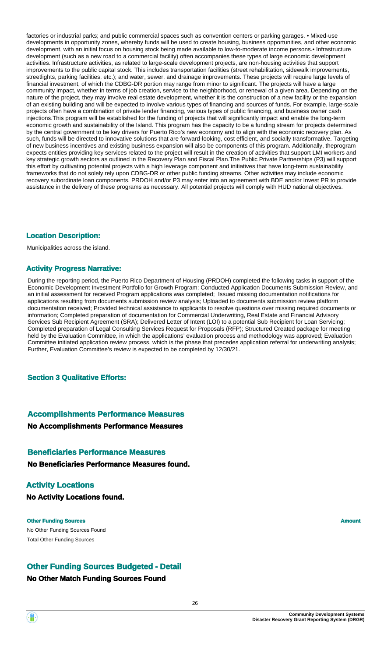factories or industrial parks; and public commercial spaces such as convention centers or parking garages. • Mixed-use developments in opportunity zones, whereby funds will be used to create housing, business opportunities, and other economic development, with an initial focus on housing stock being made available to low-to-moderate income persons.• Infrastructure development (such as a new road to a commercial facility) often accompanies these types of large economic development activities. Infrastructure activities, as related to large-scale development projects, are non-housing activities that support improvements to the public capital stock. This includes transportation facilities (street rehabilitation, sidewalk improvements, streetlights, parking facilities, etc.); and water, sewer, and drainage improvements. These projects will require large levels of financial investment, of which the CDBG-DR portion may range from minor to significant. The projects will have a large community impact, whether in terms of job creation, service to the neighborhood, or renewal of a given area. Depending on the nature of the project, they may involve real estate development, whether it is the construction of a new facility or the expansion of an existing building and will be expected to involve various types of financing and sources of funds. For example, large-scale projects often have a combination of private lender financing, various types of public financing, and business owner cash injections.This program will be established for the funding of projects that will significantly impact and enable the long-term economic growth and sustainability of the Island. This program has the capacity to be a funding stream for projects determined by the central government to be key drivers for Puerto Rico's new economy and to align with the economic recovery plan. As such, funds will be directed to innovative solutions that are forward-looking, cost efficient, and socially transformative. Targeting of new business incentives and existing business expansion will also be components of this program. Additionally, theprogram expects entities providing key services related to the project will result in the creation of activities that support LMI workers and key strategic growth sectors as outlined in the Recovery Plan and Fiscal Plan.The Public Private Partnerships (P3) will support this effort by cultivating potential projects with a high leverage component and initiatives that have long-term sustainability frameworks that do not solely rely upon CDBG-DR or other public funding streams. Other activities may include economic recovery subordinate loan components. PRDOH and/or P3 may enter into an agreement with BDE and/or Invest PR to provide assistance in the delivery of these programs as necessary. All potential projects will comply with HUD national objectives.

### **Location Description:**

Municipalities across the island.

### **Activity Progress Narrative:**

During the reporting period, the Puerto Rico Department of Housing (PRDOH) completed the following tasks in support of the Economic Development Investment Portfolio for Growth Program: Conducted Application Documents Submission Review, and an initial assessment for received Program applications was completed; Issued missing documentation notifications for applications resulting from documents submission review analysis; Uploaded to documents submission review platform documentation received; Provided technical assistance to applicants to resolve questions over missing required documents or information; Completed preparation of documentation for Commercial Underwriting, Real Estate and Financial Advisory Services Sub Recipient Agreement (SRA); Delivered Letter of Intent (LOI) to a potential Sub Recipient for Loan Servicing; Completed preparation of Legal Consulting Services Request for Proposals (RFP); Structured Created package for meeting held by the Evaluation Committee, in which the applications' evaluation process and methodology was approved; Evaluation Committee initiated application review process, which is the phase that precedes application referral for underwriting analysis; Further, Evaluation Committee's review is expected to be completed by 12/30/21.

### **Section 3 Qualitative Efforts:**

### **Accomplishments Performance Measures**

**No Accomplishments Performance Measures**

### **Beneficiaries Performance Measures**

**No Beneficiaries Performance Measures found.**

### **Activity Locations**

**No Activity Locations found.**

### **Other Funding Sources Amount Amount Amount Amount Amount Amount Amount**

No Other Funding Sources Found Total Other Funding Sources

### **Other Funding Sources Budgeted - Detail**

### **No Other Match Funding Sources Found**



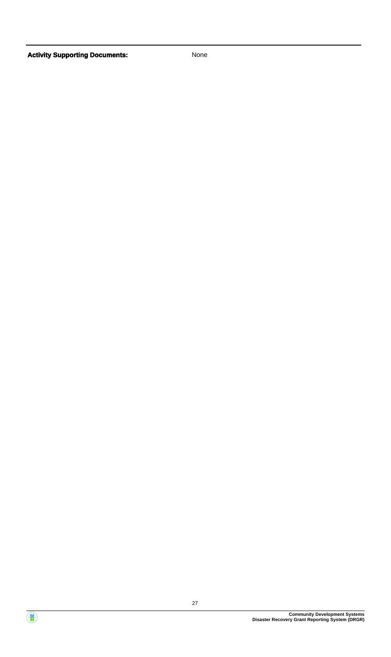

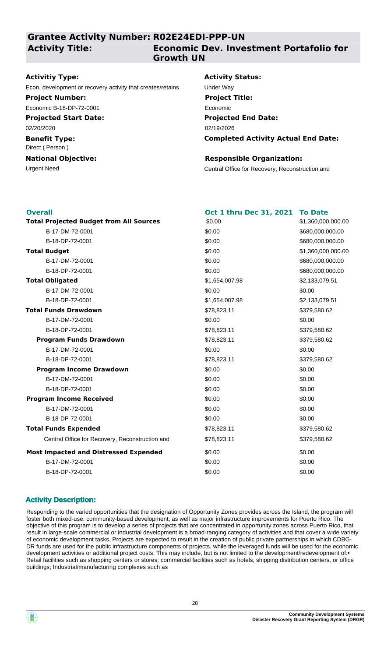### **Grantee Activity Number: R02E24EDI-PPP-UN**

### **Activity Title:**

### **Economic Dev. Investment Portafolio for Growth UN**

### **Activitiy Type:**

Econ. development or recovery activity that creates/retains Under Way

### **Project Number:**

Economic B-18-DP-72-0001

### **Projected Start Date:**

02/20/2020

#### **Benefit Type:** Direct ( Person )

### **National Objective:**

### **Activity Status:**

**Projected End Date: Completed Activity Actual End Date:** 02/19/2026 **Project Title:** Economic

### **Responsible Organization:**

Urgent Need Central Office for Recovery, Reconstruction and

| <b>Overall</b>                                  | Oct 1 thru Dec 31, 2021 | <b>To Date</b>     |
|-------------------------------------------------|-------------------------|--------------------|
| <b>Total Projected Budget from All Sources</b>  | \$0.00                  | \$1,360,000,000.00 |
| B-17-DM-72-0001                                 | \$0.00                  | \$680,000,000.00   |
| B-18-DP-72-0001                                 | \$0.00                  | \$680,000,000.00   |
| <b>Total Budget</b>                             | \$0.00                  | \$1,360,000,000.00 |
| B-17-DM-72-0001                                 | \$0.00                  | \$680,000,000.00   |
| B-18-DP-72-0001                                 | \$0.00                  | \$680,000,000.00   |
| <b>Total Obligated</b>                          | \$1,654,007.98          | \$2,133,079.51     |
| B-17-DM-72-0001                                 | \$0.00                  | \$0.00             |
| B-18-DP-72-0001                                 | \$1,654,007.98          | \$2,133,079.51     |
| <b>Total Funds Drawdown</b>                     | \$78,823.11             | \$379,580.62       |
| B-17-DM-72-0001                                 | \$0.00                  | \$0.00             |
| B-18-DP-72-0001                                 | \$78,823.11             | \$379,580.62       |
| <b>Program Funds Drawdown</b>                   | \$78,823.11             | \$379,580.62       |
| B-17-DM-72-0001                                 | \$0.00                  | \$0.00             |
| B-18-DP-72-0001                                 | \$78,823.11             | \$379,580.62       |
| <b>Program Income Drawdown</b>                  | \$0.00                  | \$0.00             |
| B-17-DM-72-0001                                 | \$0.00                  | \$0.00             |
| B-18-DP-72-0001                                 | \$0.00                  | \$0.00             |
| <b>Program Income Received</b>                  | \$0.00                  | \$0.00             |
| B-17-DM-72-0001                                 | \$0.00                  | \$0.00             |
| B-18-DP-72-0001                                 | \$0.00                  | \$0.00             |
| <b>Total Funds Expended</b>                     | \$78,823.11             | \$379,580.62       |
| Central Office for Recovery, Reconstruction and | \$78,823.11             | \$379,580.62       |
| <b>Most Impacted and Distressed Expended</b>    | \$0.00                  | \$0.00             |
| B-17-DM-72-0001                                 | \$0.00                  | \$0.00             |
| B-18-DP-72-0001                                 | \$0.00                  | \$0.00             |
|                                                 |                         |                    |

### **Activity Description:**

Responding to the varied opportunities that the designation of Opportunity Zones provides across the Island, the program will foster both mixed-use, community-based development, as well as major infrastructure improvements for Puerto Rico. The objective of this program is to develop a series of projects that are concentrated in opportunity zones across Puerto Rico, that result in large-scale commercial or industrial development is a broad-ranging category of activities and that cover a wide variety of economic development tasks. Projects are expected to result in the creation of public private partnerships in which CDBG-DR funds are used for the public infrastructure components of projects, while the leveraged funds will be used for the economic development activities or additional project costs. This may include, but is not limited to the development/redevelopment of:• Retail facilities such as shopping centers or stores; commercial facilities such as hotels, shipping distribution centers, or office buildings; Industrial/manufacturing complexes such as

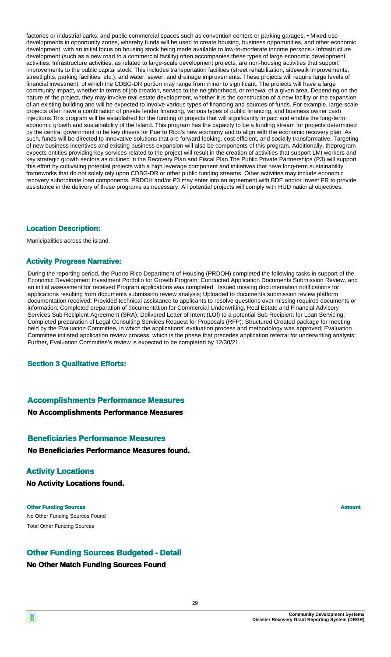factories or industrial parks; and public commercial spaces such as convention centers or parking garages. • Mixed-use developments in opportunity zones, whereby funds will be used to create housing, business opportunities, and other economic development, with an initial focus on housing stock being made available to low-to-moderate income persons.• Infrastructure development (such as a new road to a commercial facility) often accompanies these types of large economic development activities. Infrastructure activities, as related to large-scale development projects, are non-housing activities that support improvements to the public capital stock. This includes transportation facilities (street rehabilitation, sidewalk improvements, streetlights, parking facilities, etc.); and water, sewer, and drainage improvements. These projects will require large levels of financial investment, of which the CDBG-DR portion may range from minor to significant. The projects will have a large community impact, whether in terms of job creation, service to the neighborhood, or renewal of a given area. Depending on the nature of the project, they may involve real estate development, whether it is the construction of a new facility or the expansion of an existing building and will be expected to involve various types of financing and sources of funds. For example, large-scale projects often have a combination of private lender financing, various types of public financing, and business owner cash injections.This program will be established for the funding of projects that will significantly impact and enable the long-term economic growth and sustainability of the Island. This program has the capacity to be a funding stream for projects determined by the central government to be key drivers for Puerto Rico's new economy and to align with the economic recovery plan. As such, funds will be directed to innovative solutions that are forward-looking, cost efficient, and socially transformative. Targeting of new business incentives and existing business expansion will also be components of this program. Additionally, theprogram expects entities providing key services related to the project will result in the creation of activities that support LMI workers and key strategic growth sectors as outlined in the Recovery Plan and Fiscal Plan.The Public Private Partnerships (P3) will support this effort by cultivating potential projects with a high leverage component and initiatives that have long-term sustainability frameworks that do not solely rely upon CDBG-DR or other public funding streams. Other activities may include economic recovery subordinate loan components. PRDOH and/or P3 may enter into an agreement with BDE and/or Invest PR to provide assistance in the delivery of these programs as necessary. All potential projects will comply with HUD national objectives.

### **Location Description:**

Municipalities across the island.

### **Activity Progress Narrative:**

During the reporting period, the Puerto Rico Department of Housing (PRDOH) completed the following tasks in support of the Economic Development Investment Portfolio for Growth Program: Conducted Application Documents Submission Review, and an initial assessment for received Program applications was completed; Issued missing documentation notifications for applications resulting from documents submission review analysis; Uploaded to documents submission review platform documentation received; Provided technical assistance to applicants to resolve questions over missing required documents or information; Completed preparation of documentation for Commercial Underwriting, Real Estate and Financial Advisory Services Sub Recipient Agreement (SRA); Delivered Letter of Intent (LOI) to a potential Sub Recipient for Loan Servicing; Completed preparation of Legal Consulting Services Request for Proposals (RFP); Structured Created package for meeting held by the Evaluation Committee, in which the applications' evaluation process and methodology was approved; Evaluation Committee initiated application review process, which is the phase that precedes application referral for underwriting analysis; Further, Evaluation Committee's review is expected to be completed by 12/30/21.

**Section 3 Qualitative Efforts:**

### **Accomplishments Performance Measures**

### **No Accomplishments Performance Measures**

### **Beneficiaries Performance Measures**

**No Beneficiaries Performance Measures found.**

### **Activity Locations**

**No Activity Locations found.**

No Other Funding Sources Found **Other Funding Sources Amount Amount Amount Amount** Total Other Funding Sources

### **Other Funding Sources Budgeted - Detail**

### **No Other Match Funding Sources Found**

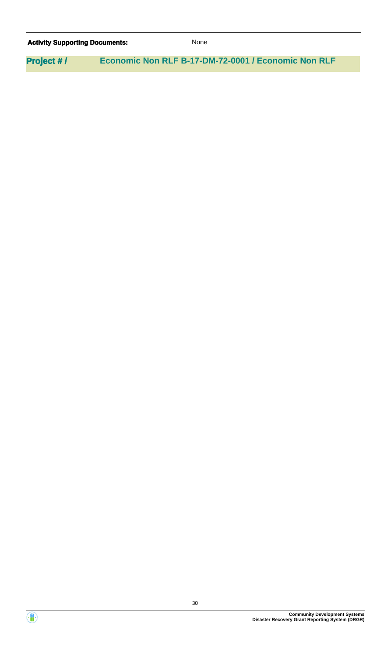| <b>Activity Supporting Documents:</b> |  | <b>None</b>                                         |  |
|---------------------------------------|--|-----------------------------------------------------|--|
| <b>Project #/</b>                     |  | Economic Non RLF B-17-DM-72-0001 / Economic Non RLF |  |

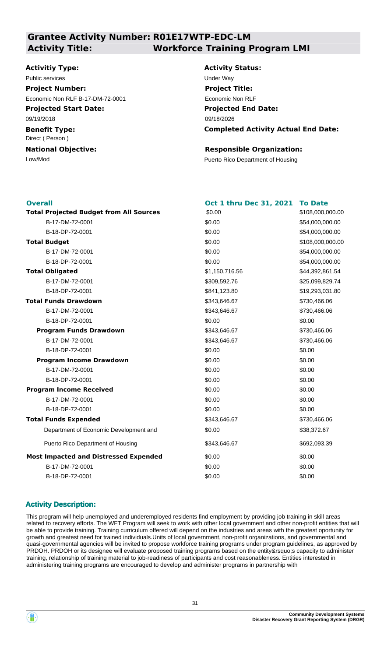### **Grantee Activity Number: R01E17WTP-EDC-LM Activity Title: Workforce Training Program LMI**

#### **Activitiy Type:**

**Projected Start Date:** 09/19/2018 Public services **Victor** Contract Contract Contract Contract Contract Contract Contract Contract Contract Contract Contract Contract Contract Contract Contract Contract Contract Contract Contract Contract Contract Contract **Project Number:** Economic Non RLF B-17-DM-72-0001

**Benefit Type:** Direct ( Person )

**National Objective:**

## **Activity Status: Projected End Date: Completed Activity Actual End Date:** 09/18/2026 **Project Title:** Economic Non RLF

### **Responsible Organization:**

Low/Mod<br>
Puerto Rico Department of Housing

| <b>Overall</b>                                 | Oct 1 thru Dec 31, 2021 | <b>To Date</b>   |
|------------------------------------------------|-------------------------|------------------|
| <b>Total Projected Budget from All Sources</b> | \$0.00                  | \$108,000,000.00 |
| B-17-DM-72-0001                                | \$0.00                  | \$54,000,000.00  |
| B-18-DP-72-0001                                | \$0.00                  | \$54,000,000.00  |
| <b>Total Budget</b>                            | \$0.00                  | \$108,000,000.00 |
| B-17-DM-72-0001                                | \$0.00                  | \$54,000,000.00  |
| B-18-DP-72-0001                                | \$0.00                  | \$54,000,000.00  |
| <b>Total Obligated</b>                         | \$1,150,716.56          | \$44,392,861.54  |
| B-17-DM-72-0001                                | \$309,592.76            | \$25,099,829.74  |
| B-18-DP-72-0001                                | \$841,123.80            | \$19,293,031.80  |
| <b>Total Funds Drawdown</b>                    | \$343,646.67            | \$730,466.06     |
| B-17-DM-72-0001                                | \$343,646.67            | \$730,466.06     |
| B-18-DP-72-0001                                | \$0.00                  | \$0.00           |
| <b>Program Funds Drawdown</b>                  | \$343,646.67            | \$730,466.06     |
| B-17-DM-72-0001                                | \$343,646.67            | \$730,466.06     |
| B-18-DP-72-0001                                | \$0.00                  | \$0.00           |
| <b>Program Income Drawdown</b>                 | \$0.00                  | \$0.00           |
| B-17-DM-72-0001                                | \$0.00                  | \$0.00           |
| B-18-DP-72-0001                                | \$0.00                  | \$0.00           |
| <b>Program Income Received</b>                 | \$0.00                  | \$0.00           |
| B-17-DM-72-0001                                | \$0.00                  | \$0.00           |
| B-18-DP-72-0001                                | \$0.00                  | \$0.00           |
| <b>Total Funds Expended</b>                    | \$343,646.67            | \$730,466.06     |
| Department of Economic Development and         | \$0.00                  | \$38,372.67      |
| Puerto Rico Department of Housing              | \$343,646.67            | \$692,093.39     |
| <b>Most Impacted and Distressed Expended</b>   | \$0.00                  | \$0.00           |
| B-17-DM-72-0001                                | \$0.00                  | \$0.00           |
| B-18-DP-72-0001                                | \$0.00                  | \$0.00           |

### **Activity Description:**

This program will help unemployed and underemployed residents find employment by providing job training in skill areas related to recovery efforts. The WFT Program will seek to work with other local government and other non-profit entities that will be able to provide training. Training curriculum offered will depend on the industries and areas with the greatest oportunity for growth and greatest need for trained individuals.Units of local government, non-profit organizations, and governmental and quasi-governmental agencies will be invited to propose workforce training programs under program guidelines, as approved by PRDOH. PRDOH or its designee will evaluate proposed training programs based on the entity's capacity to administer training, relationship of training material to job-readiness of participants and cost reasonableness. Entities interested in administering training programs are encouraged to develop and administer programs in partnership with

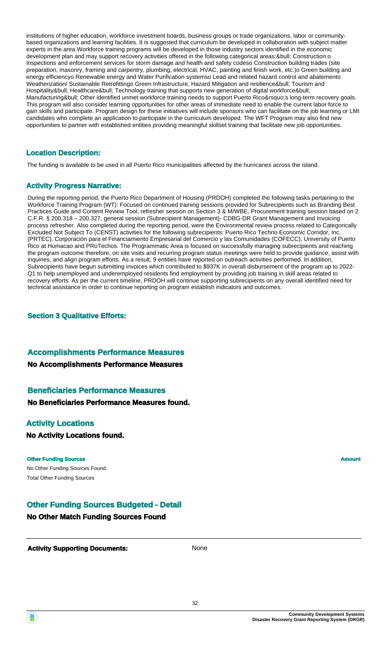institutions of higher education, workforce investment boards, business groups or trade organizations, labor or communitybased organizations and learning facilities. It is suggested that curriculum be developed in collaboration with subject matter experts in the area.Workforce training programs will be developed in those industry sectors identified in the economic development plan and may support recovery activities offered in the following categorical areas: & bull; Construction: o Inspections and enforcement services for storm damage and health and safety codeso Construction building trades (site preparation, masonry, framing and carpentry, plumbing, electrical, HVAC, painting and finish work, etc.)o Green building and energy efficiencyo Renewable energy and Water Purification systemso Lead and related hazard control and abatemento Weatherization/ Sustainable Retrofittingo Green Infrastructure, Hazard Mitigation and resilience&bull: Tourism and Hospitality• Healthcare• Technology training that supports new generation of digital workforce• Manufacturing• Other identified unmet workforce training needs to support Puerto Rico's long-term recovery goals. This program will also consider learning opportunities for other areas of immediate need to enable the current labor force to gain skills and participate. Program design for these initiatives will include sponsors who can facilitate on the job learning or LMI candidates who complete an application to participate in the curriculum developed. The WFT Program may also find new opportunities to partner with established entities providing meaningful skillset training that facilitate new job opportunities.

### **Location Description:**

The funding is available to be used in all Puerto Rico municipalities affected by the hurricanes across the island.

### **Activity Progress Narrative:**

During the reporting period, the Puerto Rico Department of Housing (PRDOH) completed the following tasks pertaining to the Workforce Training Program (WT): Focused on continued training sessions provided for Subrecipients such as Branding Best Practices Guide and Content Review Tool, refresher session on Section 3 & M/WBE, Procurement training session based on 2 C.F.R. § 200.318 – 200.327, general session (Subrecipient Management)- CDBG-DR Grant Management and Invoicing process refresher. Also completed during the reporting period, were the Environmental review process related to Categorically Excluded Not Subject To (CENST) activities for the following subrecipients: Puerto Rico Techno Economic Corridor, Inc. (PRTEC), Corporación para el Financiamiento Empresarial del Comercio y las Comunidades (COFECC), University of Puerto Rico at Humacao and PRoTechos. The Programmatic Area is focused on successfully managing subrecipients and reaching the program outcome therefore, on site visits and recurring program status meetings were held to provide guidance, assist with inquiries, and align program efforts. As a result, 9 entities have reported on outreach activities performed. In addition, Subrecipients have begun submitting invoices which contributed to \$937K in overall disbursement of the program up to 2022- Q1 to help unemployed and underemployed residents find employment by providing job training in skill areas related to recovery efforts. As per the current timeline, PRDOH will continue supporting subrecipients on any overall identified need for technical assistance in order to continue reporting on program establish indicators and outcomes.

### **Section 3 Qualitative Efforts:**

### **Accomplishments Performance Measures**

**No Accomplishments Performance Measures**

### **Beneficiaries Performance Measures**

**No Beneficiaries Performance Measures found.**

### **Activity Locations**

**No Activity Locations found.**

### **Other Funding Sources Amount Amount Amount Amount Amount Amount Amount**

No Other Funding Sources Found Total Other Funding Sources

### **Other Funding Sources Budgeted - Detail**

### **No Other Match Funding Sources Found**

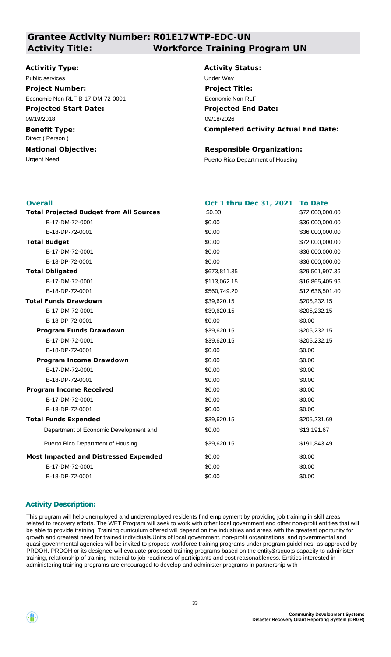### **Grantee Activity Number: R01E17WTP-EDC-UN Activity Title: Workforce Training Program UN**

### **Activitiy Type:**

**Projected Start Date:** 09/19/2018 Public services **Victor** Contract Contract Contract Contract Contract Contract Contract Contract Contract Contract Contract Contract Contract Contract Contract Contract Contract Contract Contract Contract Contract Contract **Project Number:** Economic Non RLF B-17-DM-72-0001

**Benefit Type:** Direct ( Person )

**National Objective:**

**Activity Status: Projected End Date: Completed Activity Actual End Date:** 09/18/2026 **Project Title:** Economic Non RLF

### **Responsible Organization:**

Urgent Need **Puerto Rico Department of Housing** 

| <b>Overall</b>                                 | <b>Oct 1 thru Dec 31, 2021</b> | <b>To Date</b><br>\$72,000,000.00 |
|------------------------------------------------|--------------------------------|-----------------------------------|
| <b>Total Projected Budget from All Sources</b> | \$0.00                         |                                   |
| B-17-DM-72-0001                                | \$0.00                         | \$36,000,000.00                   |
| B-18-DP-72-0001                                | \$0.00                         | \$36,000,000.00                   |
| <b>Total Budget</b>                            | \$0.00                         | \$72,000,000.00                   |
| B-17-DM-72-0001                                | \$0.00                         | \$36,000,000.00                   |
| B-18-DP-72-0001                                | \$0.00                         | \$36,000,000.00                   |
| <b>Total Obligated</b>                         | \$673,811.35                   | \$29,501,907.36                   |
| B-17-DM-72-0001                                | \$113,062.15                   | \$16,865,405.96                   |
| B-18-DP-72-0001                                | \$560,749.20                   | \$12,636,501.40                   |
| <b>Total Funds Drawdown</b>                    | \$39,620.15                    | \$205,232.15                      |
| B-17-DM-72-0001                                | \$39,620.15                    | \$205,232.15                      |
| B-18-DP-72-0001                                | \$0.00                         | \$0.00                            |
| <b>Program Funds Drawdown</b>                  | \$39,620.15                    | \$205,232.15                      |
| B-17-DM-72-0001                                | \$39,620.15                    | \$205,232.15                      |
| B-18-DP-72-0001                                | \$0.00                         | \$0.00                            |
| <b>Program Income Drawdown</b>                 | \$0.00                         | \$0.00                            |
| B-17-DM-72-0001                                | \$0.00                         | \$0.00                            |
| B-18-DP-72-0001                                | \$0.00                         | \$0.00                            |
| <b>Program Income Received</b>                 | \$0.00                         | \$0.00                            |
| B-17-DM-72-0001                                | \$0.00                         | \$0.00                            |
| B-18-DP-72-0001                                | \$0.00                         | \$0.00                            |
| <b>Total Funds Expended</b>                    | \$39,620.15                    | \$205,231.69                      |
| Department of Economic Development and         | \$0.00                         | \$13,191.67                       |
| Puerto Rico Department of Housing              | \$39,620.15                    | \$191,843.49                      |
| <b>Most Impacted and Distressed Expended</b>   | \$0.00                         | \$0.00                            |
| B-17-DM-72-0001                                | \$0.00                         | \$0.00                            |
| B-18-DP-72-0001                                | \$0.00                         | \$0.00                            |
|                                                |                                |                                   |

### **Activity Description:**

This program will help unemployed and underemployed residents find employment by providing job training in skill areas related to recovery efforts. The WFT Program will seek to work with other local government and other non-profit entities that will be able to provide training. Training curriculum offered will depend on the industries and areas with the greatest oportunity for growth and greatest need for trained individuals.Units of local government, non-profit organizations, and governmental and quasi-governmental agencies will be invited to propose workforce training programs under program guidelines, as approved by PRDOH. PRDOH or its designee will evaluate proposed training programs based on the entity's capacity to administer training, relationship of training material to job-readiness of participants and cost reasonableness. Entities interested in administering training programs are encouraged to develop and administer programs in partnership with

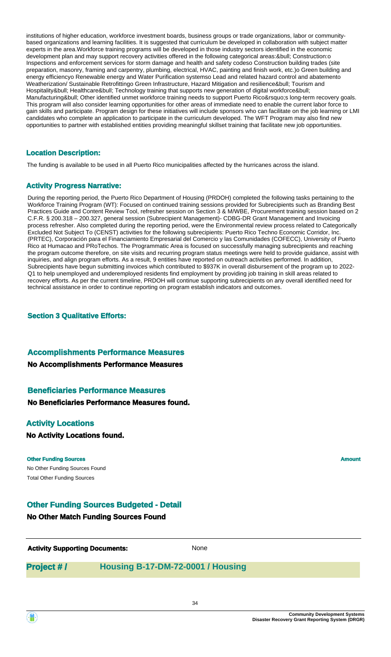institutions of higher education, workforce investment boards, business groups or trade organizations, labor or communitybased organizations and learning facilities. It is suggested that curriculum be developed in collaboration with subject matter experts in the area.Workforce training programs will be developed in those industry sectors identified in the economic development plan and may support recovery activities offered in the following categorical areas: & bull; Construction: o Inspections and enforcement services for storm damage and health and safety codeso Construction building trades (site preparation, masonry, framing and carpentry, plumbing, electrical, HVAC, painting and finish work, etc.)o Green building and energy efficiencyo Renewable energy and Water Purification systemso Lead and related hazard control and abatemento Weatherization/ Sustainable Retrofittingo Green Infrastructure, Hazard Mitigation and resilience&bull: Tourism and Hospitality• Healthcare• Technology training that supports new generation of digital workforce• Manufacturing• Other identified unmet workforce training needs to support Puerto Rico's long-term recovery goals. This program will also consider learning opportunities for other areas of immediate need to enable the current labor force to gain skills and participate. Program design for these initiatives will include sponsors who can facilitate on the job learning or LMI candidates who complete an application to participate in the curriculum developed. The WFT Program may also find new opportunities to partner with established entities providing meaningful skillset training that facilitate new job opportunities.

### **Location Description:**

The funding is available to be used in all Puerto Rico municipalities affected by the hurricanes across the island.

### **Activity Progress Narrative:**

During the reporting period, the Puerto Rico Department of Housing (PRDOH) completed the following tasks pertaining to the Workforce Training Program (WT): Focused on continued training sessions provided for Subrecipients such as Branding Best Practices Guide and Content Review Tool, refresher session on Section 3 & M/WBE, Procurement training session based on 2 C.F.R. § 200.318 – 200.327, general session (Subrecipient Management)- CDBG-DR Grant Management and Invoicing process refresher. Also completed during the reporting period, were the Environmental review process related to Categorically Excluded Not Subject To (CENST) activities for the following subrecipients: Puerto Rico Techno Economic Corridor, Inc. (PRTEC), Corporación para el Financiamiento Empresarial del Comercio y las Comunidades (COFECC), University of Puerto Rico at Humacao and PRoTechos. The Programmatic Area is focused on successfully managing subrecipients and reaching the program outcome therefore, on site visits and recurring program status meetings were held to provide guidance, assist with inquiries, and align program efforts. As a result, 9 entities have reported on outreach activities performed. In addition, Subrecipients have begun submitting invoices which contributed to \$937K in overall disbursement of the program up to 2022- Q1 to help unemployed and underemployed residents find employment by providing job training in skill areas related to recovery efforts. As per the current timeline, PRDOH will continue supporting subrecipients on any overall identified need for technical assistance in order to continue reporting on program establish indicators and outcomes.

### **Section 3 Qualitative Efforts:**

### **Accomplishments Performance Measures**

**No Accomplishments Performance Measures**

### **Beneficiaries Performance Measures**

**No Beneficiaries Performance Measures found.**

### **Activity Locations**

**No Activity Locations found.**

#### **Other Funding Sources Amount Amount Amount Amount Amount Amount Amount**

No Other Funding Sources Found Total Other Funding Sources

### **Other Funding Sources Budgeted - Detail**

### **No Other Match Funding Sources Found**

**Activity Supporting Documents:** None

### **Project # / Housing B-17-DM-72-0001 / Housing**

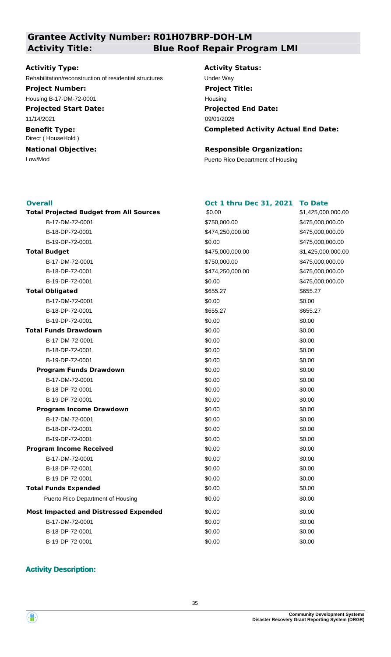# **Grantee Activity Number: R01H07BRP-DOH-LM**

**Activitiy Type:**

Rehabilitation/reconstruction of residential structures Under Way

### **Project Number:**

Housing B-17-DM-72-0001

**Projected Start Date:** 11/14/2021

**Benefit Type:** Direct ( HouseHold )

**National Objective:**

## **Activity Title: Blue Roof Repair Program LMI**

**Activity Status: Projected End Date: Completed Activity Actual End Date:** 09/01/2026 **Project Title:** Housing

\$1,425,000,000.00

 $$475,000,000.00$ B-18-DP-72-0001 \$474,250,000.00 \$475,000,000.00  $$475,000,000.00$ 

**Total Projected Budget from All Sources** \$1,425,000,000.00

 $$475,000,000.00$ B-18-DP-72-0001 \$474,250,000.00 \$475,000,000.00  $$475,000,000.00$ 

### **Responsible Organization:**

Low/Mod<br>
Puerto Rico Department of Housing

### **Overall**

| <b>Overall</b>                                 | <b>Oct 1 thru Dec 31, 2021</b> | <b>To Date</b> |
|------------------------------------------------|--------------------------------|----------------|
| <b>Total Projected Budget from All Sources</b> | \$0.00                         | \$1,425,000    |
| B-17-DM-72-0001                                | \$750,000.00                   | \$475,000,0    |
| B-18-DP-72-0001                                | \$474,250,000.00               | \$475,000,0    |
| B-19-DP-72-0001                                | \$0.00                         | \$475,000,0    |
| <b>Total Budget</b>                            | \$475,000,000.00               | \$1,425,000    |
| B-17-DM-72-0001                                | \$750,000.00                   | \$475,000,0    |
| B-18-DP-72-0001                                | \$474,250,000.00               | \$475,000,0    |
| B-19-DP-72-0001                                | \$0.00                         | \$475,000,0    |
| <b>Total Obligated</b>                         | \$655.27                       | \$655.27       |
| B-17-DM-72-0001                                | \$0.00                         | \$0.00         |
| B-18-DP-72-0001                                | \$655.27                       | \$655.27       |
| B-19-DP-72-0001                                | \$0.00                         | \$0.00         |
| <b>Total Funds Drawdown</b>                    | \$0.00                         | \$0.00         |
| B-17-DM-72-0001                                | \$0.00                         | \$0.00         |
| B-18-DP-72-0001                                | \$0.00                         | \$0.00         |
| B-19-DP-72-0001                                | \$0.00                         | \$0.00         |
| <b>Program Funds Drawdown</b>                  | \$0.00                         | \$0.00         |
| B-17-DM-72-0001                                | \$0.00                         | \$0.00         |
| B-18-DP-72-0001                                | \$0.00                         | \$0.00         |
| B-19-DP-72-0001                                | \$0.00                         | \$0.00         |
| <b>Program Income Drawdown</b>                 | \$0.00                         | \$0.00         |
| B-17-DM-72-0001                                | \$0.00                         | \$0.00         |
| B-18-DP-72-0001                                | \$0.00                         | \$0.00         |
| B-19-DP-72-0001                                | \$0.00                         | \$0.00         |
| <b>Program Income Received</b>                 | \$0.00                         | \$0.00         |
| B-17-DM-72-0001                                | \$0.00                         | \$0.00         |
| B-18-DP-72-0001                                | \$0.00                         | \$0.00         |
| B-19-DP-72-0001                                | \$0.00                         | \$0.00         |
| <b>Total Funds Expended</b>                    | \$0.00                         | \$0.00         |
| Puerto Rico Department of Housing              | \$0.00                         | \$0.00         |
| <b>Most Impacted and Distressed Expended</b>   | \$0.00                         | \$0.00         |
| B-17-DM-72-0001                                | \$0.00                         | \$0.00         |
| B-18-DP-72-0001                                | \$0.00                         | \$0.00         |
| B-19-DP-72-0001                                | \$0.00                         | \$0.00         |

### **Activity Description:**

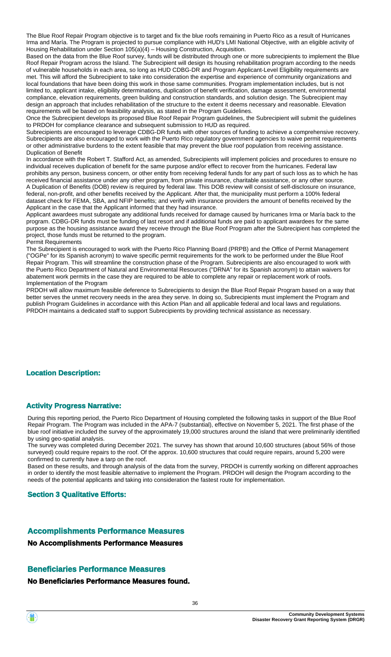The Blue Roof Repair Program objective is to target and fix the blue roofs remaining in Puerto Rico as a result of Hurricanes Irma and María. The Program is projected to pursue compliance with HUD's LMI National Objective, with an eligible activity of Housing Rehabilitation under Section 105(a)(4) – Housing Construction, Acquisition.

Based on the data from the Blue Roof survey, funds will be distributed through one or more subrecipients to implement the Blue Roof Repair Program across the Island. The Subrecipient will design its housing rehabilitation program according to the needs of vulnerable households in each area, so long as HUD CDBG-DR and Program Applicant-Level Eligibility requirements are met. This will afford the Subrecipient to take into consideration the expertise and experience of community organizations and local foundations that have been doing this work in those same communities. Program implementation includes, but is not limited to, applicant intake, eligibility determinations, duplication of benefit verification, damage assessment, environmental compliance, elevation requirements, green building and construction standards, and solution design. The Subrecipient may design an approach that includes rehabilitation of the structure to the extent it deems necessary and reasonable. Elevation requirements will be based on feasibility analysis, as stated in the Program Guidelines.

Once the Subrecipient develops its proposed Blue Roof Repair Program guidelines, the Subrecipient will submit the guidelines to PRDOH for compliance clearance and subsequent submission to HUD as required.

Subrecipients are encouraged to leverage CDBG-DR funds with other sources of funding to achieve a comprehensive recovery. Subrecipients are also encouraged to work with the Puerto Rico regulatory government agencies to waive permit requirements or other administrative burdens to the extent feasible that may prevent the blue roof population from receiving assistance. Duplication of Benefit

In accordance with the Robert T. Stafford Act, as amended, Subrecipients will implement policies and procedures to ensure no individual receives duplication of benefit for the same purpose and/or effect to recover from the hurricanes. Federal law prohibits any person, business concern, or other entity from receiving federal funds for any part of such loss as to which he has received financial assistance under any other program, from private insurance, charitable assistance, or any other source. A Duplication of Benefits (DOB) review is required by federal law. This DOB review will consist of self-disclosure on insurance, federal, non-profit, and other benefits received by the Applicant. After that, the municipality must perform a 100% federal dataset check for FEMA, SBA, and NFIP benefits; and verify with insurance providers the amount of benefits received by the Applicant in the case that the Applicant informed that they had insurance.

Applicant awardees must subrogate any additional funds received for damage caused by hurricanes Irma or María back to the program. CDBG-DR funds must be funding of last resort and if additional funds are paid to applicant awardees for the same purpose as the housing assistance award they receive through the Blue Roof Program after the Subrecipient has completed the project, those funds must be returned to the program. Permit Requirements

The Subrecipient is encouraged to work with the Puerto Rico Planning Board (PRPB) and the Office of Permit Management ("OGPe" for its Spanish acronym) to waive specific permit requirements for the work to be performed under the Blue Roof Repair Program. This will streamline the construction phase of the Program. Subrecipients are also encouraged to work with the Puerto Rico Department of Natural and Environmental Resources ("DRNA" for its Spanish acronym) to attain waivers for abatement work permits in the case they are required to be able to complete any repair or replacement work of roofs. Implementation of the Program

PRDOH will allow maximum feasible deference to Subrecipients to design the Blue Roof Repair Program based on a way that better serves the unmet recovery needs in the area they serve. In doing so, Subrecipients must implement the Program and publish Program Guidelines in accordance with this Action Plan and all applicable federal and local laws and regulations. PRDOH maintains a dedicated staff to support Subrecipients by providing technical assistance as necessary.

### **Location Description:**

### **Activity Progress Narrative:**

During this reporting period, the Puerto Rico Department of Housing completed the following tasks in support of the Blue Roof Repair Program. The Program was included in the APA-7 (substantial), effective on November 5, 2021. The first phase of the blue roof initiative included the survey of the approximately 19,000 structures around the island that were preliminarily identified by using geo-spatial analysis.

The survey was completed during December 2021. The survey has shown that around 10,600 structures (about 56% of those surveyed) could require repairs to the roof. Of the approx. 10,600 structures that could require repairs, around 5,200 were confirmed to currently have a tarp on the roof.

Based on these results, and through analysis of the data from the survey, PRDOH is currently working on different approaches in order to identify the most feasible alternative to implement the Program. PRDOH will design the Program according to the needs of the potential applicants and taking into consideration the fastest route for implementation.

#### **Section 3 Qualitative Efforts:**

### **Accomplishments Performance Measures**

**No Accomplishments Performance Measures**

### **Beneficiaries Performance Measures**

#### **No Beneficiaries Performance Measures found.**

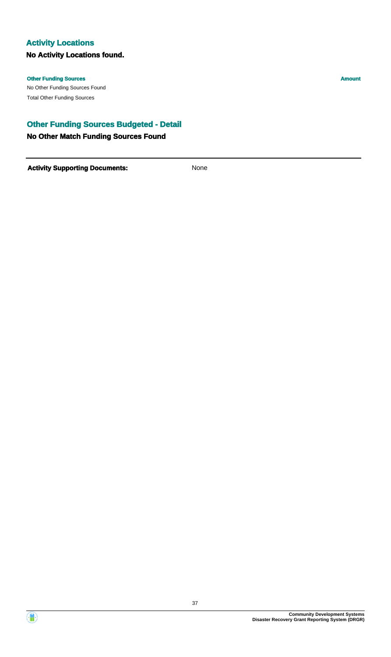### **Activity Locations**

### **No Activity Locations found.**

#### **Other Funding Sources Amount**

No Other Funding Sources Found Total Other Funding Sources

### **Other Funding Sources Budgeted - Detail**

#### **No Other Match Funding Sources Found**



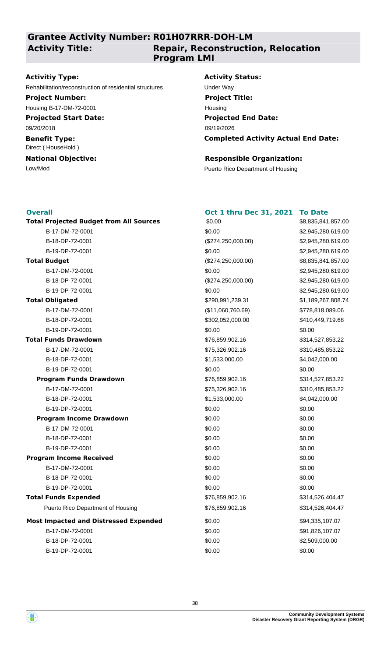**Grantee Activity Number: R01H07RRR-DOH-LM**

**Activity Title:**

### **Repair, Reconstruction, Relocation Program LMI**

#### **Activitiy Type:**

Rehabilitation/reconstruction of residential structures Under Way

## **Project Number:**

Housing B-17-DM-72-0001

### **Projected Start Date:**

09/20/2018

#### **Benefit Type:** Direct ( HouseHold )

#### **National Objective:**

#### **Activity Status:**

**Projected End Date: Completed Activity Actual End Date:** 09/19/2026 **Project Title:** Housing

#### **Responsible Organization:**

Low/Mod **Puerto Rico Department of Housing** 

#### **Overall**

| <b>Overall</b>                                 | <b>Oct 1 thru Dec 31, 2021</b> | <b>To Date</b>     |
|------------------------------------------------|--------------------------------|--------------------|
| <b>Total Projected Budget from All Sources</b> | \$0.00                         | \$8,835,841,857.00 |
| B-17-DM-72-0001                                | \$0.00                         | \$2,945,280,619.00 |
| B-18-DP-72-0001                                | (\$274, 250, 000.00)           | \$2,945,280,619.00 |
| B-19-DP-72-0001                                | \$0.00                         | \$2,945,280,619.00 |
| <b>Total Budget</b>                            | (\$274, 250, 000.00)           | \$8,835,841,857.00 |
| B-17-DM-72-0001                                | \$0.00                         | \$2,945,280,619.00 |
| B-18-DP-72-0001                                | (\$274,250,000.00)             | \$2,945,280,619.00 |
| B-19-DP-72-0001                                | \$0.00                         | \$2,945,280,619.00 |
| <b>Total Obligated</b>                         | \$290,991,239.31               | \$1,189,267,808.74 |
| B-17-DM-72-0001                                | (\$11,060,760.69)              | \$778,818,089.06   |
| B-18-DP-72-0001                                | \$302,052,000.00               | \$410,449,719.68   |
| B-19-DP-72-0001                                | \$0.00                         | \$0.00             |
| <b>Total Funds Drawdown</b>                    | \$76,859,902.16                | \$314,527,853.22   |
| B-17-DM-72-0001                                | \$75,326,902.16                | \$310,485,853.22   |
| B-18-DP-72-0001                                | \$1,533,000.00                 | \$4,042,000.00     |
| B-19-DP-72-0001                                | \$0.00                         | \$0.00             |
| <b>Program Funds Drawdown</b>                  | \$76,859,902.16                | \$314,527,853.22   |
| B-17-DM-72-0001                                | \$75,326,902.16                | \$310,485,853.22   |
| B-18-DP-72-0001                                | \$1,533,000.00                 | \$4,042,000.00     |
| B-19-DP-72-0001                                | \$0.00                         | \$0.00             |
| <b>Program Income Drawdown</b>                 | \$0.00                         | \$0.00             |
| B-17-DM-72-0001                                | \$0.00                         | \$0.00             |
| B-18-DP-72-0001                                | \$0.00                         | \$0.00             |
| B-19-DP-72-0001                                | \$0.00                         | \$0.00             |
| <b>Program Income Received</b>                 | \$0.00                         | \$0.00             |
| B-17-DM-72-0001                                | \$0.00                         | \$0.00             |
| B-18-DP-72-0001                                | \$0.00                         | \$0.00             |
| B-19-DP-72-0001                                | \$0.00                         | \$0.00             |
| <b>Total Funds Expended</b>                    | \$76,859,902.16                | \$314,526,404.47   |
| Puerto Rico Department of Housing              | \$76,859,902.16                | \$314,526,404.47   |
| <b>Most Impacted and Distressed Expended</b>   | \$0.00                         | \$94,335,107.07    |
| B-17-DM-72-0001                                | \$0.00                         | \$91,826,107.07    |
| B-18-DP-72-0001                                | \$0.00                         | \$2,509,000.00     |
| B-19-DP-72-0001                                | \$0.00                         | \$0.00             |

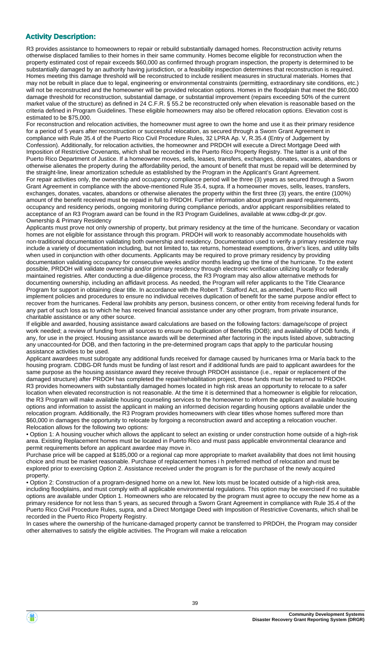### **Activity Description:**

R3 provides assistance to homeowners to repair or rebuild substantially damaged homes. Reconstruction activity returns otherwise displaced families to their homes in their same community. Homes become eligible for reconstruction when the property estimated cost of repair exceeds \$60,000 as confirmed through program inspection, the property is determined to be substantially damaged by an authority having jurisdiction, or a feasibility inspection determines that reconstruction is required. Homes meeting this damage threshold will be reconstructed to include resilient measures in structural materials. Homes that may not be rebuilt in place due to legal, engineering or environmental constraints (permitting, extraordinary site conditions, etc.) will not be reconstructed and the homeowner will be provided relocation options. Homes in the floodplain that meet the \$60,000 damage threshold for reconstruction, substantial damage, or substantial improvement (repairs exceeding 50% of the current market value of the structure) as defined in 24 C.F.R. § 55.2 be reconstructed only when elevation is reasonable based on the criteria defined in Program Guidelines. These eligible homeowners may also be offered relocation options. Elevation cost is estimated to be \$75,000.

For reconstruction and relocation activities, the homeowner must agree to own the home and use it as their primary residence for a period of 5 years after reconstruction or successful relocation, as secured through a Sworn Grant Agreement in compliance with Rule 35.4 of the Puerto Rico Civil Procedure Rules, 32 LPRA Ap. V, R.35.4 (Entry of Judgement by Confession). Additionally, for relocation activities, the homeowner and PRDOH will execute a Direct Mortgage Deed with Imposition of Restrictive Covenants, which shall be recorded in the Puerto Rico Property Registry. The latter is a unit of the Puerto Rico Department of Justice. If a homeowner moves, sells, leases, transfers, exchanges, donates, vacates, abandons or otherwise alienates the property during the affordability period, the amount of benefit that must be repaid will be determined by the straight-line, linear amortization schedule as established by the Program in the Applicant's Grant Agreement. For repair activities only, the ownership and occupancy compliance period will be three (3) years as secured through a Sworn Grant Agreement in compliance with the above-mentioned Rule 35.4, supra. If a homeowner moves, sells, leases, transfers, exchanges, donates, vacates, abandons or otherwise alienates the property within the first three (3) years, the entire (100%) amount of the benefit received must be repaid in full to PRDOH. Further information about program award requirements, occupancy and residency periods, ongoing monitoring during compliance periods, and/or applicant responsibilities related to acceptance of an R3 Program award can be found in the R3 Program Guidelines, available at www.cdbg-dr.pr.gov. Ownership & Primary Residency

Applicants must prove not only ownership of property, but primary residency at the time of the hurricane. Secondary or vacation homes are not eligible for assistance through this program. PRDOH will work to reasonably accommodate households with non-traditional documentation validating both ownership and residency. Documentation used to verify a primary residence may include a variety of documentation including, but not limited to, tax returns, homestead exemptions, driver's lices, and utility bills when used in conjunction with other documents. Applicants may be required to prove primary residency by providing documentation validating occupancy for consecutive weeks and/or months leading up the time of the hurricane. To the extent possible, PRDOH will validate ownership and/or primary residency through electronic verification utilizing locally or federally maintained registries. After conducting a due-diligence process, the R3 Program may also allow alternative methods for documenting ownership, including an affidavit process. As needed, the Program will refer applicants to the Title Clearance Program for support in obtaining clear title. In accordance with the Robert T. Stafford Act, as amended, Puerto Rico will implement policies and procedures to ensure no individual receives duplication of benefit for the same purpose and/or effect to recover from the hurricanes. Federal law prohibits any person, business concern, or other entity from receiving federal funds for any part of such loss as to which he has received financial assistance under any other program, from private insurance, charitable assistance or any other source.

If eligible and awarded, housing assistance award calculations are based on the following factors: damage/scope of project work needed; a review of funding from all sources to ensure no Duplication of Benefits (DOB); and availability of DOB funds, if any, for use in the project. Housing assistance awards will be determined after factoring in the inputs listed above, subtracting any unaccounted-for DOB, and then factoring in the pre-determined program caps that apply to the particular housing assistance activities to be used.

Applicant awardees must subrogate any additional funds received for damage caused by hurricanes Irma or María back to the housing program. CDBG-DR funds must be funding of last resort and if additional funds are paid to applicant awardees for the same purpose as the housing assistance award they receive through PRDOH assistance (i.e., repair or replacement of the damaged structure) after PRDOH has completed the repair/rehabilitation project, those funds must be returned to PRDOH. R3 provides homeowners with substantially damaged homes located in high risk areas an opportunity to relocate to a safer location when elevated reconstruction is not reasonable. At the time it is determined that a homeowner is eligible for relocation, the R3 Program will make available housing counseling services to the homeowner to inform the applicant of available housing options and information to assist the applicant in making an informed decision regarding housing options available under the relocation program. Additionally, the R3 Program provides homeowners with clear titles whose homes suffered more than \$60,000 in damages the opportunity to relocate by forgoing a reconstruction award and accepting a relocation voucher. Relocation allows for the following two options:

• Option 1: A housing voucher which allows the applicant to select an existing or under construction home outside of a high-risk area. Existing Replacement homes must be located in Puerto Rico and must pass applicable environmental clearance and permit requirements before an applicant awardee may move in.

Purchase price will be capped at \$185,000 or a regional cap more appropriate to market availability that does not limit housing choice and must be market reasonable. Purchase of replacement homes i h preferred method of relocation and must be explored prior to exercising Option 2. Assistance received under the program is for the purchase of the newly acquired property.

• Option 2: Construction of a program-designed home on a new lot. New lots must be located outside of a high-risk area, including floodplains, and must comply with all applicable environmental regulations. This option may be exercised if no suitable options are available under Option 1. Homeowners who are relocated by the program must agree to occupy the new home as a primary residence for not less than 5 years, as secured through a Sworn Grant Agreement in compliance with Rule 35.4 of the Puerto Rico Civil Procedure Rules, supra, and a Direct Mortgage Deed with Imposition of Restrictive Covenants, which shall be recorded in the Puerto Rico Property Registry.

In cases where the ownership of the hurricane-damaged property cannot be transferred to PRDOH, the Program may consider other alternatives to satisfy the eligible activities. The Program will make a relocation

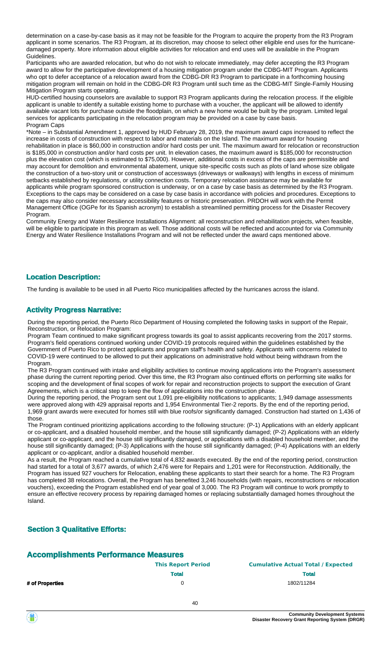determination on a case-by-case basis as it may not be feasible for the Program to acquire the property from the R3 Program applicant in some scenarios. The R3 Program, at its discretion, may choose to select other eligible end uses for the hurricanedamaged property. More information about eligible activities for relocation and end uses will be available in the Program Guidelines.

Participants who are awarded relocation, but who do not wish to relocate immediately, may defer accepting the R3 Program award to allow for the participative development of a housing mitigation program under the CDBG-MIT Program. Applicants who opt to defer acceptance of a relocation award from the CDBG-DR R3 Program to participate in a forthcoming housing mitigation program will remain on hold in the CDBG-DR R3 Program until such time as the CDBG-MIT Single-Family Housing Mitigation Program starts operating.

HUD-certified housing counselors are available to support R3 Program applicants during the relocation process. If the eligible applicant is unable to identify a suitable existing home to purchase with a voucher, the applicant will be allowed to identify available vacant lots for purchase outside the floodplain, on which a new home would be built by the program. Limited legal services for applicants participating in the relocation program may be provided on a case by case basis. Program Caps

\*Note – in Substantial Amendment 1, approved by HUD February 28, 2019, the maximum award caps increased to reflect the increase in costs of construction with respect to labor and materials on the Island. The maximum award for housing rehabilitation in place is \$60,000 in construction and/or hard costs per unit. The maximum award for relocation or reconstruction is \$185,000 in construction and/or hard costs per unit. In elevation cases, the maximum award is \$185,000 for reconstruction plus the elevation cost (which is estimated to \$75,000). However, additional costs in excess of the caps are permissible and may account for demolition and environmental abatement, unique site-specific costs such as plots of land whose size obligate the construction of a two-story unit or construction of accessways (driveways or walkways) with lengths in excess of minimum setbacks established by regulations, or utility connection costs. Temporary relocation assistance may be available for applicants while program sponsored construction is underway, or on a case by case basis as determined by the R3 Program. Exceptions to the caps may be considered on a case by case basis in accordance with policies and procedures. Exceptions to the caps may also consider necessary accessibility features or historic preservation. PRDOH will work with the Permit Management Office (OGPe for its Spanish acronym) to establish a streamlined permitting process for the Disaster Recovery Program.

Community Energy and Water Resilience Installations Alignment: all reconstruction and rehabilitation projects, when feasible, will be eligible to participate in this program as well. Those additional costs will be reflected and accounted for via Community Energy and Water Resilience Installations Program and will not be reflected under the award caps mentioned above.

#### **Location Description:**

The funding is available to be used in all Puerto Rico municipalities affected by the hurricanes across the island.

#### **Activity Progress Narrative:**

During the reporting period, the Puerto Rico Department of Housing completed the following tasks in support of the Repair, Reconstruction, or Relocation Program:

Program Team continued to make significant progress towards its goal to assist applicants recovering from the 2017 storms. Program's field operations continued working under COVID-19 protocols required within the guidelines established by the Government of Puerto Rico to protect applicants and program staff's health and safety. Applicants with concerns related to COVID-19 were continued to be allowed to put their applications on administrative hold without being withdrawn from the Program.

The R3 Program continued with intake and eligibility activities to continue moving applications into the Program's assessment phase during the current reporting period. Over this time, the R3 Program also continued efforts on performing site walks for scoping and the development of final scopes of work for repair and reconstruction projects to support the execution of Grant Agreements, which is a critical step to keep the flow of applications into the construction phase.

During the reporting period, the Program sent out 1,091 pre-eligibility notifications to applicants; 1,949 damage assessments were approved along with 429 appraisal reports and 1,954 Environmental Tier-2 reports. By the end of the reporting period, 1,969 grant awards were executed for homes still with blue roofs/or significantly damaged. Construction had started on 1,436 of those.

The Program continued prioritizing applications according to the following structure: (P-1) Applications with an elderly applicant or co-applicant, and a disabled household member, and the house still significantly damaged; (P-2) Applications with an elderly applicant or co-applicant, and the house still significantly damaged, or applications with a disabled household member, and the house still significantly damaged; (P-3) Applications with the house still significantly damaged; (P-4) Applications with an elderly applicant or co-applicant, and/or a disabled household member.

As a result, the Program reached a cumulative total of 4,832 awards executed. By the end of the reporting period, construction had started for a total of 3,677 awards, of which 2,476 were for Repairs and 1,201 were for Reconstruction. Additionally, the Program has issued 927 vouchers for Relocation, enabling these applicants to start their search for a home. The R3 Program has completed 38 relocations. Overall, the Program has benefited 3,246 households (with repairs, reconstructions or relocation vouchers), exceeding the Program established end of year goal of 3,000. The R3 Program will continue to work promptly to ensure an effective recovery process by repairing damaged homes or replacing substantially damaged homes throughout the Island.

#### **Section 3 Qualitative Efforts:**

### **Accomplishments Performance Measures**

|                 | <b>This Report Period</b> | <b>Cumulative Actual Total / Expected</b> |
|-----------------|---------------------------|-------------------------------------------|
|                 | Total                     | <b>Total</b>                              |
| # of Properties |                           | 1802/11284                                |
|                 |                           |                                           |

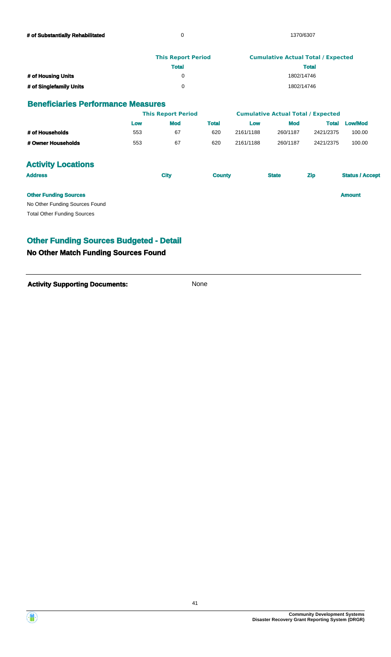|                         | <b>This Report Period</b> | <b>Cumulative Actual Total / Expected</b> |
|-------------------------|---------------------------|-------------------------------------------|
|                         | <b>Total</b>              | <b>Total</b>                              |
| # of Housing Units      |                           | 1802/14746                                |
| # of Singlefamily Units |                           | 1802/14746                                |

#### **Beneficiaries Performance Measures**

|                                    | <b>This Report Period</b> |             |               | <b>Cumulative Actual Total / Expected</b> |              |              |                        |
|------------------------------------|---------------------------|-------------|---------------|-------------------------------------------|--------------|--------------|------------------------|
|                                    | Low                       | <b>Mod</b>  | <b>Total</b>  | Low                                       | <b>Mod</b>   | <b>Total</b> | <b>Low/Mod</b>         |
| # of Households                    | 553                       | 67          | 620           | 2161/1188                                 | 260/1187     | 2421/2375    | 100.00                 |
| # Owner Households                 | 553                       | 67          | 620           | 2161/1188                                 | 260/1187     | 2421/2375    | 100.00                 |
| <b>Activity Locations</b>          |                           |             |               |                                           |              |              |                        |
| <b>Address</b>                     |                           | <b>City</b> | <b>County</b> |                                           | <b>State</b> | <b>Zip</b>   | <b>Status / Accept</b> |
| <b>Other Funding Sources</b>       |                           |             |               |                                           |              |              | <b>Amount</b>          |
| No Other Funding Sources Found     |                           |             |               |                                           |              |              |                        |
| <b>Total Other Funding Sources</b> |                           |             |               |                                           |              |              |                        |
|                                    |                           |             |               |                                           |              |              |                        |

### **Other Funding Sources Budgeted - Detail**

### **No Other Match Funding Sources Found**

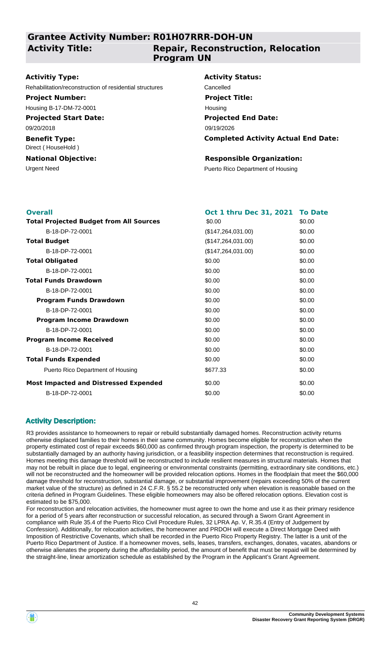**Grantee Activity Number: R01H07RRR-DOH-UN**

**Activity Title:**

### **Repair, Reconstruction, Relocation Program UN**

#### **Activitiy Type:**

Rehabilitation/reconstruction of residential structures Cancelled

#### **Project Number:**

Housing B-17-DM-72-0001

#### **Projected Start Date:**

09/20/2018

#### **Benefit Type:** Direct ( HouseHold )

#### **National Objective:**

# **Activity Status: Projected End Date: Project Title:** Housing

09/19/2026

### **Completed Activity Actual End Date:**

### **Responsible Organization:**

Urgent Need **Puerto Rico Department of Housing** 

| <b>Overall</b>                                 | Oct 1 thru Dec 31, 2021 To Date |        |
|------------------------------------------------|---------------------------------|--------|
| <b>Total Projected Budget from All Sources</b> | \$0.00                          | \$0.00 |
| B-18-DP-72-0001                                | (\$147, 264, 031.00)            | \$0.00 |
| <b>Total Budget</b>                            | (\$147, 264, 031.00)            | \$0.00 |
| B-18-DP-72-0001                                | (\$147,264,031.00)              | \$0.00 |
| <b>Total Obligated</b>                         | \$0.00                          | \$0.00 |
| B-18-DP-72-0001                                | \$0.00                          | \$0.00 |
| <b>Total Funds Drawdown</b>                    | \$0.00                          | \$0.00 |
| B-18-DP-72-0001                                | \$0.00                          | \$0.00 |
| <b>Program Funds Drawdown</b>                  | \$0.00                          | \$0.00 |
| B-18-DP-72-0001                                | \$0.00                          | \$0.00 |
| <b>Program Income Drawdown</b>                 | \$0.00                          | \$0.00 |
| B-18-DP-72-0001                                | \$0.00                          | \$0.00 |
| <b>Program Income Received</b>                 | \$0.00                          | \$0.00 |
| B-18-DP-72-0001                                | \$0.00                          | \$0.00 |
| <b>Total Funds Expended</b>                    | \$0.00                          | \$0.00 |
| Puerto Rico Department of Housing              | \$677.33                        | \$0.00 |
| <b>Most Impacted and Distressed Expended</b>   | \$0.00                          | \$0.00 |
| B-18-DP-72-0001                                | \$0.00                          | \$0.00 |

### **Activity Description:**

R3 provides assistance to homeowners to repair or rebuild substantially damaged homes. Reconstruction activity returns otherwise displaced families to their homes in their same community. Homes become eligible for reconstruction when the property estimated cost of repair exceeds \$60,000 as confirmed through program inspection, the property is determined to be substantially damaged by an authority having jurisdiction, or a feasibility inspection determines that reconstruction is required. Homes meeting this damage threshold will be reconstructed to include resilient measures in structural materials. Homes that may not be rebuilt in place due to legal, engineering or environmental constraints (permitting, extraordinary site conditions, etc.) will not be reconstructed and the homeowner will be provided relocation options. Homes in the floodplain that meet the \$60,000 damage threshold for reconstruction, substantial damage, or substantial improvement (repairs exceeding 50% of the current market value of the structure) as defined in 24 C.F.R. § 55.2 be reconstructed only when elevation is reasonable based on the criteria defined in Program Guidelines. These eligible homeowners may also be offered relocation options. Elevation cost is estimated to be \$75,000.

For reconstruction and relocation activities, the homeowner must agree to own the home and use it as their primary residence for a period of 5 years after reconstruction or successful relocation, as secured through a Sworn Grant Agreement in compliance with Rule 35.4 of the Puerto Rico Civil Procedure Rules, 32 LPRA Ap. V, R.35.4 (Entry of Judgement by Confession). Additionally, for relocation activities, the homeowner and PRDOH will execute a Direct Mortgage Deed with Imposition of Restrictive Covenants, which shall be recorded in the Puerto Rico Property Registry. The latter is a unit of the Puerto Rico Department of Justice. If a homeowner moves, sells, leases, transfers, exchanges, donates, vacates, abandons or otherwise alienates the property during the affordability period, the amount of benefit that must be repaid will be determined by the straight-line, linear amortization schedule as established by the Program in the Applicant's Grant Agreement.

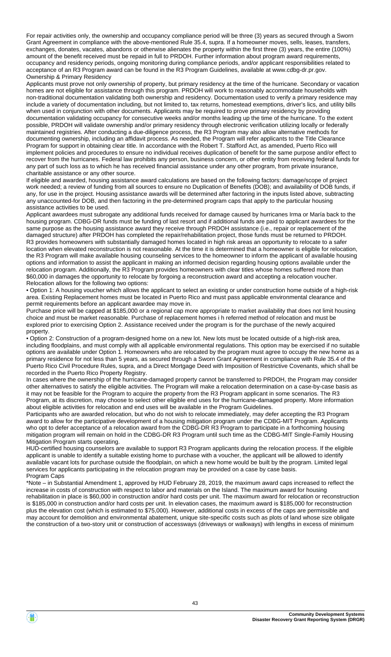For repair activities only, the ownership and occupancy compliance period will be three (3) years as secured through a Sworn Grant Agreement in compliance with the above-mentioned Rule 35.4, supra. If a homeowner moves, sells, leases, transfers, exchanges, donates, vacates, abandons or otherwise alienates the property within the first three (3) years, the entire (100%) amount of the benefit received must be repaid in full to PRDOH. Further information about program award requirements, occupancy and residency periods, ongoing monitoring during compliance periods, and/or applicant responsibilities related to acceptance of an R3 Program award can be found in the R3 Program Guidelines, available at www.cdbg-dr.pr.gov. Ownership & Primary Residency

Applicants must prove not only ownership of property, but primary residency at the time of the hurricane. Secondary or vacation homes are not eligible for assistance through this program. PRDOH will work to reasonably accommodate households with non-traditional documentation validating both ownership and residency. Documentation used to verify a primary residence may include a variety of documentation including, but not limited to, tax returns, homestead exemptions, driver's lics, and utility bills when used in conjunction with other documents. Applicants may be required to prove primary residency by providing documentation validating occupancy for consecutive weeks and/or months leading up the time of the hurricane. To the extent possible, PRDOH will validate ownership and/or primary residency through electronic verification utilizing locally or federally maintained registries. After conducting a due-diligence process, the R3 Program may also allow alternative methods for documenting ownership, including an affidavit process. As needed, the Program will refer applicants to the Title Clearance Program for support in obtaining clear title. In accordance with the Robert T. Stafford Act, as amended, Puerto Rico will implement policies and procedures to ensure no individual receives duplication of benefit for the same purpose and/or effect to recover from the hurricanes. Federal law prohibits any person, business concern, or other entity from receiving federal funds for any part of such loss as to which he has received financial assistance under any other program, from private insurance, charitable assistance or any other source.

If eligible and awarded, housing assistance award calculations are based on the following factors: damage/scope of project work needed; a review of funding from all sources to ensure no Duplication of Benefits (DOB); and availability of DOB funds, if any, for use in the project. Housing assistance awards will be determined after factoring in the inputs listed above, subtracting any unaccounted-for DOB, and then factoring in the pre-determined program caps that apply to the particular housing assistance activities to be used.

Applicant awardees must subrogate any additional funds received for damage caused by hurricanes Irma or María back to the housing program. CDBG-DR funds must be funding of last resort and if additional funds are paid to applicant awardees for the same purpose as the housing assistance award they receive through PRDOH assistance (i.e., repair or replacement of the damaged structure) after PRDOH has completed the repair/rehabilitation project, those funds must be returned to PRDOH. R3 provides homeowners with substantially damaged homes located in high risk areas an opportunity to relocate to a safer location when elevated reconstruction is not reasonable. At the time it is determined that a homeowner is eligible for relocation, the R3 Program will make available housing counseling services to the homeowner to inform the applicant of available housing options and information to assist the applicant in making an informed decision regarding housing options available under the relocation program. Additionally, the R3 Program provides homeowners with clear titles whose homes suffered more than \$60,000 in damages the opportunity to relocate by forgoing a reconstruction award and accepting a relocation voucher. Relocation allows for the following two options:

• Option 1: A housing voucher which allows the applicant to select an existing or under construction home outside of a high-risk area. Existing Replacement homes must be located in Puerto Rico and must pass applicable environmental clearance and permit requirements before an applicant awardee may move in.

Purchase price will be capped at \$185,000 or a regional cap more appropriate to market availability that does not limit housing choice and must be market reasonable. Purchase of replacement homes i h referred method of relocation and must be explored prior to exercising Option 2. Assistance received under the program is for the purchase of the newly acquired property.

• Option 2: Construction of a program-designed home on a new lot. New lots must be located outside of a high-risk area, including floodplains, and must comply with all applicable environmental regulations. This option may be exercised if no suitable options are available under Option 1. Homeowners who are relocated by the program must agree to occupy the new home as a primary residence for not less than 5 years, as secured through a Sworn Grant Agreement in compliance with Rule 35.4 of the Puerto Rico Civil Procedure Rules, supra, and a Direct Mortgage Deed with Imposition of Restrictive Covenants, which shall be recorded in the Puerto Rico Property Registry.

In cases where the ownership of the hurricane-damaged property cannot be transferred to PRDOH, the Program may consider other alternatives to satisfy the eligible activities. The Program will make a relocation determination on a case-by-case basis as it may not be feasible for the Program to acquire the property from the R3 Program applicant in some scenarios. The R3 Program, at its discretion, may choose to select other eligible end uses for the hurricane-damaged property. More information about eligible activities for relocation and end uses will be available in the Program Guidelines.

Participants who are awarded relocation, but who do not wish to relocate immediately, may defer accepting the R3 Program award to allow for the participative development of a housing mitigation program under the CDBG-MIT Program. Applicants who opt to defer acceptance of a relocation award from the CDBG-DR R3 Program to participate in a forthcoming housing mitigation program will remain on hold in the CDBG-DR R3 Program until such time as the CDBG-MIT Single-Family Housing Mitigation Program starts operating.

HUD-certified housing counselors are available to support R3 Program applicants during the relocation process. If the eligible applicant is unable to identify a suitable existing home to purchase with a voucher, the applicant will be allowed to identify available vacant lots for purchase outside the floodplain, on which a new home would be built by the program. Limited legal services for applicants participating in the relocation program may be provided on a case by case basis. Program Caps

\*Note – in Substantial Amendment 1, approved by HUD February 28, 2019, the maximum award caps increased to reflect the increase in costs of construction with respect to labor and materials on the Island. The maximum award for housing rehabilitation in place is \$60,000 in construction and/or hard costs per unit. The maximum award for relocation or reconstruction is \$185,000 in construction and/or hard costs per unit. In elevation cases, the maximum award is \$185,000 for reconstruction plus the elevation cost (which is estimated to \$75,000). However, additional costs in excess of the caps are permissible and may account for demolition and environmental abatement, unique site-specific costs such as plots of land whose size obligate the construction of a two-story unit or construction of accessways (driveways or walkways) with lengths in excess of minimum

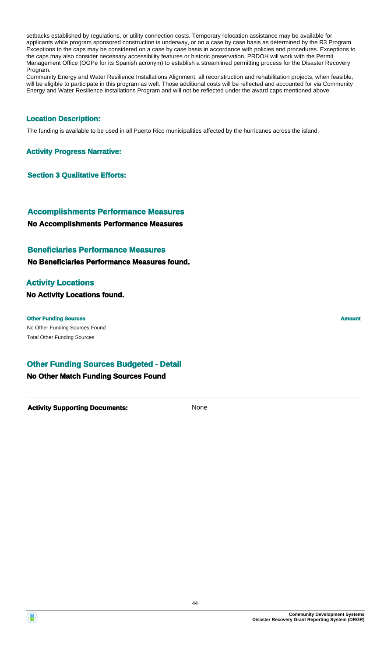setbacks established by regulations, or utility connection costs. Temporary relocation assistance may be available for applicants while program sponsored construction is underway, or on a case by case basis as determined by the R3 Program. Exceptions to the caps may be considered on a case by case basis in accordance with policies and procedures. Exceptions to the caps may also consider necessary accessibility features or historic preservation. PRDOH will work with the Permit Management Office (OGPe for its Spanish acronym) to establish a streamlined permitting process for the Disaster Recovery Program.

Community Energy and Water Resilience Installations Alignment: all reconstruction and rehabilitation projects, when feasible, will be eligible to participate in this program as well. Those additional costs will be reflected and accounted for via Community Energy and Water Resilience Installations Program and will not be reflected under the award caps mentioned above.

#### **Location Description:**

The funding is available to be used in all Puerto Rico municipalities affected by the hurricanes across the island.

#### **Activity Progress Narrative:**

**Section 3 Qualitative Efforts:**

**No Accomplishments Performance Measures Accomplishments Performance Measures**

#### **Beneficiaries Performance Measures**

**No Beneficiaries Performance Measures found.**

#### **Activity Locations**

**No Activity Locations found.**

#### **Other Funding Sources Amount Amount Amount Amount Amount Amount Amount**

Œ

No Other Funding Sources Found Total Other Funding Sources

### **Other Funding Sources Budgeted - Detail**

#### **No Other Match Funding Sources Found**

**Activity Supporting Documents:** None

**Community Development Systems Disaster Recovery Grant Reporting System (DRGR)**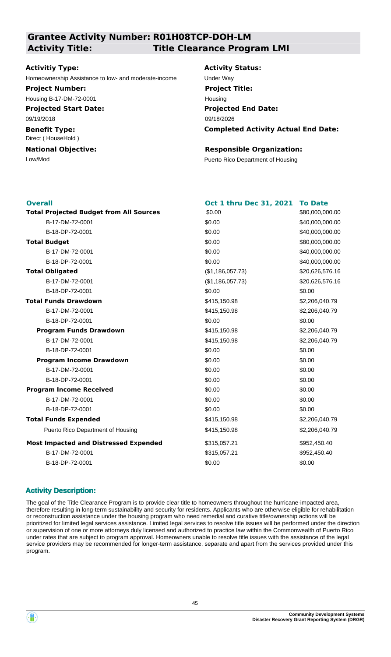## **Grantee Activity Number: R01H08TCP-DOH-LM Activity Title: Title Clearance Program LMI**

#### **Activitiy Type:**

Homeownership Assistance to low- and moderate-income Under Way

#### **Project Number:**

Housing B-17-DM-72-0001

**Projected Start Date:** 09/19/2018

**Benefit Type:** Direct ( HouseHold )

# **National Objective:**

**Activity Status: Projected End Date: Completed Activity Actual End Date:** 09/18/2026 **Project Title:** Housing

#### **Responsible Organization:**

Low/Mod Puerto Rico Department of Housing

| <b>Total Projected Budget from All Sources</b><br>\$0.00<br>\$80,000,000.00<br>B-17-DM-72-0001<br>\$0.00<br>\$40,000,000.00<br>B-18-DP-72-0001<br>\$0.00<br>\$40,000,000.00<br>\$0.00<br><b>Total Budget</b><br>\$80,000,000.00<br>B-17-DM-72-0001<br>\$0.00<br>\$40,000,000.00 | \$40,000,000.00 |
|---------------------------------------------------------------------------------------------------------------------------------------------------------------------------------------------------------------------------------------------------------------------------------|-----------------|
|                                                                                                                                                                                                                                                                                 |                 |
|                                                                                                                                                                                                                                                                                 |                 |
|                                                                                                                                                                                                                                                                                 |                 |
|                                                                                                                                                                                                                                                                                 |                 |
|                                                                                                                                                                                                                                                                                 |                 |
| \$0.00<br>B-18-DP-72-0001                                                                                                                                                                                                                                                       |                 |
| <b>Total Obligated</b><br>(\$1,186,057.73)<br>\$20,626,576.16                                                                                                                                                                                                                   |                 |
| B-17-DM-72-0001<br>(\$1,186,057.73)<br>\$20,626,576.16                                                                                                                                                                                                                          |                 |
| \$0.00<br>B-18-DP-72-0001<br>\$0.00                                                                                                                                                                                                                                             |                 |
| <b>Total Funds Drawdown</b><br>\$415,150.98<br>\$2,206,040.79                                                                                                                                                                                                                   |                 |
| B-17-DM-72-0001<br>\$415,150.98<br>\$2,206,040.79                                                                                                                                                                                                                               |                 |
| B-18-DP-72-0001<br>\$0.00<br>\$0.00                                                                                                                                                                                                                                             |                 |
| <b>Program Funds Drawdown</b><br>\$415,150.98<br>\$2,206,040.79                                                                                                                                                                                                                 |                 |
| B-17-DM-72-0001<br>\$415,150.98<br>\$2,206,040.79                                                                                                                                                                                                                               |                 |
| \$0.00<br>\$0.00<br>B-18-DP-72-0001                                                                                                                                                                                                                                             |                 |
| \$0.00<br><b>Program Income Drawdown</b><br>\$0.00                                                                                                                                                                                                                              |                 |
| B-17-DM-72-0001<br>\$0.00<br>\$0.00                                                                                                                                                                                                                                             |                 |
| B-18-DP-72-0001<br>\$0.00<br>\$0.00                                                                                                                                                                                                                                             |                 |
| <b>Program Income Received</b><br>\$0.00<br>\$0.00                                                                                                                                                                                                                              |                 |
| \$0.00<br>B-17-DM-72-0001<br>\$0.00                                                                                                                                                                                                                                             |                 |
| B-18-DP-72-0001<br>\$0.00<br>\$0.00                                                                                                                                                                                                                                             |                 |
| <b>Total Funds Expended</b><br>\$415,150.98<br>\$2,206,040.79                                                                                                                                                                                                                   |                 |
| Puerto Rico Department of Housing<br>\$415,150.98<br>\$2,206,040.79                                                                                                                                                                                                             |                 |
| <b>Most Impacted and Distressed Expended</b><br>\$315,057.21<br>\$952,450.40                                                                                                                                                                                                    |                 |
| B-17-DM-72-0001<br>\$315,057.21<br>\$952,450.40                                                                                                                                                                                                                                 |                 |
| \$0.00<br>B-18-DP-72-0001<br>\$0.00                                                                                                                                                                                                                                             |                 |

### **Activity Description:**

The goal of the Title Clearance Program is to provide clear title to homeowners throughout the hurricane-impacted area, therefore resulting in long-term sustainability and security for residents. Applicants who are otherwise eligible for rehabilitation or reconstruction assistance under the housing program who need remedial and curative title/ownership actions will be prioritized for limited legal services assistance. Limited legal services to resolve title issues will be performed under the direction or supervision of one or more attorneys duly licensed and authorized to practice law within the Commonwealth of Puerto Rico under rates that are subject to program approval. Homeowners unable to resolve title issues with the assistance of the legal service providers may be recommended for longer-term assistance, separate and apart from the services provided under this program.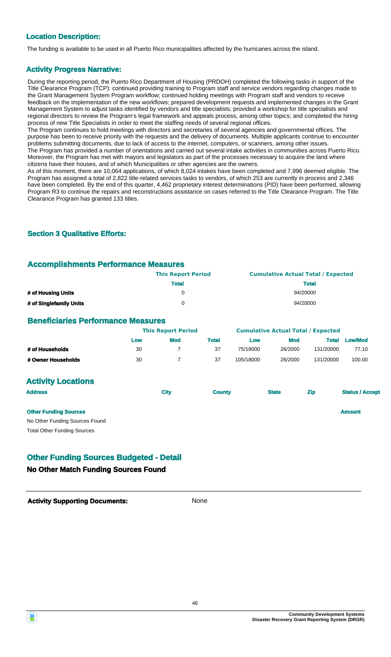#### **Location Description:**

The funding is available to be used in all Puerto Rico municipalities affected by the hurricanes across the island.

#### **Activity Progress Narrative:**

During the reporting period, the Puerto Rico Department of Housing (PRDOH) completed the following tasks in support of the Title Clearance Program (TCP): continued providing training to Program staff and service vendors regarding changes made to the Grant Management System Program workflow; continued holding meetings with Program staff and vendors to receive feedback on the implementation of the new workflows; prepared development requests and implemented changes in the Grant Management System to adjust tasks identified by vendors and title specialists; provided a workshop for title specialists and regional directors to review the Program's legal framework and appeals process, among other topics; and completed the hiring process of new Title Specialists in order to meet the staffing needs of several regional offices.

The Program continues to hold meetings with directors and secretaries of several agencies and governmental offices. The purpose has been to receive priority with the requests and the delivery of documents. Multiple applicants continue to encounter problems submitting documents, due to lack of access to the internet, computers, or scanners, among other issues. The Program has provided a number of orientations and carried out several intake activities in communities across Puerto Rico. Moreover, the Program has met with mayors and legislators as part of the processes necessary to acquire the land where citizens have their houses, and of which Municipalities or other agencies are the owners.

As of this moment, there are 10,064 applications, of which 8,024 intakes have been completed and 7,996 deemed eligible. The Program has assigned a total of 2,822 title-related services tasks to vendors, of which 253 are currently in process and 2,346 have been completed. By the end of this quarter, 4,462 proprietary interest determinations (PID) have been performed, allowing Program R3 to continue the repairs and reconstructions assistance on cases referred to the Title Clearance Program. The Title Clearance Program has granted 133 titles.

#### **Section 3 Qualitative Efforts:**

#### **Accomplishments Performance Measures**

|                         | <b>This Report Period</b> | <b>Cumulative Actual Total / Expected</b> |
|-------------------------|---------------------------|-------------------------------------------|
|                         | <b>Total</b>              | <b>Total</b>                              |
| # of Housing Units      |                           | 94/20000                                  |
| # of Singlefamily Units | $^{\prime}$               | 94/20000                                  |

#### **Beneficiaries Performance Measures**

|                    | <b>This Report Period</b> |            | <b>Cumulative Actual Total / Expected</b> |           |            |           |                |
|--------------------|---------------------------|------------|-------------------------------------------|-----------|------------|-----------|----------------|
|                    | Low                       | <b>Mod</b> | <b>Total</b>                              | Low       | <b>Mod</b> | Total     | <b>Low/Mod</b> |
| # of Households    | 30                        |            | 37                                        | 75/18000  | 26/2000    | 131/20000 | 77.10          |
| # Owner Households | 30                        |            | 37                                        | 105/18000 | 26/2000    | 131/20000 | 100.00         |

#### **Activity Locations**

| <b>Address</b>                     | <b>City</b> | <b>County</b> | <b>State</b> | <b>Zip</b> | <b>Status / Accept</b> |  |
|------------------------------------|-------------|---------------|--------------|------------|------------------------|--|
| <b>Other Funding Sources</b>       |             |               |              |            | <b>Amount</b>          |  |
| No Other Funding Sources Found     |             |               |              |            |                        |  |
| <b>Total Other Funding Sources</b> |             |               |              |            |                        |  |

### **Other Funding Sources Budgeted - Detail**

#### **No Other Match Funding Sources Found**

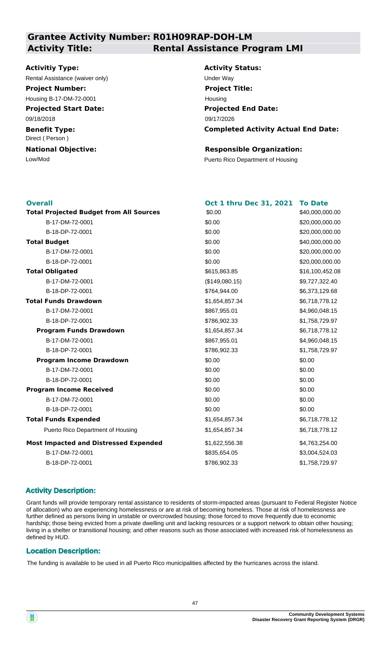### **Grantee Activity Number: R01H09RAP-DOH-LM Activity Title: Rental Assistance Program LMI**

#### **Activitiy Type:**

Rental Assistance (waiver only) example the Under Way

**Project Number:**

**Projected Start Date:** Housing B-17-DM-72-0001

09/18/2018

**Benefit Type:** Direct ( Person )

**National Objective:**

**Activity Status: Projected End Date: Completed Activity Actual End Date:** 09/17/2026 **Project Title:** Housing

#### **Responsible Organization:**

Low/Mod Puerto Rico Department of Housing

| <b>Overall</b>                                 | <b>Oct 1 thru Dec 31, 2021</b> | <b>To Date</b>  |
|------------------------------------------------|--------------------------------|-----------------|
| <b>Total Projected Budget from All Sources</b> | \$0.00                         | \$40,000,000.00 |
| B-17-DM-72-0001                                | \$0.00                         | \$20,000,000.00 |
| B-18-DP-72-0001                                | \$0.00                         | \$20,000,000.00 |
| <b>Total Budget</b>                            | \$0.00                         | \$40,000,000.00 |
| B-17-DM-72-0001                                | \$0.00                         | \$20,000,000.00 |
| B-18-DP-72-0001                                | \$0.00                         | \$20,000,000.00 |
| <b>Total Obligated</b>                         | \$615,863.85                   | \$16,100,452.08 |
| B-17-DM-72-0001                                | (\$149,080.15)                 | \$9,727,322.40  |
| B-18-DP-72-0001                                | \$764,944.00                   | \$6,373,129.68  |
| <b>Total Funds Drawdown</b>                    | \$1,654,857.34                 | \$6,718,778.12  |
| B-17-DM-72-0001                                | \$867,955.01                   | \$4,960,048.15  |
| B-18-DP-72-0001                                | \$786,902.33                   | \$1,758,729.97  |
| <b>Program Funds Drawdown</b>                  | \$1,654,857.34                 | \$6,718,778.12  |
| B-17-DM-72-0001                                | \$867,955.01                   | \$4,960,048.15  |
| B-18-DP-72-0001                                | \$786,902.33                   | \$1,758,729.97  |
| <b>Program Income Drawdown</b>                 | \$0.00                         | \$0.00          |
| B-17-DM-72-0001                                | \$0.00                         | \$0.00          |
| B-18-DP-72-0001                                | \$0.00                         | \$0.00          |
| <b>Program Income Received</b>                 | \$0.00                         | \$0.00          |
| B-17-DM-72-0001                                | \$0.00                         | \$0.00          |
| B-18-DP-72-0001                                | \$0.00                         | \$0.00          |
| <b>Total Funds Expended</b>                    | \$1,654,857.34                 | \$6,718,778.12  |
| Puerto Rico Department of Housing              | \$1,654,857.34                 | \$6,718,778.12  |
| <b>Most Impacted and Distressed Expended</b>   | \$1,622,556.38                 | \$4,763,254.00  |
| B-17-DM-72-0001                                | \$835,654.05                   | \$3,004,524.03  |
| B-18-DP-72-0001                                | \$786,902.33                   | \$1,758,729.97  |
|                                                |                                |                 |

#### **Activity Description:**

Grant funds will provide temporary rental assistance to residents of storm-impacted areas (pursuant to Federal Register Notice of allocation) who are experiencing homelessness or are at risk of becoming homeless. Those at risk of homelessness are further defined as persons living in unstable or overcrowded housing; those forced to move frequently due to economic hardship; those being evicted from a private dwelling unit and lacking resources or a support network to obtain other housing; living in a shelter or transitional housing; and other reasons such as those associated with increased risk of homelessness as defined by HUD.

#### **Location Description:**

The funding is available to be used in all Puerto Rico municipalities affected by the hurricanes across the island.

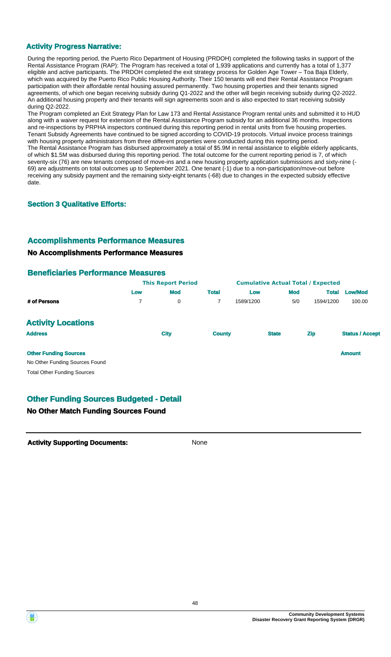#### **Activity Progress Narrative:**

During the reporting period, the Puerto Rico Department of Housing (PRDOH) completed the following tasks in support of the Rental Assistance Program (RAP): The Program has received a total of 1,939 applications and currently has a total of 1,377 eligible and active participants. The PRDOH completed the exit strategy process for Golden Age Tower – Toa Baja Elderly, which was acquired by the Puerto Rico Public Housing Authority. Their 150 tenants will end their Rental Assistance Program participation with their affordable rental housing assured permanently. Two housing properties and their tenants signed agreements, of which one began receiving subsidy during Q1-2022 and the other will begin receiving subsidy during Q2-2022. An additional housing property and their tenants will sign agreements soon and is also expected to start receiving subsidy during Q2-2022.

The Program completed an Exit Strategy Plan for Law 173 and Rental Assistance Program rental units and submitted it to HUD along with a waiver request for extension of the Rental Assistance Program subsidy for an additional 36 months. Inspections and re-inspections by PRPHA inspectors continued during this reporting period in rental units from five housing properties. Tenant Subsidy Agreements have continued to be signed according to COVID-19 protocols. Virtual invoice process trainings with housing property administrators from three different properties were conducted during this reporting period. The Rental Assistance Program has disbursed approximately a total of \$5.9M in rental assistance to eligible elderly applicants, of which \$1.5M was disbursed during this reporting period. The total outcome for the current reporting period is 7, of which seventy-six (76) are new tenants composed of move-ins and a new housing property application submissions and sixty-nine (- 69) are adjustments on total outcomes up to September 2021. One tenant (-1) due to a non-participation/move-out before receiving any subsidy payment and the remaining sixty-eight tenants (-68) due to changes in the expected subsidy effective date.

#### **Section 3 Qualitative Efforts:**

#### **Accomplishments Performance Measures**

#### **No Accomplishments Performance Measures**

#### **Beneficiaries Performance Measures**

|                                    | <b>This Report Period</b> |             |               | <b>Cumulative Actual Total / Expected</b> |            |              |                        |
|------------------------------------|---------------------------|-------------|---------------|-------------------------------------------|------------|--------------|------------------------|
|                                    | Low                       | <b>Mod</b>  | <b>Total</b>  | Low                                       | <b>Mod</b> | <b>Total</b> | <b>Low/Mod</b>         |
| # of Persons                       | 7                         | 0           | 7             | 1589/1200                                 | 5/0        | 1594/1200    | 100.00                 |
| <b>Activity Locations</b>          |                           |             |               |                                           |            |              |                        |
| <b>Address</b>                     |                           | <b>City</b> | <b>County</b> | <b>State</b>                              |            | <b>Zip</b>   | <b>Status / Accept</b> |
| <b>Other Funding Sources</b>       |                           |             |               |                                           |            |              | <b>Amount</b>          |
| No Other Funding Sources Found     |                           |             |               |                                           |            |              |                        |
| <b>Total Other Funding Sources</b> |                           |             |               |                                           |            |              |                        |

### **Other Funding Sources Budgeted - Detail**

#### **No Other Match Funding Sources Found**

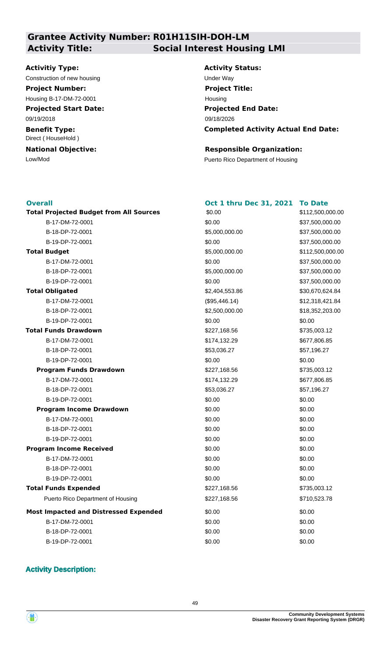### **Grantee Activity Number: R01H11SIH-DOH-LM Activity Title: Social Interest Housing LMI**

#### **Activitiy Type:**

Construction of new housing Theorem 2012 Construction of the Way

**Project Number:**

**Projected Start Date:** Housing B-17-DM-72-0001

09/19/2018

**Benefit Type:** Direct ( HouseHold )

**National Objective:**

**Activity Status: Projected End Date: Completed Activity Actual End Date:** 09/18/2026 **Project Title:** Housing

#### **Responsible Organization:**

Low/Mod Puerto Rico Department of Housing

#### **Overall**

| <b>Overall</b>                                 | Oct 1 thru Dec 31, 2021 | <b>To Date</b>   |
|------------------------------------------------|-------------------------|------------------|
| <b>Total Projected Budget from All Sources</b> | \$0.00                  | \$112,500,000.00 |
| B-17-DM-72-0001                                | \$0.00                  | \$37,500,000.00  |
| B-18-DP-72-0001                                | \$5,000,000.00          | \$37,500,000.00  |
| B-19-DP-72-0001                                | \$0.00                  | \$37,500,000.00  |
| <b>Total Budget</b>                            | \$5,000,000.00          | \$112,500,000.00 |
| B-17-DM-72-0001                                | \$0.00                  | \$37,500,000.00  |
| B-18-DP-72-0001                                | \$5,000,000.00          | \$37,500,000.00  |
| B-19-DP-72-0001                                | \$0.00                  | \$37,500,000.00  |
| <b>Total Obligated</b>                         | \$2,404,553.86          | \$30,670,624.84  |
| B-17-DM-72-0001                                | (\$95,446.14)           | \$12,318,421.84  |
| B-18-DP-72-0001                                | \$2,500,000.00          | \$18,352,203.00  |
| B-19-DP-72-0001                                | \$0.00                  | \$0.00           |
| <b>Total Funds Drawdown</b>                    | \$227,168.56            | \$735,003.12     |
| B-17-DM-72-0001                                | \$174,132.29            | \$677,806.85     |
| B-18-DP-72-0001                                | \$53,036.27             | \$57,196.27      |
| B-19-DP-72-0001                                | \$0.00                  | \$0.00           |
| <b>Program Funds Drawdown</b>                  | \$227,168.56            | \$735,003.12     |
| B-17-DM-72-0001                                | \$174,132.29            | \$677,806.85     |
| B-18-DP-72-0001                                | \$53,036.27             | \$57,196.27      |
| B-19-DP-72-0001                                | \$0.00                  | \$0.00           |
| <b>Program Income Drawdown</b>                 | \$0.00                  | \$0.00           |
| B-17-DM-72-0001                                | \$0.00                  | \$0.00           |
| B-18-DP-72-0001                                | \$0.00                  | \$0.00           |
| B-19-DP-72-0001                                | \$0.00                  | \$0.00           |
| <b>Program Income Received</b>                 | \$0.00                  | \$0.00           |
| B-17-DM-72-0001                                | \$0.00                  | \$0.00           |
| B-18-DP-72-0001                                | \$0.00                  | \$0.00           |
| B-19-DP-72-0001                                | \$0.00                  | \$0.00           |
| <b>Total Funds Expended</b>                    | \$227,168.56            | \$735,003.12     |
| Puerto Rico Department of Housing              | \$227,168.56            | \$710,523.78     |
| <b>Most Impacted and Distressed Expended</b>   | \$0.00                  | \$0.00           |
| B-17-DM-72-0001                                | \$0.00                  | \$0.00           |
| B-18-DP-72-0001                                | \$0.00                  | \$0.00           |
| B-19-DP-72-0001                                | \$0.00                  | \$0.00           |

### **Activity Description:**

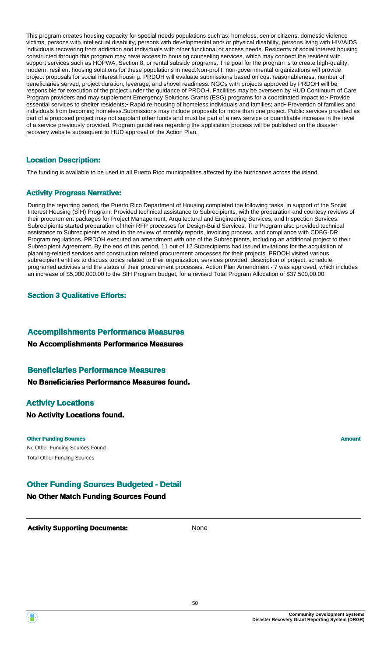This program creates housing capacity for special needs populations such as: homeless, senior citizens, domestic violence victims, persons with intellectual disability, persons with developmental and/ or physical disability, persons living with HIV/AIDS, individuals recovering from addiction and individuals with other functional or access needs. Residents of social interest housing constructed through this program may have access to housing counseling services, which may connect the resident with support services such as HOPWA, Section 8, or rental subsidy programs. The goal for the program is to create high-quality, modern, resilient housing solutions for these populations in need.Non-profit, non-governmental organizations will provide project proposals for social interest housing. PRDOH will evaluate submissions based on cost reasonableness, number of beneficiaries served, project duration, leverage, and shovel readiness. NGOs with projects approved by PRDOH will be responsible for execution of the project under the guidance of PRDOH. Facilities may be overseen by HUD Continuum of Care Program providers and may supplement Emergency Solutions Grants (ESG) programs for a coordinated impact to:• Provide essential services to shelter residents;• Rapid re-housing of homeless individuals and families; and• Prevention of families and individuals from becoming homeless.Submissions may include proposals for more than one project. Public services provided as part of a proposed project may not supplant other funds and must be part of a new service or quantifiable increase in the level of a service previously provided. Program guidelines regarding the application process will be published on the disaster recovery website subsequent to HUD approval of the Action Plan.

#### **Location Description:**

The funding is available to be used in all Puerto Rico municipalities affected by the hurricanes across the island.

#### **Activity Progress Narrative:**

During the reporting period, the Puerto Rico Department of Housing completed the following tasks, in support of the Social Interest Housing (SIH) Program: Provided technical assistance to Subrecipients, with the preparation and courtesy reviews of their procurement packages for Project Management, Arquitectural and Engineering Services, and Inspection Services. Subrecipients started preparation of their RFP processes for Design-Build Services. The Program also provided technical assistance to Subrecipients related to the review of monthly reports, invoicing process, and compliance with CDBG-DR Program regulations. PRDOH executed an amendment with one of the Subrecipients, including an additional project to their Subrecipient Agreement. By the end of this period, 11 out of 12 Subrecipients had issued invitations for the acquisition of planning-related services and construction related procurement processes for their projects. PRDOH visited various subrecipient entities to discuss topics related to their organization, services provided, description of project, schedule, programed activities and the status of their procurement processes. Action Plan Amendment - 7 was approved, which includes an increase of \$5,000,000.00 to the SIH Program budget, for a revised Total Program Allocation of \$37,500,00.00.

#### **Section 3 Qualitative Efforts:**

#### **Accomplishments Performance Measures**

#### **No Accomplishments Performance Measures**

### **Beneficiaries Performance Measures**

**No Beneficiaries Performance Measures found.**

#### **Activity Locations**

### **No Activity Locations found.**

#### **Other Funding Sources Amount Amount Amount Amount**

No Other Funding Sources Found Total Other Funding Sources

### **Other Funding Sources Budgeted - Detail**

#### **No Other Match Funding Sources Found**

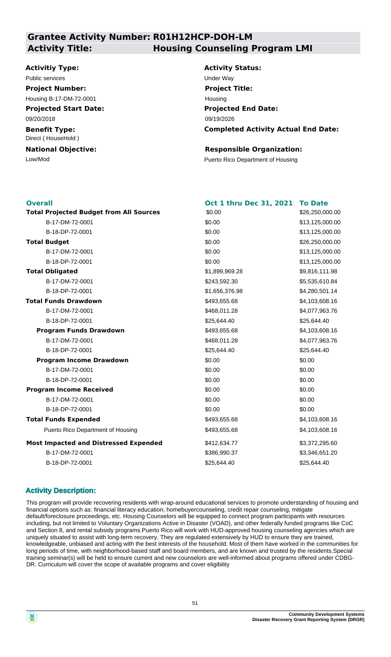### **Grantee Activity Number: R01H12HCP-DOH-LM Activity Title: Housing Counseling Program LMI**

#### **Activitiy Type:**

## Public services **Under Way**

**Projected Start Date: Project Number:** Housing B-17-DM-72-0001

09/20/2018

**Benefit Type:** Direct ( HouseHold )

**National Objective:**

**Activity Status: Projected End Date: Completed Activity Actual End Date:** 09/19/2026 **Project Title:** Housing

#### **Responsible Organization:**

Low/Mod Puerto Rico Department of Housing

| <b>Overall</b>                                 | <b>Oct 1 thru Dec 31, 2021</b> | <b>To Date</b>  |
|------------------------------------------------|--------------------------------|-----------------|
| <b>Total Projected Budget from All Sources</b> | \$0.00                         | \$26,250,000.00 |
| B-17-DM-72-0001                                | \$0.00                         | \$13,125,000.00 |
| B-18-DP-72-0001                                | \$0.00                         | \$13,125,000.00 |
| <b>Total Budget</b>                            | \$0.00                         | \$26,250,000.00 |
| B-17-DM-72-0001                                | \$0.00                         | \$13,125,000.00 |
| B-18-DP-72-0001                                | \$0.00                         | \$13,125,000.00 |
| <b>Total Obligated</b>                         | \$1,899,969.28                 | \$9,816,111.98  |
| B-17-DM-72-0001                                | \$243,592.30                   | \$5,535,610.84  |
| B-18-DP-72-0001                                | \$1,656,376.98                 | \$4,280,501.14  |
| <b>Total Funds Drawdown</b>                    | \$493,655.68                   | \$4,103,608.16  |
| B-17-DM-72-0001                                | \$468,011.28                   | \$4,077,963.76  |
| B-18-DP-72-0001                                | \$25,644.40                    | \$25,644.40     |
| <b>Program Funds Drawdown</b>                  | \$493,655.68                   | \$4,103,608.16  |
| B-17-DM-72-0001                                | \$468,011.28                   | \$4,077,963.76  |
| B-18-DP-72-0001                                | \$25,644.40                    | \$25,644.40     |
| <b>Program Income Drawdown</b>                 | \$0.00                         | \$0.00          |
| B-17-DM-72-0001                                | \$0.00                         | \$0.00          |
| B-18-DP-72-0001                                | \$0.00                         | \$0.00          |
| <b>Program Income Received</b>                 | \$0.00                         | \$0.00          |
| B-17-DM-72-0001                                | \$0.00                         | \$0.00          |
| B-18-DP-72-0001                                | \$0.00                         | \$0.00          |
| <b>Total Funds Expended</b>                    | \$493,655.68                   | \$4,103,608.16  |
| Puerto Rico Department of Housing              | \$493,655.68                   | \$4,103,608.16  |
| <b>Most Impacted and Distressed Expended</b>   | \$412,634.77                   | \$3,372,295.60  |
| B-17-DM-72-0001                                | \$386,990.37                   | \$3,346,651.20  |
| B-18-DP-72-0001                                | \$25,644.40                    | \$25,644.40     |
|                                                |                                |                 |

#### **Activity Description:**

This program will provide recovering residents with wrap-around educational services to promote understanding of housing and financial options such as: financial literacy education, homebuyercounseling, credit repair counseling, mitigate default/foreclosure proceedings, etc. Housing Counselors will be equipped to connect program participants with resources including, but not limited to Voluntary Organizations Active in Disaster (VOAD), and other federally funded programs like CoC and Section 8, and rental subsidy programs.Puerto Rico will work with HUD-approved housing counseling agencies which are uniquely situated to assist with long-term recovery. They are regulated extensively by HUD to ensure they are trained, knowledgeable, unbiased and acting with the best interests of the household. Most of them have worked in the communities for long periods of time, with neighborhood-based staff and board members, and are known and trusted by the residents.Special training seminar(s) will be held to ensure current and new counselors are well-informed about programs offered under CDBG-DR. Curriculum will cover the scope of available programs and cover eligibility

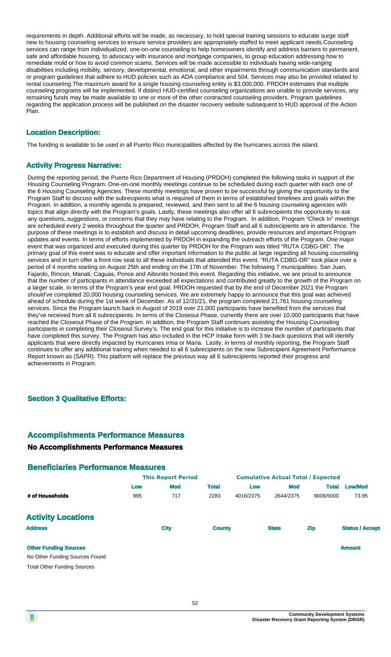requirements in depth. Additional efforts will be made, as necessary, to hold special training sessions to educate surge staff new to housing counseling services to ensure service providers are appropriately staffed to meet applicant needs.Counseling services can range from individualized, one-on-one counseling to help homeowners identify and address barriers to permanent, safe and affordable housing, to advocacy with insurance and mortgage companies, to group education addressing how to remediate mold or how to avoid common scams. Services will be made accessible to individuals having wide-ranging disabilities including mobility, sensory, developmental, emotional, and other impairments through communication standards and or program guidelines that adhere to HUD policies such as ADA compliance and 504. Services may also be provided related to rental counseling.The maximum award for a single housing counseling entity is \$3,000,000. PRDOH estimates that multiple counseling programs will be implemented. If distinct HUD-certified counseling organizations are unable to provide services, any remaining funds may be made available to one or more of the other contracted counseling providers. Program guidelines regarding the application process will be published on the disaster recovery website subsequent to HUD approval of the Action Plan.

#### **Location Description:**

The funding is available to be used in all Puerto Rico municipalities affected by the hurricanes across the island.

#### **Activity Progress Narrative:**

During the reporting period, the Puerto Rico Department of Housing (PRDOH) completed the following tasks in support of the Housing Counseling Program: One-on-one monthly meetings continue to be scheduled during each quarter with each one of the 6 Housing Counseling Agencies. These monthly meetings have proven to be successful by giving the opportunity to the Program Staff to discuss with the subrecipients what is required of them in terms of established timelines and goals within the Program. In addition, a monthly agenda is prepared, reviewed, and then sent to all the 6 housing counseling agencies with topics that align directly with the Program's goals. Lastly, these meetings also offer all 6 subrecipients the opportunity to ask any questions, suggestions, or concerns that they may have relating to the Program. In addition, Program "Check In" meetings are scheduled every 2 weeks throughout the quarter and PRDOH, Program Staff and all 6 subrecipients are in attendance. The purpose of these meetings is to establish and discuss in detail upcoming deadlines, provide resources and important Program updates and events. In terms of efforts implemented by PRDOH in expanding the outreach efforts of the Program. One major event that was organized and executed during this quarter by PRDOH for the Program was titled "RUTA CDBG-DR". The primary goal of this event was to educate and offer important information to the public at large regarding all housing counseling services and in turn offer a front row seat to all these individuals that attended this event. "RUTA CDBG-DR" took place over a period of 4 months starting on August 25th and ending on the 17th of November. The following 7 municipalities: San Juan, Fajardo, Rincon, Manati, Caguas, Ponce and Aibonito hosted this event. Regarding this initiative, we are proud to announce that the number of participants in attendance exceeded all expectations and contributed greatly to the growth of the Program on a larger scale. In terms of the Program's year end goal. PRDOH requested that by the end of December 2021 the Program should've completed 20,000 housing counseling services. We are extremely happy to announce that this goal was achieved ahead of schedule during the 1st week of December. As of 12/31/21, the program completed 21,761 housing counseling services. Since the Program launch back in August of 2019 over 21,000 participants have benefited from the services that they've received from all 6 subrecipients. In terms of the Closeout Phase, currently there are over 10,000 participants that have reached the Closeout Phase of the Program. In addition, the Program Staff continues assisting the Housing Counseling participants in completing their Closeout Survey's. The end goal for this initiative is to increase the number of participants that have completed this survey. The Program has also included in the HCP Intake form with 3 tie-back questions that will identify applicants that were directly impacted by Hurricanes Irma or Maria. Lastly, in terms of monthly reporting, the Program Staff continues to offer any additional training when needed to all 6 subrecipients on the new Subrecipient Agreement Performance Report known as (SAPR). This platform will replace the previous way all 6 subrecipients reported their progress and achievements in Program.

#### **Section 3 Qualitative Efforts:**

#### **Accomplishments Performance Measures**

#### **No Accomplishments Performance Measures**

#### **Beneficiaries Performance Measures**

|                                    | <b>This Report Period</b> |             |               | <b>Cumulative Actual Total / Expected</b> |              |              |                        |
|------------------------------------|---------------------------|-------------|---------------|-------------------------------------------|--------------|--------------|------------------------|
|                                    | Low                       | <b>Mod</b>  | <b>Total</b>  | Low                                       | <b>Mod</b>   | <b>Total</b> | <b>Low/Mod</b>         |
| # of Households                    | 995                       | 717         | 2283          | 4016/2375                                 | 2644/2375    | 9006/5000    | 73.95                  |
| <b>Activity Locations</b>          |                           |             |               |                                           |              |              |                        |
| <b>Address</b>                     |                           | <b>City</b> | <b>County</b> |                                           | <b>State</b> | <b>Zip</b>   | <b>Status / Accept</b> |
| <b>Other Funding Sources</b>       |                           |             |               |                                           |              |              | <b>Amount</b>          |
| No Other Funding Sources Found     |                           |             |               |                                           |              |              |                        |
| <b>Total Other Funding Sources</b> |                           |             |               |                                           |              |              |                        |
|                                    |                           |             |               |                                           |              |              |                        |

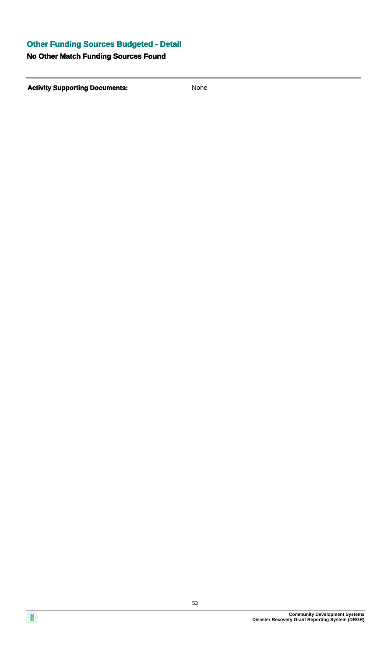## **Other Funding Sources Budgeted - Detail**

### **No Other Match Funding Sources Found**

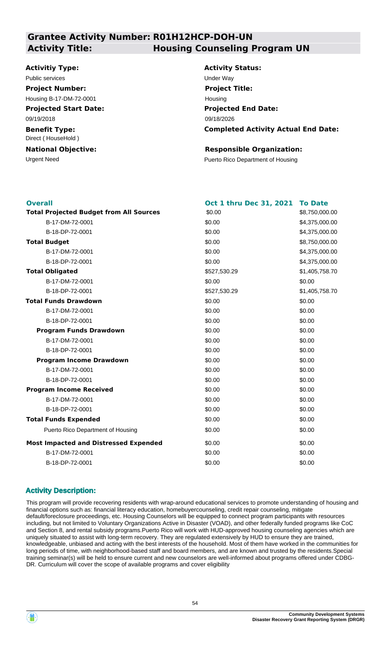### **Grantee Activity Number: R01H12HCP-DOH-UN Activity Title: Housing Counseling Program UN**

#### **Activitiy Type:**

### Public services **Under Way**

**Projected Start Date: Project Number:** Housing B-17-DM-72-0001

09/19/2018

**Benefit Type:** Direct ( HouseHold )

**National Objective:**

**Activity Status: Projected End Date: Completed Activity Actual End Date:** 09/18/2026 **Project Title:** Housing

#### **Responsible Organization:**

Urgent Need **Puerto Rico Department of Housing** 

| <b>Overall</b>                                 | Oct 1 thru Dec 31, 2021 | <b>To Date</b> |
|------------------------------------------------|-------------------------|----------------|
| <b>Total Projected Budget from All Sources</b> | \$0.00                  | \$8,750,000.00 |
| B-17-DM-72-0001                                | \$0.00                  | \$4,375,000.00 |
| B-18-DP-72-0001                                | \$0.00                  | \$4,375,000.00 |
| <b>Total Budget</b>                            | \$0.00                  | \$8,750,000.00 |
| B-17-DM-72-0001                                | \$0.00                  | \$4,375,000.00 |
| B-18-DP-72-0001                                | \$0.00                  | \$4,375,000.00 |
| <b>Total Obligated</b>                         | \$527,530.29            | \$1,405,758.70 |
| B-17-DM-72-0001                                | \$0.00                  | \$0.00         |
| B-18-DP-72-0001                                | \$527,530.29            | \$1,405,758.70 |
| <b>Total Funds Drawdown</b>                    | \$0.00                  | \$0.00         |
| B-17-DM-72-0001                                | \$0.00                  | \$0.00         |
| B-18-DP-72-0001                                | \$0.00                  | \$0.00         |
| <b>Program Funds Drawdown</b>                  | \$0.00                  | \$0.00         |
| B-17-DM-72-0001                                | \$0.00                  | \$0.00         |
| B-18-DP-72-0001                                | \$0.00                  | \$0.00         |
| <b>Program Income Drawdown</b>                 | \$0.00                  | \$0.00         |
| B-17-DM-72-0001                                | \$0.00                  | \$0.00         |
| B-18-DP-72-0001                                | \$0.00                  | \$0.00         |
| <b>Program Income Received</b>                 | \$0.00                  | \$0.00         |
| B-17-DM-72-0001                                | \$0.00                  | \$0.00         |
| B-18-DP-72-0001                                | \$0.00                  | \$0.00         |
| <b>Total Funds Expended</b>                    | \$0.00                  | \$0.00         |
| Puerto Rico Department of Housing              | \$0.00                  | \$0.00         |
| <b>Most Impacted and Distressed Expended</b>   | \$0.00                  | \$0.00         |
| B-17-DM-72-0001                                | \$0.00                  | \$0.00         |
| B-18-DP-72-0001                                | \$0.00                  | \$0.00         |
|                                                |                         |                |

#### **Activity Description:**

This program will provide recovering residents with wrap-around educational services to promote understanding of housing and financial options such as: financial literacy education, homebuyercounseling, credit repair counseling, mitigate default/foreclosure proceedings, etc. Housing Counselors will be equipped to connect program participants with resources including, but not limited to Voluntary Organizations Active in Disaster (VOAD), and other federally funded programs like CoC and Section 8, and rental subsidy programs.Puerto Rico will work with HUD-approved housing counseling agencies which are uniquely situated to assist with long-term recovery. They are regulated extensively by HUD to ensure they are trained, knowledgeable, unbiased and acting with the best interests of the household. Most of them have worked in the communities for long periods of time, with neighborhood-based staff and board members, and are known and trusted by the residents.Special training seminar(s) will be held to ensure current and new counselors are well-informed about programs offered under CDBG-DR. Curriculum will cover the scope of available programs and cover eligibility

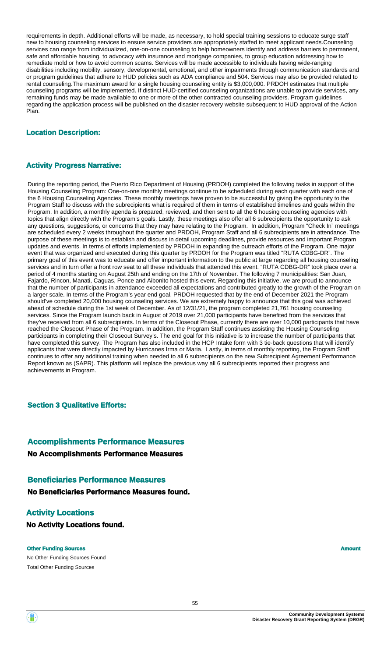requirements in depth. Additional efforts will be made, as necessary, to hold special training sessions to educate surge staff new to housing counseling services to ensure service providers are appropriately staffed to meet applicant needs.Counseling services can range from individualized, one-on-one counseling to help homeowners identify and address barriers to permanent, safe and affordable housing, to advocacy with insurance and mortgage companies, to group education addressing how to remediate mold or how to avoid common scams. Services will be made accessible to individuals having wide-ranging disabilities including mobility, sensory, developmental, emotional, and other impairments through communication standards and or program guidelines that adhere to HUD policies such as ADA compliance and 504. Services may also be provided related to rental counseling.The maximum award for a single housing counseling entity is \$3,000,000. PRDOH estimates that multiple counseling programs will be implemented. If distinct HUD-certified counseling organizations are unable to provide services, any remaining funds may be made available to one or more of the other contracted counseling providers. Program guidelines regarding the application process will be published on the disaster recovery website subsequent to HUD approval of the Action Plan.

#### **Location Description:**

#### **Activity Progress Narrative:**

During the reporting period, the Puerto Rico Department of Housing (PRDOH) completed the following tasks in support of the Housing Counseling Program: One-on-one monthly meetings continue to be scheduled during each quarter with each one of the 6 Housing Counseling Agencies. These monthly meetings have proven to be successful by giving the opportunity to the Program Staff to discuss with the subrecipients what is required of them in terms of established timelines and goals within the Program. In addition, a monthly agenda is prepared, reviewed, and then sent to all the 6 housing counseling agencies with topics that align directly with the Program's goals. Lastly, these meetings also offer all 6 subrecipients the opportunity to ask any questions, suggestions, or concerns that they may have relating to the Program. In addition, Program "Check In" meetings are scheduled every 2 weeks throughout the quarter and PRDOH, Program Staff and all 6 subrecipients are in attendance. The purpose of these meetings is to establish and discuss in detail upcoming deadlines, provide resources and important Program updates and events. In terms of efforts implemented by PRDOH in expanding the outreach efforts of the Program. One major event that was organized and executed during this quarter by PRDOH for the Program was titled "RUTA CDBG-DR". The primary goal of this event was to educate and offer important information to the public at large regarding all housing counseling services and in turn offer a front row seat to all these individuals that attended this event. "RUTA CDBG-DR" took place over a period of 4 months starting on August 25th and ending on the 17th of November. The following 7 municipalities: San Juan, Fajardo, Rincon, Manati, Caguas, Ponce and Aibonito hosted this event. Regarding this initiative, we are proud to announce that the number of participants in attendance exceeded all expectations and contributed greatly to the growth of the Program on a larger scale. In terms of the Program's year end goal. PRDOH requested that by the end of December 2021 the Program should've completed 20,000 housing counseling services. We are extremely happy to announce that this goal was achieved ahead of schedule during the 1st week of December. As of 12/31/21, the program completed 21,761 housing counseling services. Since the Program launch back in August of 2019 over 21,000 participants have benefited from the services that they've received from all 6 subrecipients. In terms of the Closeout Phase, currently there are over 10,000 participants that have reached the Closeout Phase of the Program. In addition, the Program Staff continues assisting the Housing Counseling participants in completing their Closeout Survey's. The end goal for this initiative is to increase the number of participants that have completed this survey. The Program has also included in the HCP Intake form with 3 tie-back questions that will identify applicants that were directly impacted by Hurricanes Irma or Maria. Lastly, in terms of monthly reporting, the Program Staff continues to offer any additional training when needed to all 6 subrecipients on the new Subrecipient Agreement Performance Report known as (SAPR). This platform will replace the previous way all 6 subrecipients reported their progress and achievements in Program.

#### **Section 3 Qualitative Efforts:**

### **Accomplishments Performance Measures**

**No Accomplishments Performance Measures**

### **Beneficiaries Performance Measures**

**No Beneficiaries Performance Measures found.**

### **Activity Locations**

**No Activity Locations found.**

#### **Other Funding Sources Amount Amount Amount Amount Amount**

No Other Funding Sources Found Total Other Funding Sources

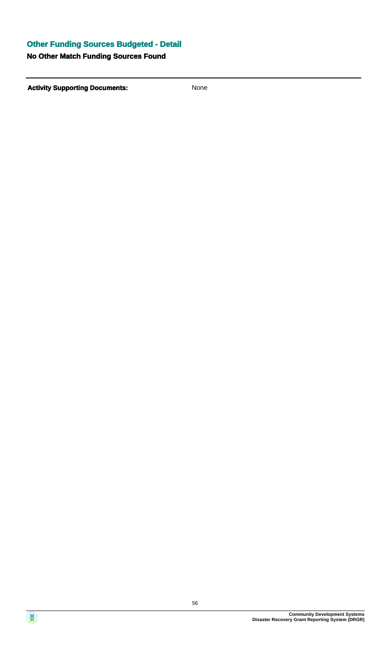## **Other Funding Sources Budgeted - Detail**

### **No Other Match Funding Sources Found**

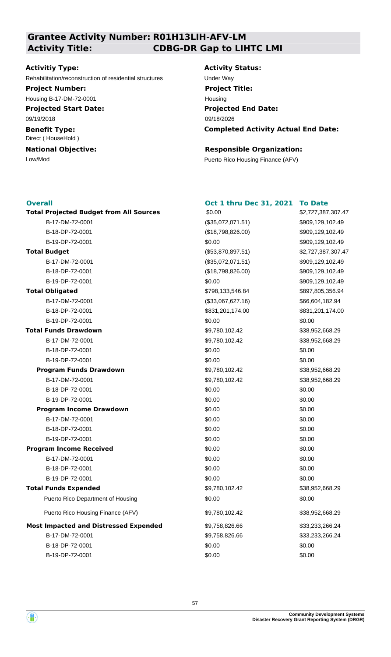**Grantee Activity Number: R01H13LIH-AFV-LM**

# **Activity Title: CDBG-DR Gap to LIHTC LMI**

#### **Activitiy Type:**

Rehabilitation/reconstruction of residential structures Under Way

#### **Project Number:**

Housing B-17-DM-72-0001

**Projected Start Date:** 09/19/2018

**Benefit Type:** Direct ( HouseHold )

**National Objective:**

# **Activity Status: Project Title:** Housing

**Projected End Date: Completed Activity Actual End Date:** 09/18/2026

### **Responsible Organization:**

Low/Mod Puerto Rico Housing Finance (AFV)

#### **Overall**

| <b>Total Projected Budget from All Sources</b> | \$0.00            | \$2,72 |
|------------------------------------------------|-------------------|--------|
| B-17-DM-72-0001                                | (\$35,072,071.51) | \$909, |
| B-18-DP-72-0001                                | (\$18,798,826.00) | \$909, |
| B-19-DP-72-0001                                | \$0.00            | \$909, |
| <b>Total Budget</b>                            | (\$53,870,897.51) | \$2,72 |
| B-17-DM-72-0001                                | (\$35,072,071.51) | \$909, |
| B-18-DP-72-0001                                | (\$18,798,826.00) | \$909, |
| B-19-DP-72-0001                                | \$0.00            | \$909, |
| <b>Total Obligated</b>                         | \$798,133,546.84  | \$897, |
| B-17-DM-72-0001                                | (\$33,067,627.16) | \$66,6 |
| B-18-DP-72-0001                                | \$831,201,174.00  | \$831, |
| B-19-DP-72-0001                                | \$0.00            | \$0.00 |
| <b>Total Funds Drawdown</b>                    | \$9,780,102.42    | \$38,9 |
| B-17-DM-72-0001                                | \$9,780,102.42    | \$38,9 |
| B-18-DP-72-0001                                | \$0.00            | \$0.00 |
| B-19-DP-72-0001                                | \$0.00            | \$0.00 |
| <b>Program Funds Drawdown</b>                  | \$9,780,102.42    | \$38,9 |
| B-17-DM-72-0001                                | \$9,780,102.42    | \$38,9 |
| B-18-DP-72-0001                                | \$0.00            | \$0.00 |
| B-19-DP-72-0001                                | \$0.00            | \$0.00 |
| <b>Program Income Drawdown</b>                 | \$0.00            | \$0.00 |
| B-17-DM-72-0001                                | \$0.00            | \$0.00 |
| B-18-DP-72-0001                                | \$0.00            | \$0.00 |
| B-19-DP-72-0001                                | \$0.00            | \$0.00 |
| <b>Program Income Received</b>                 | \$0.00            | \$0.00 |
| B-17-DM-72-0001                                | \$0.00            | \$0.00 |
| B-18-DP-72-0001                                | \$0.00            | \$0.00 |
| B-19-DP-72-0001                                | \$0.00            | \$0.00 |
| <b>Total Funds Expended</b>                    | \$9,780,102.42    | \$38,9 |
| Puerto Rico Department of Housing              | \$0.00            | \$0.00 |
| Puerto Rico Housing Finance (AFV)              | \$9,780,102.42    | \$38,9 |
| <b>Most Impacted and Distressed Expended</b>   | \$9,758,826.66    | \$33,2 |
| B-17-DM-72-0001                                | \$9,758,826.66    | \$33,2 |
| B-18-DP-72-0001                                | \$0.00            | \$0.00 |
| B-19-DP-72-0001                                | \$0.00            | \$0.00 |

### **Oct 1 thru Dec 31, 2021 To Date**

\$2,727,387,307.47 **Total Projected Budget from All Sources** \$2,727,387,307.47 \$897,805,356.94 \$33,233,266.24 \$0.00 \$0.00 \$38,952,668.29  $$38,952,668.29$  $$38,952,668.29$  $$38,952,668.29$ \$909,129,102.49 \$909,129,102.49 \$909,129,102.49 \$909,129,102.49 \$909,129,102.49 \$909,129,102.49 B-17-DM-72-0001 (\$33,067,627.16) \$66,604,182.94 B-18-DP-72-0001 \$831,201,174.00 \$831,201,174.00 \$38,952,668.29 B-17-DM-72-0001 \$9,780,102.42 \$38,952,668.29 B-17-DM-72-0001 \$9,758,826.66 \$33,233,266.24

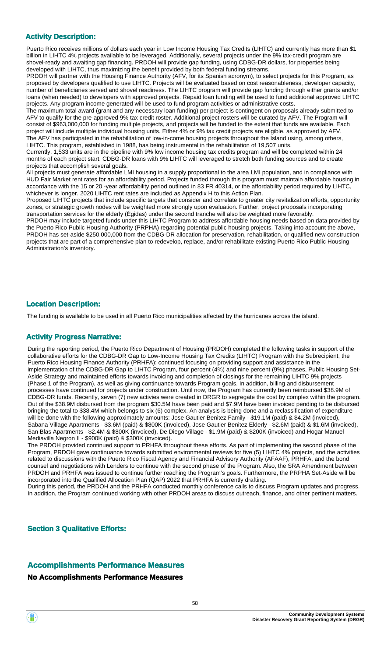#### **Activity Description:**

Puerto Rico receives millions of dollars each year in Low Income Housing Tax Credits (LIHTC) and currently has more than \$1 billion in LIHTC 4% projects available to be leveraged. Additionally, several projects under the 9% tax-credit program are shovel-ready and awaiting gap financing. PRDOH will provide gap funding, using CDBG-DR dollars, for properties being developed with LIHTC, thus maximizing the benefit provided by both federal funding streams.

PRDOH will partner with the Housing Finance Authority (AFV, for its Spanish acronym), to select projects for this Program, as proposed by developers qualified to use LIHTC. Projects will be evaluated based on cost reasonableness, developer capacity, number of beneficiaries served and shovel readiness. The LIHTC program will provide gap funding through either grants and/or loans (when needed) to developers with approved projects. Repaid loan funding will be used to fund additional approved LIHTC projects. Any program income generated will be used to fund program activities or administrative costs.

The maximum total award (grant and any necessary loan funding) per project is contingent on proposals already submitted to AFV to qualify for the pre-approved 9% tax credit roster. Additional project rosters will be curated by AFV. The Program will consist of \$963,000,000 for funding multiple projects, and projects will be funded to the extent that funds are available. Each project will include multiple individual housing units. Either 4% or 9% tax credit projects are eligible, as approved by AFV. The AFV has participated in the rehabilitation of low-in-come housing projects throughout the Island using, among others, LIHTC. This program, established in 1988, has being instrumental in the rehabilitation of 19,507 units.

Currently, 1,533 units are in the pipeline with 9% low income housing tax credits program and will be completed within 24 months of each project start. CDBG-DR loans with 9% LIHTC will leveraged to stretch both funding sources and to create projects that accomplish several goals.

All projects must generate affordable LMI housing in a supply proportional to the area LMI population, and in compliance with HUD Fair Market rent rates for an affordability period. Projects funded through this program must maintain affordable housing in accordance with the 15 or 20 -year affordability period outlined in 83 FR 40314, or the affordability period required by LIHTC, whichever is longer. 2020 LIHTC rent rates are included as Appendix H to this Action Plan.

Proposed LIHTC projects that include specific targets that consider and correlate to greater city revitalization efforts, opportunity zones, or strategic growth nodes will be weighted more strongly upon evaluation. Further, project proposals incorporating transportation services for the elderly (Égidas) under the second tranche will also be weighted more favorably.

PRDOH may include targeted funds under this LIHTC Program to address affordable housing needs based on data provided by the Puerto Rico Public Housing Authority (PRPHA) regarding potential public housing projects. Taking into account the above, PRDOH has set-aside \$250,000,000 from the CDBG-DR allocation for preservation, rehabilitation, or qualified new construction projects that are part of a comprehensive plan to redevelop, replace, and/or rehabilitate existing Puerto Rico Public Housing Administration's inventory.

#### **Location Description:**

The funding is available to be used in all Puerto Rico municipalities affected by the hurricanes across the island.

#### **Activity Progress Narrative:**

During the reporting period, the Puerto Rico Department of Housing (PRDOH) completed the following tasks in support of the collaborative efforts for the CDBG-DR Gap to Low-Income Housing Tax Credits (LIHTC) Program with the Subrecipient, the Puerto Rico Housing Finance Authority (PRHFA): continued focusing on providing support and assistance in the implementation of the CDBG-DR Gap to LIHTC Program, four percent (4%) and nine percent (9%) phases, Public Housing Set-Aside Strategy and maintained efforts towards invoicing and completion of closings for the remaining LIHTC 9% projects (Phase 1 of the Program), as well as giving continuance towards Program goals. In addition, billing and disbursement processes have continued for projects under construction. Until now, the Program has currently been reimbursed \$38.9M of CDBG-DR funds. Recently, seven (7) new activies were created in DRGR to segregate the cost by complex within the program. Out of the \$38.9M disbursed from the program \$30.5M have been paid and \$7.9M have been invoiced pending to be disbursed bringing the total to \$38.4M which belongs to six (6) complex. An analysis is being done and a reclassification of expenditure will be done with the following approximately amounts: Jose Gautier Benitez Family - \$19.1M (paid) & \$4.2M (invoiced), Sabana Village Apartments - \$3.6M (paid) & \$800K (invoiced), Jose Gautier Benitez Elderly - \$2.6M (paid) & \$1.6M (invoiced), San Blas Apartments - \$2.4M & \$800K (invoiced), De Diego Village - \$1.9M (paid) & \$200K (invoiced) and Hogar Manuel Mediavilla Negron II - \$900K (paid) & \$300K (invoiced).

The PRDOH provided continued support to PRHFA throughout these efforts. As part of implementing the second phase of the Program, PRDOH gave continuance towards submitted environmental reviews for five (5) LIHTC 4% projects, and the activities related to discussions with the Puerto Rico Fiscal Agency and Financial Advisory Authority (AFAAF), PRHFA, and the bond counsel and negotiations with Lenders to continue with the second phase of the Program. Also, the SRA Amendment between PRDOH and PRHFA was issued to continue further reaching the Program's goals. Furthermore, the PRPHA Set-Aside will be incorporated into the Qualified Allocation Plan (QAP) 2022 that PRHFA is currently drafting.

During this period, the PRDOH and the PRHFA conducted monthly conference calls to discuss Program updates and progress. In addition, the Program continued working with other PRDOH areas to discuss outreach, finance, and other pertinent matters.

**Section 3 Qualitative Efforts:**

#### **Accomplishments Performance Measures**

#### **No Accomplishments Performance Measures**

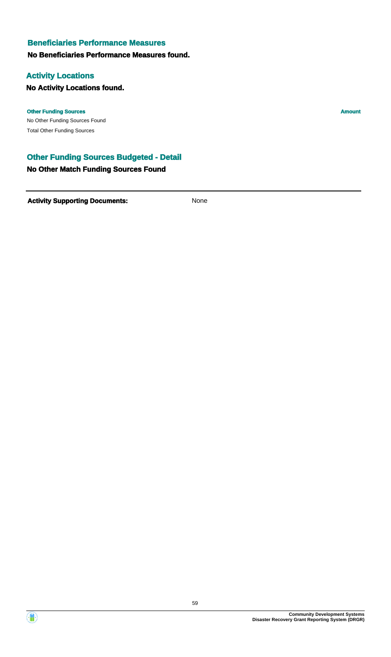### **Beneficiaries Performance Measures**

#### **No Beneficiaries Performance Measures found.**

### **Activity Locations**

### **No Activity Locations found.**

#### **Other Funding Sources Amount**

No Other Funding Sources Found Total Other Funding Sources

### **Other Funding Sources Budgeted - Detail**

#### **No Other Match Funding Sources Found**

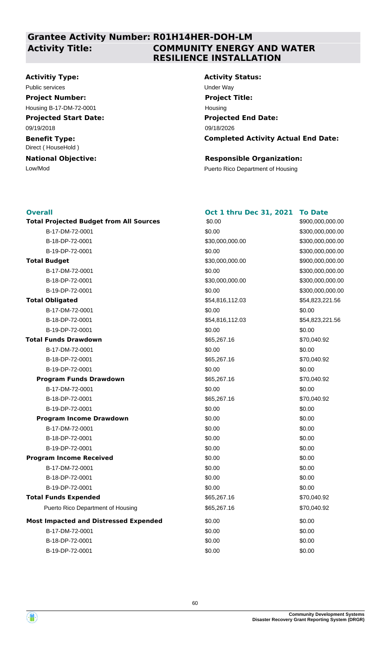# **Activity Title:**

### **Grantee Activity Number: R01H14HER-DOH-LM COMMUNITY ENERGY AND WATER RESILIENCE INSTALLATION**

#### **Activitiy Type:**

Public services **Under Way** 

#### **Project Number:**

Housing B-17-DM-72-0001

#### **Projected Start Date:**

09/19/2018

#### **Benefit Type:** Direct ( HouseHold )

### **National Objective:**

# **Activity Status:**

**Projected End Date: Completed Activity Actual End Date:** 09/18/2026 **Project Title:** Housing

### **Responsible Organization:**

Low/Mod Puerto Rico Department of Housing

#### **Overall** \$900,000,000.00 **Total Projected Budget from All Sources** \$90,000 \$900,000,000,000,000.000.00 \$30,000,000.00 \$0.00 \$54,823,221.56 \$0.00 **Total Budget Program Income Drawdown Program Income Received Total Funds Drawdown Total Obligated** \$65,267.16 \$0.00 \$0.00 **Oct 1 thru Dec 31, 2021 To Date** \$0.00 \$54,816,112.03 \$70,040.92 **Most Impacted and Distressed Expended** \$0.00 Puerto Rico Department of Housing \$65,267.16 \$65,267.16 \$70,040.92 **Program Funds Drawdown**  $$65,267.16$   $$70,040.92$ **Total Funds Expended**  $$65,267.16$   $$70,040.92$ B-17-DM-72-0001 \$0.00 \$300,000,000.00 B-18-DP-72-0001 \$30,000,000.00 \$300,000,000.00 B-19-DP-72-0001 \$0.00 \$300,000,000.00 B-17-DM-72-0001 \$0.00 \$300,000,000.00 B-18-DP-72-0001 \$30,000,000.00 \$300,000,000.00 B-19-DP-72-0001 \$0.00 \$300,000,000.00 B-17-DM-72-0001 \$0.00 \$0.00 B-18-DP-72-0001 \$54,816,112.03 \$54,823,221.56 B-19-DP-72-0001 \$0.00 \$0.00  $B-17-DM-72-0001$  \$0.00 \$0.00 \$0.00 B-18-DP-72-0001 \$65,267.16 \$70,040.92 B-19-DP-72-0001 \$0.00 \$0.00 B-17-DM-72-0001 \$0.00 \$0.00 B-18-DP-72-0001 \$65,267.16 \$70,040.92 B-19-DP-72-0001 \$0.00 \$0.00 \$0.00 \$0.00 B-17-DM-72-0001 \$0.00 \$0.00 B-18-DP-72-0001 \$0.00 \$0.00  $B - 19 - D$ P-72-0001  $B - 19 - D$   $D = 72 - 0001$  $B-17-DM-72-0001$  \$0.00 \$0.00 \$0.00 B-18-DP-72-0001 \$0.00 \$0.00  $B - 19 - D$ P-72-0001  $B - 19 - D$   $D = 72 - 0001$  $B-17-DM-72-0001$  \$0.00 \$0.00 \$0.00 B-18-DP-72-0001 \$0.00 \$0.00 B-19-DP-72-0001 \$0.00 \$0.00 \$0.00



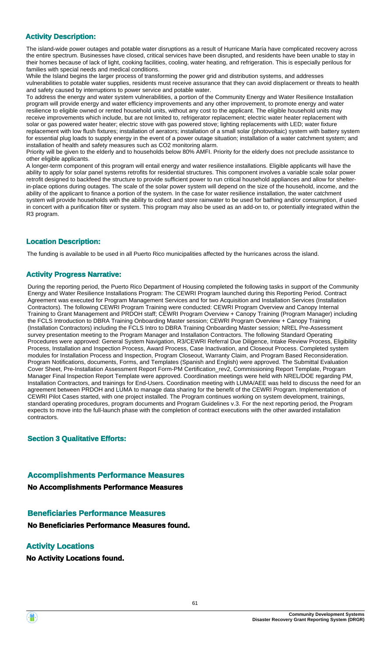### **Activity Description:**

The island-wide power outages and potable water disruptions as a result of Hurricane María have complicated recovery across the entire spectrum. Businesses have closed, critical services have been disrupted, and residents have been unable to stay in their homes because of lack of light, cooking facilities, cooling, water heating, and refrigeration. This is especially perilous for families with special needs and medical conditions.

While the Island begins the larger process of transforming the power grid and distribution systems, and addresses vulnerabilities to potable water supplies, residents must receive assurance that they can avoid displacement or threats to health and safety caused by interruptions to power service and potable water.

To address the energy and water system vulnerabilities, a portion of the Community Energy and Water Resilience Installation program will provide energy and water efficiency improvements and any other improvement, to promote energy and water resilience to eligible owned or rented household units, without any cost to the applicant. The eligible household units may receive improvements which include, but are not limited to, refrigerator replacement; electric water heater replacement with solar or gas powered water heater; electric stove with gas powered stove; lighting replacements with LED; water fixture replacement with low flush fixtures; installation of aerators; installation of a small solar (photovoltaic) system with battery system for essential plug loads to supply energy in the event of a power outage situation; installation of a water catchment system; and installation of health and safety measures such as CO2 monitoring alarm.

Priority will be given to the elderly and to households below 80% AMFI. Priority for the elderly does not preclude assistance to other eligible applicants.

A longer-term component of this program will entail energy and water resilience installations. Eligible applicants will have the ability to apply for solar panel systems retrofits for residential structures. This component involves a variable scale solar power retrofit designed to backfeed the structure to provide sufficient power to run critical household appliances and allow for shelterin-place options during outages. The scale of the solar power system will depend on the size of the household, income, and the ability of the applicant to finance a portion of the system. In the case for water resilience installation, the water catchment system will provide households with the ability to collect and store rainwater to be used for bathing and/or consumption, if used in concert with a purification filter or system. This program may also be used as an add-on to, or potentially integrated within the R3 program.

### **Location Description:**

The funding is available to be used in all Puerto Rico municipalities affected by the hurricanes across the island.

#### **Activity Progress Narrative:**

During the reporting period, the Puerto Rico Department of Housing completed the following tasks in support of the Community Energy and Water Resilience Installations Program: The CEWRI Program launched during this Reporting Period. Contract Agreement was executed for Program Management Services and for two Acquisition and Installation Services (Installation Contractors). The following CEWRI Program Training were conducted: CEWRI Program Overview and Canopy Internal Training to Grant Management and PRDOH staff; CEWRI Program Overview + Canopy Training (Program Manager) including the FCLS Introduction to DBRA Training Onboarding Master session; CEWRI Program Overview + Canopy Training (Installation Contractors) including the FCLS Intro to DBRA Training Onboarding Master session; NREL Pre-Assessment survey presentation meeting to the Program Manager and Installation Contractors. The following Standard Operating Procedures were approved: General System Navigation, R3/CEWRI Referral Due Diligence, Intake Review Process, Eligibility Process, Installation and Inspection Process, Award Process, Case Inactivation, and Closeout Process. Completed system modules for Installation Process and Inspection, Program Closeout, Warranty Claim, and Program Based Reconsideration. Program Notifications, documents, Forms, and Templates (Spanish and English) were approved. The Submittal Evaluation Cover Sheet, Pre-Installation Assessment Report Form-PM Certification\_rev2, Commissioning Report Template, Program Manager Final Inspection Report Template were approved. Coordination meetings were held with NREL/DOE regarding PM, Installation Contractors, and trainings for End-Users. Coordination meeting with LUMA/AEE was held to discuss the need for an agreement between PRDOH and LUMA to manage data sharing for the benefit of the CEWRI Program. Implementation of CEWRI Pilot Cases started, with one project installed. The Program continues working on system development, trainings, standard operating procedures, program documents and Program Guidelines v.3. For the next reporting period, the Program expects to move into the full-launch phase with the completion of contract executions with the other awarded installation contractors.

#### **Section 3 Qualitative Efforts:**

#### **Accomplishments Performance Measures**

**No Accomplishments Performance Measures**

#### **Beneficiaries Performance Measures**

**No Beneficiaries Performance Measures found.**

### **Activity Locations**

**No Activity Locations found.**

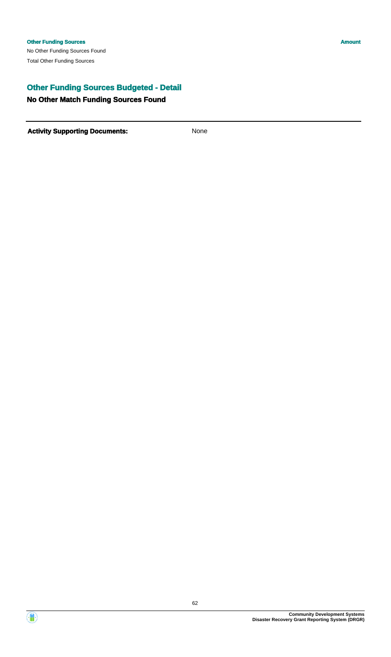## **Other Funding Sources Budgeted - Detail**

#### **No Other Match Funding Sources Found**

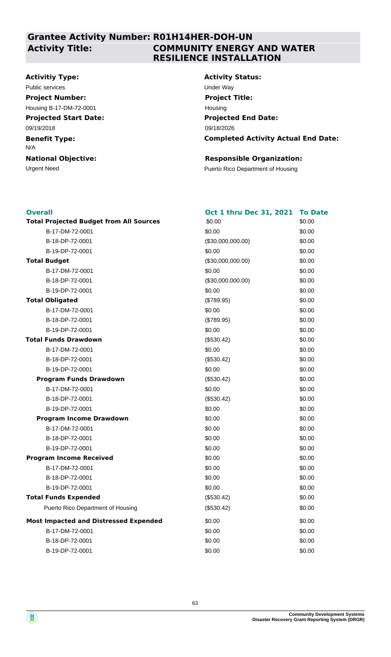# **Activity Title:**

### **Grantee Activity Number: R01H14HER-DOH-UN COMMUNITY ENERGY AND WATER RESILIENCE INSTALLATION**

### **Activitiy Type:**

**Projected Start Date: Benefit Type: National Objective:** 09/19/2018 N/A Public services **Under Way Project Number:** Housing B-17-DM-72-0001

## **Activity Status: Projected End Date: Completed Activity Actual End Date:** 09/18/2026 **Project Title:** Housing

#### **Responsible Organization:**

Urgent Need **Puerto Rico Department of Housing** 

| <b>Overall</b>                                 | Oct 1 thru Dec 31, 2021 | <b>To Date</b> |
|------------------------------------------------|-------------------------|----------------|
| <b>Total Projected Budget from All Sources</b> | \$0.00                  | \$0.00         |
| B-17-DM-72-0001                                | \$0.00                  | \$0.00         |
| B-18-DP-72-0001                                | (\$30,000,000.00)       | \$0.00         |
| B-19-DP-72-0001                                | \$0.00                  | \$0.00         |
| <b>Total Budget</b>                            | (\$30,000,000.00)       | \$0.00         |
| B-17-DM-72-0001                                | \$0.00                  | \$0.00         |
| B-18-DP-72-0001                                | (\$30,000,000.00)       | \$0.00         |
| B-19-DP-72-0001                                | \$0.00                  | \$0.00         |
| <b>Total Obligated</b>                         | (\$789.95)              | \$0.00         |
| B-17-DM-72-0001                                | \$0.00                  | \$0.00         |
| B-18-DP-72-0001                                | (\$789.95)              | \$0.00         |
| B-19-DP-72-0001                                | \$0.00                  | \$0.00         |
| <b>Total Funds Drawdown</b>                    | (\$530.42)              | \$0.00         |
| B-17-DM-72-0001                                | \$0.00                  | \$0.00         |
| B-18-DP-72-0001                                | (\$530.42)              | \$0.00         |
| B-19-DP-72-0001                                | \$0.00                  | \$0.00         |
| <b>Program Funds Drawdown</b>                  | (\$530.42)              | \$0.00         |
| B-17-DM-72-0001                                | \$0.00                  | \$0.00         |
| B-18-DP-72-0001                                | (\$530.42)              | \$0.00         |
| B-19-DP-72-0001                                | \$0.00                  | \$0.00         |
| <b>Program Income Drawdown</b>                 | \$0.00                  | \$0.00         |
| B-17-DM-72-0001                                | \$0.00                  | \$0.00         |
| B-18-DP-72-0001                                | \$0.00                  | \$0.00         |
| B-19-DP-72-0001                                | \$0.00                  | \$0.00         |
| <b>Program Income Received</b>                 | \$0.00                  | \$0.00         |
| B-17-DM-72-0001                                | \$0.00                  | \$0.00         |
| B-18-DP-72-0001                                | \$0.00                  | \$0.00         |
| B-19-DP-72-0001                                | \$0.00                  | \$0.00         |
| <b>Total Funds Expended</b>                    | (\$530.42)              | \$0.00         |
| Puerto Rico Department of Housing              | (\$530.42)              | \$0.00         |
| <b>Most Impacted and Distressed Expended</b>   | \$0.00                  | \$0.00         |
| B-17-DM-72-0001                                | \$0.00                  | \$0.00         |
| B-18-DP-72-0001                                | \$0.00                  | \$0.00         |
| B-19-DP-72-0001                                | \$0.00                  | \$0.00         |



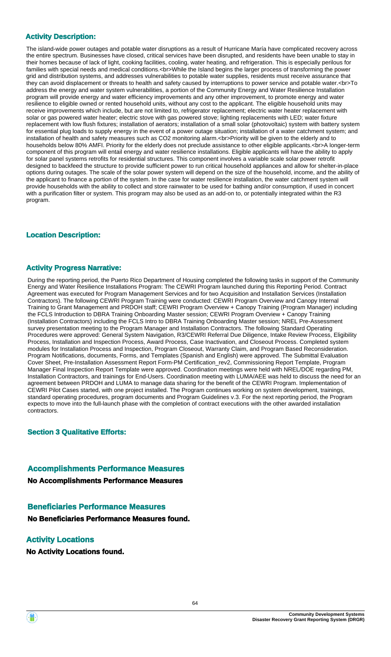### **Activity Description:**

The island-wide power outages and potable water disruptions as a result of Hurricane María have complicated recovery across the entire spectrum. Businesses have closed, critical services have been disrupted, and residents have been unable to stay in their homes because of lack of light, cooking facilities, cooling, water heating, and refrigeration. This is especially perilous for families with special needs and medical conditions.<br>While the Island begins the larger process of transforming the power grid and distribution systems, and addresses vulnerabilities to potable water supplies, residents must receive assurance that they can avoid displacement or threats to health and safety caused by interruptions to power service and potable water.<br>To address the energy and water system vulnerabilities, a portion of the Community Energy and Water Resilience Installation program will provide energy and water efficiency improvements and any other improvement, to promote energy and water resilience to eligible owned or rented household units, without any cost to the applicant. The eligible household units may receive improvements which include, but are not limited to, refrigerator replacement; electric water heater replacement with solar or gas powered water heater; electric stove with gas powered stove; lighting replacements with LED; water fixture replacement with low flush fixtures; installation of aerators; installation of a small solar (photovoltaic) system with battery system for essential plug loads to supply energy in the event of a power outage situation; installation of a water catchment system; and installation of health and safety measures such as CO2 monitoring alarm.<br>Priority will be given to the elderly and to households below 80% AMFI. Priority for the elderly does not preclude assistance to other eligible applicants.<br>A longer-term component of this program will entail energy and water resilience installations. Eligible applicants will have the ability to apply for solar panel systems retrofits for residential structures. This component involves a variable scale solar power retrofit designed to backfeed the structure to provide sufficient power to run critical household appliances and allow for shelter-in-place options during outages. The scale of the solar power system will depend on the size of the household, income, and the ability of the applicant to finance a portion of the system. In the case for water resilience installation, the water catchment system will provide households with the ability to collect and store rainwater to be used for bathing and/or consumption, if used in concert with a purification filter or system. This program may also be used as an add-on to, or potentially integrated within the R3 program.

### **Location Description:**

#### **Activity Progress Narrative:**

During the reporting period, the Puerto Rico Department of Housing completed the following tasks in support of the Community Energy and Water Resilience Installations Program: The CEWRI Program launched during this Reporting Period. Contract Agreement was executed for Program Management Services and for two Acquisition and Installation Services (Installation Contractors). The following CEWRI Program Training were conducted: CEWRI Program Overview and Canopy Internal Training to Grant Management and PRDOH staff; CEWRI Program Overview + Canopy Training (Program Manager) including the FCLS Introduction to DBRA Training Onboarding Master session; CEWRI Program Overview + Canopy Training (Installation Contractors) including the FCLS Intro to DBRA Training Onboarding Master session; NREL Pre-Assessment survey presentation meeting to the Program Manager and Installation Contractors. The following Standard Operating Procedures were approved: General System Navigation, R3/CEWRI Referral Due Diligence, Intake Review Process, Eligibility Process, Installation and Inspection Process, Award Process, Case Inactivation, and Closeout Process. Completed system modules for Installation Process and Inspection, Program Closeout, Warranty Claim, and Program Based Reconsideration. Program Notifications, documents, Forms, and Templates (Spanish and English) were approved. The Submittal Evaluation Cover Sheet, Pre-Installation Assessment Report Form-PM Certification\_rev2, Commissioning Report Template, Program Manager Final Inspection Report Template were approved. Coordination meetings were held with NREL/DOE regarding PM, Installation Contractors, and trainings for End-Users. Coordination meeting with LUMA/AEE was held to discuss the need for an agreement between PRDOH and LUMA to manage data sharing for the benefit of the CEWRI Program. Implementation of CEWRI Pilot Cases started, with one project installed. The Program continues working on system development, trainings, standard operating procedures, program documents and Program Guidelines v.3. For the next reporting period, the Program expects to move into the full-launch phase with the completion of contract executions with the other awarded installation contractors.

#### **Section 3 Qualitative Efforts:**

#### **Accomplishments Performance Measures**

**No Accomplishments Performance Measures**

#### **Beneficiaries Performance Measures**

**No Beneficiaries Performance Measures found.**

#### **Activity Locations**

**No Activity Locations found.**

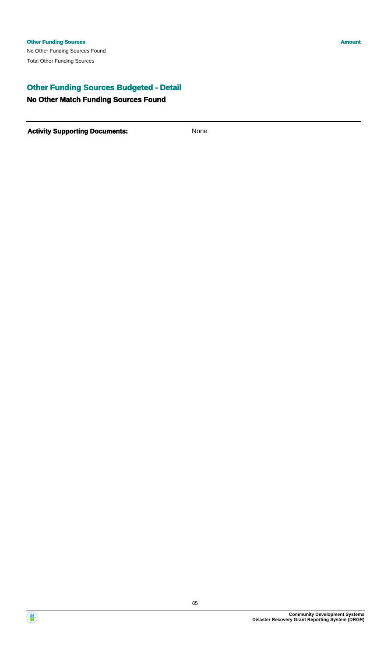## **Other Funding Sources Budgeted - Detail**

#### **No Other Match Funding Sources Found**

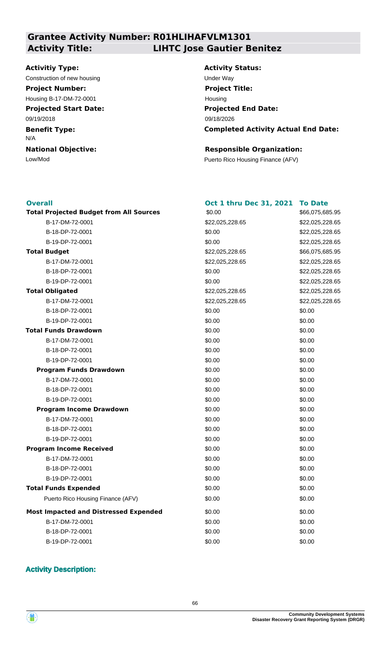### **Grantee Activity Number: R01HLIHAFVLM1301 Activity Title: LIHTC Jose Gautier Benitez**

#### **Activitiy Type:**

Construction of new housing Theorem 2012 Construction of new housing Theorem 2012 **Project Number:**

**Projected Start Date:** Housing B-17-DM-72-0001

09/19/2018

**Benefit Type:**

N/A

**National Objective:**

**Activity Status: Projected End Date: Completed Activity Actual End Date:** 09/18/2026 **Project Title:** Housing

\$66,075,685.95

 $$22.025,228.65$ \$22,025,228.65 \$22,025,228.65

\$22,025,228.65

 $$22.025,228.65$ 

**Total Projected Budget from All Sources** \$66,075,685.95

 $$22.025,228.65$ \$22,025,228.65 \$22,025,228.65

#### **Responsible Organization:**

Low/Mod Puerto Rico Housing Finance (AFV)

#### **Overall**

| <b>Overall</b>                                 | Oct 1 thru Dec 31, 2021 | <b>To Date</b> |
|------------------------------------------------|-------------------------|----------------|
| <b>Total Projected Budget from All Sources</b> | \$0.00                  | \$66,075,68    |
| B-17-DM-72-0001                                | \$22,025,228.65         | \$22,025,22    |
| B-18-DP-72-0001                                | \$0.00                  | \$22,025,22    |
| B-19-DP-72-0001                                | \$0.00                  | \$22,025,22    |
| <b>Total Budget</b>                            | \$22,025,228.65         | \$66,075,68    |
| B-17-DM-72-0001                                | \$22,025,228.65         | \$22,025,22    |
| B-18-DP-72-0001                                | \$0.00                  | \$22,025,22    |
| B-19-DP-72-0001                                | \$0.00                  | \$22,025,22    |
| <b>Total Obligated</b>                         | \$22,025,228.65         | \$22,025,22    |
| B-17-DM-72-0001                                | \$22,025,228.65         | \$22,025,22    |
| B-18-DP-72-0001                                | \$0.00                  | \$0.00         |
| B-19-DP-72-0001                                | \$0.00                  | \$0.00         |
| <b>Total Funds Drawdown</b>                    | \$0.00                  | \$0.00         |
| B-17-DM-72-0001                                | \$0.00                  | \$0.00         |
| B-18-DP-72-0001                                | \$0.00                  | \$0.00         |
| B-19-DP-72-0001                                | \$0.00                  | \$0.00         |
| <b>Program Funds Drawdown</b>                  | \$0.00                  | \$0.00         |
| B-17-DM-72-0001                                | \$0.00                  | \$0.00         |
| B-18-DP-72-0001                                | \$0.00                  | \$0.00         |
| B-19-DP-72-0001                                | \$0.00                  | \$0.00         |
| <b>Program Income Drawdown</b>                 | \$0.00                  | \$0.00         |
| B-17-DM-72-0001                                | \$0.00                  | \$0.00         |
| B-18-DP-72-0001                                | \$0.00                  | \$0.00         |
| B-19-DP-72-0001                                | \$0.00                  | \$0.00         |
| <b>Program Income Received</b>                 | \$0.00                  | \$0.00         |
| B-17-DM-72-0001                                | \$0.00                  | \$0.00         |
| B-18-DP-72-0001                                | \$0.00                  | \$0.00         |
| B-19-DP-72-0001                                | \$0.00                  | \$0.00         |
| <b>Total Funds Expended</b>                    | \$0.00                  | \$0.00         |
| Puerto Rico Housing Finance (AFV)              | \$0.00                  | \$0.00         |
| <b>Most Impacted and Distressed Expended</b>   | \$0.00                  | \$0.00         |
| B-17-DM-72-0001                                | \$0.00                  | \$0.00         |
| B-18-DP-72-0001                                | \$0.00                  | \$0.00         |
| B-19-DP-72-0001                                | \$0.00                  | \$0.00         |

#### **Activity Description:**

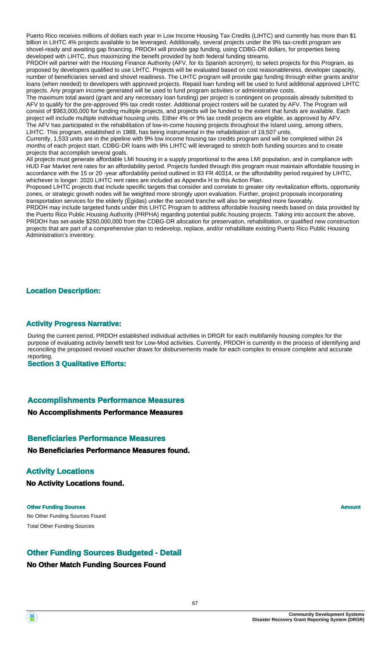Puerto Rico receives millions of dollars each year in Low Income Housing Tax Credits (LIHTC) and currently has more than \$1 billion in LIHTC 4% projects available to be leveraged. Additionally, several projects under the 9% tax-credit program are shovel-ready and awaiting gap financing. PRDOH will provide gap funding, using CDBG-DR dollars, for properties being developed with LIHTC, thus maximizing the benefit provided by both federal funding streams.

PRDOH will partner with the Housing Finance Authority (AFV, for its Spanish acronym), to select projects for this Program, as proposed by developers qualified to use LIHTC. Projects will be evaluated based on cost reasonableness, developer capacity, number of beneficiaries served and shovel readiness. The LIHTC program will provide gap funding through either grants and/or loans (when needed) to developers with approved projects. Repaid loan funding will be used to fund additional approved LIHTC projects. Any program income generated will be used to fund program activities or administrative costs.

The maximum total award (grant and any necessary loan funding) per project is contingent on proposals already submitted to AFV to qualify for the pre-approved 9% tax credit roster. Additional project rosters will be curated by AFV. The Program will consist of \$963,000,000 for funding multiple projects, and projects will be funded to the extent that funds are available. Each project will include multiple individual housing units. Either 4% or 9% tax credit projects are eligible, as approved by AFV. The AFV has participated in the rehabilitation of low-in-come housing projects throughout the Island using, among others, LIHTC. This program, established in 1988, has being instrumental in the rehabilitation of 19,507 units.

Currently, 1,533 units are in the pipeline with 9% low income housing tax credits program and will be completed within 24 months of each project start. CDBG-DR loans with 9% LIHTC will leveraged to stretch both funding sources and to create projects that accomplish several goals.

All projects must generate affordable LMI housing in a supply proportional to the area LMI population, and in compliance with HUD Fair Market rent rates for an affordability period. Projects funded through this program must maintain affordable housing in accordance with the 15 or 20 -year affordability period outlined in 83 FR 40314, or the affordability period required by LIHTC, whichever is longer. 2020 LIHTC rent rates are included as Appendix H to this Action Plan.

Proposed LIHTC projects that include specific targets that consider and correlate to greater city revitalization efforts, opportunity zones, or strategic growth nodes will be weighted more strongly upon evaluation. Further, project proposals incorporating transportation services for the elderly (Égidas) under the second tranche will also be weighted more favorably.

PRDOH may include targeted funds under this LIHTC Program to address affordable housing needs based on data provided by the Puerto Rico Public Housing Authority (PRPHA) regarding potential public housing projects. Taking into account the above, PRDOH has set-aside \$250,000,000 from the CDBG-DR allocation for preservation, rehabilitation, or qualified new construction projects that are part of a comprehensive plan to redevelop, replace, and/or rehabilitate existing Puerto Rico Public Housing Administration's inventory.

#### **Location Description:**

#### **Activity Progress Narrative:**

During the current period, PRDOH established individual activities in DRGR for each multifamily housing complex for the purpose of evaluating activity benefit test for Low-Mod activities. Currently, PRDOH is currently in the process of identifying and reconciling the proposed revised voucher draws for disbursements made for each complex to ensure complete and accurate reporting.

**Section 3 Qualitative Efforts:**

#### **Accomplishments Performance Measures**

#### **No Accomplishments Performance Measures**

#### **Beneficiaries Performance Measures**

**No Beneficiaries Performance Measures found.**

#### **Activity Locations**

**No Activity Locations found.**

No Other Funding Sources Found **Other Funding Sources Amount Amount Amount Amount** Total Other Funding Sources

#### **Other Funding Sources Budgeted - Detail**

#### **No Other Match Funding Sources Found**

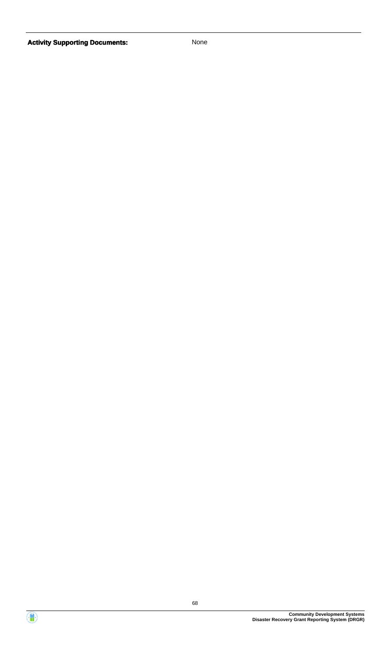

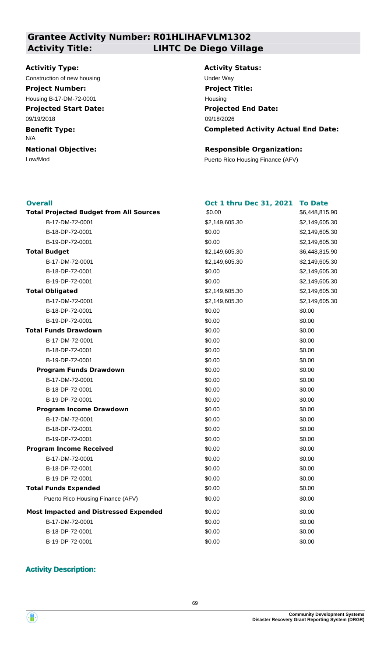### **Grantee Activity Number: R01HLIHAFVLM1302 Activity Title: LIHTC De Diego Village**

#### **Activitiy Type:**

Construction of new housing Theorem 2012 Construction of the Way **Project Number:**

**Projected Start Date:** Housing B-17-DM-72-0001

09/19/2018

**Benefit Type:**

N/A

**National Objective:**

# **Activity Status: Projected End Date:** 09/18/2026 **Project Title:** Housing

### **Completed Activity Actual End Date:**

#### **Responsible Organization:**

Low/Mod Puerto Rico Housing Finance (AFV)

#### **Overall**

| <b>Overall</b>                                 | Oct 1 thru Dec 31, 2021 | <b>To Date</b> |
|------------------------------------------------|-------------------------|----------------|
| <b>Total Projected Budget from All Sources</b> | \$0.00                  | \$6,448,815.90 |
| B-17-DM-72-0001                                | \$2,149,605.30          | \$2,149,605.30 |
| B-18-DP-72-0001                                | \$0.00                  | \$2,149,605.30 |
| B-19-DP-72-0001                                | \$0.00                  | \$2,149,605.30 |
| <b>Total Budget</b>                            | \$2,149,605.30          | \$6,448,815.90 |
| B-17-DM-72-0001                                | \$2,149,605.30          | \$2,149,605.30 |
| B-18-DP-72-0001                                | \$0.00                  | \$2,149,605.30 |
| B-19-DP-72-0001                                | \$0.00                  | \$2,149,605.30 |
| <b>Total Obligated</b>                         | \$2,149,605.30          | \$2,149,605.30 |
| B-17-DM-72-0001                                | \$2,149,605.30          | \$2,149,605.30 |
| B-18-DP-72-0001                                | \$0.00                  | \$0.00         |
| B-19-DP-72-0001                                | \$0.00                  | \$0.00         |
| <b>Total Funds Drawdown</b>                    | \$0.00                  | \$0.00         |
| B-17-DM-72-0001                                | \$0.00                  | \$0.00         |
| B-18-DP-72-0001                                | \$0.00                  | \$0.00         |
| B-19-DP-72-0001                                | \$0.00                  | \$0.00         |
| <b>Program Funds Drawdown</b>                  | \$0.00                  | \$0.00         |
| B-17-DM-72-0001                                | \$0.00                  | \$0.00         |
| B-18-DP-72-0001                                | \$0.00                  | \$0.00         |
| B-19-DP-72-0001                                | \$0.00                  | \$0.00         |
| <b>Program Income Drawdown</b>                 | \$0.00                  | \$0.00         |
| B-17-DM-72-0001                                | \$0.00                  | \$0.00         |
| B-18-DP-72-0001                                | \$0.00                  | \$0.00         |
| B-19-DP-72-0001                                | \$0.00                  | \$0.00         |
| <b>Program Income Received</b>                 | \$0.00                  | \$0.00         |
| B-17-DM-72-0001                                | \$0.00                  | \$0.00         |
| B-18-DP-72-0001                                | \$0.00                  | \$0.00         |
| B-19-DP-72-0001                                | \$0.00                  | \$0.00         |
| <b>Total Funds Expended</b>                    | \$0.00                  | \$0.00         |
| Puerto Rico Housing Finance (AFV)              | \$0.00                  | \$0.00         |
| <b>Most Impacted and Distressed Expended</b>   | \$0.00                  | \$0.00         |
| B-17-DM-72-0001                                | \$0.00                  | \$0.00         |
| B-18-DP-72-0001                                | \$0.00                  | \$0.00         |
| B-19-DP-72-0001                                | \$0.00                  | \$0.00         |

### **Activity Description:**

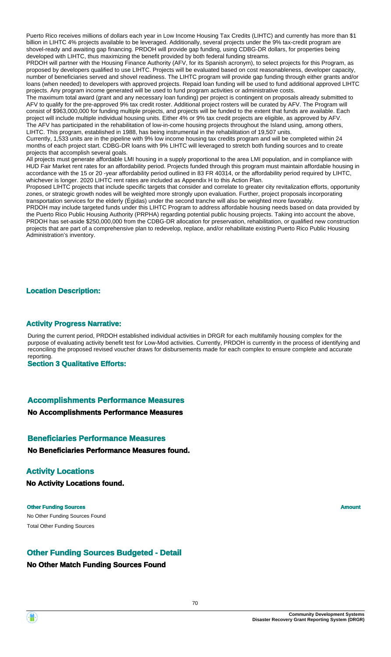Puerto Rico receives millions of dollars each year in Low Income Housing Tax Credits (LIHTC) and currently has more than \$1 billion in LIHTC 4% projects available to be leveraged. Additionally, several projects under the 9% tax-credit program are shovel-ready and awaiting gap financing. PRDOH will provide gap funding, using CDBG-DR dollars, for properties being developed with LIHTC, thus maximizing the benefit provided by both federal funding streams.

PRDOH will partner with the Housing Finance Authority (AFV, for its Spanish acronym), to select projects for this Program, as proposed by developers qualified to use LIHTC. Projects will be evaluated based on cost reasonableness, developer capacity, number of beneficiaries served and shovel readiness. The LIHTC program will provide gap funding through either grants and/or loans (when needed) to developers with approved projects. Repaid loan funding will be used to fund additional approved LIHTC projects. Any program income generated will be used to fund program activities or administrative costs.

The maximum total award (grant and any necessary loan funding) per project is contingent on proposals already submitted to AFV to qualify for the pre-approved 9% tax credit roster. Additional project rosters will be curated by AFV. The Program will consist of \$963,000,000 for funding multiple projects, and projects will be funded to the extent that funds are available. Each project will include multiple individual housing units. Either 4% or 9% tax credit projects are eligible, as approved by AFV. The AFV has participated in the rehabilitation of low-in-come housing projects throughout the Island using, among others, LIHTC. This program, established in 1988, has being instrumental in the rehabilitation of 19,507 units.

Currently, 1,533 units are in the pipeline with 9% low income housing tax credits program and will be completed within 24 months of each project start. CDBG-DR loans with 9% LIHTC will leveraged to stretch both funding sources and to create projects that accomplish several goals.

All projects must generate affordable LMI housing in a supply proportional to the area LMI population, and in compliance with HUD Fair Market rent rates for an affordability period. Projects funded through this program must maintain affordable housing in accordance with the 15 or 20 -year affordability period outlined in 83 FR 40314, or the affordability period required by LIHTC, whichever is longer. 2020 LIHTC rent rates are included as Appendix H to this Action Plan.

Proposed LIHTC projects that include specific targets that consider and correlate to greater city revitalization efforts, opportunity zones, or strategic growth nodes will be weighted more strongly upon evaluation. Further, project proposals incorporating transportation services for the elderly (Égidas) under the second tranche will also be weighted more favorably.

PRDOH may include targeted funds under this LIHTC Program to address affordable housing needs based on data provided by the Puerto Rico Public Housing Authority (PRPHA) regarding potential public housing projects. Taking into account the above, PRDOH has set-aside \$250,000,000 from the CDBG-DR allocation for preservation, rehabilitation, or qualified new construction projects that are part of a comprehensive plan to redevelop, replace, and/or rehabilitate existing Puerto Rico Public Housing Administration's inventory.

#### **Location Description:**

#### **Activity Progress Narrative:**

During the current period, PRDOH established individual activities in DRGR for each multifamily housing complex for the purpose of evaluating activity benefit test for Low-Mod activities. Currently, PRDOH is currently in the process of identifying and reconciling the proposed revised voucher draws for disbursements made for each complex to ensure complete and accurate reporting.

**Section 3 Qualitative Efforts:**

#### **Accomplishments Performance Measures**

#### **No Accomplishments Performance Measures**

#### **Beneficiaries Performance Measures**

**No Beneficiaries Performance Measures found.**

#### **Activity Locations**

**No Activity Locations found.**

No Other Funding Sources Found **Other Funding Sources Amount Amount Amount Amount** Total Other Funding Sources

#### **Other Funding Sources Budgeted - Detail**

#### **No Other Match Funding Sources Found**

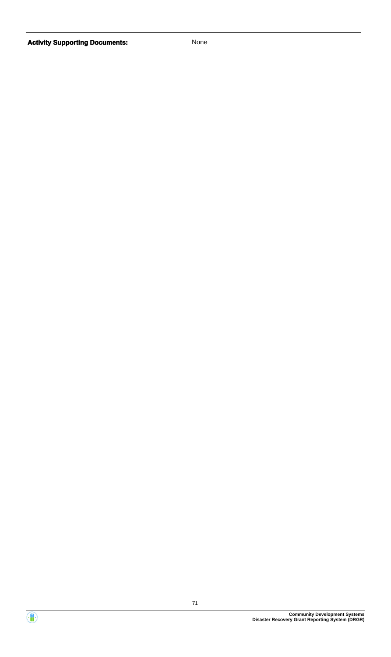

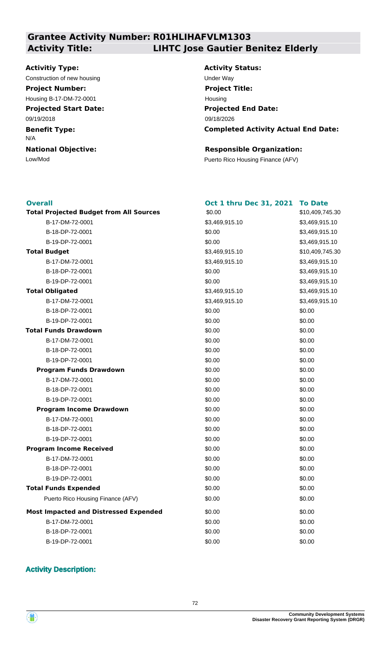## **Grantee Activity Number: R01HLIHAFVLM1303 Activity Title: LIHTC Jose Gautier Benitez Elderly**

#### **Activitiy Type:**

Construction of new housing Theorem 2012 Construction of the Way **Project Number:**

**Projected Start Date:** Housing B-17-DM-72-0001

09/19/2018

**Benefit Type:**

N/A

**National Objective:**

**Activity Status: Projected End Date: Completed Activity Actual End Date:** 09/18/2026 **Project Title:** Housing

#### **Responsible Organization:**

Low/Mod Puerto Rico Housing Finance (AFV)

#### **Overall**

| <b>Overall</b>                                 | Oct 1 thru Dec 31, 2021 | <b>To Date</b>  |
|------------------------------------------------|-------------------------|-----------------|
| <b>Total Projected Budget from All Sources</b> | \$0.00                  | \$10,409,745.30 |
| B-17-DM-72-0001                                | \$3,469,915.10          | \$3,469,915.10  |
| B-18-DP-72-0001                                | \$0.00                  | \$3,469,915.10  |
| B-19-DP-72-0001                                | \$0.00                  | \$3,469,915.10  |
| <b>Total Budget</b>                            | \$3,469,915.10          | \$10,409,745.30 |
| B-17-DM-72-0001                                | \$3,469,915.10          | \$3,469,915.10  |
| B-18-DP-72-0001                                | \$0.00                  | \$3,469,915.10  |
| B-19-DP-72-0001                                | \$0.00                  | \$3,469,915.10  |
| <b>Total Obligated</b>                         | \$3,469,915.10          | \$3,469,915.10  |
| B-17-DM-72-0001                                | \$3,469,915.10          | \$3,469,915.10  |
| B-18-DP-72-0001                                | \$0.00                  | \$0.00          |
| B-19-DP-72-0001                                | \$0.00                  | \$0.00          |
| <b>Total Funds Drawdown</b>                    | \$0.00                  | \$0.00          |
| B-17-DM-72-0001                                | \$0.00                  | \$0.00          |
| B-18-DP-72-0001                                | \$0.00                  | \$0.00          |
| B-19-DP-72-0001                                | \$0.00                  | \$0.00          |
| <b>Program Funds Drawdown</b>                  | \$0.00                  | \$0.00          |
| B-17-DM-72-0001                                | \$0.00                  | \$0.00          |
| B-18-DP-72-0001                                | \$0.00                  | \$0.00          |
| B-19-DP-72-0001                                | \$0.00                  | \$0.00          |
| <b>Program Income Drawdown</b>                 | \$0.00                  | \$0.00          |
| B-17-DM-72-0001                                | \$0.00                  | \$0.00          |
| B-18-DP-72-0001                                | \$0.00                  | \$0.00          |
| B-19-DP-72-0001                                | \$0.00                  | \$0.00          |
| <b>Program Income Received</b>                 | \$0.00                  | \$0.00          |
| B-17-DM-72-0001                                | \$0.00                  | \$0.00          |
| B-18-DP-72-0001                                | \$0.00                  | \$0.00          |
| B-19-DP-72-0001                                | \$0.00                  | \$0.00          |
| <b>Total Funds Expended</b>                    | \$0.00                  | \$0.00          |
| Puerto Rico Housing Finance (AFV)              | \$0.00                  | \$0.00          |
| <b>Most Impacted and Distressed Expended</b>   | \$0.00                  | \$0.00          |
| B-17-DM-72-0001                                | \$0.00                  | \$0.00          |
| B-18-DP-72-0001                                | \$0.00                  | \$0.00          |
| B-19-DP-72-0001                                | \$0.00                  | \$0.00          |

#### **Activity Description:**

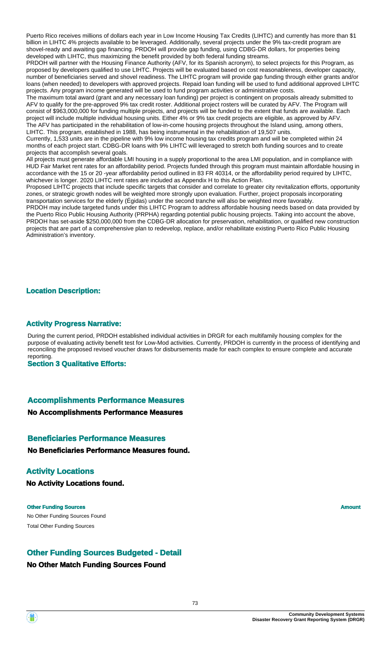Puerto Rico receives millions of dollars each year in Low Income Housing Tax Credits (LIHTC) and currently has more than \$1 billion in LIHTC 4% projects available to be leveraged. Additionally, several projects under the 9% tax-credit program are shovel-ready and awaiting gap financing. PRDOH will provide gap funding, using CDBG-DR dollars, for properties being developed with LIHTC, thus maximizing the benefit provided by both federal funding streams.

PRDOH will partner with the Housing Finance Authority (AFV, for its Spanish acronym), to select projects for this Program, as proposed by developers qualified to use LIHTC. Projects will be evaluated based on cost reasonableness, developer capacity, number of beneficiaries served and shovel readiness. The LIHTC program will provide gap funding through either grants and/or loans (when needed) to developers with approved projects. Repaid loan funding will be used to fund additional approved LIHTC projects. Any program income generated will be used to fund program activities or administrative costs.

The maximum total award (grant and any necessary loan funding) per project is contingent on proposals already submitted to AFV to qualify for the pre-approved 9% tax credit roster. Additional project rosters will be curated by AFV. The Program will consist of \$963,000,000 for funding multiple projects, and projects will be funded to the extent that funds are available. Each project will include multiple individual housing units. Either 4% or 9% tax credit projects are eligible, as approved by AFV. The AFV has participated in the rehabilitation of low-in-come housing projects throughout the Island using, among others, LIHTC. This program, established in 1988, has being instrumental in the rehabilitation of 19,507 units.

Currently, 1,533 units are in the pipeline with 9% low income housing tax credits program and will be completed within 24 months of each project start. CDBG-DR loans with 9% LIHTC will leveraged to stretch both funding sources and to create projects that accomplish several goals.

All projects must generate affordable LMI housing in a supply proportional to the area LMI population, and in compliance with HUD Fair Market rent rates for an affordability period. Projects funded through this program must maintain affordable housing in accordance with the 15 or 20 -year affordability period outlined in 83 FR 40314, or the affordability period required by LIHTC, whichever is longer. 2020 LIHTC rent rates are included as Appendix H to this Action Plan.

Proposed LIHTC projects that include specific targets that consider and correlate to greater city revitalization efforts, opportunity zones, or strategic growth nodes will be weighted more strongly upon evaluation. Further, project proposals incorporating transportation services for the elderly (Égidas) under the second tranche will also be weighted more favorably.

PRDOH may include targeted funds under this LIHTC Program to address affordable housing needs based on data provided by the Puerto Rico Public Housing Authority (PRPHA) regarding potential public housing projects. Taking into account the above, PRDOH has set-aside \$250,000,000 from the CDBG-DR allocation for preservation, rehabilitation, or qualified new construction projects that are part of a comprehensive plan to redevelop, replace, and/or rehabilitate existing Puerto Rico Public Housing Administration's inventory.

#### **Location Description:**

#### **Activity Progress Narrative:**

During the current period, PRDOH established individual activities in DRGR for each multifamily housing complex for the purpose of evaluating activity benefit test for Low-Mod activities. Currently, PRDOH is currently in the process of identifying and reconciling the proposed revised voucher draws for disbursements made for each complex to ensure complete and accurate reporting.

**Section 3 Qualitative Efforts:**

#### **Accomplishments Performance Measures**

#### **No Accomplishments Performance Measures**

#### **Beneficiaries Performance Measures**

**No Beneficiaries Performance Measures found.**

#### **Activity Locations**

**No Activity Locations found.**

No Other Funding Sources Found **Other Funding Sources Amount Amount Amount Amount** Total Other Funding Sources

#### **Other Funding Sources Budgeted - Detail**

#### **No Other Match Funding Sources Found**

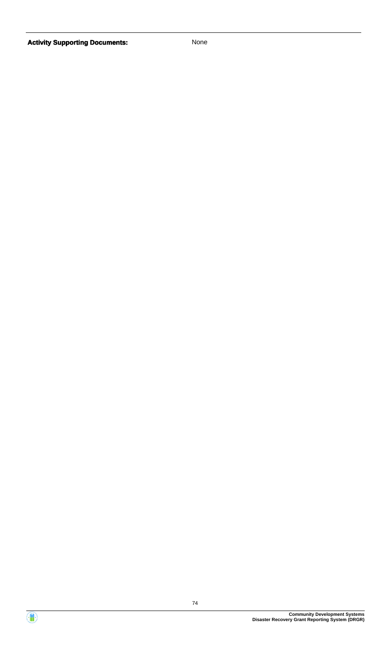

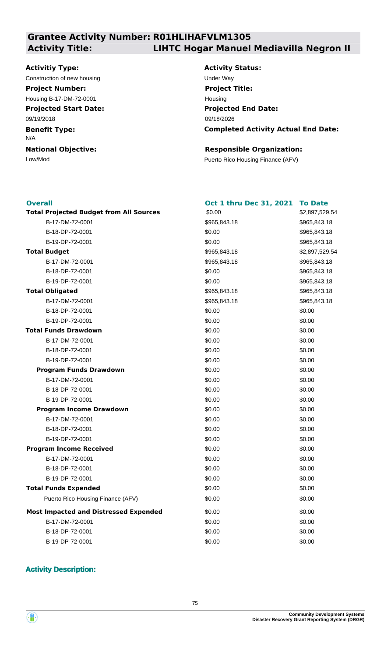## **Grantee Activity Number: R01HLIHAFVLM1305 Activity Title: LIHTC Hogar Manuel Mediavilla Negron II**

#### **Activitiy Type:**

Construction of new housing Theorem 2012 Construction of the Way **Project Number:**

**Projected Start Date:** Housing B-17-DM-72-0001

09/19/2018

**Benefit Type:**

N/A

**National Objective:**

**Activity Status: Projected End Date: Completed Activity Actual End Date:** 09/18/2026 **Project Title:** Housing

#### **Responsible Organization:**

Low/Mod Puerto Rico Housing Finance (AFV)

#### **Overall**

| <b>Overall</b>                                 | <b>Oct 1 thru Dec 31, 2021</b> | <b>To Date</b> |
|------------------------------------------------|--------------------------------|----------------|
| <b>Total Projected Budget from All Sources</b> | \$0.00                         | \$2,897,529.54 |
| B-17-DM-72-0001                                | \$965,843.18                   | \$965,843.18   |
| B-18-DP-72-0001                                | \$0.00                         | \$965,843.18   |
| B-19-DP-72-0001                                | \$0.00                         | \$965,843.18   |
| <b>Total Budget</b>                            | \$965,843.18                   | \$2,897,529.54 |
| B-17-DM-72-0001                                | \$965,843.18                   | \$965,843.18   |
| B-18-DP-72-0001                                | \$0.00                         | \$965,843.18   |
| B-19-DP-72-0001                                | \$0.00                         | \$965,843.18   |
| <b>Total Obligated</b>                         | \$965,843.18                   | \$965,843.18   |
| B-17-DM-72-0001                                | \$965,843.18                   | \$965,843.18   |
| B-18-DP-72-0001                                | \$0.00                         | \$0.00         |
| B-19-DP-72-0001                                | \$0.00                         | \$0.00         |
| <b>Total Funds Drawdown</b>                    | \$0.00                         | \$0.00         |
| B-17-DM-72-0001                                | \$0.00                         | \$0.00         |
| B-18-DP-72-0001                                | \$0.00                         | \$0.00         |
| B-19-DP-72-0001                                | \$0.00                         | \$0.00         |
| <b>Program Funds Drawdown</b>                  | \$0.00                         | \$0.00         |
| B-17-DM-72-0001                                | \$0.00                         | \$0.00         |
| B-18-DP-72-0001                                | \$0.00                         | \$0.00         |
| B-19-DP-72-0001                                | \$0.00                         | \$0.00         |
| <b>Program Income Drawdown</b>                 | \$0.00                         | \$0.00         |
| B-17-DM-72-0001                                | \$0.00                         | \$0.00         |
| B-18-DP-72-0001                                | \$0.00                         | \$0.00         |
| B-19-DP-72-0001                                | \$0.00                         | \$0.00         |
| <b>Program Income Received</b>                 | \$0.00                         | \$0.00         |
| B-17-DM-72-0001                                | \$0.00                         | \$0.00         |
| B-18-DP-72-0001                                | \$0.00                         | \$0.00         |
| B-19-DP-72-0001                                | \$0.00                         | \$0.00         |
| <b>Total Funds Expended</b>                    | \$0.00                         | \$0.00         |
| Puerto Rico Housing Finance (AFV)              | \$0.00                         | \$0.00         |
| <b>Most Impacted and Distressed Expended</b>   | \$0.00                         | \$0.00         |
| B-17-DM-72-0001                                | \$0.00                         | \$0.00         |
| B-18-DP-72-0001                                | \$0.00                         | \$0.00         |
| B-19-DP-72-0001                                | \$0.00                         | \$0.00         |

#### **Activity Description:**

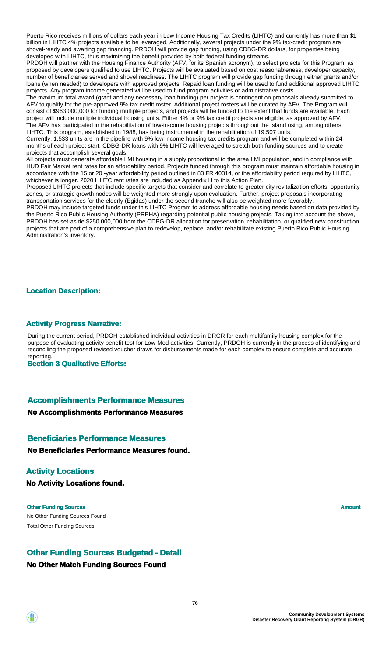Puerto Rico receives millions of dollars each year in Low Income Housing Tax Credits (LIHTC) and currently has more than \$1 billion in LIHTC 4% projects available to be leveraged. Additionally, several projects under the 9% tax-credit program are shovel-ready and awaiting gap financing. PRDOH will provide gap funding, using CDBG-DR dollars, for properties being developed with LIHTC, thus maximizing the benefit provided by both federal funding streams.

PRDOH will partner with the Housing Finance Authority (AFV, for its Spanish acronym), to select projects for this Program, as proposed by developers qualified to use LIHTC. Projects will be evaluated based on cost reasonableness, developer capacity, number of beneficiaries served and shovel readiness. The LIHTC program will provide gap funding through either grants and/or loans (when needed) to developers with approved projects. Repaid loan funding will be used to fund additional approved LIHTC projects. Any program income generated will be used to fund program activities or administrative costs.

The maximum total award (grant and any necessary loan funding) per project is contingent on proposals already submitted to AFV to qualify for the pre-approved 9% tax credit roster. Additional project rosters will be curated by AFV. The Program will consist of \$963,000,000 for funding multiple projects, and projects will be funded to the extent that funds are available. Each project will include multiple individual housing units. Either 4% or 9% tax credit projects are eligible, as approved by AFV. The AFV has participated in the rehabilitation of low-in-come housing projects throughout the Island using, among others, LIHTC. This program, established in 1988, has being instrumental in the rehabilitation of 19,507 units.

Currently, 1,533 units are in the pipeline with 9% low income housing tax credits program and will be completed within 24 months of each project start. CDBG-DR loans with 9% LIHTC will leveraged to stretch both funding sources and to create projects that accomplish several goals.

All projects must generate affordable LMI housing in a supply proportional to the area LMI population, and in compliance with HUD Fair Market rent rates for an affordability period. Projects funded through this program must maintain affordable housing in accordance with the 15 or 20 -year affordability period outlined in 83 FR 40314, or the affordability period required by LIHTC, whichever is longer. 2020 LIHTC rent rates are included as Appendix H to this Action Plan.

Proposed LIHTC projects that include specific targets that consider and correlate to greater city revitalization efforts, opportunity zones, or strategic growth nodes will be weighted more strongly upon evaluation. Further, project proposals incorporating transportation services for the elderly (Égidas) under the second tranche will also be weighted more favorably.

PRDOH may include targeted funds under this LIHTC Program to address affordable housing needs based on data provided by the Puerto Rico Public Housing Authority (PRPHA) regarding potential public housing projects. Taking into account the above, PRDOH has set-aside \$250,000,000 from the CDBG-DR allocation for preservation, rehabilitation, or qualified new construction projects that are part of a comprehensive plan to redevelop, replace, and/or rehabilitate existing Puerto Rico Public Housing Administration's inventory.

#### **Location Description:**

#### **Activity Progress Narrative:**

During the current period, PRDOH established individual activities in DRGR for each multifamily housing complex for the purpose of evaluating activity benefit test for Low-Mod activities. Currently, PRDOH is currently in the process of identifying and reconciling the proposed revised voucher draws for disbursements made for each complex to ensure complete and accurate reporting.

**Section 3 Qualitative Efforts:**

#### **Accomplishments Performance Measures**

#### **No Accomplishments Performance Measures**

#### **Beneficiaries Performance Measures**

**No Beneficiaries Performance Measures found.**

#### **Activity Locations**

**No Activity Locations found.**

No Other Funding Sources Found **Other Funding Sources Amount Amount Amount Amount** Total Other Funding Sources

#### **Other Funding Sources Budgeted - Detail**

#### **No Other Match Funding Sources Found**

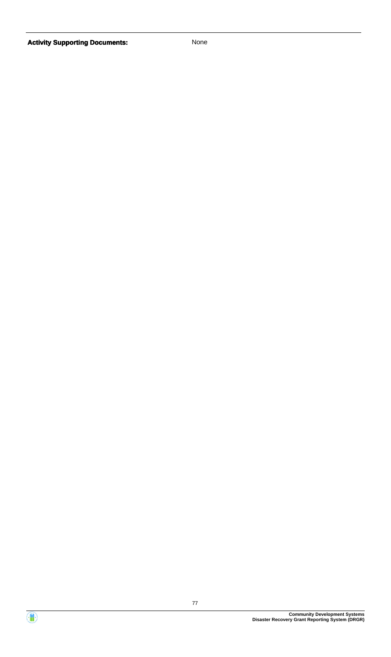

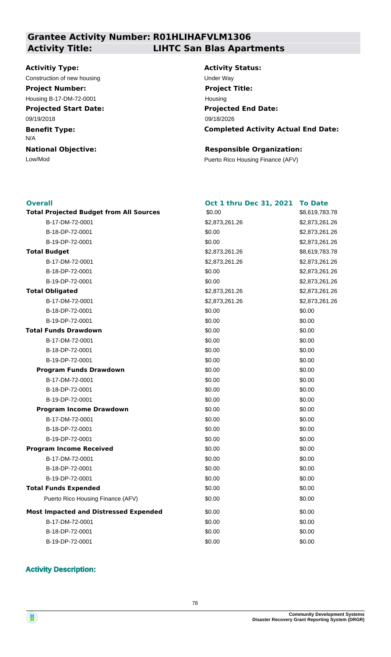## **Grantee Activity Number: R01HLIHAFVLM1306 Activity Title: LIHTC San Blas Apartments**

#### **Activitiy Type:**

Construction of new housing example of the Under Way **Project Number:**

**Projected Start Date:** Housing B-17-DM-72-0001

09/19/2018

**Benefit Type:**

N/A

**National Objective:**

**Activity Status: Projected End Date: Completed Activity Actual End Date:** 09/18/2026 **Project Title:** Housing

#### **Responsible Organization:**

Low/Mod Puerto Rico Housing Finance (AFV)

#### **Overall**

| <b>Overall</b>                                 | <b>Oct 1 thru Dec 31, 2021</b> | <b>To Date</b> |
|------------------------------------------------|--------------------------------|----------------|
| <b>Total Projected Budget from All Sources</b> | \$0.00                         | \$8,619,783.78 |
| B-17-DM-72-0001                                | \$2,873,261.26                 | \$2,873,261.26 |
| B-18-DP-72-0001                                | \$0.00                         | \$2,873,261.26 |
| B-19-DP-72-0001                                | \$0.00                         | \$2,873,261.26 |
| <b>Total Budget</b>                            | \$2,873,261.26                 | \$8,619,783.78 |
| B-17-DM-72-0001                                | \$2,873,261.26                 | \$2,873,261.26 |
| B-18-DP-72-0001                                | \$0.00                         | \$2,873,261.26 |
| B-19-DP-72-0001                                | \$0.00                         | \$2,873,261.26 |
| <b>Total Obligated</b>                         | \$2,873,261.26                 | \$2,873,261.26 |
| B-17-DM-72-0001                                | \$2,873,261.26                 | \$2,873,261.26 |
| B-18-DP-72-0001                                | \$0.00                         | \$0.00         |
| B-19-DP-72-0001                                | \$0.00                         | \$0.00         |
| <b>Total Funds Drawdown</b>                    | \$0.00                         | \$0.00         |
| B-17-DM-72-0001                                | \$0.00                         | \$0.00         |
| B-18-DP-72-0001                                | \$0.00                         | \$0.00         |
| B-19-DP-72-0001                                | \$0.00                         | \$0.00         |
| <b>Program Funds Drawdown</b>                  | \$0.00                         | \$0.00         |
| B-17-DM-72-0001                                | \$0.00                         | \$0.00         |
| B-18-DP-72-0001                                | \$0.00                         | \$0.00         |
| B-19-DP-72-0001                                | \$0.00                         | \$0.00         |
| <b>Program Income Drawdown</b>                 | \$0.00                         | \$0.00         |
| B-17-DM-72-0001                                | \$0.00                         | \$0.00         |
| B-18-DP-72-0001                                | \$0.00                         | \$0.00         |
| B-19-DP-72-0001                                | \$0.00                         | \$0.00         |
| <b>Program Income Received</b>                 | \$0.00                         | \$0.00         |
| B-17-DM-72-0001                                | \$0.00                         | \$0.00         |
| B-18-DP-72-0001                                | \$0.00                         | \$0.00         |
| B-19-DP-72-0001                                | \$0.00                         | \$0.00         |
| <b>Total Funds Expended</b>                    | \$0.00                         | \$0.00         |
| Puerto Rico Housing Finance (AFV)              | \$0.00                         | \$0.00         |
| <b>Most Impacted and Distressed Expended</b>   | \$0.00                         | \$0.00         |
| B-17-DM-72-0001                                | \$0.00                         | \$0.00         |
| B-18-DP-72-0001                                | \$0.00                         | \$0.00         |
| B-19-DP-72-0001                                | \$0.00                         | \$0.00         |

#### **Activity Description:**

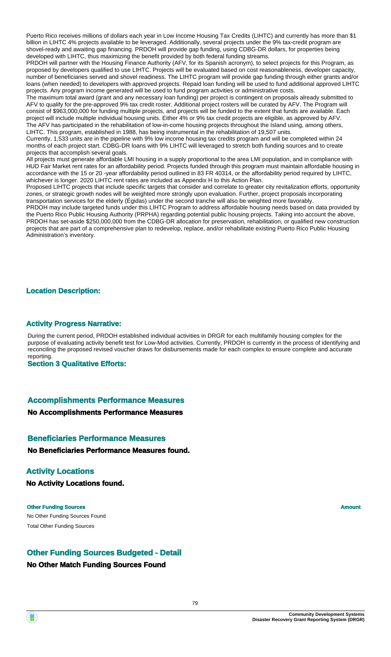Puerto Rico receives millions of dollars each year in Low Income Housing Tax Credits (LIHTC) and currently has more than \$1 billion in LIHTC 4% projects available to be leveraged. Additionally, several projects under the 9% tax-credit program are shovel-ready and awaiting gap financing. PRDOH will provide gap funding, using CDBG-DR dollars, for properties being developed with LIHTC, thus maximizing the benefit provided by both federal funding streams.

PRDOH will partner with the Housing Finance Authority (AFV, for its Spanish acronym), to select projects for this Program, as proposed by developers qualified to use LIHTC. Projects will be evaluated based on cost reasonableness, developer capacity, number of beneficiaries served and shovel readiness. The LIHTC program will provide gap funding through either grants and/or loans (when needed) to developers with approved projects. Repaid loan funding will be used to fund additional approved LIHTC projects. Any program income generated will be used to fund program activities or administrative costs.

The maximum total award (grant and any necessary loan funding) per project is contingent on proposals already submitted to AFV to qualify for the pre-approved 9% tax credit roster. Additional project rosters will be curated by AFV. The Program will consist of \$963,000,000 for funding multiple projects, and projects will be funded to the extent that funds are available. Each project will include multiple individual housing units. Either 4% or 9% tax credit projects are eligible, as approved by AFV. The AFV has participated in the rehabilitation of low-in-come housing projects throughout the Island using, among others, LIHTC. This program, established in 1988, has being instrumental in the rehabilitation of 19,507 units.

Currently, 1,533 units are in the pipeline with 9% low income housing tax credits program and will be completed within 24 months of each project start. CDBG-DR loans with 9% LIHTC will leveraged to stretch both funding sources and to create projects that accomplish several goals.

All projects must generate affordable LMI housing in a supply proportional to the area LMI population, and in compliance with HUD Fair Market rent rates for an affordability period. Projects funded through this program must maintain affordable housing in accordance with the 15 or 20 -year affordability period outlined in 83 FR 40314, or the affordability period required by LIHTC, whichever is longer. 2020 LIHTC rent rates are included as Appendix H to this Action Plan.

Proposed LIHTC projects that include specific targets that consider and correlate to greater city revitalization efforts, opportunity zones, or strategic growth nodes will be weighted more strongly upon evaluation. Further, project proposals incorporating transportation services for the elderly (Égidas) under the second tranche will also be weighted more favorably.

PRDOH may include targeted funds under this LIHTC Program to address affordable housing needs based on data provided by the Puerto Rico Public Housing Authority (PRPHA) regarding potential public housing projects. Taking into account the above, PRDOH has set-aside \$250,000,000 from the CDBG-DR allocation for preservation, rehabilitation, or qualified new construction projects that are part of a comprehensive plan to redevelop, replace, and/or rehabilitate existing Puerto Rico Public Housing Administration's inventory.

#### **Location Description:**

#### **Activity Progress Narrative:**

During the current period, PRDOH established individual activities in DRGR for each multifamily housing complex for the purpose of evaluating activity benefit test for Low-Mod activities. Currently, PRDOH is currently in the process of identifying and reconciling the proposed revised voucher draws for disbursements made for each complex to ensure complete and accurate reporting.

**Section 3 Qualitative Efforts:**

#### **Accomplishments Performance Measures**

#### **No Accomplishments Performance Measures**

#### **Beneficiaries Performance Measures**

**No Beneficiaries Performance Measures found.**

#### **Activity Locations**

**No Activity Locations found.**

No Other Funding Sources Found **Other Funding Sources Amount Amount Amount Amount** Total Other Funding Sources

#### **Other Funding Sources Budgeted - Detail**

#### **No Other Match Funding Sources Found**

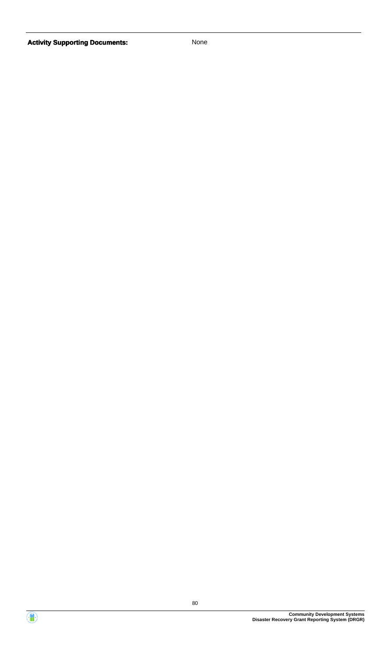

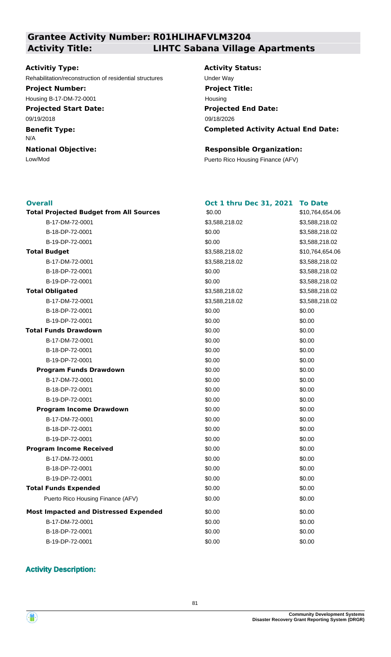#### **Grantee Activity Number: R01HLIHAFVLM3204 Activity Title: LIHTC Sabana Village Apartments**

#### **Activitiy Type:**

Rehabilitation/reconstruction of residential structures Under Way

#### **Project Number:**

Housing B-17-DM-72-0001

**Projected Start Date:**

#### 09/19/2018

**Benefit Type:**

#### N/A

**National Objective:**

## **Activity Status: Projected End Date: Completed Activity Actual End Date:** 09/18/2026 **Project Title:** Housing

**Oct 1 thru Dec 31, 2021 To Date**

\$10,764,654.06

B-17-DM-72-0001 \$3,588,218.02 \$3,588,218.02 B-18-DP-72-0001 \$0.00 \$3,588,218.02 \$3,588,218.02

\$3,588,218.02

B-17-DM-72-0001 \$3,588,218.02 \$3,588,218.02

 $$10,764,654.06$ 

B-17-DM-72-0001 \$3,588,218.02 \$3,588,218.02 B-18-DP-72-0001 \$0.00 \$3,588,218.02 \$3,588,218.02

#### **Responsible Organization:**

Low/Mod Puerto Rico Housing Finance (AFV)

#### **Overall**

| <b>Total Projected Budget from All Sources</b> | \$0.00         | \$10,7 |
|------------------------------------------------|----------------|--------|
| B-17-DM-72-0001                                | \$3,588,218.02 | \$3,58 |
| B-18-DP-72-0001                                | \$0.00         | \$3,58 |
| B-19-DP-72-0001                                | \$0.00         | \$3,58 |
| <b>Total Budget</b>                            | \$3,588,218.02 | \$10,7 |
| B-17-DM-72-0001                                | \$3,588,218.02 | \$3,58 |
| B-18-DP-72-0001                                | \$0.00         | \$3,58 |
| B-19-DP-72-0001                                | \$0.00         | \$3,58 |
| <b>Total Obligated</b>                         | \$3,588,218.02 | \$3,58 |
| B-17-DM-72-0001                                | \$3,588,218.02 | \$3,58 |
| B-18-DP-72-0001                                | \$0.00         | \$0.00 |
| B-19-DP-72-0001                                | \$0.00         | \$0.00 |
| <b>Total Funds Drawdown</b>                    | \$0.00         | \$0.00 |
| B-17-DM-72-0001                                | \$0.00         | \$0.00 |
| B-18-DP-72-0001                                | \$0.00         | \$0.00 |
| B-19-DP-72-0001                                | \$0.00         | \$0.00 |
| <b>Program Funds Drawdown</b>                  | \$0.00         | \$0.00 |
| B-17-DM-72-0001                                | \$0.00         | \$0.00 |
| B-18-DP-72-0001                                | \$0.00         | \$0.00 |
| B-19-DP-72-0001                                | \$0.00         | \$0.00 |
| <b>Program Income Drawdown</b>                 | \$0.00         | \$0.00 |
| B-17-DM-72-0001                                | \$0.00         | \$0.00 |
| B-18-DP-72-0001                                | \$0.00         | \$0.00 |
| B-19-DP-72-0001                                | \$0.00         | \$0.00 |
| <b>Program Income Received</b>                 | \$0.00         | \$0.00 |
| B-17-DM-72-0001                                | \$0.00         | \$0.00 |
| B-18-DP-72-0001                                | \$0.00         | \$0.00 |
| B-19-DP-72-0001                                | \$0.00         | \$0.00 |
| <b>Total Funds Expended</b>                    | \$0.00         | \$0.00 |
| Puerto Rico Housing Finance (AFV)              | \$0.00         | \$0.00 |
| <b>Most Impacted and Distressed Expended</b>   | \$0.00         | \$0.00 |
| B-17-DM-72-0001                                | \$0.00         | \$0.00 |
| B-18-DP-72-0001                                | \$0.00         | \$0.00 |
| B-19-DP-72-0001                                | \$0.00         | \$0.00 |

#### **Activity Description:**

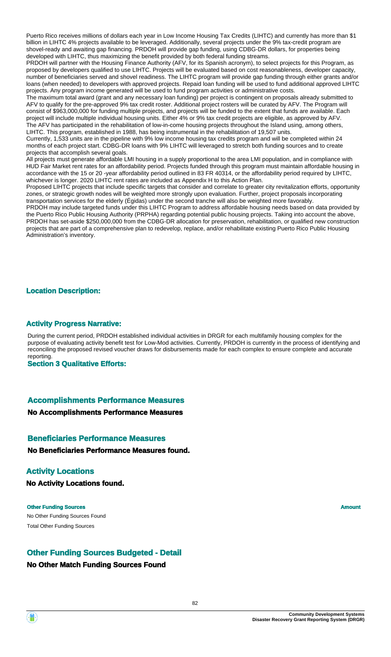Puerto Rico receives millions of dollars each year in Low Income Housing Tax Credits (LIHTC) and currently has more than \$1 billion in LIHTC 4% projects available to be leveraged. Additionally, several projects under the 9% tax-credit program are shovel-ready and awaiting gap financing. PRDOH will provide gap funding, using CDBG-DR dollars, for properties being developed with LIHTC, thus maximizing the benefit provided by both federal funding streams.

PRDOH will partner with the Housing Finance Authority (AFV, for its Spanish acronym), to select projects for this Program, as proposed by developers qualified to use LIHTC. Projects will be evaluated based on cost reasonableness, developer capacity, number of beneficiaries served and shovel readiness. The LIHTC program will provide gap funding through either grants and/or loans (when needed) to developers with approved projects. Repaid loan funding will be used to fund additional approved LIHTC projects. Any program income generated will be used to fund program activities or administrative costs.

The maximum total award (grant and any necessary loan funding) per project is contingent on proposals already submitted to AFV to qualify for the pre-approved 9% tax credit roster. Additional project rosters will be curated by AFV. The Program will consist of \$963,000,000 for funding multiple projects, and projects will be funded to the extent that funds are available. Each project will include multiple individual housing units. Either 4% or 9% tax credit projects are eligible, as approved by AFV. The AFV has participated in the rehabilitation of low-in-come housing projects throughout the Island using, among others, LIHTC. This program, established in 1988, has being instrumental in the rehabilitation of 19,507 units.

Currently, 1,533 units are in the pipeline with 9% low income housing tax credits program and will be completed within 24 months of each project start. CDBG-DR loans with 9% LIHTC will leveraged to stretch both funding sources and to create projects that accomplish several goals.

All projects must generate affordable LMI housing in a supply proportional to the area LMI population, and in compliance with HUD Fair Market rent rates for an affordability period. Projects funded through this program must maintain affordable housing in accordance with the 15 or 20 -year affordability period outlined in 83 FR 40314, or the affordability period required by LIHTC, whichever is longer. 2020 LIHTC rent rates are included as Appendix H to this Action Plan.

Proposed LIHTC projects that include specific targets that consider and correlate to greater city revitalization efforts, opportunity zones, or strategic growth nodes will be weighted more strongly upon evaluation. Further, project proposals incorporating transportation services for the elderly (Égidas) under the second tranche will also be weighted more favorably.

PRDOH may include targeted funds under this LIHTC Program to address affordable housing needs based on data provided by the Puerto Rico Public Housing Authority (PRPHA) regarding potential public housing projects. Taking into account the above, PRDOH has set-aside \$250,000,000 from the CDBG-DR allocation for preservation, rehabilitation, or qualified new construction projects that are part of a comprehensive plan to redevelop, replace, and/or rehabilitate existing Puerto Rico Public Housing Administration's inventory.

#### **Location Description:**

#### **Activity Progress Narrative:**

During the current period, PRDOH established individual activities in DRGR for each multifamily housing complex for the purpose of evaluating activity benefit test for Low-Mod activities. Currently, PRDOH is currently in the process of identifying and reconciling the proposed revised voucher draws for disbursements made for each complex to ensure complete and accurate reporting.

**Section 3 Qualitative Efforts:**

#### **Accomplishments Performance Measures**

#### **No Accomplishments Performance Measures**

#### **Beneficiaries Performance Measures**

**No Beneficiaries Performance Measures found.**

#### **Activity Locations**

**No Activity Locations found.**

No Other Funding Sources Found **Other Funding Sources Amount Amount Amount Amount** Total Other Funding Sources

#### **Other Funding Sources Budgeted - Detail**

#### **No Other Match Funding Sources Found**

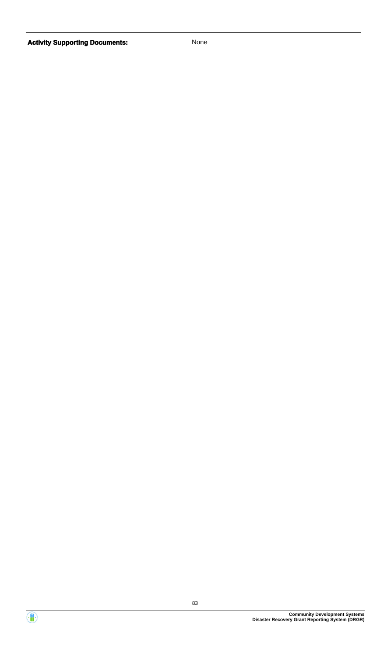

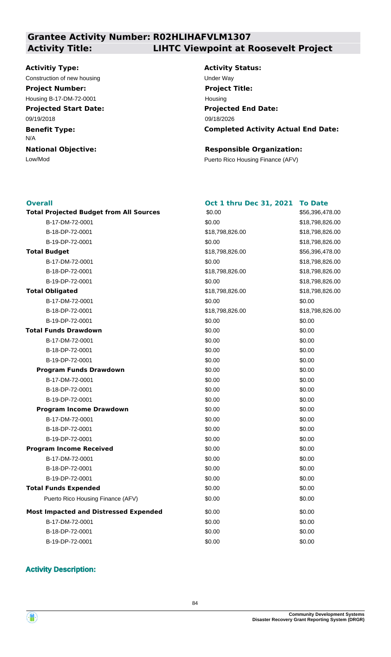## **Grantee Activity Number: R02HLIHAFVLM1307 Activity Title: LIHTC Viewpoint at Roosevelt Project**

#### **Activitiy Type:**

Construction of new housing Theorem 2012 Construction of new housing Theorem 2012

**Projected Start Date: Project Number:** Housing B-17-DM-72-0001

09/19/2018

**Benefit Type:** N/A

**National Objective:**

# **Activity Status:**

**Projected End Date: Completed Activity Actual End Date:** 09/18/2026 **Project Title:** Housing

\$56,396,478.00

\$18,798,826.00 B-18-DP-72-0001 \$18,798,826.00 \$18,798,826.00 B-19-DP-72-0001 \$0.00 \$18,798,826.00

\$18,798,826.00

B-18-DP-72-0001 \$18,798,826.00 \$18,798,826.00

**Total Projected Budget from All Sources** \$56,396,478.00

\$18,798,826.00 B-18-DP-72-0001 \$18,798,826.00 \$18,798,826.00 B-19-DP-72-0001 \$0.00 \$18,798,826.00

#### **Responsible Organization:**

Low/Mod Puerto Rico Housing Finance (AFV)

#### **Overall**

| <b>Overall</b>                                 | <b>Oct 1 thru Dec 31, 2021</b> | <b>To Date</b> |
|------------------------------------------------|--------------------------------|----------------|
| <b>Total Projected Budget from All Sources</b> | \$0.00                         | \$56,396,47    |
| B-17-DM-72-0001                                | \$0.00                         | \$18,798,82    |
| B-18-DP-72-0001                                | \$18,798,826.00                | \$18,798,82    |
| B-19-DP-72-0001                                | \$0.00                         | \$18,798,82    |
| <b>Total Budget</b>                            | \$18,798,826.00                | \$56,396,47    |
| B-17-DM-72-0001                                | \$0.00                         | \$18,798,82    |
| B-18-DP-72-0001                                | \$18,798,826.00                | \$18,798,82    |
| B-19-DP-72-0001                                | \$0.00                         | \$18,798,82    |
| <b>Total Obligated</b>                         | \$18,798,826.00                | \$18,798,82    |
| B-17-DM-72-0001                                | \$0.00                         | \$0.00         |
| B-18-DP-72-0001                                | \$18,798,826.00                | \$18,798,82    |
| B-19-DP-72-0001                                | \$0.00                         | \$0.00         |
| <b>Total Funds Drawdown</b>                    | \$0.00                         | \$0.00         |
| B-17-DM-72-0001                                | \$0.00                         | \$0.00         |
| B-18-DP-72-0001                                | \$0.00                         | \$0.00         |
| B-19-DP-72-0001                                | \$0.00                         | \$0.00         |
| <b>Program Funds Drawdown</b>                  | \$0.00                         | \$0.00         |
| B-17-DM-72-0001                                | \$0.00                         | \$0.00         |
| B-18-DP-72-0001                                | \$0.00                         | \$0.00         |
| B-19-DP-72-0001                                | \$0.00                         | \$0.00         |
| <b>Program Income Drawdown</b>                 | \$0.00                         | \$0.00         |
| B-17-DM-72-0001                                | \$0.00                         | \$0.00         |
| B-18-DP-72-0001                                | \$0.00                         | \$0.00         |
| B-19-DP-72-0001                                | \$0.00                         | \$0.00         |
| <b>Program Income Received</b>                 | \$0.00                         | \$0.00         |
| B-17-DM-72-0001                                | \$0.00                         | \$0.00         |
| B-18-DP-72-0001                                | \$0.00                         | \$0.00         |
| B-19-DP-72-0001                                | \$0.00                         | \$0.00         |
| <b>Total Funds Expended</b>                    | \$0.00                         | \$0.00         |
| Puerto Rico Housing Finance (AFV)              | \$0.00                         | \$0.00         |
| <b>Most Impacted and Distressed Expended</b>   | \$0.00                         | \$0.00         |
| B-17-DM-72-0001                                | \$0.00                         | \$0.00         |
| B-18-DP-72-0001                                | \$0.00                         | \$0.00         |
| B-19-DP-72-0001                                | \$0.00                         | \$0.00         |

#### **Activity Description:**

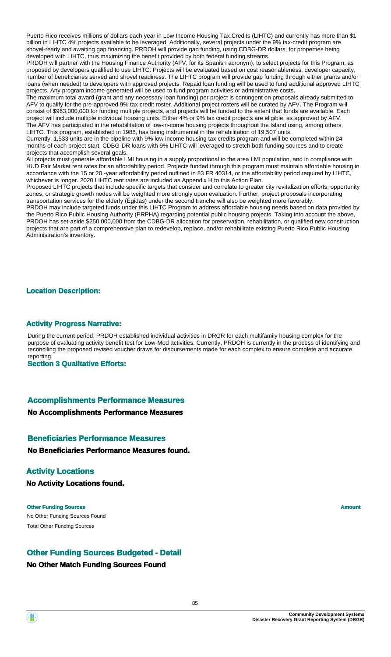Puerto Rico receives millions of dollars each year in Low Income Housing Tax Credits (LIHTC) and currently has more than \$1 billion in LIHTC 4% projects available to be leveraged. Additionally, several projects under the 9% tax-credit program are shovel-ready and awaiting gap financing. PRDOH will provide gap funding, using CDBG-DR dollars, for properties being developed with LIHTC, thus maximizing the benefit provided by both federal funding streams.

PRDOH will partner with the Housing Finance Authority (AFV, for its Spanish acronym), to select projects for this Program, as proposed by developers qualified to use LIHTC. Projects will be evaluated based on cost reasonableness, developer capacity, number of beneficiaries served and shovel readiness. The LIHTC program will provide gap funding through either grants and/or loans (when needed) to developers with approved projects. Repaid loan funding will be used to fund additional approved LIHTC projects. Any program income generated will be used to fund program activities or administrative costs.

The maximum total award (grant and any necessary loan funding) per project is contingent on proposals already submitted to AFV to qualify for the pre-approved 9% tax credit roster. Additional project rosters will be curated by AFV. The Program will consist of \$963,000,000 for funding multiple projects, and projects will be funded to the extent that funds are available. Each project will include multiple individual housing units. Either 4% or 9% tax credit projects are eligible, as approved by AFV. The AFV has participated in the rehabilitation of low-in-come housing projects throughout the Island using, among others, LIHTC. This program, established in 1988, has being instrumental in the rehabilitation of 19,507 units.

Currently, 1,533 units are in the pipeline with 9% low income housing tax credits program and will be completed within 24 months of each project start. CDBG-DR loans with 9% LIHTC will leveraged to stretch both funding sources and to create projects that accomplish several goals.

All projects must generate affordable LMI housing in a supply proportional to the area LMI population, and in compliance with HUD Fair Market rent rates for an affordability period. Projects funded through this program must maintain affordable housing in accordance with the 15 or 20 -year affordability period outlined in 83 FR 40314, or the affordability period required by LIHTC, whichever is longer. 2020 LIHTC rent rates are included as Appendix H to this Action Plan.

Proposed LIHTC projects that include specific targets that consider and correlate to greater city revitalization efforts, opportunity zones, or strategic growth nodes will be weighted more strongly upon evaluation. Further, project proposals incorporating transportation services for the elderly (Égidas) under the second tranche will also be weighted more favorably.

PRDOH may include targeted funds under this LIHTC Program to address affordable housing needs based on data provided by the Puerto Rico Public Housing Authority (PRPHA) regarding potential public housing projects. Taking into account the above, PRDOH has set-aside \$250,000,000 from the CDBG-DR allocation for preservation, rehabilitation, or qualified new construction projects that are part of a comprehensive plan to redevelop, replace, and/or rehabilitate existing Puerto Rico Public Housing Administration's inventory.

#### **Location Description:**

#### **Activity Progress Narrative:**

During the current period, PRDOH established individual activities in DRGR for each multifamily housing complex for the purpose of evaluating activity benefit test for Low-Mod activities. Currently, PRDOH is currently in the process of identifying and reconciling the proposed revised voucher draws for disbursements made for each complex to ensure complete and accurate reporting.

**Section 3 Qualitative Efforts:**

#### **Accomplishments Performance Measures**

#### **No Accomplishments Performance Measures**

#### **Beneficiaries Performance Measures**

**No Beneficiaries Performance Measures found.**

#### **Activity Locations**

**No Activity Locations found.**

No Other Funding Sources Found **Other Funding Sources Amount Amount Amount Amount** Total Other Funding Sources

#### **Other Funding Sources Budgeted - Detail**

#### **No Other Match Funding Sources Found**

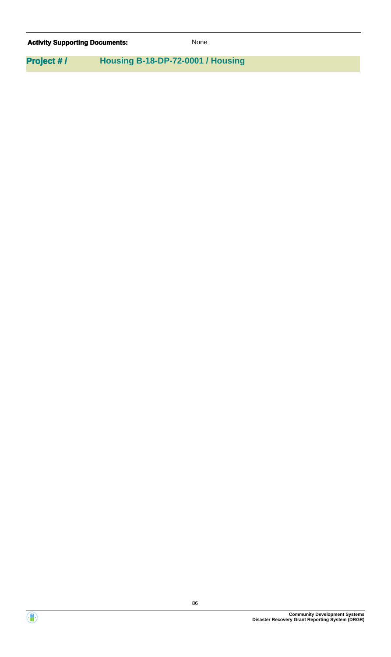| <b>Activity Supporting Documents:</b> | <b>None</b>                       |  |
|---------------------------------------|-----------------------------------|--|
| <b>Project #/</b>                     | Housing B-18-DP-72-0001 / Housing |  |

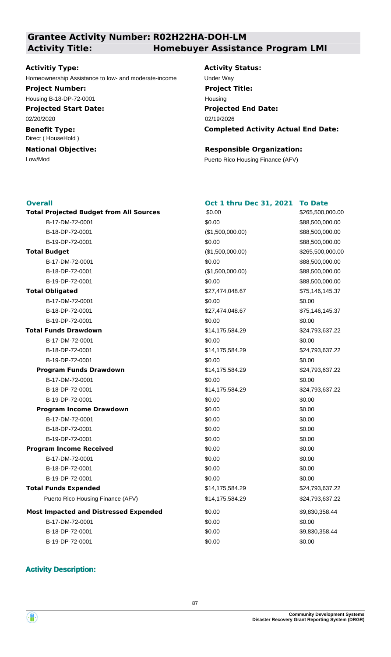#### **Grantee Activity Number: R02H22HA-DOH-LM Activity Title: Homebuyer Assistance Program LMI**

#### **Activitiy Type:**

Homeownership Assistance to low- and moderate-income Under Way

**Project Number:**

Housing B-18-DP-72-0001

**Projected Start Date:** 02/20/2020

**Benefit Type:** Direct ( HouseHold )

**National Objective:**

**Activity Status: Projected End Date: Completed Activity Actual End Date:** 02/19/2026 **Project Title:** Housing

#### **Responsible Organization:**

Low/Mod Puerto Rico Housing Finance (AFV)

#### **Overall**

**Total Projected Budget from All Sources**  $$0.00$   $$265,500,000.00$ (\$1,500,000.00) \$0.00 **Total Budget Program Income Drawdown Program Income Received Total Funds Drawdown Total Obligated** \$14,175,584.29 \$0.00 \$27,474,048.67 **Most Impacted and Distressed Expended** \$0.00 Puerto Rico Housing Finance (AFV)  $$14,175,584.29$  \$24,793,637.22 **Program Funds Drawdown** \$14,175,584.29 \$24,793,637.22 **Total Funds Expended** \$14,175,584.29 \$24,793,637.22 B-17-DM-72-0001 \$0.00 \$88,500,000.00 B-18-DP-72-0001 (\$1,500,000.00) \$88,500,000.00 B-19-DP-72-0001 \$0.00 \$88,500,000.00 B-17-DM-72-0001 \$0.00 \$88,500,000.00 B-18-DP-72-0001 (\$1,500,000.00) \$88,500,000.00 B-19-DP-72-0001 \$0.00 \$88,500,000.00 B-17-DM-72-0001 \$0.00 \$0.00 B-18-DP-72-0001 \$27,474,048.67 \$75,146,145.37 B-19-DP-72-0001 \$0.00 \$0.00 B-17-DM-72-0001 \$0.00 \$0.00 B-18-DP-72-0001 \$14,175,584.29 \$24,793,637.22 B-19-DP-72-0001 \$0.00 \$0.00 B-17-DM-72-0001 \$0.00 \$0.00 \$0.00 \$0.00 B-18-DP-72-0001 \$14,175,584.29 \$24,793,637.22 B-19-DP-72-0001 \$0.00 \$0.00 B-17-DM-72-0001 \$0.00 \$0.00 B-18-DP-72-0001 \$0.00 \$0.00 B-19-DP-72-0001 \$0.00 \$0.00 B-17-DM-72-0001 \$0.00 \$0.00 B-18-DP-72-0001 \$0.00 \$0.00 B-19-DP-72-0001 \$0.00 \$0.00 B-17-DM-72-0001 \$0.00 \$0.00 B-18-DP-72-0001 69,830,358.44 B-19-DP-72-0001 \$0.00 \$0.00 \$0.00

#### **Oct 1 thru Dec 31, 2021 To Date**

\$265,500,000.00 \$75,146,145.37 \$9,830,358.44 \$0.00 \$0.00 \$24,793,637.22

#### **Activity Description:**

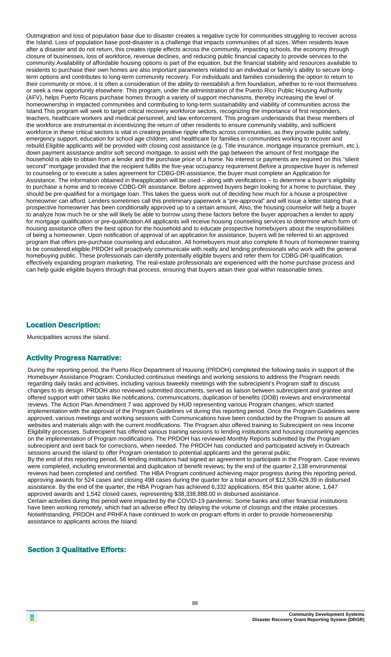Outmigration and loss of population base due to disaster creates a negative cycle for communities struggling to recover across the Island. Loss of population base post-disaster is a challenge that impacts communities of all sizes. When residents leave after a disaster and do not return, this creates ripple effects across the community, impacting schools, the economy through closure of businesses, loss of workforce, revenue declines, and reducing public financial capacity to provide services to the community.Availability of affordable housing options is part of the equation, but the financial stability and resources available to residents to purchase their own homes are also important parameters related to an individual or family's ability to secure longterm options and contributes to long-term community recovery. For individuals and families considering the option to return to their community or move, it is often a consideration of the ability to reestablish a firm foundation, whether to re-root themselves or seek a new opportunity elsewhere. This program, under the administration of the Puerto Rico Public Housing Authority (AFV), helps Puerto Ricans purchase homes through a variety of support mechanisms, thereby increasing the level of homeownership in impacted communities and contributing to long-term sustainability and viability of communities across the Island.This program will seek to target critical recovery workforce sectors, recognizing the importance of first responders, teachers, healthcare workers and medical personnel, and law enforcement. This program understands that these members of the workforce are instrumental in incentivizing the return of other residents to ensure community viability, and sufficient workforce in these critical sectors is vital in creating positive ripple effects across communities, as they provide public safety, emergency support, education for school age children, and healthcare for families in communities working to recover and rebuild.Eligible applicants will be provided with closing cost assistance (e.g. Title insurance, mortgage insurance premium, etc.), down payment assistance and/or soft second mortgage, to assist with the gap between the amount of first mortgage the household is able to obtain from a lender and the purchase price of a home. No interest or payments are required on this "silent second" mortgage provided that the recipient fulfills the five-year occupancy requirement.Before a prospective buyer is referred to counseling or to execute a sales agreement for CDBG-DR-assistance, the buyer must complete an Application for Assistance. The information obtained in theapplication will be used – along with verifications – to determine a buyer's eligibility to purchase a home and to receive CDBG-DR assistance. Before approved buyers begin looking for a home to purchase, they should be pre-qualified for a mortgage loan. This takes the guess work out of deciding how much for a house a prospective homeowner can afford. Lenders sometimes call this preliminary paperwork a "pre-approval" and will issue a letter stating that a prospective homeowner has been conditionally approved up to a certain amount. Also, the housing counselor will help a buyer to analyze how much he or she will likely be able to borrow using these factors before the buyer approaches a lender to apply for mortgage qualification or pre-qualification.All applicants will receive housing counseling services to determine which form of housing assistance offers the best option for the household and to educate prospective homebuyers about the responsibilities of being a homeowner. Upon notification of approval of an application for assistance, buyers will be referred to an approved program that offers pre-purchase counseling and education. All homebuyers must also complete 8 hours of homeowner training to be considered eligible.PRDOH will proactively communicate with realty and lending professionals who work with the general homebuying public. These professionals can identify potentially eligible buyers and refer them for CDBG-DR qualification, effectively expanding program marketing. The real-estate professionals are experienced with the home purchase process and can help guide eligible buyers through that process, ensuring that buyers attain their goal within reasonable times.

#### **Location Description:**

Municipalities across the island.

#### **Activity Progress Narrative:**

During the reporting period, the Puerto Rico Department of Housing (PRDOH) completed the following tasks in support of the Homebuyer Assistance Program: Conducted continuous meetings and working sessions to address the Program needs regarding daily tasks and activities, including various biweekly meetings with the subrecipient's Program staff to discuss changes to its design. PRDOH also reviewed submitted documents, served as liaison between subrecipient and grantee and offered support with other tasks like notifications, communications, duplication of benefits (DOB) reviews and environmental reviews. The Action Plan Amendment 7 was approved by HUD representing various Program changes, which started implementation with the approval of the Program Guidelines v4 during this reporting period. Once the Program Guidelines were approved, various meetings and working sessions with Communications have been conducted by the Program to assure all websites and materials align with the current modifications. The Program also offered training to Subrecipient on new Income Eligibility processes. Subrecipient has offered various training sessions to lending institutions and housing counseling agencies on the implementation of Program modifications. The PRDOH has reviewed Monthly Reports submitted by the Program subrecipient and sent back for corrections, when needed. The PRDOH has conducted and participated actively in Outreach sessions around the island to offer Program orientation to potential applicants and the general public. By the end of this reporting period, 56 lending institutions had signed an agreement to participate in the Program. Case reviews were completed, including environmental and duplication of benefit reviews; by the end of the quarter 2,138 environmental reviews had been completed and certified. The HBA Program continued achieving major progress during this reporting period, approving awards for 524 cases and closing 498 cases during the quarter for a total amount of \$12,539,429.39 in disbursed assistance. By the end of the quarter, the HBA Program has achieved 6,332 applications, 854 this quarter alone, 1,647 approved awards and 1,542 closed cases, representing \$38,338,888.00 in disbursed assistance. Certain activities during this period were impacted by the COVID-19 pandemic. Some banks and other financial institutions have been working remotely, which had an adverse effect by delaying the volume of closings and the intake processes. Notwithstanding, PRDOH and PRHFA have continued to work on program efforts in order to provide homeownership assistance to applicants across the Island.

#### **Section 3 Qualitative Efforts:**

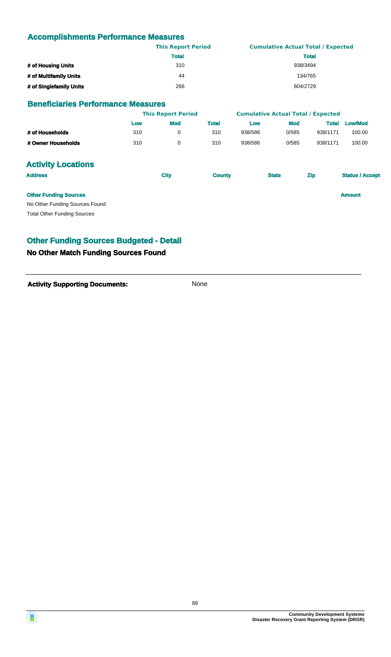#### **Accomplishments Performance Measures**

|                         | <b>This Report Period</b> | <b>Cumulative Actual Total / Expected</b> |
|-------------------------|---------------------------|-------------------------------------------|
|                         | <b>Total</b>              | <b>Total</b>                              |
| # of Housing Units      | 310                       | 938/3494                                  |
| # of Multifamily Units  | 44                        | 134/765                                   |
| # of Singlefamily Units | 266                       | 804/2729                                  |

#### **Beneficiaries Performance Measures**

|                                    |     | <b>This Report Period</b> |               |         | <b>Cumulative Actual Total / Expected</b> |              |                        |
|------------------------------------|-----|---------------------------|---------------|---------|-------------------------------------------|--------------|------------------------|
|                                    | Low | <b>Mod</b>                | <b>Total</b>  | Low     | <b>Mod</b>                                | <b>Total</b> | <b>Low/Mod</b>         |
| # of Households                    | 310 | 0                         | 310           | 938/586 | 0/585                                     | 938/1171     | 100.00                 |
| # Owner Households                 | 310 | 0                         | 310           | 938/586 | 0/585                                     | 938/1171     | 100.00                 |
| <b>Activity Locations</b>          |     |                           |               |         |                                           |              |                        |
| <b>Address</b>                     |     | <b>City</b>               | <b>County</b> |         | <b>State</b>                              | <b>Zip</b>   | <b>Status / Accept</b> |
| <b>Other Funding Sources</b>       |     |                           |               |         |                                           |              | <b>Amount</b>          |
| No Other Funding Sources Found     |     |                           |               |         |                                           |              |                        |
| <b>Total Other Funding Sources</b> |     |                           |               |         |                                           |              |                        |

#### **Other Funding Sources Budgeted - Detail**

#### **No Other Match Funding Sources Found**

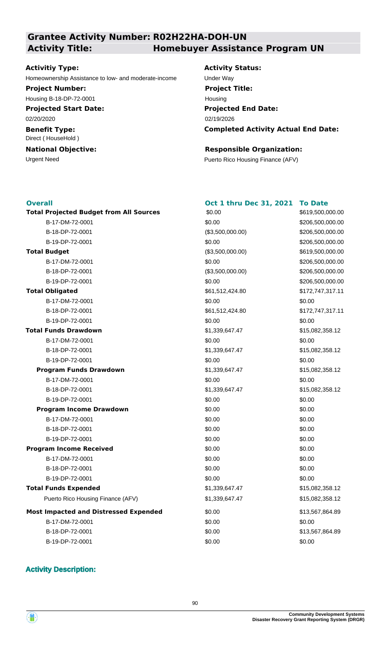### **Grantee Activity Number: R02H22HA-DOH-UN Activity Title: Homebuyer Assistance Program UN**

#### **Activitiy Type:**

Homeownership Assistance to low- and moderate-income Under Way

## **Project Number:**

Housing B-18-DP-72-0001

**Projected Start Date:** 02/20/2020

**Benefit Type:** Direct ( HouseHold )

# **National Objective:**

**Activity Status: Projected End Date: Completed Activity Actual End Date:** 02/19/2026 **Project Title:** Housing

#### **Responsible Organization:**

Urgent Need **Puerto Rico Housing Finance (AFV)** 

**Oct 1 thru Dec 31, 2021 To Date**

### **Overall**

| <b>Total Projected Budget from All Sources</b> | \$0.00           | \$619,  |
|------------------------------------------------|------------------|---------|
| B-17-DM-72-0001                                | \$0.00           | \$206,  |
| B-18-DP-72-0001                                | (\$3,500,000.00) | \$206,  |
| B-19-DP-72-0001                                | \$0.00           | \$206,  |
| <b>Total Budget</b>                            | (\$3,500,000.00) | \$619,  |
| B-17-DM-72-0001                                | \$0.00           | \$206,  |
| B-18-DP-72-0001                                | (\$3,500,000.00) | \$206,5 |
| B-19-DP-72-0001                                | \$0.00           | \$206,  |
| <b>Total Obligated</b>                         | \$61,512,424.80  | \$172,  |
| B-17-DM-72-0001                                | \$0.00           | \$0.00  |
| B-18-DP-72-0001                                | \$61,512,424.80  | \$172,  |
| B-19-DP-72-0001                                | \$0.00           | \$0.00  |
| <b>Total Funds Drawdown</b>                    | \$1,339,647.47   | \$15,08 |
| B-17-DM-72-0001                                | \$0.00           | \$0.00  |
| B-18-DP-72-0001                                | \$1,339,647.47   | \$15,08 |
| B-19-DP-72-0001                                | \$0.00           | \$0.00  |
| <b>Program Funds Drawdown</b>                  | \$1,339,647.47   | \$15,08 |
| B-17-DM-72-0001                                | \$0.00           | \$0.00  |
| B-18-DP-72-0001                                | \$1,339,647.47   | \$15,08 |
| B-19-DP-72-0001                                | \$0.00           | \$0.00  |
| <b>Program Income Drawdown</b>                 | \$0.00           | \$0.00  |
| B-17-DM-72-0001                                | \$0.00           | \$0.00  |
| B-18-DP-72-0001                                | \$0.00           | \$0.00  |
| B-19-DP-72-0001                                | \$0.00           | \$0.00  |
| <b>Program Income Received</b>                 | \$0.00           | \$0.00  |
| B-17-DM-72-0001                                | \$0.00           | \$0.00  |
| B-18-DP-72-0001                                | \$0.00           | \$0.00  |
| B-19-DP-72-0001                                | \$0.00           | \$0.00  |
| <b>Total Funds Expended</b>                    | \$1,339,647.47   | \$15,08 |
| Puerto Rico Housing Finance (AFV)              | \$1,339,647.47   | \$15,08 |
| <b>Most Impacted and Distressed Expended</b>   | \$0.00           | \$13,50 |
| B-17-DM-72-0001                                | \$0.00           | \$0.00  |
| B-18-DP-72-0001                                | \$0.00           | \$13,56 |
| B-19-DP-72-0001                                | \$0.00           | \$0.00  |

\$619,500,000.00 \$172,747,317.11 \$13,567,864.89 \$0.00 \$0.00 \$15,082,358.12  $$15,082,358.12$  $$15,082,358.12$  $$15,082,358.12$ B-17-DM-72-0001 \$0.00 \$206,500,000.00 B-18-DP-72-0001 (\$3,500,000.00) \$206,500,000.00  $$206,500,000.00$  $$206,500,000.00$ B-18-DP-72-0001 (\$3,500,000.00) \$206,500,000.00  $$206,500,000.00$ B-18-DP-72-0001 \$61,512,424.80 \$172,747,317.11 \$15,082,358.12 \$15,082,358.12

**Total Projected Budget from All Sources** \$619,500,000.00

#### **Activity Description:**

B-18-DP-72-0001 \$0.00 \$13,567,864.89

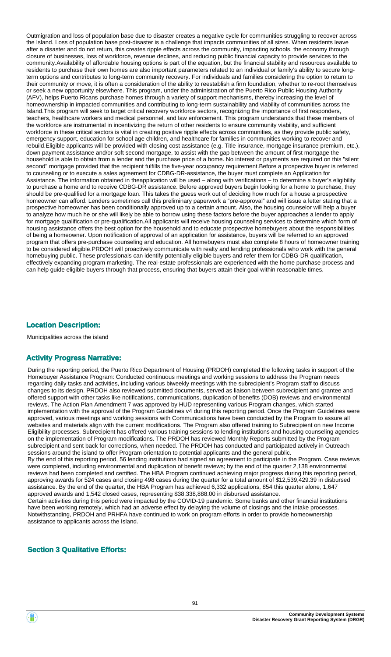Outmigration and loss of population base due to disaster creates a negative cycle for communities struggling to recover across the Island. Loss of population base post-disaster is a challenge that impacts communities of all sizes. When residents leave after a disaster and do not return, this creates ripple effects across the community, impacting schools, the economy through closure of businesses, loss of workforce, revenue declines, and reducing public financial capacity to provide services to the community.Availability of affordable housing options is part of the equation, but the financial stability and resources available to residents to purchase their own homes are also important parameters related to an individual or family's ability to secure longterm options and contributes to long-term community recovery. For individuals and families considering the option to return to their community or move, it is often a consideration of the ability to reestablish a firm foundation, whether to re-root themselves or seek a new opportunity elsewhere. This program, under the administration of the Puerto Rico Public Housing Authority (AFV), helps Puerto Ricans purchase homes through a variety of support mechanisms, thereby increasing the level of homeownership in impacted communities and contributing to long-term sustainability and viability of communities across the Island.This program will seek to target critical recovery workforce sectors, recognizing the importance of first responders, teachers, healthcare workers and medical personnel, and law enforcement. This program understands that these members of the workforce are instrumental in incentivizing the return of other residents to ensure community viability, and sufficient workforce in these critical sectors is vital in creating positive ripple effects across communities, as they provide public safety, emergency support, education for school age children, and healthcare for families in communities working to recover and rebuild.Eligible applicants will be provided with closing cost assistance (e.g. Title insurance, mortgage insurance premium, etc.), down payment assistance and/or soft second mortgage, to assist with the gap between the amount of first mortgage the household is able to obtain from a lender and the purchase price of a home. No interest or payments are required on this "silent second" mortgage provided that the recipient fulfills the five-year occupancy requirement.Before a prospective buyer is referred to counseling or to execute a sales agreement for CDBG-DR-assistance, the buyer must complete an Application for Assistance. The information obtained in theapplication will be used – along with verifications – to determine a buyer's eligibility to purchase a home and to receive CDBG-DR assistance. Before approved buyers begin looking for a home to purchase, they should be pre-qualified for a mortgage loan. This takes the guess work out of deciding how much for a house a prospective homeowner can afford. Lenders sometimes call this preliminary paperwork a "pre-approval" and will issue a letter stating that a prospective homeowner has been conditionally approved up to a certain amount. Also, the housing counselor will help a buyer to analyze how much he or she will likely be able to borrow using these factors before the buyer approaches a lender to apply for mortgage qualification or pre-qualification.All applicants will receive housing counseling services to determine which form of housing assistance offers the best option for the household and to educate prospective homebuyers about the responsibilities of being a homeowner. Upon notification of approval of an application for assistance, buyers will be referred to an approved program that offers pre-purchase counseling and education. All homebuyers must also complete 8 hours of homeowner training to be considered eligible.PRDOH will proactively communicate with realty and lending professionals who work with the general homebuying public. These professionals can identify potentially eligible buyers and refer them for CDBG-DR qualification, effectively expanding program marketing. The real-estate professionals are experienced with the home purchase process and can help guide eligible buyers through that process, ensuring that buyers attain their goal within reasonable times.

#### **Location Description:**

Municipalities across the island

#### **Activity Progress Narrative:**

During the reporting period, the Puerto Rico Department of Housing (PRDOH) completed the following tasks in support of the Homebuyer Assistance Program: Conducted continuous meetings and working sessions to address the Program needs regarding daily tasks and activities, including various biweekly meetings with the subrecipient's Program staff to discuss changes to its design. PRDOH also reviewed submitted documents, served as liaison between subrecipient and grantee and offered support with other tasks like notifications, communications, duplication of benefits (DOB) reviews and environmental reviews. The Action Plan Amendment 7 was approved by HUD representing various Program changes, which started implementation with the approval of the Program Guidelines v4 during this reporting period. Once the Program Guidelines were approved, various meetings and working sessions with Communications have been conducted by the Program to assure all websites and materials align with the current modifications. The Program also offered training to Subrecipient on new Income Eligibility processes. Subrecipient has offered various training sessions to lending institutions and housing counseling agencies on the implementation of Program modifications. The PRDOH has reviewed Monthly Reports submitted by the Program subrecipient and sent back for corrections, when needed. The PRDOH has conducted and participated actively in Outreach sessions around the island to offer Program orientation to potential applicants and the general public. By the end of this reporting period, 56 lending institutions had signed an agreement to participate in the Program. Case reviews were completed, including environmental and duplication of benefit reviews; by the end of the quarter 2,138 environmental reviews had been completed and certified. The HBA Program continued achieving major progress during this reporting period, approving awards for 524 cases and closing 498 cases during the quarter for a total amount of \$12,539,429.39 in disbursed assistance. By the end of the quarter, the HBA Program has achieved 6,332 applications, 854 this quarter alone, 1,647 approved awards and 1,542 closed cases, representing \$38,338,888.00 in disbursed assistance. Certain activities during this period were impacted by the COVID-19 pandemic. Some banks and other financial institutions have been working remotely, which had an adverse effect by delaying the volume of closings and the intake processes. Notwithstanding, PRDOH and PRHFA have continued to work on program efforts in order to provide homeownership assistance to applicants across the Island.

#### **Section 3 Qualitative Efforts:**

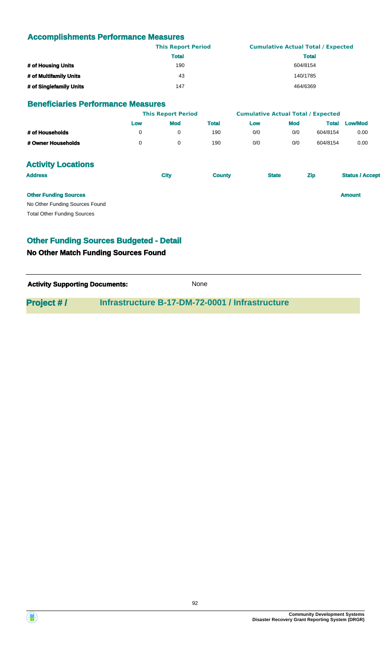#### **Accomplishments Performance Measures**

|                         | <b>This Report Period</b> | <b>Cumulative Actual Total / Expected</b> |
|-------------------------|---------------------------|-------------------------------------------|
|                         | Total                     | <b>Total</b>                              |
| # of Housing Units      | 190                       | 604/8154                                  |
| # of Multifamily Units  | 43                        | 140/1785                                  |
| # of Singlefamily Units | 147                       | 464/6369                                  |

#### **Beneficiaries Performance Measures**

|                                | <b>This Report Period</b> |             |               |              | <b>Cumulative Actual Total / Expected</b> |              |                        |
|--------------------------------|---------------------------|-------------|---------------|--------------|-------------------------------------------|--------------|------------------------|
|                                | Low                       | <b>Mod</b>  | <b>Total</b>  | Low          | <b>Mod</b>                                | <b>Total</b> | <b>Low/Mod</b>         |
| # of Households                | 0                         | 0           | 190           | 0/0          | 0/0                                       | 604/8154     | 0.00                   |
| # Owner Households             | 0                         | $\mathbf 0$ | 190           | 0/0          | 0/0                                       | 604/8154     | 0.00                   |
| <b>Activity Locations</b>      |                           |             |               |              |                                           |              |                        |
| <b>Address</b>                 |                           | <b>City</b> | <b>County</b> | <b>State</b> |                                           | <b>Zip</b>   | <b>Status / Accept</b> |
| <b>Other Funding Sources</b>   |                           |             |               |              |                                           |              | <b>Amount</b>          |
| No Other Funding Sources Found |                           |             |               |              |                                           |              |                        |

Total Other Funding Sources

#### **Other Funding Sources Budgeted - Detail**

#### **No Other Match Funding Sources Found**

**Activity Supporting Documents:** None

#### **Project # / Infrastructure B-17-DM-72-0001 / Infrastructure**

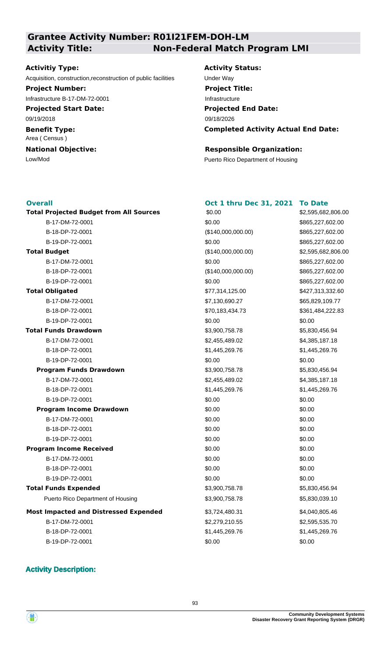#### **Grantee Activity Number: R01I21FEM-DOH-LM Activity Title: Non-Federal Match Program LMI**

#### **Activitiy Type:**

Acquisition, construction,reconstruction of public facilities Under Way

**Project Number:**

Infrastructure B-17-DM-72-0001

**Projected Start Date:** 09/19/2018

**Benefit Type:** Area ( Census )

**National Objective:**

**Activity Status: Projected End Date:** 09/18/2026 **Project Title:** Infrastructure

**Completed Activity Actual End Date:**

**Oct 1 thru Dec 31, 2021 To Date**

#### **Responsible Organization:**

Low/Mod<br>
Puerto Rico Department of Housing

#### **Overall**

**Total Projected Budget from All Sources** \$2,595,682,806.00 (\$140,000,000.00) \$0.00 **Total Budget Program Income Drawdown Program Income Received Total Funds Drawdown Total Obligated** \$3,900,758.78 \$0.00 \$77,314,125.00 **Most Impacted and Distressed Expended** \$3,724,480.31 Puerto Rico Department of Housing  $$3,900,758.78$  \$5,830,039.10 **Program Funds Drawdown**  $$3,900,758.78$   $$5,830,456.94$ **Total Funds Expended**  $$3,900,758.78$   $$5,830,456.94$ B-17-DM-72-0001 \$0.00 \$865,227,602.00 B-18-DP-72-0001 (\$140,000,000.00) \$865,227,602.00 B-19-DP-72-0001 \$0.00 \$865,227,602.00 B-17-DM-72-0001 \$0.00 \$865,227,602.00 B-18-DP-72-0001 (\$140,000,000.00) \$865,227,602.00 B-19-DP-72-0001 6865,227,602.00 50.00 \$0.00 \$0.00 \$865,227,602.00 B-17-DM-72-0001 65,829,109.77 \$7,130,690.27 \$65,829,109.77 B-18-DP-72-0001 \$70,183,434.73 \$361,484,222.83 B-19-DP-72-0001 \$0.00 \$0.00 B-17-DM-72-0001 64.385.187.18 B-18-DP-72-0001 \$1,445,269.76 \$1,445,269.76 B-19-DP-72-0001 \$0.00 \$0.00 B-17-DM-72-0001 \$2,455,489.02 \$4,385,187.18 B-18-DP-72-0001 \$1,445,269.76 \$1,445,269.76 \$1,445,269.76 B-19-DP-72-0001 \$0.00 \$0.00 B-17-DM-72-0001 \$0.00 \$0.00 B-18-DP-72-0001 \$0.00 \$0.00 B-19-DP-72-0001 \$0.00 \$0.00 \$0.00 B-17-DM-72-0001 \$0.00 \$0.00 B-18-DP-72-0001 \$0.00 \$0.00 B-19-DP-72-0001 \$0.00 \$0.00 B-17-DM-72-0001 \$2,279,210.55 \$2,595,535.70 B-18-DP-72-0001 \$1,445,269.76 \$1,445,269.76 B-19-DP-72-0001 \$0.00 \$0.00 \$0.00

# \$2,595,682,806.00 \$427,313,332.60 \$4,040,805.46 \$0.00 \$0.00 \$5,830,456.94

#### **Activity Description:**

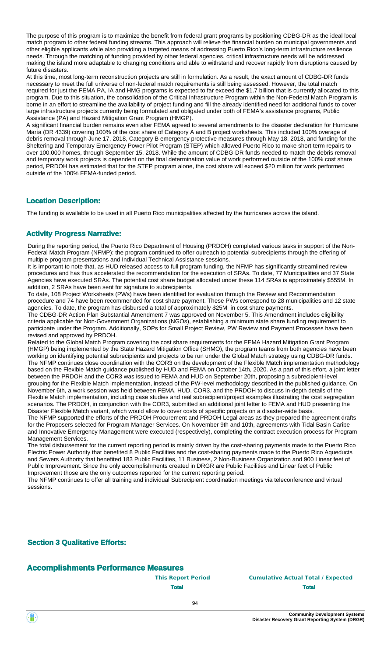The purpose of this program is to maximize the benefit from federal grant programs by positioning CDBG-DR as the ideal local match program to other federal funding streams. This approach will relieve the financial burden on municipal governments and other eligible applicants while also providing a targeted means of addressing Puerto Rico's long-term infrastructure resilience needs. Through the matching of funding provided by other federal agencies, critical infrastructure needs will be addressed making the island more adaptable to changing conditions and able to withstand and recover rapidly from disruptions caused by future disasters.

At this time, most long-term reconstruction projects are still in formulation. As a result, the exact amount of CDBG-DR funds necessary to meet the full universe of non-federal match requirements is still being assessed. However, the total match required for just the FEMA PA, IA and HMG programs is expected to far exceed the \$1.7 billion that is currently allocated to this program. Due to this situation, the consolidation of the Critical Infrastructure Program within the Non-Federal Match Program is borne in an effort to streamline the availability of project funding and fill the already identified need for additional funds to cover large infrastructure projects currently being formulated and obligated under both of FEMA's assistance programs, Public Assistance (PA) and Hazard Mitigation Grant Program (HMGP).

A significant financial burden remains even after FEMA agreed to several amendments to the disaster declaration for Hurricane María (DR 4339) covering 100% of the cost share of Category A and B project worksheets. This included 100% overage of debris removal through June 17, 2018, Category B emergency protective measures through May 18, 2018, and funding for the Sheltering and Temporary Emergency Power Pilot Program (STEP) which allowed Puerto Rico to make short term repairs to over 100,000 homes, through September 15, 2018. While the amount of CDBG-DR funds needed to match the debris removal and temporary work projects is dependent on the final determination value of work performed outside of the 100% cost share period, PRDOH has estimated that for the STEP program alone, the cost share will exceed \$20 million for work performed outside of the 100% FEMA-funded period.

#### **Location Description:**

The funding is available to be used in all Puerto Rico municipalities affected by the hurricanes across the island.

#### **Activity Progress Narrative:**

During the reporting period, the Puerto Rico Department of Housing (PRDOH) completed various tasks in support of the Non-Federal Match Program (NFMP): the program continued to offer outreach to potential subrecipients through the offering of multiple program presentations and Individual Technical Assistance sessions.

It is important to note that, as HUD released access to full program funding, the NFMP has significantly streamlined review procedures and has thus accelerated the recommendation for the execution of SRAs. To date, 77 Municipalities and 37 State Agencies have executed SRAs. The potential cost share budget allocated under these 114 SRAs is approximately \$555M. In addition, 2 SRAs have been sent for signature to subrecipients.

To date, 108 Project Worksheets (PWs) have been identified for evaluation through the Review and Recommendation procedure and 74 have been recommended for cost share payment. These PWs correspond to 28 municipalities and 12 state agencies. To date, the program has disbursed a total of approximately \$25M in cost share payments.

The CDBG-DR Action Plan Substantial Amendment 7 was approved on November 5. This Amendment includes eligibility criteria applicable for Non-Government Organizations (NGOs), establishing a minimum state share funding requirement to participate under the Program. Additionally, SOPs for Small Project Review, PW Review and Payment Processes have been revised and approved by PRDOH.

Related to the Global Match Program covering the cost share requirements for the FEMA Hazard Mitigation Grant Program (HMGP) being implemented by the State Hazard Mitigation Office (SHMO), the program teams from both agencies have been working on identifying potential subrecipients and projects to be run under the Global Match strategy using CDBG-DR funds. The NFMP continues close coordination with the COR3 on the development of the Flexible Match implementation methodology based on the Flexible Match guidance published by HUD and FEMA on October 14th, 2020. As a part of this effort, a joint letter between the PRDOH and the COR3 was issued to FEMA and HUD on September 20th, proposing a subrecipient-level grouping for the Flexible Match implementation, instead of the PW-level methodology described in the published guidance. On November 6th, a work session was held between FEMA, HUD, COR3, and the PRDOH to discuss in-depth details of the Flexible Match implementation, including case studies and real subrecipient/project examples illustrating the cost segregation scenarios. The PRDOH, in conjunction with the COR3, submitted an additional joint letter to FEMA and HUD presenting the Disaster Flexible Match variant, which would allow to cover costs of specific projects on a disaster-wide basis.

The NFMP supported the efforts of the PRDOH Procurement and PRDOH Legal areas as they prepared the agreement drafts for the Proposers selected for Program Manager Services. On November 9th and 10th, agreements with Tidal Basin Caribe and Innovative Emergency Management were executed (respectively), completing the contract execution process for Program Management Services.

The total disbursement for the current reporting period is mainly driven by the cost-sharing payments made to the Puerto Rico Electric Power Authority that benefited 8 Public Facilities and the cost-sharing payments made to the Puerto Rico Aqueducts and Sewers Authority that benefited 183 Public Facilities, 11 Business, 2 Non-Business Organization and 900 Linear feet of Public Improvement. Since the only accomplishments created in DRGR are Public Facilities and Linear feet of Public Improvement those are the only outcomes reported for the current reporting period.

The NFMP continues to offer all training and individual Subrecipient coordination meetings via teleconference and virtual sessions.

**Section 3 Qualitative Efforts:**

#### **Accomplishments Performance Measures**

#### **This Report Period Cumulative Actual Total / Expected Total Total**

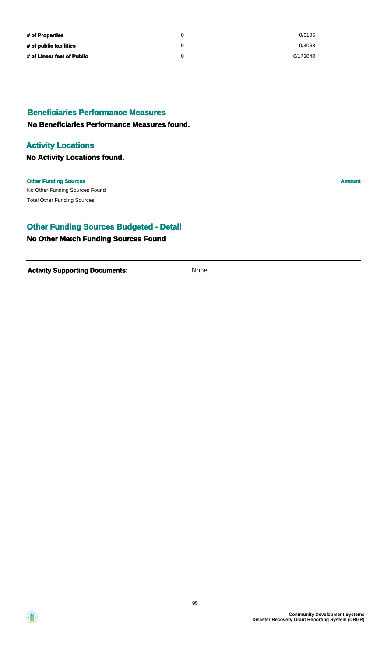| # of Properties            | 0/6195   |
|----------------------------|----------|
| # of public facilities     | 0/4068   |
| # of Linear feet of Public | 0/173040 |

#### **Beneficiaries Performance Measures**

#### **No Beneficiaries Performance Measures found.**

#### **Activity Locations**

**No Activity Locations found.**

#### **Other Funding Sources Amount**

No Other Funding Sources Found Total Other Funding Sources

#### **Other Funding Sources Budgeted - Detail**

#### **No Other Match Funding Sources Found**

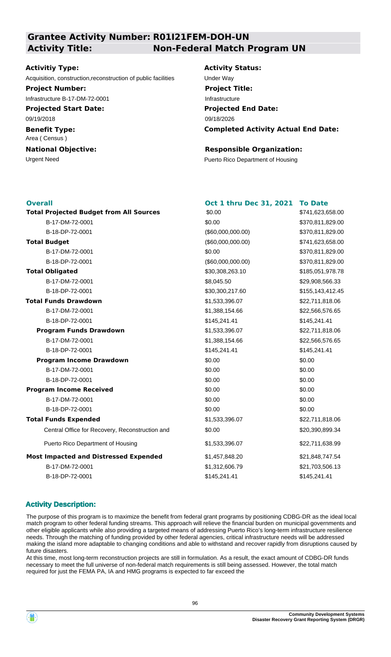#### **Grantee Activity Number: R01I21FEM-DOH-UN Activity Title: Non-Federal Match Program UN**

#### **Activitiy Type:**

Acquisition, construction,reconstruction of public facilities Under Way

**Project Number:**

Infrastructure B-17-DM-72-0001

**Projected Start Date:** 09/19/2018

**Benefit Type:** Area ( Census )

**National Objective:**

**Activity Status: Project Title:** Infrastructure

**Projected End Date: Completed Activity Actual End Date:** 09/18/2026

#### **Responsible Organization:**

Urgent Need **Puerto Rico Department of Housing** 

| <b>Overall</b> |                                                 | Oct 1 thru Dec 31, 2021 | <b>To Date</b>   |
|----------------|-------------------------------------------------|-------------------------|------------------|
|                | <b>Total Projected Budget from All Sources</b>  | \$0.00                  | \$741,623,658.00 |
|                | B-17-DM-72-0001                                 | \$0.00                  | \$370,811,829.00 |
|                | B-18-DP-72-0001                                 | (\$60,000,000.00)       | \$370,811,829.00 |
|                | <b>Total Budget</b>                             | (\$60,000,000.00)       | \$741,623,658.00 |
|                | B-17-DM-72-0001                                 | \$0.00                  | \$370,811,829.00 |
|                | B-18-DP-72-0001                                 | (\$60,000,000.00)       | \$370,811,829.00 |
|                | <b>Total Obligated</b>                          | \$30,308,263.10         | \$185,051,978.78 |
|                | B-17-DM-72-0001                                 | \$8,045.50              | \$29,908,566.33  |
|                | B-18-DP-72-0001                                 | \$30,300,217.60         | \$155,143,412.45 |
|                | <b>Total Funds Drawdown</b>                     | \$1,533,396.07          | \$22,711,818.06  |
|                | B-17-DM-72-0001                                 | \$1,388,154.66          | \$22,566,576.65  |
|                | B-18-DP-72-0001                                 | \$145,241.41            | \$145,241.41     |
|                | <b>Program Funds Drawdown</b>                   | \$1,533,396.07          | \$22,711,818.06  |
|                | B-17-DM-72-0001                                 | \$1,388,154.66          | \$22,566,576.65  |
|                | B-18-DP-72-0001                                 | \$145,241.41            | \$145,241.41     |
|                | <b>Program Income Drawdown</b>                  | \$0.00                  | \$0.00           |
|                | B-17-DM-72-0001                                 | \$0.00                  | \$0.00           |
|                | B-18-DP-72-0001                                 | \$0.00                  | \$0.00           |
|                | <b>Program Income Received</b>                  | \$0.00                  | \$0.00           |
|                | B-17-DM-72-0001                                 | \$0.00                  | \$0.00           |
|                | B-18-DP-72-0001                                 | \$0.00                  | \$0.00           |
|                | <b>Total Funds Expended</b>                     | \$1,533,396.07          | \$22,711,818.06  |
|                | Central Office for Recovery, Reconstruction and | \$0.00                  | \$20,390,899.34  |
|                | Puerto Rico Department of Housing               | \$1,533,396.07          | \$22,711,638.99  |
|                | <b>Most Impacted and Distressed Expended</b>    | \$1,457,848.20          | \$21,848,747.54  |
|                | B-17-DM-72-0001                                 | \$1,312,606.79          | \$21,703,506.13  |
|                | B-18-DP-72-0001                                 | \$145,241.41            | \$145,241.41     |
|                |                                                 |                         |                  |

#### **Activity Description:**

The purpose of this program is to maximize the benefit from federal grant programs by positioning CDBG-DR as the ideal local match program to other federal funding streams. This approach will relieve the financial burden on municipal governments and other eligible applicants while also providing a targeted means of addressing Puerto Rico's long-term infrastructure resilience needs. Through the matching of funding provided by other federal agencies, critical infrastructure needs will be addressed making the island more adaptable to changing conditions and able to withstand and recover rapidly from disruptions caused by future disasters.

At this time, most long-term reconstruction projects are still in formulation. As a result, the exact amount of CDBG-DR funds necessary to meet the full universe of non-federal match requirements is still being assessed. However, the total match required for just the FEMA PA, IA and HMG programs is expected to far exceed the

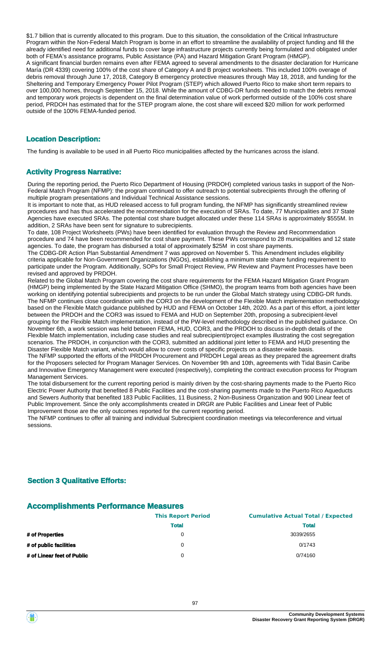\$1.7 billion that is currently allocated to this program. Due to this situation, the consolidation of the Critical Infrastructure Program within the Non-Federal Match Program is borne in an effort to streamline the availability of project funding and fill the already identified need for additional funds to cover large infrastructure projects currently being formulated and obligated under both of FEMA's assistance programs, Public Assistance (PA) and Hazard Mitigation Grant Program (HMGP). A significant financial burden remains even after FEMA agreed to several amendments to the disaster declaration for Hurricane María (DR 4339) covering 100% of the cost share of Category A and B project worksheets. This included 100% overage of debris removal through June 17, 2018, Category B emergency protective measures through May 18, 2018, and funding for the Sheltering and Temporary Emergency Power Pilot Program (STEP) which allowed Puerto Rico to make short term repairs to over 100,000 homes, through September 15, 2018. While the amount of CDBG-DR funds needed to match the debris removal and temporary work projects is dependent on the final determination value of work performed outside of the 100% cost share period, PRDOH has estimated that for the STEP program alone, the cost share will exceed \$20 million for work performed outside of the 100% FEMA-funded period.

#### **Location Description:**

The funding is available to be used in all Puerto Rico municipalities affected by the hurricanes across the island.

#### **Activity Progress Narrative:**

During the reporting period, the Puerto Rico Department of Housing (PRDOH) completed various tasks in support of the Non-Federal Match Program (NFMP): the program continued to offer outreach to potential subrecipients through the offering of multiple program presentations and Individual Technical Assistance sessions.

It is important to note that, as HUD released access to full program funding, the NFMP has significantly streamlined review procedures and has thus accelerated the recommendation for the execution of SRAs. To date, 77 Municipalities and 37 State Agencies have executed SRAs. The potential cost share budget allocated under these 114 SRAs is approximately \$555M. In addition, 2 SRAs have been sent for signature to subrecipients.

To date, 108 Project Worksheets (PWs) have been identified for evaluation through the Review and Recommendation procedure and 74 have been recommended for cost share payment. These PWs correspond to 28 municipalities and 12 state agencies. To date, the program has disbursed a total of approximately \$25M in cost share payments.

The CDBG-DR Action Plan Substantial Amendment 7 was approved on November 5. This Amendment includes eligibility criteria applicable for Non-Government Organizations (NGOs), establishing a minimum state share funding requirement to participate under the Program. Additionally, SOPs for Small Project Review, PW Review and Payment Processes have been revised and approved by PRDOH.

Related to the Global Match Program covering the cost share requirements for the FEMA Hazard Mitigation Grant Program (HMGP) being implemented by the State Hazard Mitigation Office (SHMO), the program teams from both agencies have been working on identifying potential subrecipients and projects to be run under the Global Match strategy using CDBG-DR funds. The NFMP continues close coordination with the COR3 on the development of the Flexible Match implementation methodology based on the Flexible Match guidance published by HUD and FEMA on October 14th, 2020. As a part of this effort, a joint letter between the PRDOH and the COR3 was issued to FEMA and HUD on September 20th, proposing a subrecipient-level grouping for the Flexible Match implementation, instead of the PW-level methodology described in the published guidance. On November 6th, a work session was held between FEMA, HUD, COR3, and the PRDOH to discuss in-depth details of the Flexible Match implementation, including case studies and real subrecipient/project examples illustrating the cost segregation scenarios. The PRDOH, in conjunction with the COR3, submitted an additional joint letter to FEMA and HUD presenting the Disaster Flexible Match variant, which would allow to cover costs of specific projects on a disaster-wide basis. The NFMP supported the efforts of the PRDOH Procurement and PRDOH Legal areas as they prepared the agreement drafts

for the Proposers selected for Program Manager Services. On November 9th and 10th, agreements with Tidal Basin Caribe and Innovative Emergency Management were executed (respectively), completing the contract execution process for Program Management Services.

The total disbursement for the current reporting period is mainly driven by the cost-sharing payments made to the Puerto Rico Electric Power Authority that benefited 8 Public Facilities and the cost-sharing payments made to the Puerto Rico Aqueducts and Sewers Authority that benefited 183 Public Facilities, 11 Business, 2 Non-Business Organization and 900 Linear feet of Public Improvement. Since the only accomplishments created in DRGR are Public Facilities and Linear feet of Public Improvement those are the only outcomes reported for the current reporting period.

The NFMP continues to offer all training and individual Subrecipient coordination meetings via teleconference and virtual sessions.

#### **Section 3 Qualitative Efforts:**

#### **Accomplishments Performance Measures**

|                            | <b>This Report Period</b> | <b>Cumulative Actual Total / Expected</b> |
|----------------------------|---------------------------|-------------------------------------------|
|                            | <b>Total</b>              | <b>Total</b>                              |
| # of Properties            | $\Omega$                  | 3039/2655                                 |
| # of public facilities     | $\Omega$                  | 0/1743                                    |
| # of Linear feet of Public | 0                         | 0/74160                                   |
|                            |                           |                                           |

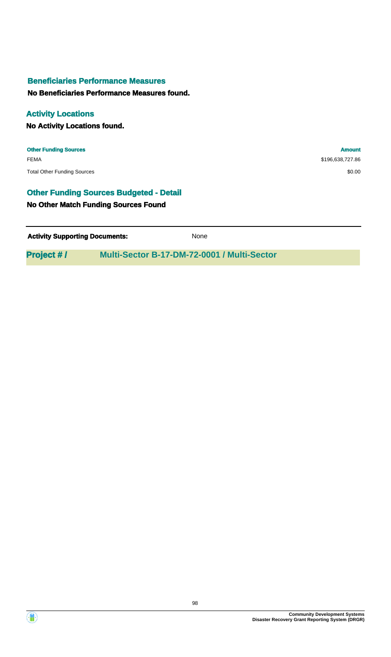#### **Beneficiaries Performance Measures**

**No Beneficiaries Performance Measures found.**

### **Activity Locations**

**No Activity Locations found.**

**Other Funding Sources Amount** FEMA \$196,638,727.86 Total Other Funding Sources \$0.00

#### **Other Funding Sources Budgeted - Detail**

#### **No Other Match Funding Sources Found**

| <b>Activity Supporting Documents:</b> | None |
|---------------------------------------|------|
|                                       |      |

**Project # / Multi-Sector B-17-DM-72-0001 / Multi-Sector**

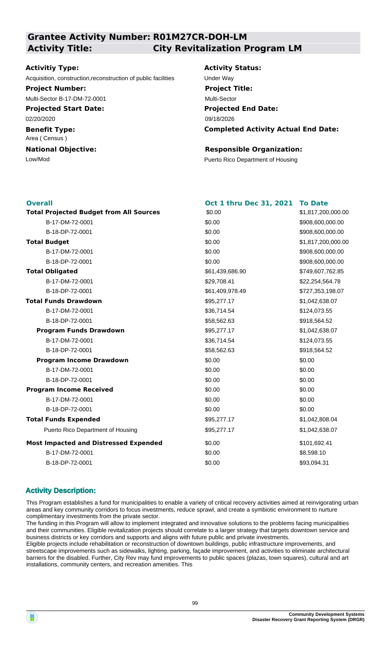#### **Grantee Activity Number: R01M27CR-DOH-LM Activity Title: City Revitalization Program LM**

#### **Activitiy Type:**

Acquisition, construction,reconstruction of public facilities Under Way

#### **Project Number:**

Multi-Sector B-17-DM-72-0001

**Projected Start Date:** 02/20/2020

**Benefit Type:**

Area ( Census )

# **National Objective:**

# **Activity Status: Project Title:** Multi-Sector

**Projected End Date: Completed Activity Actual End Date:** 09/18/2026

#### **Responsible Organization:**

Low/Mod<br>
Puerto Rico Department of Housing

| <b>Overall</b>                                 | Oct 1 thru Dec 31, 2021 To Date |                    |
|------------------------------------------------|---------------------------------|--------------------|
| <b>Total Projected Budget from All Sources</b> | \$0.00                          | \$1,817,200,000.00 |
| B-17-DM-72-0001                                | \$0.00                          | \$908,600,000.00   |
| B-18-DP-72-0001                                | \$0.00                          | \$908,600,000.00   |
| <b>Total Budget</b>                            | \$0.00                          | \$1,817,200,000.00 |
| B-17-DM-72-0001                                | \$0.00                          | \$908,600,000.00   |
| B-18-DP-72-0001                                | \$0.00                          | \$908,600,000.00   |
| <b>Total Obligated</b>                         | \$61,439,686.90                 | \$749,607,762.85   |
| B-17-DM-72-0001                                | \$29,708.41                     | \$22,254,564.78    |
| B-18-DP-72-0001                                | \$61,409,978.49                 | \$727,353,198.07   |
| <b>Total Funds Drawdown</b>                    | \$95,277.17                     | \$1,042,638.07     |
| B-17-DM-72-0001                                | \$36,714.54                     | \$124,073.55       |
| B-18-DP-72-0001                                | \$58,562.63                     | \$918,564.52       |
| <b>Program Funds Drawdown</b>                  | \$95,277.17                     | \$1,042,638.07     |
| B-17-DM-72-0001                                | \$36,714.54                     | \$124,073.55       |
| B-18-DP-72-0001                                | \$58,562.63                     | \$918,564.52       |
| <b>Program Income Drawdown</b>                 | \$0.00                          | \$0.00             |
| B-17-DM-72-0001                                | \$0.00                          | \$0.00             |
| B-18-DP-72-0001                                | \$0.00                          | \$0.00             |
| <b>Program Income Received</b>                 | \$0.00                          | \$0.00             |
| B-17-DM-72-0001                                | \$0.00                          | \$0.00             |
| B-18-DP-72-0001                                | \$0.00                          | \$0.00             |
| <b>Total Funds Expended</b>                    | \$95,277.17                     | \$1,042,808.04     |
| Puerto Rico Department of Housing              | \$95,277.17                     | \$1,042,638.07     |
| <b>Most Impacted and Distressed Expended</b>   | \$0.00                          | \$101,692.41       |
| B-17-DM-72-0001                                | \$0.00                          | \$8,598.10         |
| B-18-DP-72-0001                                | \$0.00                          | \$93,094.31        |

#### **Activity Description:**

This Program establishes a fund for municipalities to enable a variety of critical recovery activities aimed at reinvigorating urban areas and key community corridors to focus investments, reduce sprawl, and create a symbiotic environment to nurture complimentary investments from the private sector.

The funding in this Program will allow to implement integrated and innovative solutions to the problems facing municipalities and their communities. Eligible revitalization projects should correlate to a larger strategy that targets downtown service and business districts or key corridors and supports and aligns with future public and private investments.

Eligible projects include rehabilitation or reconstruction of downtown buildings, public infrastructure improvements, and streetscape improvements such as sidewalks, lighting, parking, façade improvement, and activities to eliminate architectural barriers for the disabled. Further, City Rev may fund improvements to public spaces (plazas, town squares), cultural and art installations, community centers, and recreation amenities. This

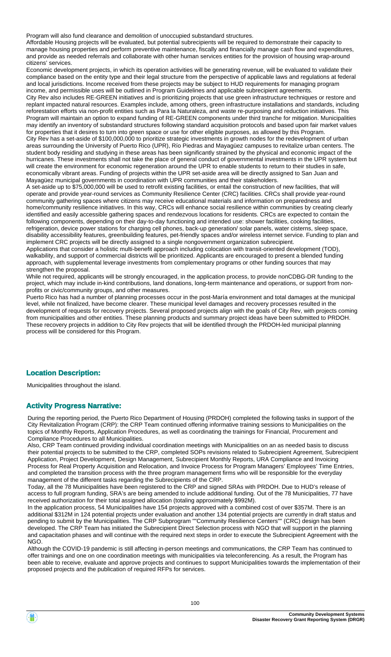Program will also fund clearance and demolition of unoccupied substandard structures.

Affordable Housing projects will be evaluated, but potential subrecipients will be required to demonstrate their capacity to manage housing properties and perform preventive maintenance, fiscally and financially manage cash flow and expenditures, and provide as needed referrals and collaborate with other human services entities for the provision of housing wrap-around citizens' services.

Economic development projects, in which its operation activities will be generating revenue, will be evaluated to validate their compliance based on the entity type and their legal structure from the perspective of applicable laws and regulations at federal and local jurisdictions. Income received from these projects may be subject to HUD requirements for managing program income, and permissible uses will be outlined in Program Guidelines and applicable subrecipient agreements.

City Rev also includes RE-GREEN initiatives and is prioritizing projects that use green infrastructure techniques or restore and replant impacted natural resources. Examples include, among others, green infrastructure installations and standards, including reforestation efforts via non-profit entities such as Para la Naturaleza, and waste re-purposing and reduction initiatives. This Program will maintain an option to expand funding of RE-GREEN components under third tranche for mitigation. Municipalities may identify an inventory of substandard structures following standard acquisition protocols and based upon fair market values for properties that it desires to turn into green space or use for other eligible purposes, as allowed by this Program. City Rev has a set-aside of \$100,000,000 to prioritize strategic investments in growth nodes for the redevelopment of urban areas surrounding the University of Puerto Rico (UPR), Río Piedras and Mayagüez campuses to revitalize urban centers. The student body residing and studying in these areas has been significantly strained by the physical and economic impact of the hurricanes. These investments shall not take the place of general conduct of governmental investments in the UPR system but will create the environment for economic regeneration around the UPR to enable students to return to their studies in safe, economically vibrant areas. Funding of projects within the UPR set-aside area will be directly assigned to San Juan and Mayagüez municipal governments in coordination with UPR communities and their stakeholders.

A set-aside up to \$75,000,000 will be used to retrofit existing facilities, or entail the construction of new facilities, that will operate and provide year-round services as Community Resilience Center (CRC) facilities. CRCs shall provide year-round community gathering spaces where citizens may receive educational materials and information on preparedness and home/community resilience initiatives. In this way, CRCs will enhance social resilience within communities by creating clearly identified and easily accessible gathering spaces and rendezvous locations for residents. CRCs are expected to contain the following components, depending on their day-to-day functioning and intended use: shower facilities, cooking facilities, refrigeration, device power stations for charging cell phones, back-up generation/ solar panels, water cisterns, sleep space, disability accessibility features, greenbuilding features, pet-friendly spaces and/or wireless internet service. Funding to plan and implement CRC projects will be directly assigned to a single nongovernment organization subrecipient.

Applications that consider a holistic multi-benefit approach including colocation with transit-oriented development (TOD), walkability, and support of commercial districts will be prioritized. Applicants are encouraged to present a blended funding approach, with supplemental leverage investments from complementary programs or other funding sources that may strengthen the proposal.

While not required, applicants will be strongly encouraged, in the application process, to provide nonCDBG-DR funding to the project, which may include in-kind contributions, land donations, long-term maintenance and operations, or support from nonprofits or civic/community groups, and other measures.

Puerto Rico has had a number of planning processes occur in the post-María environment and total damages at the municipal level, while not finalized, have become clearer. These municipal level damages and recovery processes resulted in the development of requests for recovery projects. Several proposed projects align with the goals of City Rev, with projects coming from municipalities and other entities. These planning products and summary project ideas have been submitted to PRDOH. These recovery projects in addition to City Rev projects that will be identified through the PRDOH-led municipal planning process will be considered for this Program.

#### **Location Description:**

Municipalities throughout the island.

#### **Activity Progress Narrative:**

During the reporting period, the Puerto Rico Department of Housing (PRDOH) completed the following tasks in support of the City Revitalization Program (CRP): the CRP Team continued offering informative training sessions to Municipalities on the topics of Monthly Reports, Application Procedures, as well as coordinating the trainings for Financial, Procurement and Compliance Procedures to all Municipalities.

Also, CRP Team continued providing individual coordination meetings with Municipalities on an as needed basis to discuss their potential projects to be submitted to the CRP, completed SOPs revisions related to Subrecipient Agreement, Subrecipient Application, Project Development, Design Management, Subrecipient Monthly Reports, URA Compliance and Invoicing Process for Real Property Acquisition and Relocation, and Invoice Process for Program Managers' Employees' Time Entries, and completed the transition process with the three program management firms who will be responsible for the everyday management of the different tasks regarding the Subrecipients of the CRP.

Today, all the 78 Municipalities have been registered to the CRP and signed SRAs with PRDOH. Due to HUD's release of access to full program funding, SRA's are being amended to include additional funding. Out of the 78 Municipalities, 77 have received authorization for their total assigned allocation (totaling approximately \$992M).

In the application process, 54 Municipalities have 154 projects approved with a combined cost of over \$357M. There is an additional \$312M in 124 potential projects under evaluation and another 134 potential projects are currently in draft status and pending to submit by the Municipalities. The CRP Subprogram ""Community Resilience Centers"" (CRC) design has been developed. The CRP Team has initiated the Subrecipient Direct Selection process with NGO that will support in the planning and capacitation phases and will continue with the required next steps in order to execute the Subrecipient Agreement with the NGO.

Although the COVID-19 pandemic is still affecting in-person meetings and communications, the CRP Team has continued to offer trainings and one on one coordination meetings with municipalities via teleconferencing. As a result, the Program has been able to receive, evaluate and approve projects and continues to support Municipalities towards the implementation of their proposed projects and the publication of required RFPs for services.

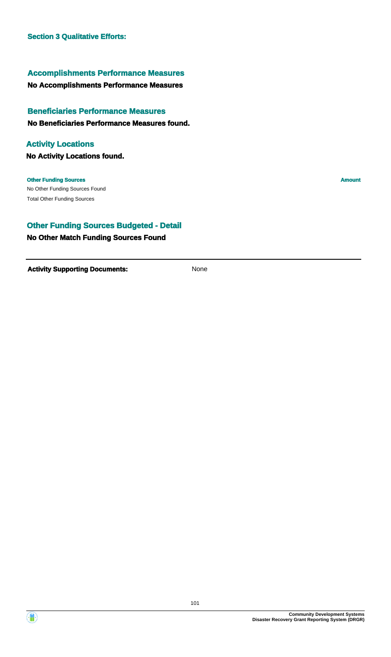#### **Accomplishments Performance Measures**

#### **No Accomplishments Performance Measures**

# **Beneficiaries Performance Measures**

#### **No Beneficiaries Performance Measures found.**

#### **Activity Locations**

**No Activity Locations found.**

#### No Other Funding Sources Found **Other Funding Sources Amount** Total Other Funding Sources

#### **Other Funding Sources Budgeted - Detail**

#### **No Other Match Funding Sources Found**



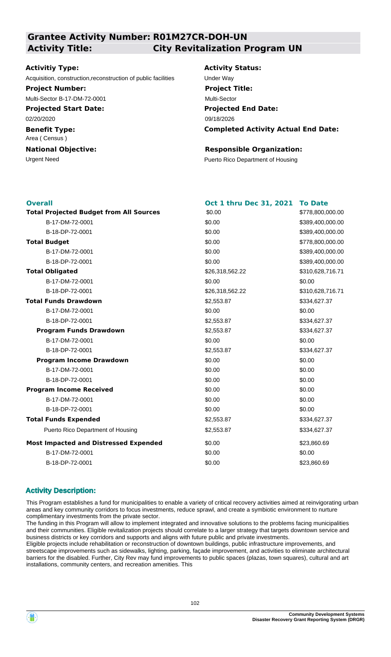#### **Grantee Activity Number: R01M27CR-DOH-UN Activity Title: City Revitalization Program UN**

#### **Activitiy Type:**

Acquisition, construction,reconstruction of public facilities Under Way

**Project Number:**

Multi-Sector B-17-DM-72-0001

**Projected Start Date:** 02/20/2020

**Benefit Type:** Area ( Census )

# **National Objective:**

## **Activity Status: Projected End Date: Completed Activity Actual End Date:** 09/18/2026 **Project Title:** Multi-Sector

#### **Responsible Organization:**

Urgent Need **Puerto Rico Department of Housing** 

| <b>Overall</b>                                 | Oct 1 thru Dec 31, 2021 | <b>To Date</b>   |
|------------------------------------------------|-------------------------|------------------|
| <b>Total Projected Budget from All Sources</b> | \$0.00                  | \$778,800,000.00 |
| B-17-DM-72-0001                                | \$0.00                  | \$389,400,000.00 |
| B-18-DP-72-0001                                | \$0.00                  | \$389,400,000.00 |
| <b>Total Budget</b>                            | \$0.00                  | \$778,800,000.00 |
| B-17-DM-72-0001                                | \$0.00                  | \$389,400,000.00 |
| B-18-DP-72-0001                                | \$0.00                  | \$389,400,000.00 |
| <b>Total Obligated</b>                         | \$26,318,562.22         | \$310,628,716.71 |
| B-17-DM-72-0001                                | \$0.00                  | \$0.00           |
| B-18-DP-72-0001                                | \$26,318,562.22         | \$310,628,716.71 |
| <b>Total Funds Drawdown</b>                    | \$2,553.87              | \$334,627.37     |
| B-17-DM-72-0001                                | \$0.00                  | \$0.00           |
| B-18-DP-72-0001                                | \$2,553.87              | \$334,627.37     |
| <b>Program Funds Drawdown</b>                  | \$2,553.87              | \$334,627.37     |
| B-17-DM-72-0001                                | \$0.00                  | \$0.00           |
| B-18-DP-72-0001                                | \$2,553.87              | \$334,627.37     |
| <b>Program Income Drawdown</b>                 | \$0.00                  | \$0.00           |
| B-17-DM-72-0001                                | \$0.00                  | \$0.00           |
| B-18-DP-72-0001                                | \$0.00                  | \$0.00           |
| <b>Program Income Received</b>                 | \$0.00                  | \$0.00           |
| B-17-DM-72-0001                                | \$0.00                  | \$0.00           |
| B-18-DP-72-0001                                | \$0.00                  | \$0.00           |
| <b>Total Funds Expended</b>                    | \$2,553.87              | \$334,627.37     |
| Puerto Rico Department of Housing              | \$2,553.87              | \$334,627.37     |
| <b>Most Impacted and Distressed Expended</b>   | \$0.00                  | \$23,860.69      |
| B-17-DM-72-0001                                | \$0.00                  | \$0.00           |
| B-18-DP-72-0001                                | \$0.00                  | \$23,860.69      |

#### **Activity Description:**

This Program establishes a fund for municipalities to enable a variety of critical recovery activities aimed at reinvigorating urban areas and key community corridors to focus investments, reduce sprawl, and create a symbiotic environment to nurture complimentary investments from the private sector.

The funding in this Program will allow to implement integrated and innovative solutions to the problems facing municipalities and their communities. Eligible revitalization projects should correlate to a larger strategy that targets downtown service and business districts or key corridors and supports and aligns with future public and private investments.

Eligible projects include rehabilitation or reconstruction of downtown buildings, public infrastructure improvements, and streetscape improvements such as sidewalks, lighting, parking, façade improvement, and activities to eliminate architectural barriers for the disabled. Further, City Rev may fund improvements to public spaces (plazas, town squares), cultural and art installations, community centers, and recreation amenities. This

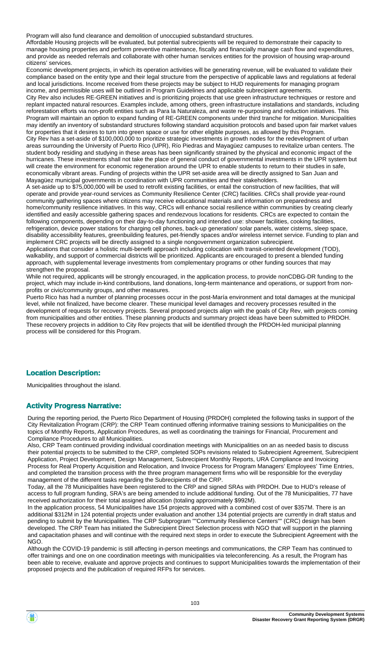Program will also fund clearance and demolition of unoccupied substandard structures.

Affordable Housing projects will be evaluated, but potential subrecipients will be required to demonstrate their capacity to manage housing properties and perform preventive maintenance, fiscally and financially manage cash flow and expenditures, and provide as needed referrals and collaborate with other human services entities for the provision of housing wrap-around citizens' services.

Economic development projects, in which its operation activities will be generating revenue, will be evaluated to validate their compliance based on the entity type and their legal structure from the perspective of applicable laws and regulations at federal and local jurisdictions. Income received from these projects may be subject to HUD requirements for managing program income, and permissible uses will be outlined in Program Guidelines and applicable subrecipient agreements.

City Rev also includes RE-GREEN initiatives and is prioritizing projects that use green infrastructure techniques or restore and replant impacted natural resources. Examples include, among others, green infrastructure installations and standards, including reforestation efforts via non-profit entities such as Para la Naturaleza, and waste re-purposing and reduction initiatives. This Program will maintain an option to expand funding of RE-GREEN components under third tranche for mitigation. Municipalities may identify an inventory of substandard structures following standard acquisition protocols and based upon fair market values for properties that it desires to turn into green space or use for other eligible purposes, as allowed by this Program. City Rev has a set-aside of \$100,000,000 to prioritize strategic investments in growth nodes for the redevelopment of urban areas surrounding the University of Puerto Rico (UPR), Río Piedras and Mayagüez campuses to revitalize urban centers. The student body residing and studying in these areas has been significantly strained by the physical and economic impact of the hurricanes. These investments shall not take the place of general conduct of governmental investments in the UPR system but will create the environment for economic regeneration around the UPR to enable students to return to their studies in safe, economically vibrant areas. Funding of projects within the UPR set-aside area will be directly assigned to San Juan and Mayagüez municipal governments in coordination with UPR communities and their stakeholders.

A set-aside up to \$75,000,000 will be used to retrofit existing facilities, or entail the construction of new facilities, that will operate and provide year-round services as Community Resilience Center (CRC) facilities. CRCs shall provide year-round community gathering spaces where citizens may receive educational materials and information on preparedness and home/community resilience initiatives. In this way, CRCs will enhance social resilience within communities by creating clearly identified and easily accessible gathering spaces and rendezvous locations for residents. CRCs are expected to contain the following components, depending on their day-to-day functioning and intended use: shower facilities, cooking facilities, refrigeration, device power stations for charging cell phones, back-up generation/ solar panels, water cisterns, sleep space, disability accessibility features, greenbuilding features, pet-friendly spaces and/or wireless internet service. Funding to plan and implement CRC projects will be directly assigned to a single nongovernment organization subrecipient.

Applications that consider a holistic multi-benefit approach including colocation with transit-oriented development (TOD), walkability, and support of commercial districts will be prioritized. Applicants are encouraged to present a blended funding approach, with supplemental leverage investments from complementary programs or other funding sources that may strengthen the proposal.

While not required, applicants will be strongly encouraged, in the application process, to provide nonCDBG-DR funding to the project, which may include in-kind contributions, land donations, long-term maintenance and operations, or support from nonprofits or civic/community groups, and other measures.

Puerto Rico has had a number of planning processes occur in the post-María environment and total damages at the municipal level, while not finalized, have become clearer. These municipal level damages and recovery processes resulted in the development of requests for recovery projects. Several proposed projects align with the goals of City Rev, with projects coming from municipalities and other entities. These planning products and summary project ideas have been submitted to PRDOH. These recovery projects in addition to City Rev projects that will be identified through the PRDOH-led municipal planning process will be considered for this Program.

#### **Location Description:**

Municipalities throughout the island.

#### **Activity Progress Narrative:**

During the reporting period, the Puerto Rico Department of Housing (PRDOH) completed the following tasks in support of the City Revitalization Program (CRP): the CRP Team continued offering informative training sessions to Municipalities on the topics of Monthly Reports, Application Procedures, as well as coordinating the trainings for Financial, Procurement and Compliance Procedures to all Municipalities.

Also, CRP Team continued providing individual coordination meetings with Municipalities on an as needed basis to discuss their potential projects to be submitted to the CRP, completed SOPs revisions related to Subrecipient Agreement, Subrecipient Application, Project Development, Design Management, Subrecipient Monthly Reports, URA Compliance and Invoicing Process for Real Property Acquisition and Relocation, and Invoice Process for Program Managers' Employees' Time Entries, and completed the transition process with the three program management firms who will be responsible for the everyday management of the different tasks regarding the Subrecipients of the CRP.

Today, all the 78 Municipalities have been registered to the CRP and signed SRAs with PRDOH. Due to HUD's release of access to full program funding, SRA's are being amended to include additional funding. Out of the 78 Municipalities, 77 have received authorization for their total assigned allocation (totaling approximately \$992M).

In the application process, 54 Municipalities have 154 projects approved with a combined cost of over \$357M. There is an additional \$312M in 124 potential projects under evaluation and another 134 potential projects are currently in draft status and pending to submit by the Municipalities. The CRP Subprogram ""Community Resilience Centers"" (CRC) design has been developed. The CRP Team has initiated the Subrecipient Direct Selection process with NGO that will support in the planning and capacitation phases and will continue with the required next steps in order to execute the Subrecipient Agreement with the NGO.

Although the COVID-19 pandemic is still affecting in-person meetings and communications, the CRP Team has continued to offer trainings and one on one coordination meetings with municipalities via teleconferencing. As a result, the Program has been able to receive, evaluate and approve projects and continues to support Municipalities towards the implementation of their proposed projects and the publication of required RFPs for services.

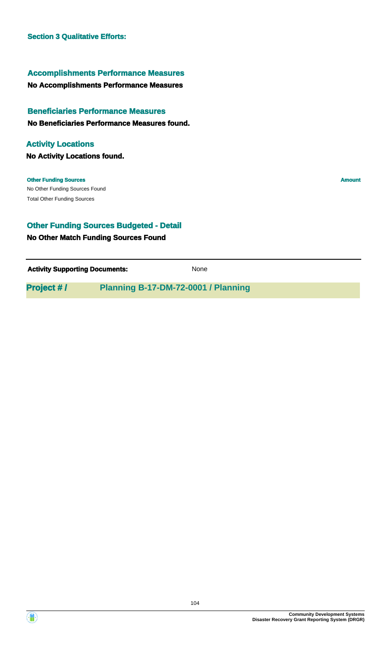#### **Accomplishments Performance Measures**

#### **No Accomplishments Performance Measures**

# **Beneficiaries Performance Measures**

#### **No Beneficiaries Performance Measures found.**

#### **Activity Locations**

**No Activity Locations found.**

No Other Funding Sources Found **Other Funding Sources Amount** Total Other Funding Sources

## **Other Funding Sources Budgeted - Detail**

#### **No Other Match Funding Sources Found**

**Activity Supporting Documents:** None

**Project # / Planning B-17-DM-72-0001 / Planning**



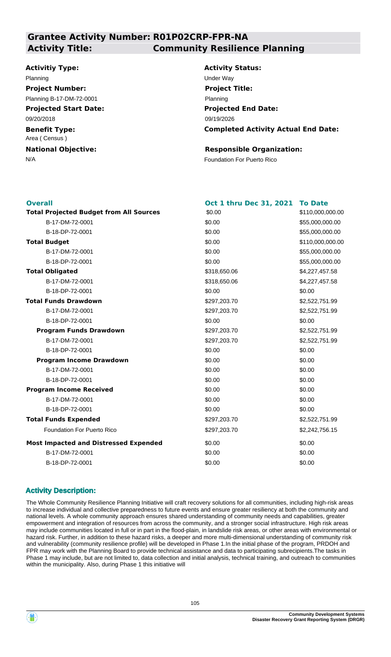#### **Grantee Activity Number: R01P02CRP-FPR-NA Activity Title: Community Resilience Planning**

#### **Activitiy Type:**

#### Planning Under Way **Project Number:**

Planning B-17-DM-72-0001

**Projected Start Date:** 09/20/2018

**Benefit Type:** Area ( Census )

**National Objective:**

**Activity Status: Projected End Date: Completed Activity Actual End Date:** 09/19/2026 **Project Title:** Planning

#### **Responsible Organization:**

N/A **Foundation For Puerto Rico** 

| <b>Overall</b>                                 | Oct 1 thru Dec 31, 2021 | <b>To Date</b>   |
|------------------------------------------------|-------------------------|------------------|
| <b>Total Projected Budget from All Sources</b> | \$0.00                  | \$110,000,000.00 |
| B-17-DM-72-0001                                | \$0.00                  | \$55,000,000.00  |
| B-18-DP-72-0001                                | \$0.00                  | \$55,000,000.00  |
| <b>Total Budget</b>                            | \$0.00                  | \$110,000,000.00 |
| B-17-DM-72-0001                                | \$0.00                  | \$55,000,000.00  |
| B-18-DP-72-0001                                | \$0.00                  | \$55,000,000.00  |
| <b>Total Obligated</b>                         | \$318,650.06            | \$4,227,457.58   |
| B-17-DM-72-0001                                | \$318,650.06            | \$4,227,457.58   |
| B-18-DP-72-0001                                | \$0.00                  | \$0.00           |
| <b>Total Funds Drawdown</b>                    | \$297,203.70            | \$2,522,751.99   |
| B-17-DM-72-0001                                | \$297,203.70            | \$2,522,751.99   |
| B-18-DP-72-0001                                | \$0.00                  | \$0.00           |
| <b>Program Funds Drawdown</b>                  | \$297,203.70            | \$2,522,751.99   |
| B-17-DM-72-0001                                | \$297,203.70            | \$2,522,751.99   |
| B-18-DP-72-0001                                | \$0.00                  | \$0.00           |
| <b>Program Income Drawdown</b>                 | \$0.00                  | \$0.00           |
| B-17-DM-72-0001                                | \$0.00                  | \$0.00           |
| B-18-DP-72-0001                                | \$0.00                  | \$0.00           |
| <b>Program Income Received</b>                 | \$0.00                  | \$0.00           |
| B-17-DM-72-0001                                | \$0.00                  | \$0.00           |
| B-18-DP-72-0001                                | \$0.00                  | \$0.00           |
| <b>Total Funds Expended</b>                    | \$297,203.70            | \$2,522,751.99   |
| <b>Foundation For Puerto Rico</b>              | \$297,203.70            | \$2,242,756.15   |
| <b>Most Impacted and Distressed Expended</b>   | \$0.00                  | \$0.00           |
| B-17-DM-72-0001                                | \$0.00                  | \$0.00           |
| B-18-DP-72-0001                                | \$0.00                  | \$0.00           |

#### **Activity Description:**

The Whole Community Resilience Planning Initiative will craft recovery solutions for all communities, including high-risk areas to increase individual and collective preparedness to future events and ensure greater resiliency at both the community and national levels. A whole community approach ensures shared understanding of community needs and capabilities, greater empowerment and integration of resources from across the community, and a stronger social infrastructure. High risk areas may include communities located in full or in part in the flood-plain, in landslide risk areas, or other areas with environmental or hazard risk. Further, in addition to these hazard risks, a deeper and more multi-dimensional understanding of community risk and vulnerability (community resilience profile) will be developed in Phase 1.In the initial phase of the program, PRDOH and FPR may work with the Planning Board to provide technical assistance and data to participating subrecipients.The tasks in Phase 1 may include, but are not limited to, data collection and initial analysis, technical training, and outreach to communities within the municipality. Also, during Phase 1 this initiative will

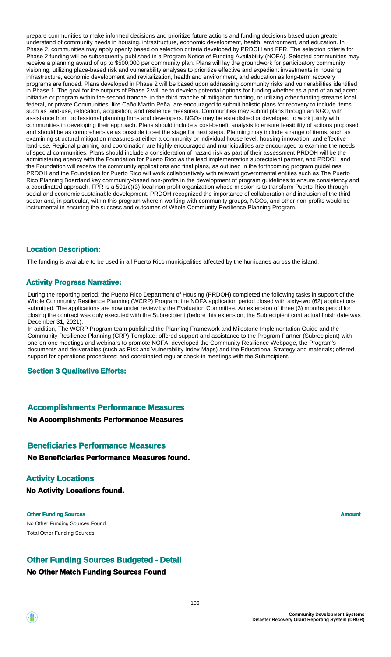prepare communities to make informed decisions and prioritize future actions and funding decisions based upon greater understand of community needs in housing, infrastructure, economic development, health, environment, and education. In Phase 2, communities may apply openly based on selection criteria developed by PRDOH and FPR. The selection criteria for Phase 2 funding will be subsequently published in a Program Notice of Funding Availability (NOFA). Selected communities may receive a planning award of up to \$500,000 per community plan. Plans will lay the groundwork for participatory community visioning, utilizing place-based risk and vulnerability analyses to prioritize effective and expedient investments in housing, infrastructure, economic development and revitalization, health and environment, and education as long-term recovery programs are funded. Plans developed in Phase 2 will be based upon addressing community risks and vulnerabilities identified in Phase 1. The goal for the outputs of Phase 2 will be to develop potential options for funding whether as a part of an adjacent initiative or program within the second tranche, in the third tranche of mitigation funding, or utilizing other funding streams local, federal, or private.Communities, like Caño Martín Peña, are encouraged to submit holistic plans for recovery to include items such as land-use, relocation, acquisition, and resilience measures. Communities may submit plans through an NGO, with assistance from professional planning firms and developers. NGOs may be established or developed to work jointly with communities in developing their approach. Plans should include a cost-benefit analysis to ensure feasibility of actions proposed and should be as comprehensive as possible to set the stage for next steps. Planning may include a range of items, such as examining structural mitigation measures at either a community or individual house level, housing innovation, and effective land-use. Regional planning and coordination are highly encouraged and municipalities are encouraged to examine the needs of special communities. Plans should include a consideration of hazard risk as part of their assessment.PRDOH will be the administering agency with the Foundation for Puerto Rico as the lead implementation subrecipient partner, and PRDOH and the Foundation will receive the community applications and final plans, as outlined in the forthcoming program guidelines. PRDOH and the Foundation for Puerto Rico will work collaboratively with relevant governmental entities such as The Puerto Rico Planning Boardand key community-based non-profits in the development of program guidelines to ensure consistency and a coordinated approach. FPR is a 501(c)(3) local non-profit organization whose mission is to transform Puerto Rico through social and economic sustainable development. PRDOH recognized the importance of collaboration and inclusion of the third sector and, in particular, within this program wherein working with community groups, NGOs, and other non-profits would be instrumental in ensuring the success and outcomes of Whole Community Resilience Planning Program.

#### **Location Description:**

The funding is available to be used in all Puerto Rico municipalities affected by the hurricanes across the island.

#### **Activity Progress Narrative:**

During the reporting period, the Puerto Rico Department of Housing (PRDOH) completed the following tasks in support of the Whole Community Resilience Planning (WCRP) Program: the NOFA application period closed with sixty-two (62) applications submitted. The applications are now under review by the Evaluation Committee. An extension of three (3) months period for closing the contract was duly executed with the Subrecipient (before this extension, the Subrecipient contractual finish date was December 31, 2021).

In addition, The WCRP Program team published the Planning Framework and Milestone Implementation Guide and the Community Resilience Planning (CRP) Template; offered support and assistance to the Program Partner (Subrecipient) with one-on-one meetings and webinars to promote NOFA; developed the Community Resilience Webpage, the Program's documents and deliverables (such as Risk and Vulnerability Index Maps) and the Educational Strategy and materials; offered support for operations procedures; and coordinated regular check-in meetings with the Subrecipient.

#### **Section 3 Qualitative Efforts:**

#### **Accomplishments Performance Measures**

**No Accomplishments Performance Measures**

#### **Beneficiaries Performance Measures**

**No Beneficiaries Performance Measures found.**

#### **Activity Locations**

**No Activity Locations found.**

#### **Other Funding Sources Amount Amount Amount Amount Amount Amount Amount**

No Other Funding Sources Found Total Other Funding Sources

#### **Other Funding Sources Budgeted - Detail**

#### **No Other Match Funding Sources Found**

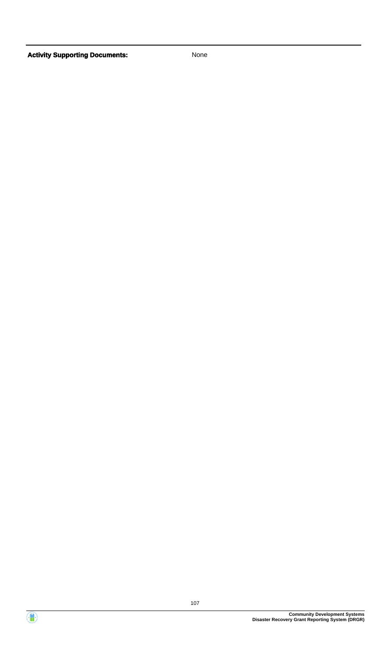

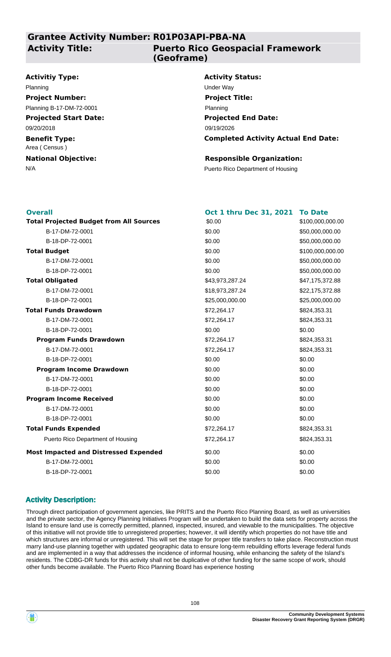**Grantee Activity Number: R01P03API-PBA-NA**

#### **Activity Title:**

#### **Puerto Rico Geospacial Framework (Geoframe)**

#### **Activitiy Type:**

**Projected Start Date: Benefit Type:** 09/20/2018 Area ( Census ) **Project Number:** Planning B-17-DM-72-0001

## **National Objective:**

#### **Activity Status:** Planning Under Way **Project Title:**

**Projected End Date: Completed Activity Actual End Date:** 09/19/2026 Planning

#### **Responsible Organization:**

N/A **Puerto Rico Department of Housing** 

| <b>Overall</b>                                 | Oct 1 thru Dec 31, 2021 | <b>To Date</b>   |
|------------------------------------------------|-------------------------|------------------|
| <b>Total Projected Budget from All Sources</b> | \$0.00                  | \$100,000,000.00 |
| B-17-DM-72-0001                                | \$0.00                  | \$50,000,000.00  |
| B-18-DP-72-0001                                | \$0.00                  | \$50,000,000.00  |
| <b>Total Budget</b>                            | \$0.00                  | \$100,000,000.00 |
| B-17-DM-72-0001                                | \$0.00                  | \$50,000,000.00  |
| B-18-DP-72-0001                                | \$0.00                  | \$50,000,000.00  |
| <b>Total Obligated</b>                         | \$43,973,287.24         | \$47,175,372.88  |
| B-17-DM-72-0001                                | \$18,973,287.24         | \$22,175,372.88  |
| B-18-DP-72-0001                                | \$25,000,000.00         | \$25,000,000.00  |
| <b>Total Funds Drawdown</b>                    | \$72,264.17             | \$824,353.31     |
| B-17-DM-72-0001                                | \$72,264.17             | \$824,353.31     |
| B-18-DP-72-0001                                | \$0.00                  | \$0.00           |
| <b>Program Funds Drawdown</b>                  | \$72,264.17             | \$824,353.31     |
| B-17-DM-72-0001                                | \$72,264.17             | \$824,353.31     |
| B-18-DP-72-0001                                | \$0.00                  | \$0.00           |
| <b>Program Income Drawdown</b>                 | \$0.00                  | \$0.00           |
| B-17-DM-72-0001                                | \$0.00                  | \$0.00           |
| B-18-DP-72-0001                                | \$0.00                  | \$0.00           |
| <b>Program Income Received</b>                 | \$0.00                  | \$0.00           |
| B-17-DM-72-0001                                | \$0.00                  | \$0.00           |
| B-18-DP-72-0001                                | \$0.00                  | \$0.00           |
| <b>Total Funds Expended</b>                    | \$72,264.17             | \$824,353.31     |
| Puerto Rico Department of Housing              | \$72,264.17             | \$824,353.31     |
| <b>Most Impacted and Distressed Expended</b>   | \$0.00                  | \$0.00           |
| B-17-DM-72-0001                                | \$0.00                  | \$0.00           |
| B-18-DP-72-0001                                | \$0.00                  | \$0.00           |

#### **Activity Description:**

Through direct participation of government agencies, like PRITS and the Puerto Rico Planning Board, as well as universities and the private sector, the Agency Planning Initiatives Program will be undertaken to build the data sets for property across the Island to ensure land use is correctly permitted, planned, inspected, insured, and viewable to the municipalities. The objective of this initiative will not provide title to unregistered properties; however, it will identify which properties do not have title and which structures are informal or unregistered. This will set the stage for proper title transfers to take place. Reconstruction must marry land-use planning together with updated geographic data to ensure long-term rebuilding efforts leverage federal funds and are implemented in a way that addresses the incidence of informal housing, while enhancing the safety of the Island's residents. The CDBG-DR funds for this activity shall not be duplicative of other funding for the same scope of work, should other funds become available. The Puerto Rico Planning Board has experience hosting

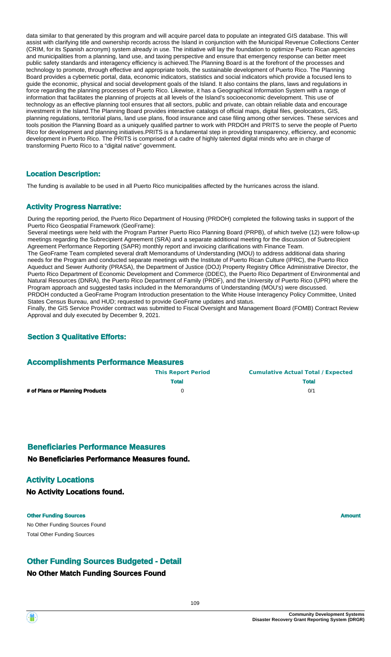data similar to that generated by this program and will acquire parcel data to populate an integrated GIS database. This will assist with clarifying title and ownership records across the Island in conjunction with the Municipal Revenue Collections Center (CRIM, for its Spanish acronym) system already in use. The initiative will lay the foundation to optimize Puerto Rican agencies and municipalities from a planning, land use, and taxing perspective and ensure that emergency response can better meet public safety standards and interagency efficiency is achieved.The Planning Board is at the forefront of the processes and technology to promote, through effective and appropriate tools, the sustainable development of Puerto Rico. The Planning Board provides a cybernetic portal, data, economic indicators, statistics and social indicators which provide a focused lens to guide the economic, physical and social development goals of the Island. It also contains the plans, laws and regulations in force regarding the planning processes of Puerto Rico. Likewise, it has a Geographical Information System with a range of information that facilitates the planning of projects at all levels of the Island's socioeconomic development. This use of technology as an effective planning tool ensures that all sectors, public and private, can obtain reliable data and encourage investment in the Island.The Planning Board provides interactive catalogs of official maps, digital files, geolocators, GIS, planning regulations, territorial plans, land use plans, flood insurance and case filing among other services. These services and tools position the Planning Board as a uniquely qualified partner to work with PRDOH and PRITS to serve the people of Puerto Rico for development and planning initiatives.PRITS is a fundamental step in providing transparency, efficiency, and economic development in Puerto Rico. The PRITS is comprised of a cadre of highly talented digital minds who are in charge of transforming Puerto Rico to a "digital native" government.

#### **Location Description:**

The funding is available to be used in all Puerto Rico municipalities affected by the hurricanes across the island.

#### **Activity Progress Narrative:**

During the reporting period, the Puerto Rico Department of Housing (PRDOH) completed the following tasks in support of the Puerto Rico Geospatial Framework (GeoFrame):

Several meetings were held with the Program Partner Puerto Rico Planning Board (PRPB), of which twelve (12) were follow-up meetings regarding the Subrecipient Agreement (SRA) and a separate additional meeting for the discussion of Subrecipient Agreement Performance Reporting (SAPR) monthly report and invoicing clarifications with Finance Team.

The GeoFrame Team completed several draft Memorandums of Understanding (MOU) to address additional data sharing needs for the Program and conducted separate meetings with the Institute of Puerto Rican Culture (IPRC), the Puerto Rico Aqueduct and Sewer Authority (PRASA), the Department of Justice (DOJ) Property Registry Office Administrative Director, the Puerto Rico Department of Economic Development and Commerce (DDEC), the Puerto Rico Department of Environmental and Natural Resources (DNRA), the Puerto Rico Department of Family (PRDF), and the University of Puerto Rico (UPR) where the Program approach and suggested tasks included in the Memorandums of Understanding (MOU's) were discussed. PRDOH conducted a GeoFrame Program Introduction presentation to the White House Interagency Policy Committee, United States Census Bureau, and HUD; requested to provide GeoFrame updates and status.

Finally, the GIS Service Provider contract was submitted to Fiscal Oversight and Management Board (FOMB) Contract Review Approval and duly executed by December 9, 2021.

#### **Section 3 Qualitative Efforts:**

#### **Accomplishments Performance Measures**

|                                 | <b>This Report Period</b> | <b>Cumulative Actual Total / Expected</b> |  |
|---------------------------------|---------------------------|-------------------------------------------|--|
|                                 | <b>Total</b>              | <b>Total</b>                              |  |
| # of Plans or Planning Products |                           | 0/1                                       |  |

#### **Beneficiaries Performance Measures**

**No Beneficiaries Performance Measures found.**

#### **Activity Locations**

**No Activity Locations found.**

#### **Other Funding Sources Amount**

No Other Funding Sources Found Total Other Funding Sources

## **Other Funding Sources Budgeted - Detail**

#### **No Other Match Funding Sources Found**

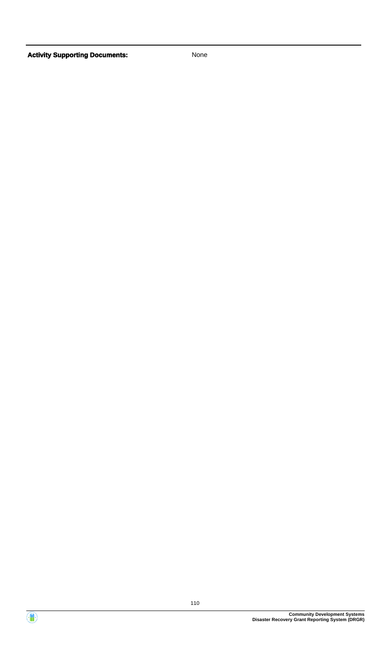Activity **Supporting Documents:** None



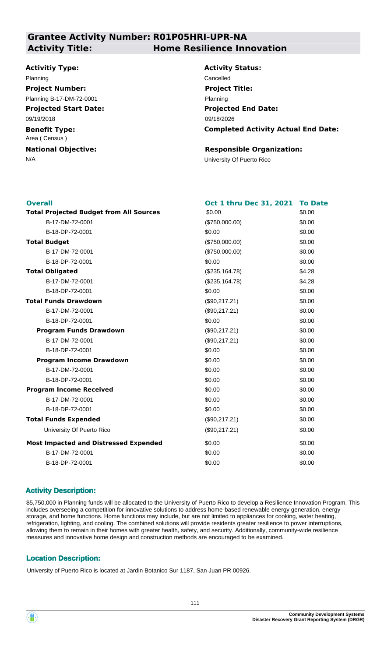# **Grantee Activity Number: R01P05HRI-UPR-NA**

### **Activitiy Type:**

#### Planning Cancelled **Project Number:**

**Projected Start Date:** Planning B-17-DM-72-0001

09/19/2018

**Benefit Type:** Area ( Census )

**National Objective:**

# **Activity Title: Home Resilience Innovation**

**Activity Status: Projected End Date: Completed Activity Actual End Date:** 09/18/2026 **Project Title:** Planning

### **Responsible Organization:**

N/A University Of Puerto Rico

| <b>Overall</b>                                 | Oct 1 thru Dec 31, 2021 | <b>To Date</b> |
|------------------------------------------------|-------------------------|----------------|
| <b>Total Projected Budget from All Sources</b> | \$0.00                  | \$0.00         |
| B-17-DM-72-0001                                | (\$750,000.00)          | \$0.00         |
| B-18-DP-72-0001                                | \$0.00                  | \$0.00         |
| <b>Total Budget</b>                            | (\$750,000.00)          | \$0.00         |
| B-17-DM-72-0001                                | (\$750,000.00)          | \$0.00         |
| B-18-DP-72-0001                                | \$0.00                  | \$0.00         |
| <b>Total Obligated</b>                         | (\$235,164.78)          | \$4.28         |
| B-17-DM-72-0001                                | (\$235,164.78)          | \$4.28         |
| B-18-DP-72-0001                                | \$0.00                  | \$0.00         |
| <b>Total Funds Drawdown</b>                    | (\$90,217.21)           | \$0.00         |
| B-17-DM-72-0001                                | (\$90,217.21)           | \$0.00         |
| B-18-DP-72-0001                                | \$0.00                  | \$0.00         |
| <b>Program Funds Drawdown</b>                  | (\$90,217.21)           | \$0.00         |
| B-17-DM-72-0001                                | (\$90,217.21)           | \$0.00         |
| B-18-DP-72-0001                                | \$0.00                  | \$0.00         |
| <b>Program Income Drawdown</b>                 | \$0.00                  | \$0.00         |
| B-17-DM-72-0001                                | \$0.00                  | \$0.00         |
| B-18-DP-72-0001                                | \$0.00                  | \$0.00         |
| <b>Program Income Received</b>                 | \$0.00                  | \$0.00         |
| B-17-DM-72-0001                                | \$0.00                  | \$0.00         |
| B-18-DP-72-0001                                | \$0.00                  | \$0.00         |
| <b>Total Funds Expended</b>                    | (\$90,217.21)           | \$0.00         |
| University Of Puerto Rico                      | (\$90,217.21)           | \$0.00         |
| <b>Most Impacted and Distressed Expended</b>   | \$0.00                  | \$0.00         |
| B-17-DM-72-0001                                | \$0.00                  | \$0.00         |
| B-18-DP-72-0001                                | \$0.00                  | \$0.00         |
|                                                |                         |                |

# **Activity Description:**

\$5,750,000 in Planning funds will be allocated to the University of Puerto Rico to develop a Resilience Innovation Program. This includes overseeing a competition for innovative solutions to address home-based renewable energy generation, energy storage, and home functions. Home functions may include, but are not limited to appliances for cooking, water heating, refrigeration, lighting, and cooling. The combined solutions will provide residents greater resilience to power interruptions, allowing them to remain in their homes with greater health, safety, and security. Additionally, community-wide resilience measures and innovative home design and construction methods are encouraged to be examined.

# **Location Description:**

University of Puerto Rico is located at Jardin Botanico Sur 1187, San Juan PR 00926.

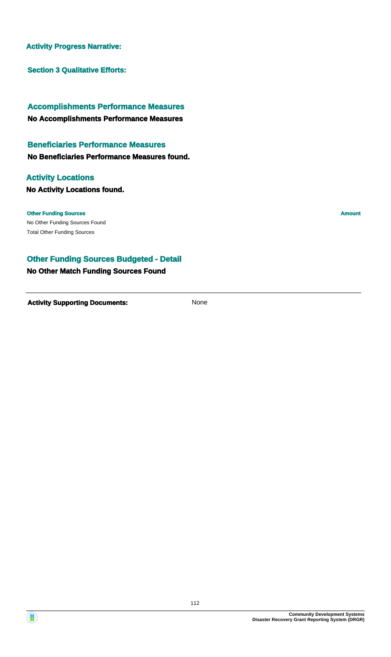### **Activity Progress Narrative:**

**Section 3 Qualitative Efforts:**

# **No Accomplishments Performance Measures Accomplishments Performance Measures**

# **Beneficiaries Performance Measures**

**No Beneficiaries Performance Measures found.**

# **Activity Locations**

**No Activity Locations found.**

#### **Other Funding Sources Amount**

No Other Funding Sources Found Total Other Funding Sources

# **Other Funding Sources Budgeted - Detail**

# **No Other Match Funding Sources Found**

**Activity Supporting Documents:** None

**Disaster Recovery Grant Reporting System (DRGR)**

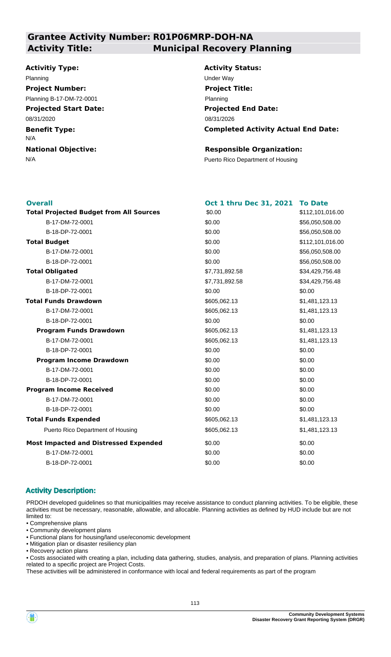# **Grantee Activity Number: R01P06MRP-DOH-NA Activity Title: Municipal Recovery Planning**

#### **Activitiy Type:**

# Planning Under Way **Project Number:**

**Projected Start Date:** 08/31/2020 Planning B-17-DM-72-0001

**Benefit Type:**

N/A

**National Objective:**

**Activity Status: Projected End Date: Completed Activity Actual End Date:** 08/31/2026 **Project Title:** Planning

#### **Responsible Organization:**

N/A **Puerto Rico Department of Housing** 

| <b>Overall</b>                                 | Oct 1 thru Dec 31, 2021 | <b>To Date</b>   |
|------------------------------------------------|-------------------------|------------------|
| <b>Total Projected Budget from All Sources</b> | \$0.00                  | \$112,101,016.00 |
| B-17-DM-72-0001                                | \$0.00                  | \$56,050,508.00  |
| B-18-DP-72-0001                                | \$0.00                  | \$56,050,508.00  |
| <b>Total Budget</b>                            | \$0.00                  | \$112,101,016.00 |
| B-17-DM-72-0001                                | \$0.00                  | \$56,050,508.00  |
| B-18-DP-72-0001                                | \$0.00                  | \$56,050,508.00  |
| <b>Total Obligated</b>                         | \$7,731,892.58          | \$34,429,756.48  |
| B-17-DM-72-0001                                | \$7,731,892.58          | \$34,429,756.48  |
| B-18-DP-72-0001                                | \$0.00                  | \$0.00           |
| <b>Total Funds Drawdown</b>                    | \$605,062.13            | \$1,481,123.13   |
| B-17-DM-72-0001                                | \$605,062.13            | \$1,481,123.13   |
| B-18-DP-72-0001                                | \$0.00                  | \$0.00           |
| <b>Program Funds Drawdown</b>                  | \$605,062.13            | \$1,481,123.13   |
| B-17-DM-72-0001                                | \$605,062.13            | \$1,481,123.13   |
| B-18-DP-72-0001                                | \$0.00                  | \$0.00           |
| <b>Program Income Drawdown</b>                 | \$0.00                  | \$0.00           |
| B-17-DM-72-0001                                | \$0.00                  | \$0.00           |
| B-18-DP-72-0001                                | \$0.00                  | \$0.00           |
| <b>Program Income Received</b>                 | \$0.00                  | \$0.00           |
| B-17-DM-72-0001                                | \$0.00                  | \$0.00           |
| B-18-DP-72-0001                                | \$0.00                  | \$0.00           |
| <b>Total Funds Expended</b>                    | \$605,062.13            | \$1,481,123.13   |
| Puerto Rico Department of Housing              | \$605,062.13            | \$1,481,123.13   |
| <b>Most Impacted and Distressed Expended</b>   | \$0.00                  | \$0.00           |
| B-17-DM-72-0001                                | \$0.00                  | \$0.00           |
| B-18-DP-72-0001                                | \$0.00                  | \$0.00           |
|                                                |                         |                  |

#### **Activity Description:**

PRDOH developed guidelines so that municipalities may receive assistance to conduct planning activities. To be eligible, these activities must be necessary, reasonable, allowable, and allocable. Planning activities as defined by HUD include but are not limited to:

- Comprehensive plans
- Community development plans
- Functional plans for housing/land use/economic development
- Mitigation plan or disaster resiliency plan
- Recovery action plans

• Costs associated with creating a plan, including data gathering, studies, analysis, and preparation of plans. Planning activities related to a specific project are Project Costs.

These activities will be administered in conformance with local and federal requirements as part of the program

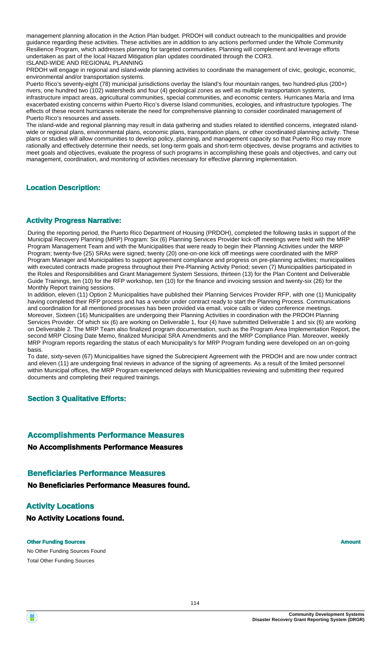management planning allocation in the Action Plan budget. PRDOH will conduct outreach to the municipalities and provide guidance regarding these activities. These activities are in addition to any actions performed under the Whole Community Resilience Program, which addresses planning for targeted communities. Planning will complement and leverage efforts undertaken as part of the local Hazard Mitigation plan updates coordinated through the COR3. ISLAND-WIDE AND REGIONAL PLANNING

PRDOH will engage in regional and island-wide planning activities to coordinate the management of civic, geologic, economic, environmental and/or transportation systems.

Puerto Rico's seventy-eight (78) municipal jurisdictions overlay the Island's four mountain ranges, two hundred-plus (200+) rivers, one hundred two (102) watersheds and four (4) geological zones as well as multiple transportation systems, infrastructure impact areas, agricultural communities, special communities, and economic centers. Hurricanes María and Irma exacerbated existing concerns within Puerto Rico's diverse Island communities, ecologies, and infrastructure typologies. The effects of these recent hurricanes reiterate the need for comprehensive planning to consider coordinated management of Puerto Rico's resources and assets.

The island-wide and regional planning may result in data gathering and studies related to identified concerns, integrated islandwide or regional plans, environmental plans, economic plans, transportation plans, or other coordinated planning activity. These plans or studies will allow communities to develop policy, planning, and management capacity so that Puerto Rico may more rationally and effectively determine their needs, set long-term goals and short-term objectives, devise programs and activities to meet goals and objectives, evaluate the progress of such programs in accomplishing these goals and objectives, and carry out management, coordination, and monitoring of activities necessary for effective planning implementation.

#### **Location Description:**

#### **Activity Progress Narrative:**

During the reporting period, the Puerto Rico Department of Housing (PRDOH), completed the following tasks in support of the Municipal Recovery Planning (MRP) Program: Six (6) Planning Services Provider kick-off meetings were held with the MRP Program Management Team and with the Municipalities that were ready to begin their Planning Activities under the MRP Program; twenty-five (25) SRAs were signed; twenty (20) one-on-one kick off meetings were coordinated with the MRP Program Manager and Municipalities to support agreement compliance and progress on pre-planning activities; municipalities with executed contracts made progress throughout their Pre-Planning Activity Period; seven (7) Municipalities participated in the Roles and Responsibilities and Grant Management System Sessions, thirteen (13) for the Plan Content and Deliverable Guide Trainings, ten (10) for the RFP workshop, ten (10) for the finance and invoicing session and twenty-six (26) for the Monthly Report training sessions.

In addition, eleven (11) Option 2 Municipalities have published their Planning Services Provider RFP, with one (1) Municipality having completed their RFP process and has a vendor under contract ready to start the Planning Process. Communications and coordination for all mentioned processes has been provided via email, voice calls or video conference meetings. Moreover, Sixteen (16) Municipalities are undergoing their Planning Activities in coordination with the PRDOH Planning Services Provider. Of which six (6) are working on Deliverable 1, four (4) have submitted Deliverable 1 and six (6) are working on Deliverable 2. The MRP Team also finalized program documentation, such as the Program Area Implementation Report, the second MRP Closing Date Memo, finalized Municipal SRA Amendments and the MRP Compliance Plan. Moreover, weekly MRP Program reports regarding the status of each Municipality's for MRP Program funding were developed on an on-going basis.

To date, sixty-seven (67) Municipalities have signed the Subrecipient Agreement with the PRDOH and are now under contract and eleven (11) are undergoing final reviews in advance of the signing of agreements. As a result of the limited personnel within Municipal offices, the MRP Program experienced delays with Municipalities reviewing and submitting their required documents and completing their required trainings.

#### **Section 3 Qualitative Efforts:**

# **Accomplishments Performance Measures**

#### **No Accomplishments Performance Measures**

#### **Beneficiaries Performance Measures**

**No Beneficiaries Performance Measures found.**

# **Activity Locations**

**No Activity Locations found.**

#### **Other Funding Sources Amount Amount Amount Amount**

No Other Funding Sources Found Total Other Funding Sources

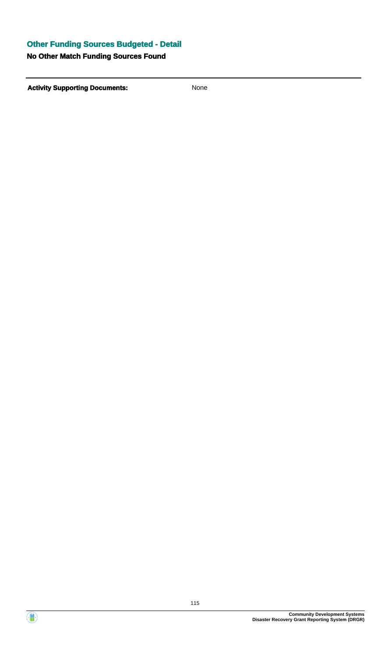# **Other Funding Sources Budgeted - Detail**

# **No Other Match Funding Sources Found**

**Activity Supporting Documents:** None



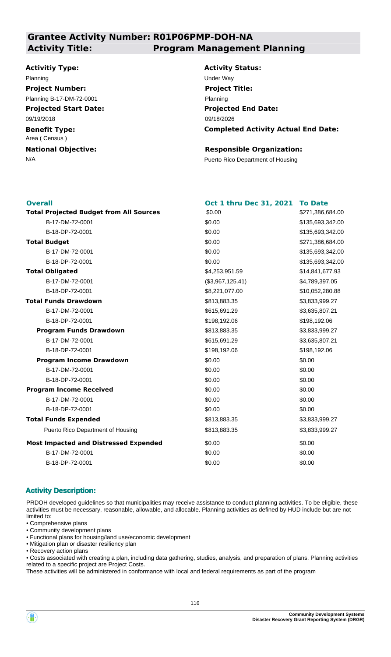# **Grantee Activity Number: R01P06PMP-DOH-NA Activity Title: Program Management Planning**

#### **Activitiy Type:**

#### Planning Under Way **Project Number:**

Planning B-17-DM-72-0001

**Projected Start Date:** 09/19/2018

**Benefit Type:** Area ( Census )

**National Objective:**

**Activity Status: Projected End Date: Completed Activity Actual End Date:** 09/18/2026 **Project Title:** Planning

#### **Responsible Organization:**

N/A **Puerto Rico Department of Housing** 

| <b>Overall</b>                                 | Oct 1 thru Dec 31, 2021 | <b>To Date</b>   |
|------------------------------------------------|-------------------------|------------------|
| <b>Total Projected Budget from All Sources</b> | \$0.00                  | \$271,386,684.00 |
| B-17-DM-72-0001                                | \$0.00                  | \$135,693,342.00 |
| B-18-DP-72-0001                                | \$0.00                  | \$135,693,342.00 |
| <b>Total Budget</b>                            | \$0.00                  | \$271,386,684.00 |
| B-17-DM-72-0001                                | \$0.00                  | \$135,693,342.00 |
| B-18-DP-72-0001                                | \$0.00                  | \$135,693,342.00 |
| <b>Total Obligated</b>                         | \$4,253,951.59          | \$14,841,677.93  |
| B-17-DM-72-0001                                | (\$3,967,125.41)        | \$4,789,397.05   |
| B-18-DP-72-0001                                | \$8,221,077.00          | \$10,052,280.88  |
| <b>Total Funds Drawdown</b>                    | \$813,883.35            | \$3,833,999.27   |
| B-17-DM-72-0001                                | \$615,691.29            | \$3,635,807.21   |
| B-18-DP-72-0001                                | \$198,192.06            | \$198,192.06     |
| <b>Program Funds Drawdown</b>                  | \$813,883.35            | \$3,833,999.27   |
| B-17-DM-72-0001                                | \$615,691.29            | \$3,635,807.21   |
| B-18-DP-72-0001                                | \$198,192.06            | \$198,192.06     |
| <b>Program Income Drawdown</b>                 | \$0.00                  | \$0.00           |
| B-17-DM-72-0001                                | \$0.00                  | \$0.00           |
| B-18-DP-72-0001                                | \$0.00                  | \$0.00           |
| <b>Program Income Received</b>                 | \$0.00                  | \$0.00           |
| B-17-DM-72-0001                                | \$0.00                  | \$0.00           |
| B-18-DP-72-0001                                | \$0.00                  | \$0.00           |
| <b>Total Funds Expended</b>                    | \$813,883.35            | \$3,833,999.27   |
| Puerto Rico Department of Housing              | \$813,883.35            | \$3,833,999.27   |
| <b>Most Impacted and Distressed Expended</b>   | \$0.00                  | \$0.00           |
| B-17-DM-72-0001                                | \$0.00                  | \$0.00           |
| B-18-DP-72-0001                                | \$0.00                  | \$0.00           |
|                                                |                         |                  |

#### **Activity Description:**

PRDOH developed guidelines so that municipalities may receive assistance to conduct planning activities. To be eligible, these activities must be necessary, reasonable, allowable, and allocable. Planning activities as defined by HUD include but are not limited to:

- Comprehensive plans
- Community development plans
- Functional plans for housing/land use/economic development
- Mitigation plan or disaster resiliency plan
- Recovery action plans

• Costs associated with creating a plan, including data gathering, studies, analysis, and preparation of plans. Planning activities related to a specific project are Project Costs.

These activities will be administered in conformance with local and federal requirements as part of the program

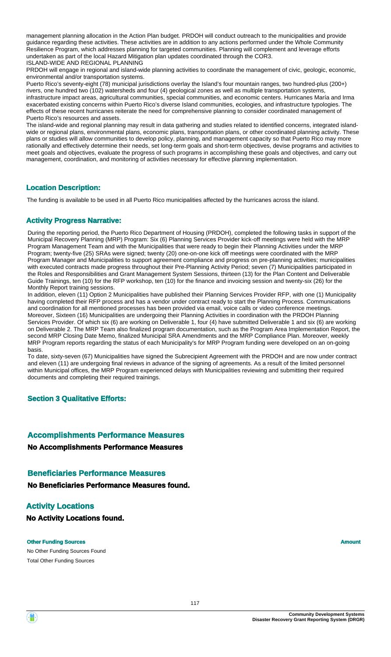management planning allocation in the Action Plan budget. PRDOH will conduct outreach to the municipalities and provide guidance regarding these activities. These activities are in addition to any actions performed under the Whole Community Resilience Program, which addresses planning for targeted communities. Planning will complement and leverage efforts undertaken as part of the local Hazard Mitigation plan updates coordinated through the COR3. ISLAND-WIDE AND REGIONAL PLANNING

PRDOH will engage in regional and island-wide planning activities to coordinate the management of civic, geologic, economic, environmental and/or transportation systems.

Puerto Rico's seventy-eight (78) municipal jurisdictions overlay the Island's four mountain ranges, two hundred-plus (200+) rivers, one hundred two (102) watersheds and four (4) geological zones as well as multiple transportation systems, infrastructure impact areas, agricultural communities, special communities, and economic centers. Hurricanes María and Irma exacerbated existing concerns within Puerto Rico's diverse Island communities, ecologies, and infrastructure typologies. The effects of these recent hurricanes reiterate the need for comprehensive planning to consider coordinated management of Puerto Rico's resources and assets.

The island-wide and regional planning may result in data gathering and studies related to identified concerns, integrated islandwide or regional plans, environmental plans, economic plans, transportation plans, or other coordinated planning activity. These plans or studies will allow communities to develop policy, planning, and management capacity so that Puerto Rico may more rationally and effectively determine their needs, set long-term goals and short-term objectives, devise programs and activities to meet goals and objectives, evaluate the progress of such programs in accomplishing these goals and objectives, and carry out management, coordination, and monitoring of activities necessary for effective planning implementation.

#### **Location Description:**

The funding is available to be used in all Puerto Rico municipalities affected by the hurricanes across the island.

#### **Activity Progress Narrative:**

During the reporting period, the Puerto Rico Department of Housing (PRDOH), completed the following tasks in support of the Municipal Recovery Planning (MRP) Program: Six (6) Planning Services Provider kick-off meetings were held with the MRP Program Management Team and with the Municipalities that were ready to begin their Planning Activities under the MRP Program; twenty-five (25) SRAs were signed; twenty (20) one-on-one kick off meetings were coordinated with the MRP Program Manager and Municipalities to support agreement compliance and progress on pre-planning activities; municipalities with executed contracts made progress throughout their Pre-Planning Activity Period; seven (7) Municipalities participated in the Roles and Responsibilities and Grant Management System Sessions, thirteen (13) for the Plan Content and Deliverable Guide Trainings, ten (10) for the RFP workshop, ten (10) for the finance and invoicing session and twenty-six (26) for the Monthly Report training sessions.

In addition, eleven (11) Option 2 Municipalities have published their Planning Services Provider RFP, with one (1) Municipality having completed their RFP process and has a vendor under contract ready to start the Planning Process. Communications and coordination for all mentioned processes has been provided via email, voice calls or video conference meetings. Moreover, Sixteen (16) Municipalities are undergoing their Planning Activities in coordination with the PRDOH Planning Services Provider. Of which six (6) are working on Deliverable 1, four (4) have submitted Deliverable 1 and six (6) are working on Deliverable 2. The MRP Team also finalized program documentation, such as the Program Area Implementation Report, the second MRP Closing Date Memo, finalized Municipal SRA Amendments and the MRP Compliance Plan. Moreover, weekly MRP Program reports regarding the status of each Municipality's for MRP Program funding were developed on an on-going basis.

To date, sixty-seven (67) Municipalities have signed the Subrecipient Agreement with the PRDOH and are now under contract and eleven (11) are undergoing final reviews in advance of the signing of agreements. As a result of the limited personnel within Municipal offices, the MRP Program experienced delays with Municipalities reviewing and submitting their required documents and completing their required trainings.

#### **Section 3 Qualitative Efforts:**

# **Accomplishments Performance Measures**

**No Accomplishments Performance Measures**

#### **Beneficiaries Performance Measures**

**No Beneficiaries Performance Measures found.**

# **Activity Locations**

**No Activity Locations found.**

#### **Other Funding Sources Amount Amount Amount Amount**

No Other Funding Sources Found Total Other Funding Sources